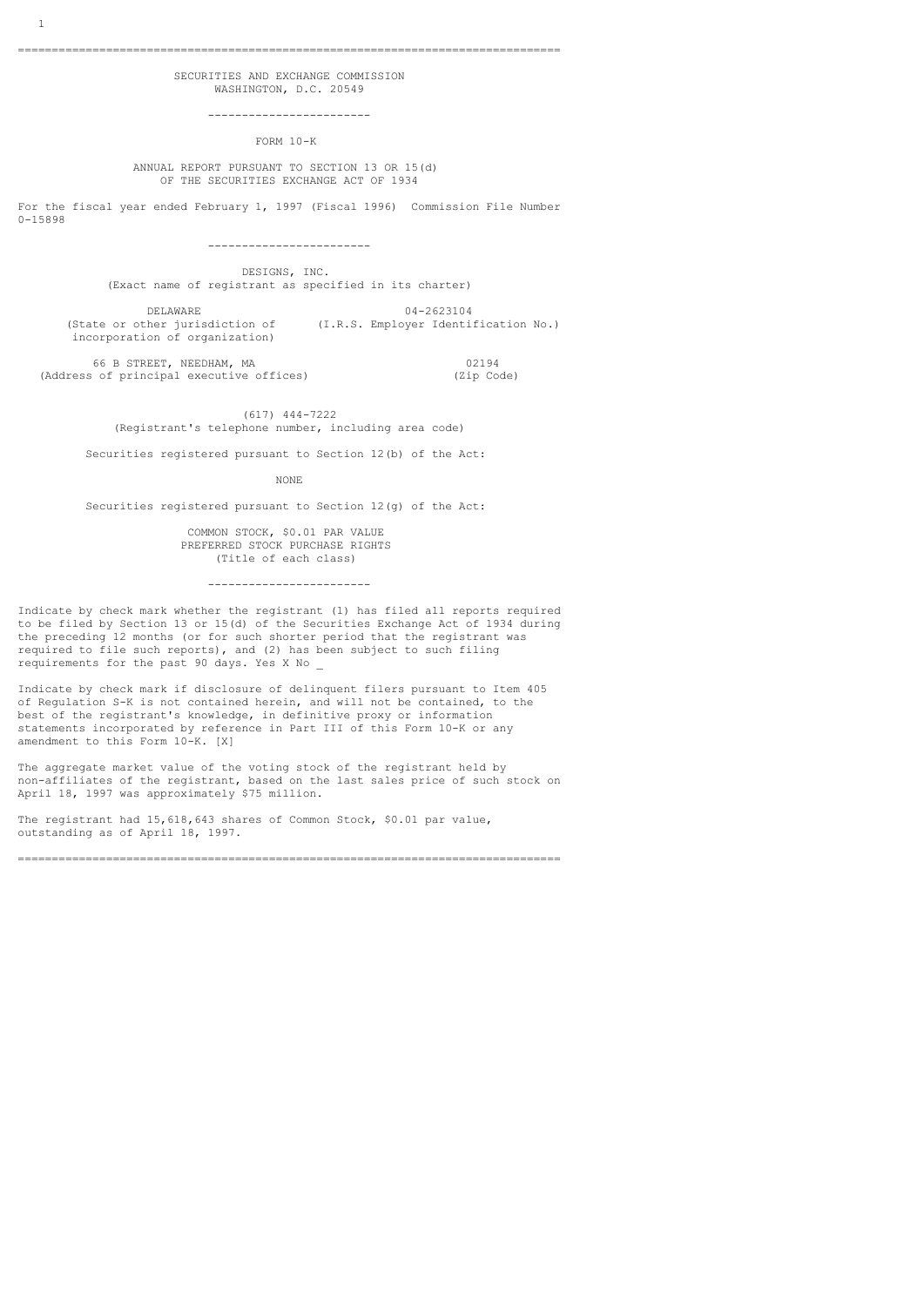================================================================================

# SECURITIES AND EXCHANGE COMMISSION WASHINGTON, D.C. 20549

------------------------

FORM 10-K

## ANNUAL REPORT PURSUANT TO SECTION 13 OR 15(d) OF THE SECURITIES EXCHANGE ACT OF 1934

For the fiscal year ended February 1, 1997 (Fiscal 1996) Commission File Number

0-15898

------------------------

 DESIGNS, INC. (Exact name of registrant as specified in its charter)

DELAWARE 04-2623104 (State or other jurisdiction of (I.R.S. Employer Identification No.) incorporation of organization)

66 B STREET, NEEDHAM, MA 02194<br>s of principal executive offices) (Zip Code) (Address of principal executive offices)

## (617) 444-7222 (Registrant's telephone number, including area code)

Securities registered pursuant to Section 12(b) of the Act:

NONE **NONE** 

Securities registered pursuant to Section 12(g) of the Act:

 COMMON STOCK, \$0.01 PAR VALUE PREFERRED STOCK PURCHASE RIGHTS (Title of each class)

------------------------

Indicate by check mark whether the registrant (1) has filed all reports required to be filed by Section 13 or 15(d) of the Securities Exchange Act of 1934 during the preceding 12 months (or for such shorter period that the registrant was required to file such reports), and (2) has been subject to such filing requirements for the past 90 days. Yes X No \_

Indicate by check mark if disclosure of delinquent filers pursuant to Item 405 of Regulation S-K is not contained herein, and will not be contained, to the best of the registrant's knowledge, in definitive proxy or information statements incorporated by reference in Part III of this Form 10-K or any amendment to this Form 10-K. [X]

The aggregate market value of the voting stock of the registrant held by non-affiliates of the registrant, based on the last sales price of such stock on April 18, 1997 was approximately \$75 million.

The registrant had 15,618,643 shares of Common Stock, \$0.01 par value, outstanding as of April 18, 1997.

================================================================================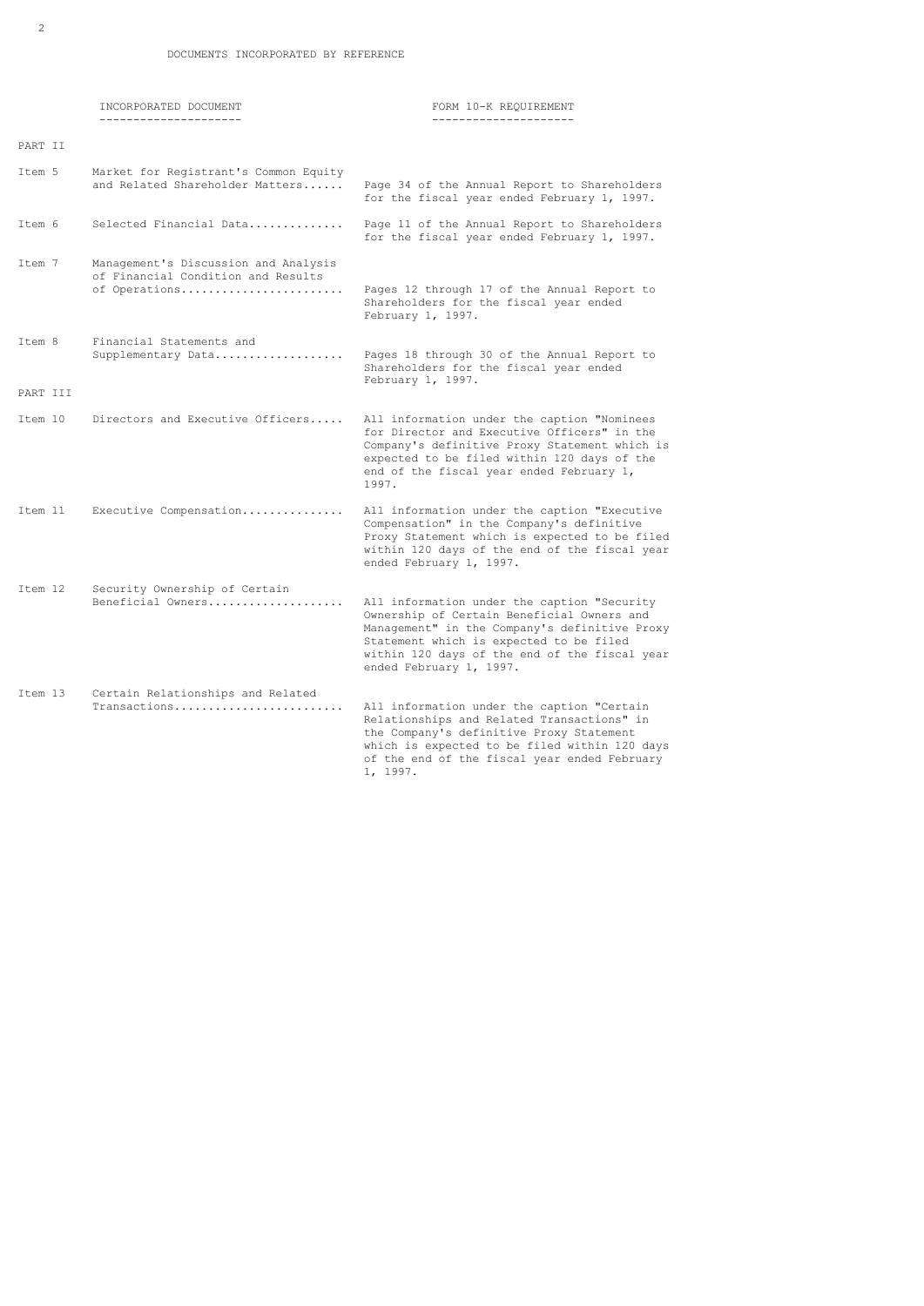|          | INCORPORATED DOCUMENT                                                                       | FORM 10-K REQUIREMENT                                                                                                                                                                                                                                             |
|----------|---------------------------------------------------------------------------------------------|-------------------------------------------------------------------------------------------------------------------------------------------------------------------------------------------------------------------------------------------------------------------|
| PART II  | ---------------------                                                                       |                                                                                                                                                                                                                                                                   |
| Item 5   | Market for Registrant's Common Equity<br>and Related Shareholder Matters                    | Page 34 of the Annual Report to Shareholders<br>for the fiscal year ended February 1, 1997.                                                                                                                                                                       |
| Item 6   | Selected Financial Data                                                                     | Page 11 of the Annual Report to Shareholders<br>for the fiscal year ended February 1, 1997.                                                                                                                                                                       |
| Item 7   | Management's Discussion and Analysis<br>of Financial Condition and Results<br>of Operations | Pages 12 through 17 of the Annual Report to<br>Shareholders for the fiscal year ended<br>February 1, 1997.                                                                                                                                                        |
| Item 8   | Financial Statements and<br>Supplementary Data                                              | Pages 18 through 30 of the Annual Report to<br>Shareholders for the fiscal year ended<br>February 1, 1997.                                                                                                                                                        |
| PART III |                                                                                             |                                                                                                                                                                                                                                                                   |
| Item 10  | Directors and Executive Officers                                                            | All information under the caption "Nominees<br>for Director and Executive Officers" in the<br>Company's definitive Proxy Statement which is<br>expected to be filed within 120 days of the<br>end of the fiscal year ended February 1,<br>1997.                   |
| Item 11  | Executive Compensation                                                                      | All information under the caption "Executive<br>Compensation" in the Company's definitive<br>Proxy Statement which is expected to be filed<br>within 120 days of the end of the fiscal year<br>ended February 1, 1997.                                            |
| Item 12  | Security Ownership of Certain<br>Beneficial Owners                                          | All information under the caption "Security<br>Ownership of Certain Beneficial Owners and<br>Management" in the Company's definitive Proxy<br>Statement which is expected to be filed<br>within 120 days of the end of the fiscal year<br>ended February 1, 1997. |
| Item 13  | Certain Relationships and Related<br>Transactions                                           | All information under the caption "Certain<br>Relationships and Related Transactions" in<br>the Company's definitive Proxy Statement<br>which is expected to be filed within 120 days<br>of the end of the fiscal year ended February<br>1, 1997.                 |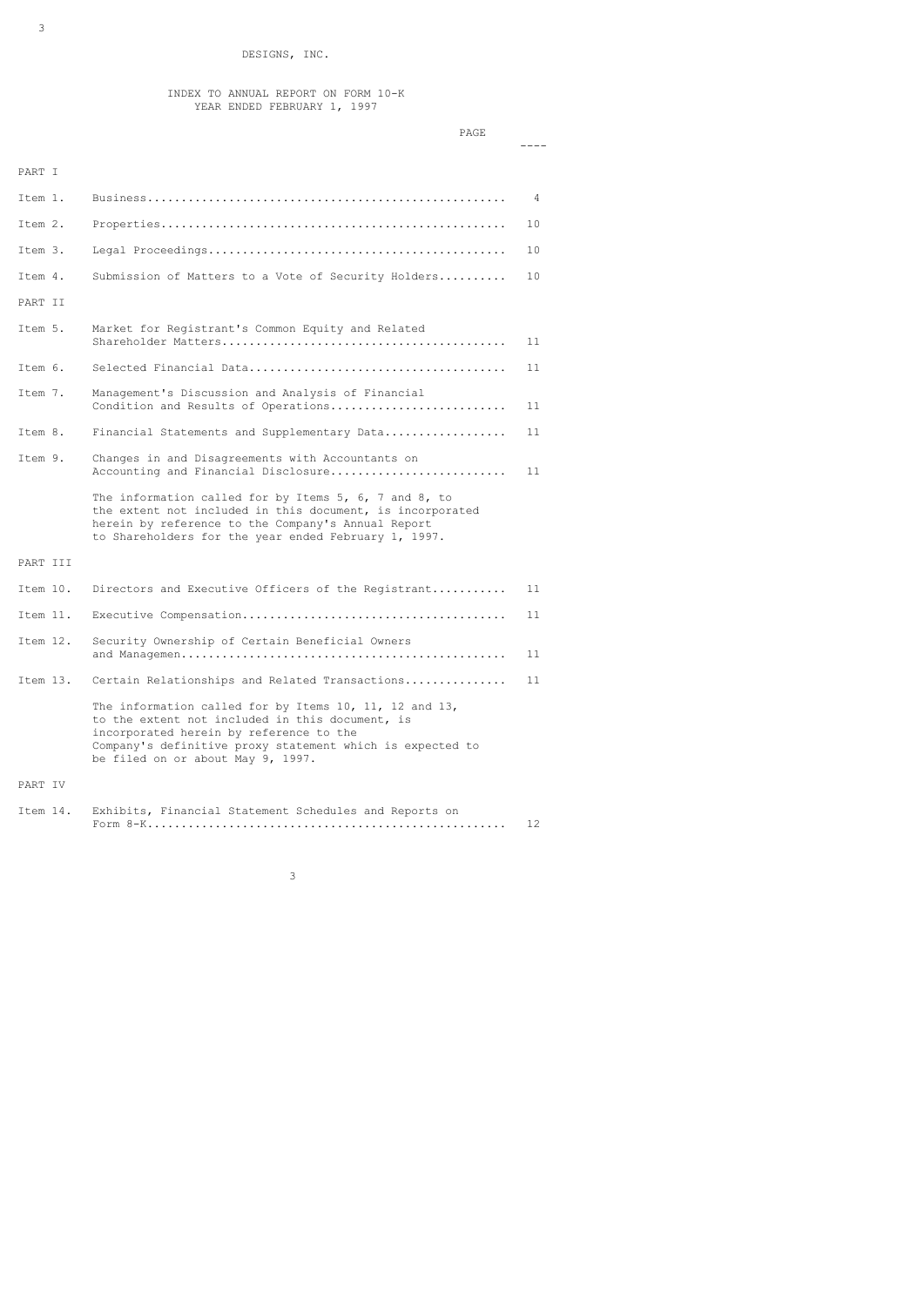### INDEX TO ANNUAL REPORT ON FORM 10-K YEAR ENDED FEBRUARY 1, 1997

|          | PAGE                                                                                                                                                                                                                                                   |    |
|----------|--------------------------------------------------------------------------------------------------------------------------------------------------------------------------------------------------------------------------------------------------------|----|
| PART I   |                                                                                                                                                                                                                                                        |    |
| Item 1.  |                                                                                                                                                                                                                                                        | 4  |
| Item 2.  |                                                                                                                                                                                                                                                        | 10 |
| Item 3.  |                                                                                                                                                                                                                                                        | 10 |
| Item 4.  | Submission of Matters to a Vote of Security Holders                                                                                                                                                                                                    | 10 |
| PART II  |                                                                                                                                                                                                                                                        |    |
| Item 5.  | Market for Registrant's Common Equity and Related                                                                                                                                                                                                      | 11 |
| Item 6.  |                                                                                                                                                                                                                                                        | 11 |
| Item 7.  | Management's Discussion and Analysis of Financial<br>Condition and Results of Operations                                                                                                                                                               | 11 |
| Item 8.  | Financial Statements and Supplementary Data                                                                                                                                                                                                            | 11 |
| Item 9.  | Changes in and Disagreements with Accountants on<br>Accounting and Financial Disclosure                                                                                                                                                                | 11 |
|          | The information called for by Items 5, 6, 7 and 8, to<br>the extent not included in this document, is incorporated<br>herein by reference to the Company's Annual Report<br>to Shareholders for the year ended February 1, 1997.                       |    |
| PART III |                                                                                                                                                                                                                                                        |    |
| Item 10. | Directors and Executive Officers of the Registrant                                                                                                                                                                                                     | 11 |
| Item 11. |                                                                                                                                                                                                                                                        | 11 |
| Item 12. | Security Ownership of Certain Beneficial Owners                                                                                                                                                                                                        | 11 |
| Item 13. | Certain Relationships and Related Transactions                                                                                                                                                                                                         | 11 |
|          | The information called for by Items 10, 11, 12 and 13,<br>to the extent not included in this document, is<br>incorporated herein by reference to the<br>Company's definitive proxy statement which is expected to<br>be filed on or about May 9, 1997. |    |
| PART IV  |                                                                                                                                                                                                                                                        |    |
| Item 14. | Exhibits, Financial Statement Schedules and Reports on                                                                                                                                                                                                 | 12 |

<u>3</u> and the contract of the contract of the contract of the contract of the contract of the contract of the contract of the contract of the contract of the contract of the contract of the contract of the contract of the co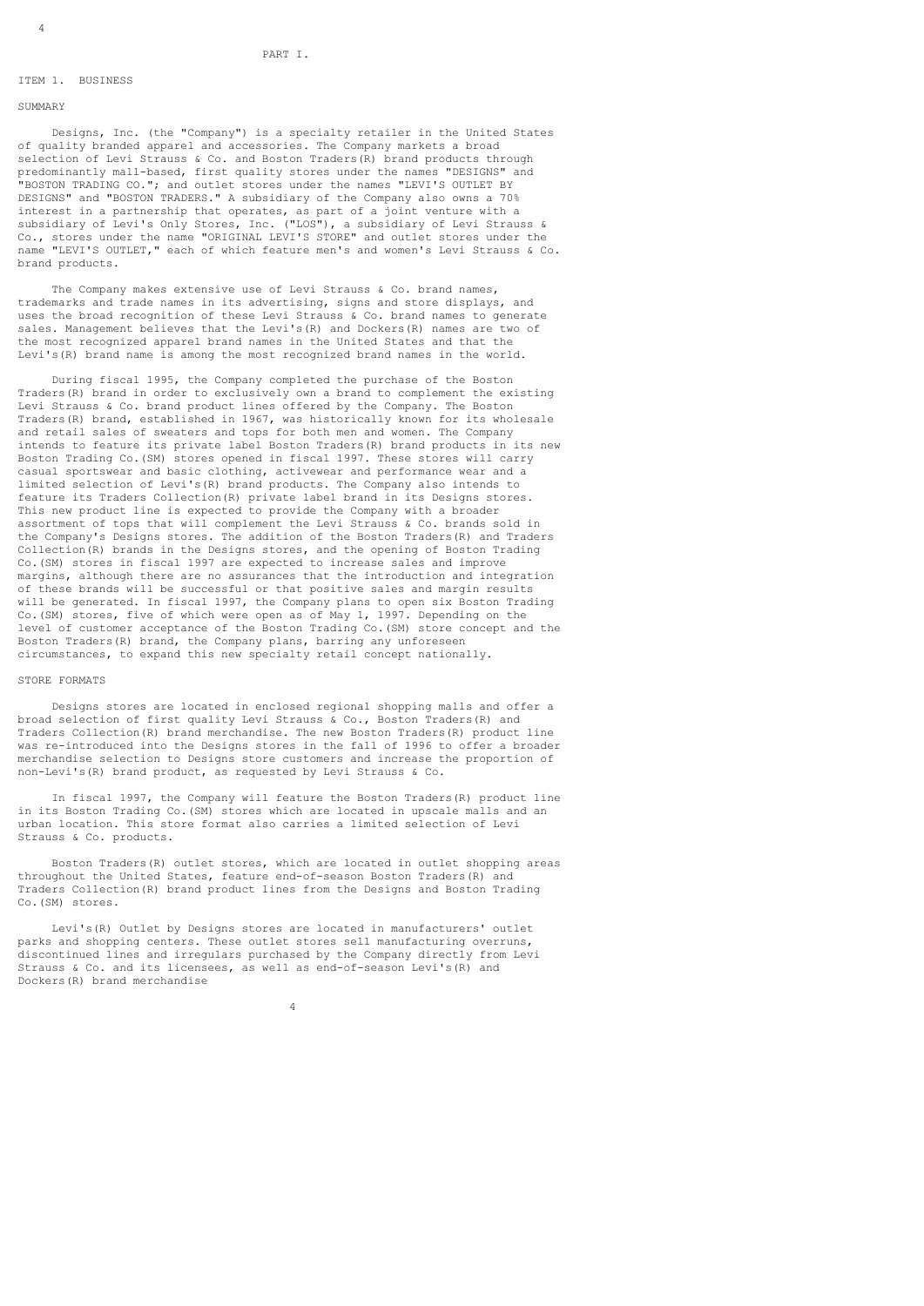## ITEM 1. BUSINESS

### SUMMARY

 Designs, Inc. (the "Company") is a specialty retailer in the United States of quality branded apparel and accessories. The Company markets a broad selection of Levi Strauss & Co. and Boston Traders(R) brand products through predominantly mall-based, first quality stores under the names "DESIGNS" and "BOSTON TRADING CO."; and outlet stores under the names "LEVI'S OUTLET BY DESIGNS" and "BOSTON TRADERS." A subsidiary of the Company also owns a 70% interest in a partnership that operates, as part of a joint venture with a subsidiary of Levi's Only Stores, Inc. ("LOS"), a subsidiary of Levi Strauss & Co., stores under the name "ORIGINAL LEVI'S STORE" and outlet stores under the name "LEVI'S OUTLET," each of which feature men's and women's Levi Strauss & Co. brand products.

The Company makes extensive use of Levi Strauss & Co. brand names, trademarks and trade names in its advertising, signs and store displays, and uses the broad recognition of these Levi Strauss & Co. brand names to generate sales. Management believes that the Levi's(R) and Dockers(R) names are two of the most recognized apparel brand names in the United States and that the Levi's(R) brand name is among the most recognized brand names in the world.

 During fiscal 1995, the Company completed the purchase of the Boston Traders(R) brand in order to exclusively own a brand to complement the existing Levi Strauss & Co. brand product lines offered by the Company. The Boston Traders(R) brand, established in 1967, was historically known for its wholesale and retail sales of sweaters and tops for both men and women. The Company intends to feature its private label Boston Traders(R) brand products in its new Boston Trading Co.(SM) stores opened in fiscal 1997. These stores will carry casual sportswear and basic clothing, activewear and performance wear and a limited selection of Levi's(R) brand products. The Company also intends to feature its Traders Collection(R) private label brand in its Designs stores. This new product line is expected to provide the Company with a broader assortment of tops that will complement the Levi Strauss & Co. brands sold in the Company's Designs stores. The addition of the Boston Traders(R) and Traders Collection(R) brands in the Designs stores, and the opening of Boston Trading Co.(SM) stores in fiscal 1997 are expected to increase sales and improve margins, although there are no assurances that the introduction and integration of these brands will be successful or that positive sales and margin results will be generated. In fiscal 1997, the Company plans to open six Boston Trading Co.(SM) stores, five of which were open as of May 1, 1997. Depending on the level of customer acceptance of the Boston Trading Co.(SM) store concept and the Boston Traders(R) brand, the Company plans, barring any unforeseen circumstances, to expand this new specialty retail concept nationally.

### STORE FORMATS

 Designs stores are located in enclosed regional shopping malls and offer a broad selection of first quality Levi Strauss & Co., Boston Traders(R) and Traders Collection(R) brand merchandise. The new Boston Traders(R) product line was re-introduced into the Designs stores in the fall of 1996 to offer a broader merchandise selection to Designs store customers and increase the proportion of non-Levi's(R) brand product, as requested by Levi Strauss & Co.

 In fiscal 1997, the Company will feature the Boston Traders(R) product line in its Boston Trading Co.(SM) stores which are located in upscale malls and an urban location. This store format also carries a limited selection of Levi Strauss & Co. products.

 Boston Traders(R) outlet stores, which are located in outlet shopping areas throughout the United States, feature end-of-season Boston Traders(R) and Traders Collection(R) brand product lines from the Designs and Boston Trading Co.(SM) stores.

 Levi's(R) Outlet by Designs stores are located in manufacturers' outlet parks and shopping centers. These outlet stores sell manufacturing overruns, discontinued lines and irregulars purchased by the Company directly from Levi Strauss & Co. and its licensees, as well as end-of-season Levi's(R) and Dockers(R) brand merchandise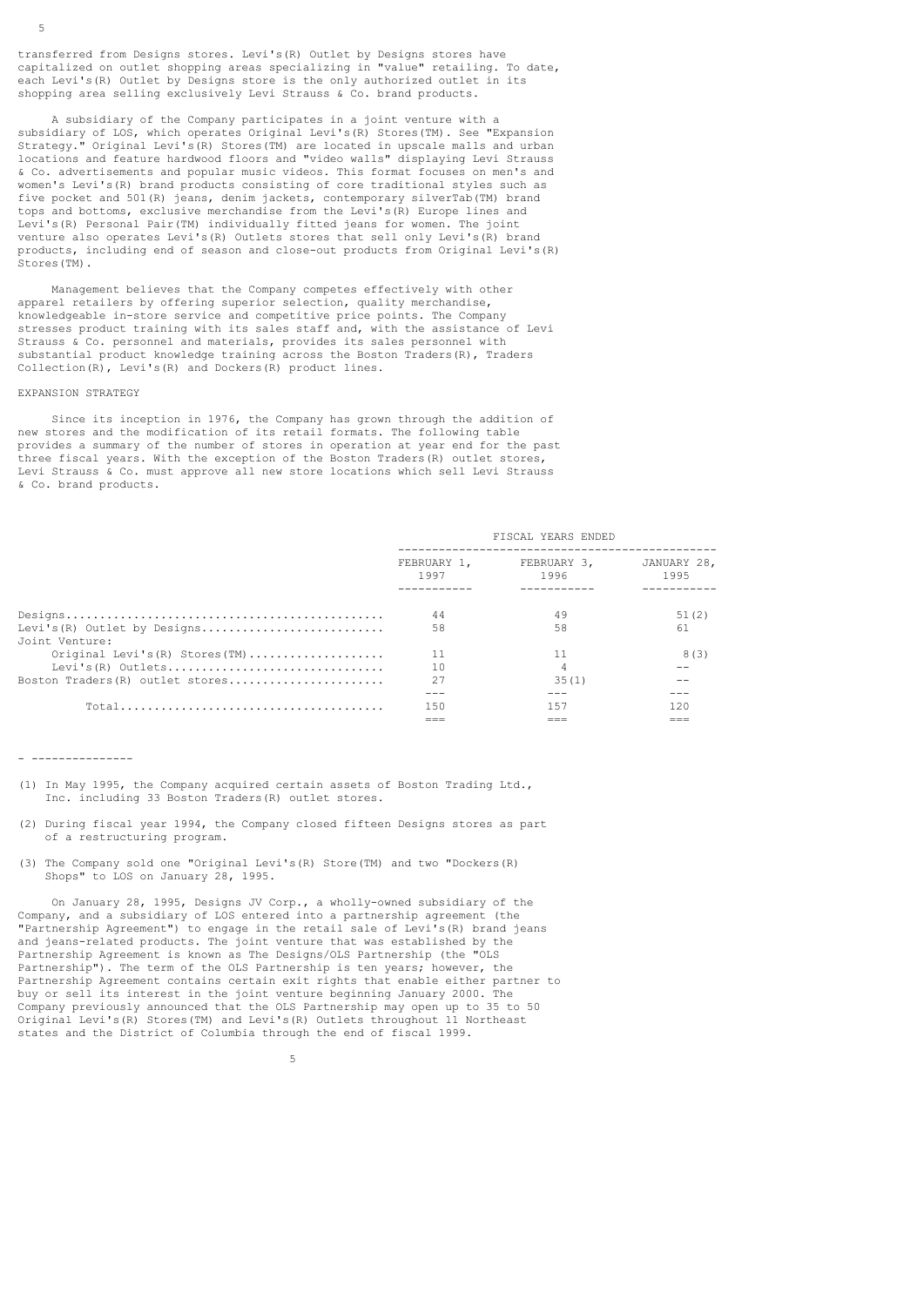transferred from Designs stores. Levi's(R) Outlet by Designs stores have capitalized on outlet shopping areas specializing in "value" retailing. To date, each Levi's (R) Outlet by Designs store is the only authorized outlet in its shopping area selling exclusively Levi Strauss & Co. brand products.

 A subsidiary of the Company participates in a joint venture with a subsidiary of LOS, which operates Original Levi's(R) Stores(TM). See "Expansion Strategy." Original Levi's(R) Stores(TM) are located in upscale malls and urban locations and feature hardwood floors and "video walls" displaying Levi Strauss & Co. advertisements and popular music videos. This format focuses on men's and women's Levi's(R) brand products consisting of core traditional styles such as five pocket and 501(R) jeans, denim jackets, contemporary silverTab(TM) brand tops and bottoms, exclusive merchandise from the Levi's(R) Europe lines and Levi's(R) Personal Pair(TM) individually fitted jeans for women. The joint venture also operates Levi's(R) Outlets stores that sell only Levi's(R) brand products, including end of season and close-out products from Original Levi's(R) Stores(TM).

 Management believes that the Company competes effectively with other apparel retailers by offering superior selection, quality merchandise, knowledgeable in-store service and competitive price points. The Company stresses product training with its sales staff and, with the assistance of Levi Strauss & Co. personnel and materials, provides its sales personnel with substantial product knowledge training across the Boston Traders(R), Traders Collection(R), Levi's(R) and Dockers(R) product lines.

### EXPANSION STRATEGY

 Since its inception in 1976, the Company has grown through the addition of new stores and the modification of its retail formats. The following table provides a summary of the number of stores in operation at year end for the past three fiscal years. With the exception of the Boston Traders(R) outlet stores, Levi Strauss & Co. must approve all new store locations which sell Levi Strauss & Co. brand products.

|                                     | FISCAL YEARS ENDED  |                     |                     |
|-------------------------------------|---------------------|---------------------|---------------------|
|                                     | FEBRUARY 1,<br>1997 | FEBRUARY 3.<br>1996 | JANUARY 28,<br>1995 |
|                                     |                     |                     |                     |
|                                     | 44                  | 49                  | 51(2)               |
| Levi's (R) Outlet by Designs        | 58                  | 58                  | 61                  |
| Joint Venture:                      |                     |                     |                     |
| Original Levi's $(R)$ Stores $(TM)$ | 11                  | 11                  | 8(3)                |
| Levi's $(R)$ Outlets                | 10                  | 4                   |                     |
| Boston Traders (R) outlet stores    | 2.7                 | 35(1)               |                     |
|                                     |                     |                     |                     |
| $Total$                             | 150                 | 157                 | 120                 |
|                                     |                     |                     |                     |

#### - ---------------

- (1) In May 1995, the Company acquired certain assets of Boston Trading Ltd., Inc. including 33 Boston Traders(R) outlet stores.
- (2) During fiscal year 1994, the Company closed fifteen Designs stores as part of a restructuring program.
- (3) The Company sold one "Original Levi's(R) Store(TM) and two "Dockers(R) Shops" to LOS on January 28, 1995.

 On January 28, 1995, Designs JV Corp., a wholly-owned subsidiary of the Company, and a subsidiary of LOS entered into a partnership agreement (the "Partnership Agreement") to engage in the retail sale of Levi's(R) brand jeans and jeans-related products. The joint venture that was established by the Partnership Agreement is known as The Designs/OLS Partnership (the "OLS Partnership"). The term of the OLS Partnership is ten years; however, the Partnership Agreement contains certain exit rights that enable either partner to buy or sell its interest in the joint venture beginning January 2000. The Company previously announced that the OLS Partnership may open up to 35 to 50 Original Levi's(R) Stores(TM) and Levi's(R) Outlets throughout 11 Northeast states and the District of Columbia through the end of fiscal 1999.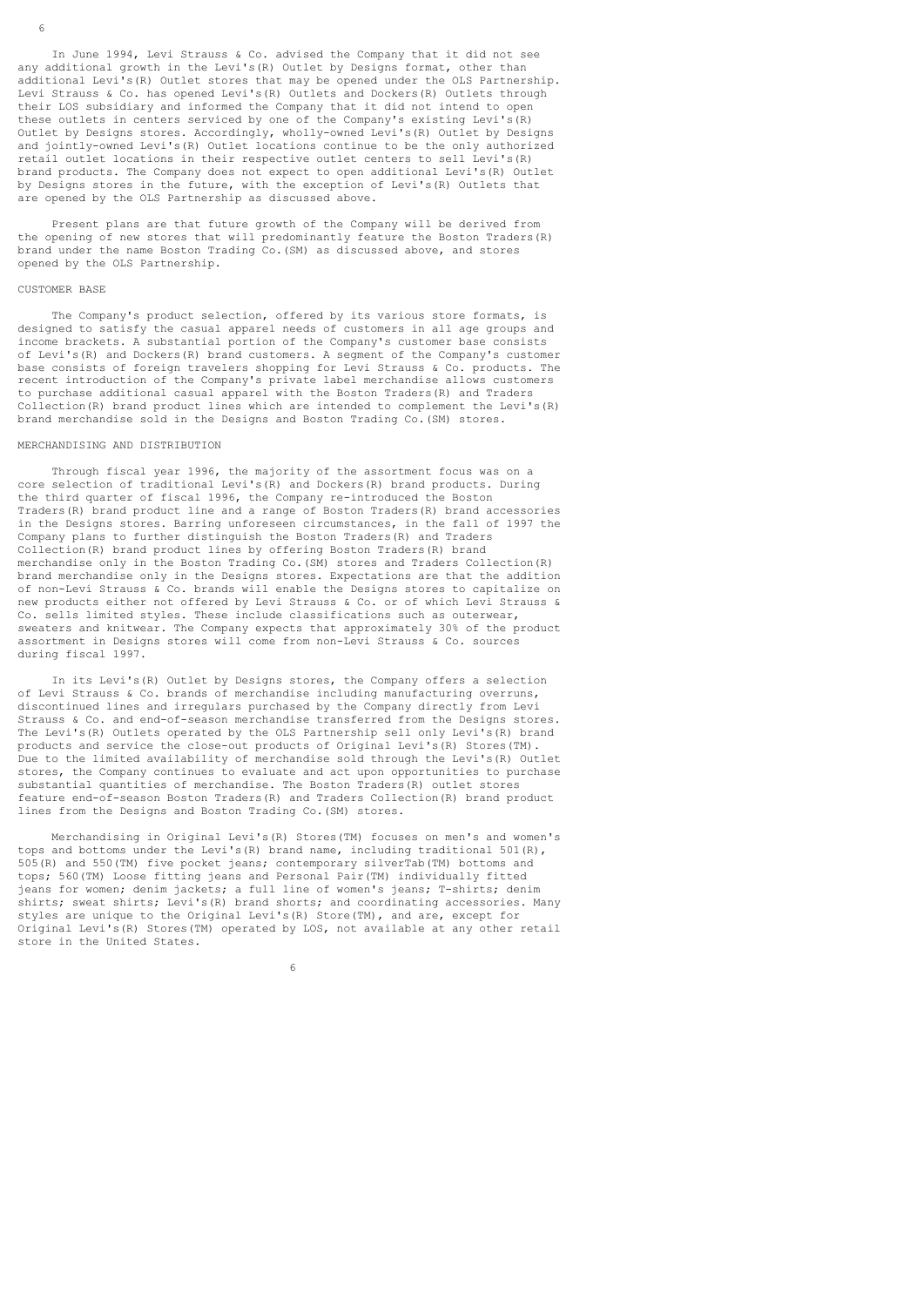In June 1994, Levi Strauss & Co. advised the Company that it did not see any additional growth in the Levi's(R) Outlet by Designs format, other than additional Levi's(R) Outlet stores that may be opened under the OLS Partnership. Levi Strauss & Co. has opened Levi's(R) Outlets and Dockers(R) Outlets through their LOS subsidiary and informed the Company that it did not intend to open these outlets in centers serviced by one of the Company's existing Levi's(R) Outlet by Designs stores. Accordingly, wholly-owned Levi's(R) Outlet by Designs and iointly-owned Levi's (R) Outlet locations continue to be the only authorized retail outlet locations in their respective outlet centers to sell Levi's(R) brand products. The Company does not expect to open additional Levi's(R) Outlet by Designs stores in the future, with the exception of Levi's(R) Outlets that are opened by the OLS Partnership as discussed above.

 Present plans are that future growth of the Company will be derived from the opening of new stores that will predominantly feature the Boston Traders(R) brand under the name Boston Trading Co.(SM) as discussed above, and stores opened by the OLS Partnership.

### CUSTOMER BASE

 The Company's product selection, offered by its various store formats, is designed to satisfy the casual apparel needs of customers in all age groups and income brackets. A substantial portion of the Company's customer base consists of Levi's(R) and Dockers(R) brand customers. A segment of the Company's customer base consists of foreign travelers shopping for Levi Strauss & Co. products. The recent introduction of the Company's private label merchandise allows customers to purchase additional casual apparel with the Boston Traders(R) and Traders Collection(R) brand product lines which are intended to complement the Levi's(R) brand merchandise sold in the Designs and Boston Trading Co.(SM) stores.

## MERCHANDISING AND DISTRIBUTION

 Through fiscal year 1996, the majority of the assortment focus was on a core selection of traditional Levi's(R) and Dockers(R) brand products. During the third quarter of fiscal 1996, the Company re-introduced the Boston Traders(R) brand product line and a range of Boston Traders(R) brand accessories in the Designs stores. Barring unforeseen circumstances, in the fall of 1997 the Company plans to further distinguish the Boston Traders(R) and Traders Collection(R) brand product lines by offering Boston Traders(R) brand merchandise only in the Boston Trading Co.(SM) stores and Traders Collection(R) brand merchandise only in the Designs stores. Expectations are that the addition of non-Levi Strauss & Co. brands will enable the Designs stores to capitalize on new products either not offered by Levi Strauss & Co. or of which Levi Strauss & Co. sells limited styles. These include classifications such as outerwear, sweaters and knitwear. The Company expects that approximately 30% of the product assortment in Designs stores will come from non-Levi Strauss & Co. sources during fiscal 1997.

 In its Levi's(R) Outlet by Designs stores, the Company offers a selection of Levi Strauss & Co. brands of merchandise including manufacturing overruns, discontinued lines and irregulars purchased by the Company directly from Levi Strauss & Co. and end-of-season merchandise transferred from the Designs stores. The Levi's(R) Outlets operated by the OLS Partnership sell only Levi's(R) brand products and service the close-out products of Original Levi's(R) Stores(TM). Due to the limited availability of merchandise sold through the Levi's(R) Outlet stores, the Company continues to evaluate and act upon opportunities to purchase substantial quantities of merchandise. The Boston Traders(R) outlet stores feature end-of-season Boston Traders(R) and Traders Collection(R) brand product lines from the Designs and Boston Trading Co.(SM) stores.

 Merchandising in Original Levi's(R) Stores(TM) focuses on men's and women's tops and bottoms under the Levi's(R) brand name, including traditional 501(R), 505(R) and 550(TM) five pocket jeans; contemporary silverTab(TM) bottoms and tops; 560(TM) Loose fitting jeans and Personal Pair(TM) individually fitted jeans for women; denim jackets; a full line of women's jeans; T-shirts; denim shirts; sweat shirts; Levi's(R) brand shorts; and coordinating accessories. Many styles are unique to the Original Levi's(R) Store(TM), and are, except for Original Levi's(R) Stores(TM) operated by LOS, not available at any other retail store in the United States.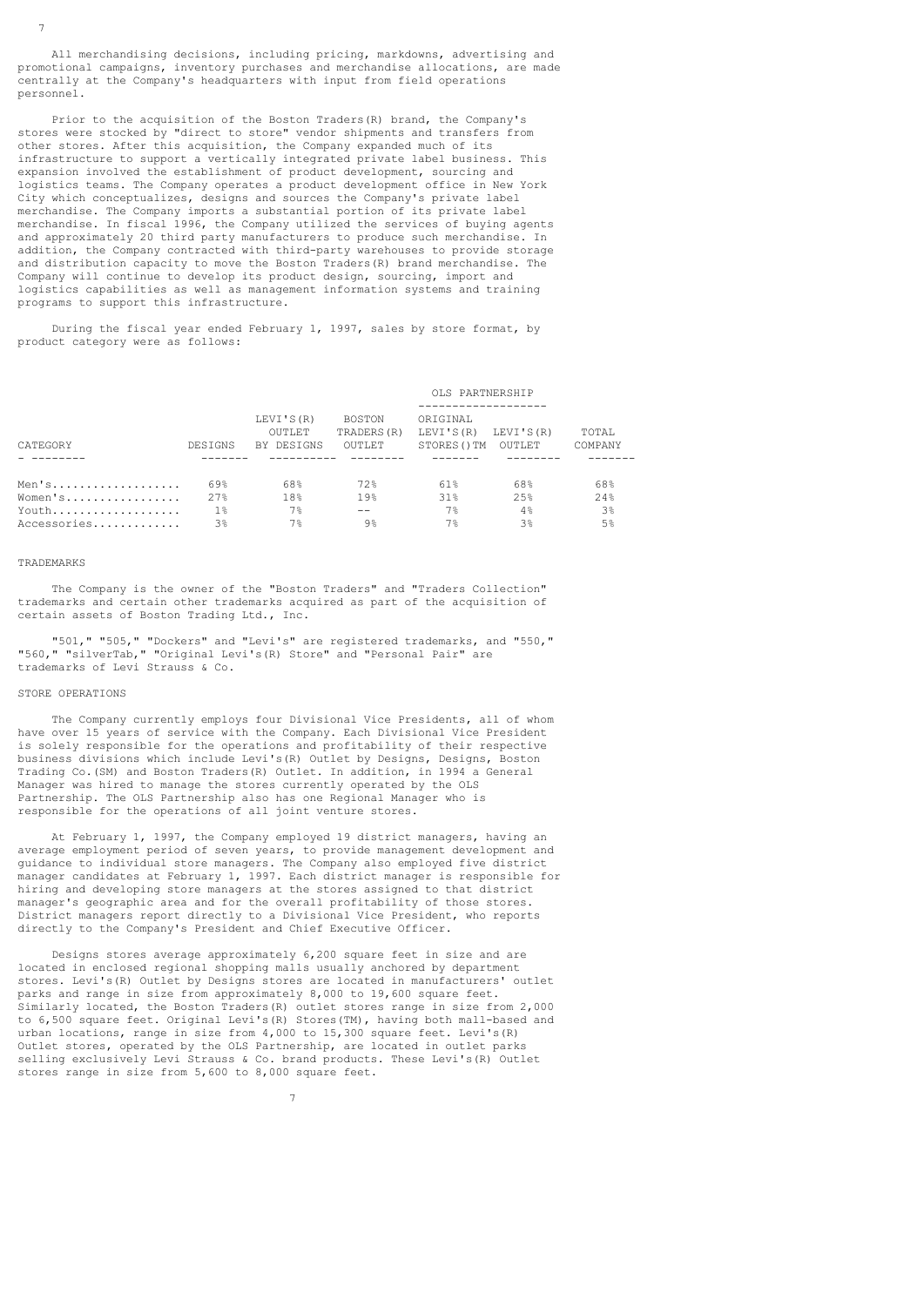All merchandising decisions, including pricing, markdowns, advertising and promotional campaigns, inventory purchases and merchandise allocations, are made centrally at the Company's headquarters with input from field operations personnel.

 Prior to the acquisition of the Boston Traders(R) brand, the Company's stores were stocked by "direct to store" vendor shipments and transfers from other stores. After this acquisition, the Company expanded much of its infrastructure to support a vertically integrated private label business. This expansion involved the establishment of product development, sourcing and logistics teams. The Company operates a product development office in New York City which conceptualizes, designs and sources the Company's private label merchandise. The Company imports a substantial portion of its private label merchandise. In fiscal 1996, the Company utilized the services of buying agents and approximately 20 third party manufacturers to produce such merchandise. In addition, the Company contracted with third-party warehouses to provide storage and distribution capacity to move the Boston Traders(R) brand merchandise. The Company will continue to develop its product design, sourcing, import and logistics capabilities as well as management information systems and training programs to support this infrastructure.

 During the fiscal year ended February 1, 1997, sales by store format, by product category were as follows:

## OLS PARTNERSHIP

| CATEGORY    | DESIGNS | LEVI'S (R)<br>OUTLET<br>BY DESIGNS | BOSTON<br>TRADERS (R)<br>OUTLET | ORIGINAL<br>LEVI'S (R) LEVI'S (R)<br>STORES () TM | OUTLET | TOTAL<br>COMPANY |
|-------------|---------|------------------------------------|---------------------------------|---------------------------------------------------|--------|------------------|
|             |         |                                    |                                 |                                                   |        |                  |
|             |         |                                    |                                 |                                                   |        |                  |
| Men's       | 69%     | 68%                                | 72%                             | 618                                               | 68%    | 68%              |
| Women's     | 2.7%    | 18%                                | 19%                             | 31%                                               | 2.5%   | 2.4%             |
| Youth       | $1\%$   | 7%                                 | $- -$                           | 7%                                                | 4%     | 3 <sup>°</sup>   |
| Accessories | 3%      | 7%                                 | $9\%$                           | 7%                                                | 3%     | .5%              |

#### TRADEMARKS

 The Company is the owner of the "Boston Traders" and "Traders Collection" trademarks and certain other trademarks acquired as part of the acquisition of certain assets of Boston Trading Ltd., Inc.

 "501," "505," "Dockers" and "Levi's" are registered trademarks, and "550," "560," "silverTab," "Original Levi's(R) Store" and "Personal Pair" are trademarks of Levi Strauss & Co.

# STORE OPERATIONS

 The Company currently employs four Divisional Vice Presidents, all of whom have over 15 years of service with the Company. Each Divisional Vice President is solely responsible for the operations and profitability of their respective business divisions which include Levi's(R) Outlet by Designs, Designs, Boston Trading Co.(SM) and Boston Traders(R) Outlet. In addition, in 1994 a General Manager was hired to manage the stores currently operated by the OLS Partnership. The OLS Partnership also has one Regional Manager who is responsible for the operations of all joint venture stores.

 At February 1, 1997, the Company employed 19 district managers, having an average employment period of seven years, to provide management development and guidance to individual store managers. The Company also employed five district manager candidates at February 1, 1997. Each district manager is responsible for hiring and developing store managers at the stores assigned to that district manager's geographic area and for the overall profitability of those stores. District managers report directly to a Divisional Vice President, who reports directly to the Company's President and Chief Executive Officer.

 Designs stores average approximately 6,200 square feet in size and are located in enclosed regional shopping malls usually anchored by department stores. Levi's(R) Outlet by Designs stores are located in manufacturers' outlet parks and range in size from approximately 8,000 to 19,600 square feet. Similarly located, the Boston Traders(R) outlet stores range in size from 2,000 to 6,500 square feet. Original Levi's(R) Stores(TM), having both mall-based and urban locations, range in size from 4,000 to 15,300 square feet. Levi's(R) Outlet stores, operated by the OLS Partnership, are located in outlet parks selling exclusively Levi Strauss & Co. brand products. These Levi's(R) Outlet stores range in size from 5,600 to 8,000 square feet.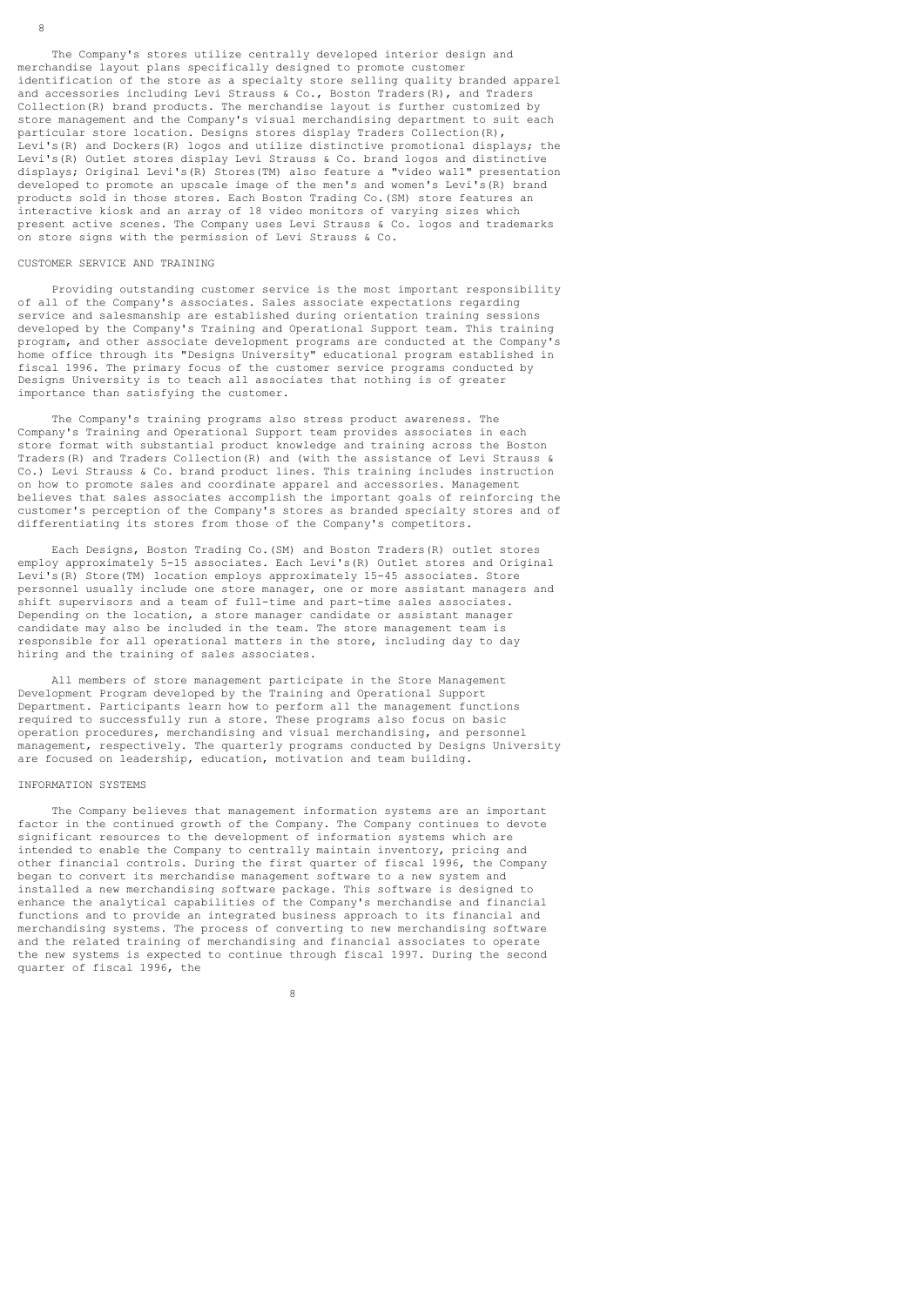The Company's stores utilize centrally developed interior design and merchandise layout plans specifically designed to promote customer identification of the store as a specialty store selling quality branded apparel and accessories including Levi Strauss & Co., Boston Traders(R), and Traders Collection(R) brand products. The merchandise layout is further customized by store management and the Company's visual merchandising department to suit each particular store location. Designs stores display Traders Collection(R), Levi's(R) and Dockers(R) logos and utilize distinctive promotional displays; the Levi's(R) Outlet stores display Levi Strauss & Co. brand logos and distinctive displays; Original Levi's(R) Stores(TM) also feature a "video wall" presentation developed to promote an upscale image of the men's and women's Levi's(R) brand products sold in those stores. Each Boston Trading Co.(SM) store features an interactive kiosk and an array of 18 video monitors of varying sizes which present active scenes. The Company uses Levi Strauss & Co. logos and trademarks on store signs with the permission of Levi Strauss & Co.

# CUSTOMER SERVICE AND TRAINING

 Providing outstanding customer service is the most important responsibility of all of the Company's associates. Sales associate expectations regarding service and salesmanship are established during orientation training sessions developed by the Company's Training and Operational Support team. This training program, and other associate development programs are conducted at the Company's home office through its "Designs University" educational program established in fiscal 1996. The primary focus of the customer service programs conducted by Designs University is to teach all associates that nothing is of greater importance than satisfying the customer.

 The Company's training programs also stress product awareness. The Company's Training and Operational Support team provides associates in each store format with substantial product knowledge and training across the Boston Traders(R) and Traders Collection(R) and (with the assistance of Levi Strauss & Co.) Levi Strauss & Co. brand product lines. This training includes instruction on how to promote sales and coordinate apparel and accessories. Management believes that sales associates accomplish the important goals of reinforcing the customer's perception of the Company's stores as branded specialty stores and of differentiating its stores from those of the Company's competitors.

 Each Designs, Boston Trading Co.(SM) and Boston Traders(R) outlet stores employ approximately 5-15 associates. Each Levi's (R) Outlet stores and Original Levi's(R) Store(TM) location employs approximately 15-45 associates. Store personnel usually include one store manager, one or more assistant managers and shift supervisors and a team of full-time and part-time sales associates. Depending on the location, a store manager candidate or assistant manager candidate may also be included in the team. The store management team is responsible for all operational matters in the store, including day to day hiring and the training of sales associates.

 All members of store management participate in the Store Management Development Program developed by the Training and Operational Support Department. Participants learn how to perform all the management functions required to successfully run a store. These programs also focus on basic operation procedures, merchandising and visual merchandising, and personnel management, respectively. The quarterly programs conducted by Designs University are focused on leadership, education, motivation and team building.

#### INFORMATION SYSTEMS

 The Company believes that management information systems are an important factor in the continued growth of the Company. The Company continues to devote significant resources to the development of information systems which are intended to enable the Company to centrally maintain inventory, pricing and other financial controls. During the first quarter of fiscal 1996, the Company began to convert its merchandise management software to a new system and installed a new merchandising software package. This software is designed to enhance the analytical capabilities of the Company's merchandise and financial functions and to provide an integrated business approach to its financial and merchandising systems. The process of converting to new merchandising software and the related training of merchandising and financial associates to operate the new systems is expected to continue through fiscal 1997. During the second quarter of fiscal 1996, the

<u>83 - John Stein, Amerikaansk politiker (</u>† 18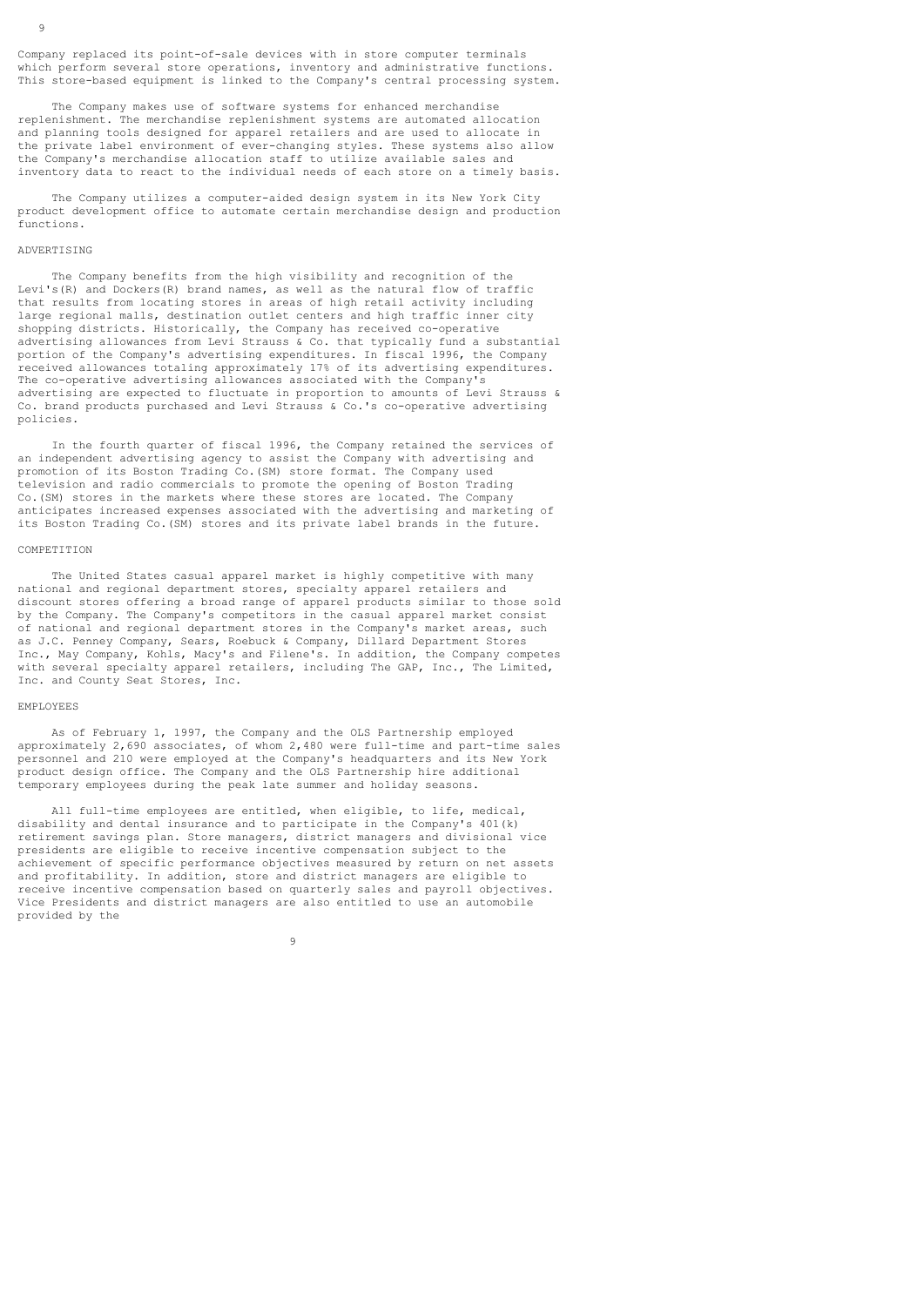The Company makes use of software systems for enhanced merchandise replenishment. The merchandise replenishment systems are automated allocation and planning tools designed for apparel retailers and are used to allocate in the private label environment of ever-changing styles. These systems also allow the Company's merchandise allocation staff to utilize available sales and inventory data to react to the individual needs of each store on a timely basis.

 The Company utilizes a computer-aided design system in its New York City product development office to automate certain merchandise design and production functions.

## ADVERTISING

 $\ddot{9}$ 

 The Company benefits from the high visibility and recognition of the Levi's(R) and Dockers(R) brand names, as well as the natural flow of traffic that results from locating stores in areas of high retail activity including large regional malls, destination outlet centers and high traffic inner city shopping districts. Historically, the Company has received co-operative advertising allowances from Levi Strauss & Co. that typically fund a substantial portion of the Company's advertising expenditures. In fiscal 1996, the Company received allowances totaling approximately 17% of its advertising expenditures. The co-operative advertising allowances associated with the Company's advertising are expected to fluctuate in proportion to amounts of Levi Strauss & Co. brand products purchased and Levi Strauss & Co.'s co-operative advertising policies.

 In the fourth quarter of fiscal 1996, the Company retained the services of an independent advertising agency to assist the Company with advertising and promotion of its Boston Trading Co.(SM) store format. The Company used television and radio commercials to promote the opening of Boston Trading Co.(SM) stores in the markets where these stores are located. The Company anticipates increased expenses associated with the advertising and marketing of its Boston Trading Co.(SM) stores and its private label brands in the future.

## COMPETITION

The United States casual apparel market is highly competitive with many national and regional department stores, specialty apparel retailers and discount stores offering a broad range of apparel products similar to those sold by the Company. The Company's competitors in the casual apparel market consist of national and regional department stores in the Company's market areas, such as J.C. Penney Company, Sears, Roebuck & Company, Dillard Department Stores Inc., May Company, Kohls, Macy's and Filene's. In addition, the Company competes with several specialty apparel retailers, including The GAP, Inc., The Limited, Inc. and County Seat Stores, Inc.

# EMPLOYEES

 As of February 1, 1997, the Company and the OLS Partnership employed approximately 2,690 associates, of whom 2,480 were full-time and part-time sales personnel and 210 were employed at the Company's headquarters and its New York product design office. The Company and the OLS Partnership hire additional temporary employees during the peak late summer and holiday seasons.

 All full-time employees are entitled, when eligible, to life, medical, disability and dental insurance and to participate in the Company's 401(k) retirement savings plan. Store managers, district managers and divisional vice presidents are eligible to receive incentive compensation subject to the achievement of specific performance objectives measured by return on net assets and profitability. In addition, store and district managers are eligible to receive incentive compensation based on quarterly sales and payroll objectives. Vice Presidents and district managers are also entitled to use an automobile provided by the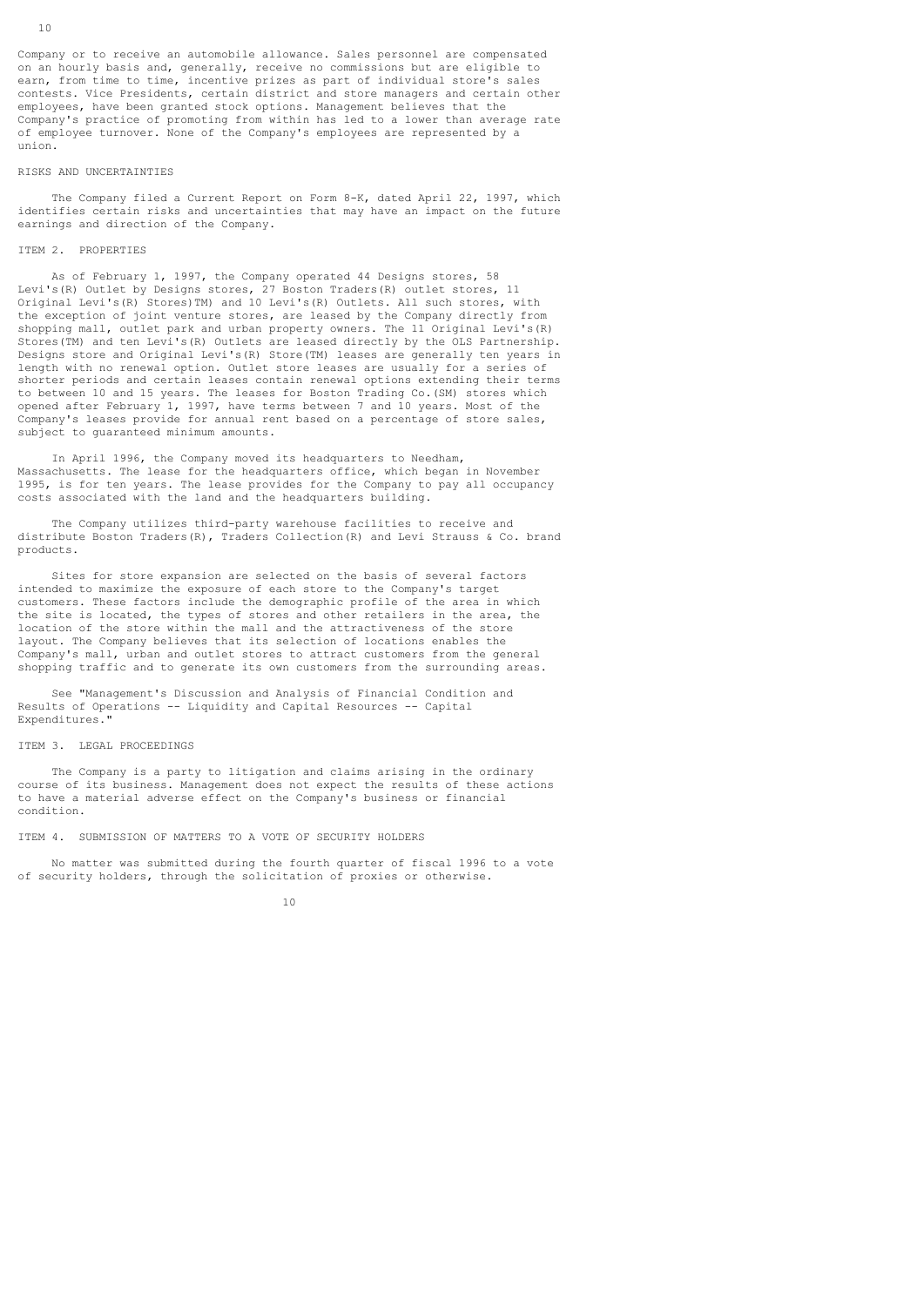Company or to receive an automobile allowance. Sales personnel are compensated on an hourly basis and, generally, receive no commissions but are eligible to earn, from time to time, incentive prizes as part of individual store's sales contests. Vice Presidents, certain district and store managers and certain other employees, have been granted stock options. Management believes that the Company's practice of promoting from within has led to a lower than average rate of employee turnover. None of the Company's employees are represented by a union.

#### RISKS AND UNCERTAINTIES

 The Company filed a Current Report on Form 8-K, dated April 22, 1997, which identifies certain risks and uncertainties that may have an impact on the future earnings and direction of the Company.

# ITEM 2. PROPERTIES

 As of February 1, 1997, the Company operated 44 Designs stores, 58 Levi's(R) Outlet by Designs stores, 27 Boston Traders(R) outlet stores, 11 Original Levi's(R) Stores)TM) and 10 Levi's(R) Outlets. All such stores, with the exception of joint venture stores, are leased by the Company directly from shopping mall, outlet park and urban property owners. The 11 Original Levi's(R) Stores(TM) and ten Levi's(R) Outlets are leased directly by the OLS Partnership. Designs store and Original Levi's(R) Store(TM) leases are generally ten years in length with no renewal option. Outlet store leases are usually for a series of shorter periods and certain leases contain renewal options extending their terms to between 10 and 15 years. The leases for Boston Trading Co.(SM) stores which opened after February 1, 1997, have terms between 7 and 10 years. Most of the Company's leases provide for annual rent based on a percentage of store sales, subject to quaranteed minimum amounts.

In April 1996, the Company moved its headquarters to Needham, Massachusetts. The lease for the headquarters office, which began in November 1995, is for ten years. The lease provides for the Company to pay all occupancy costs associated with the land and the headquarters building.

 The Company utilizes third-party warehouse facilities to receive and distribute Boston Traders(R), Traders Collection(R) and Levi Strauss & Co. brand products.

 Sites for store expansion are selected on the basis of several factors intended to maximize the exposure of each store to the Company's target customers. These factors include the demographic profile of the area in which the site is located, the types of stores and other retailers in the area, the location of the store within the mall and the attractiveness of the store layout. The Company believes that its selection of locations enables the Company's mall, urban and outlet stores to attract customers from the general shopping traffic and to generate its own customers from the surrounding areas.

 See "Management's Discussion and Analysis of Financial Condition and Results of Operations -- Liquidity and Capital Resources -- Capital Expenditures."

## ITEM 3. LEGAL PROCEEDINGS

 The Company is a party to litigation and claims arising in the ordinary course of its business. Management does not expect the results of these actions to have a material adverse effect on the Company's business or financial condition.

## ITEM 4. SUBMISSION OF MATTERS TO A VOTE OF SECURITY HOLDERS

 No matter was submitted during the fourth quarter of fiscal 1996 to a vote of security holders, through the solicitation of proxies or otherwise.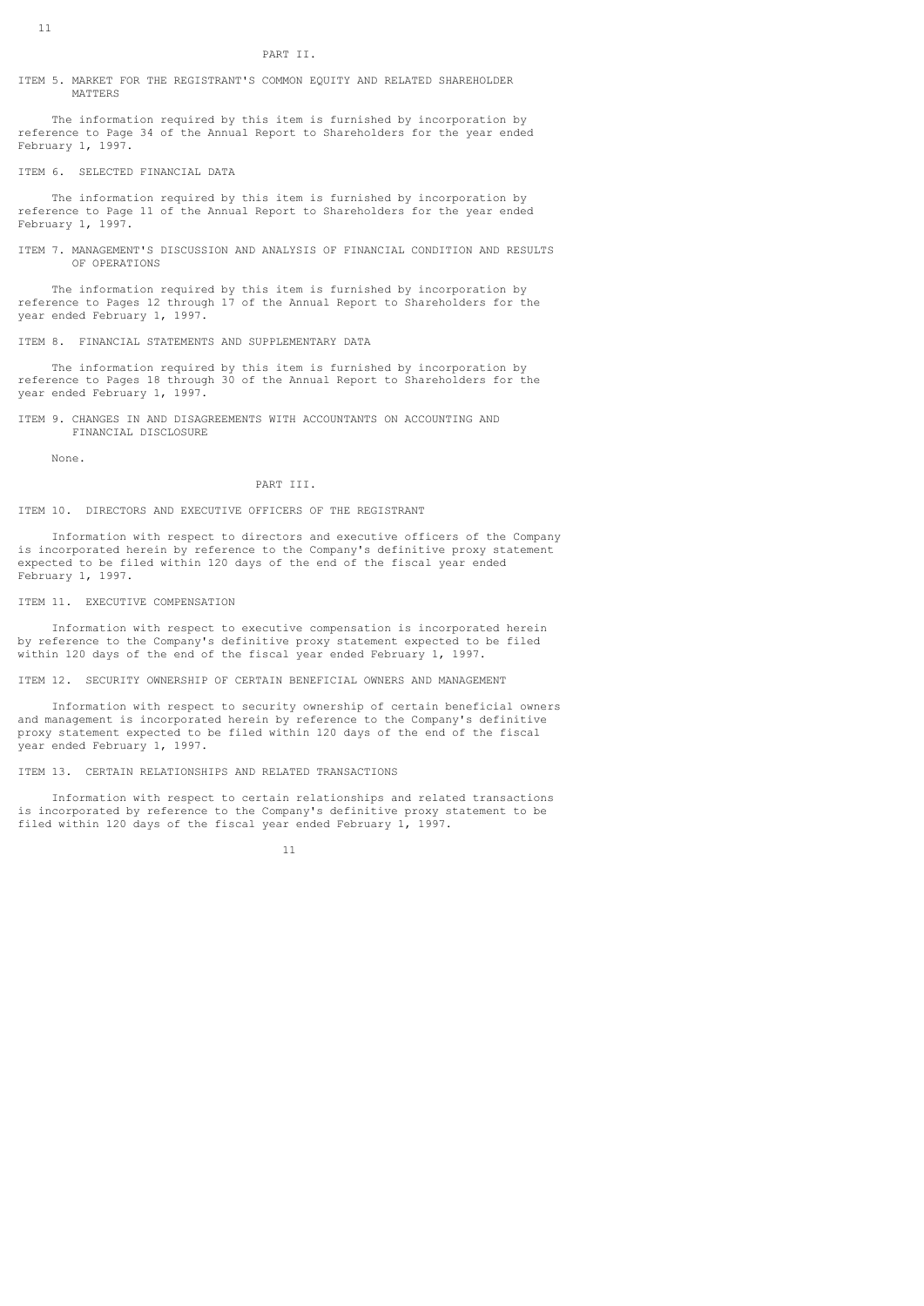ITEM 5. MARKET FOR THE REGISTRANT'S COMMON EQUITY AND RELATED SHAREHOLDER MATTERS

 The information required by this item is furnished by incorporation by reference to Page 34 of the Annual Report to Shareholders for the year ended February 1, 1997.

ITEM 6. SELECTED FINANCIAL DATA

 The information required by this item is furnished by incorporation by reference to Page 11 of the Annual Report to Shareholders for the year ended February 1, 1997.

ITEM 7. MANAGEMENT'S DISCUSSION AND ANALYSIS OF FINANCIAL CONDITION AND RESULTS OF OPERATIONS

 The information required by this item is furnished by incorporation by reference to Pages 12 through 17 of the Annual Report to Shareholders for the year ended February 1, 1997.

ITEM 8. FINANCIAL STATEMENTS AND SUPPLEMENTARY DATA

 The information required by this item is furnished by incorporation by reference to Pages 18 through 30 of the Annual Report to Shareholders for the year ended February 1, 1997.

ITEM 9. CHANGES IN AND DISAGREEMENTS WITH ACCOUNTANTS ON ACCOUNTING AND FINANCIAL DISCLOSURE

None.

## PART III.

## ITEM 10. DIRECTORS AND EXECUTIVE OFFICERS OF THE REGISTRANT

 Information with respect to directors and executive officers of the Company is incorporated herein by reference to the Company's definitive proxy statement expected to be filed within 120 days of the end of the fiscal year ended February 1, 1997.

# ITEM 11. EXECUTIVE COMPENSATION

 Information with respect to executive compensation is incorporated herein by reference to the Company's definitive proxy statement expected to be filed within 120 days of the end of the fiscal year ended February 1, 1997.

ITEM 12. SECURITY OWNERSHIP OF CERTAIN BENEFICIAL OWNERS AND MANAGEMENT

 Information with respect to security ownership of certain beneficial owners and management is incorporated herein by reference to the Company's definitive proxy statement expected to be filed within 120 days of the end of the fiscal year ended February 1, 1997.

ITEM 13. CERTAIN RELATIONSHIPS AND RELATED TRANSACTIONS

 Information with respect to certain relationships and related transactions is incorporated by reference to the Company's definitive proxy statement to be filed within 120 days of the fiscal year ended February 1, 1997.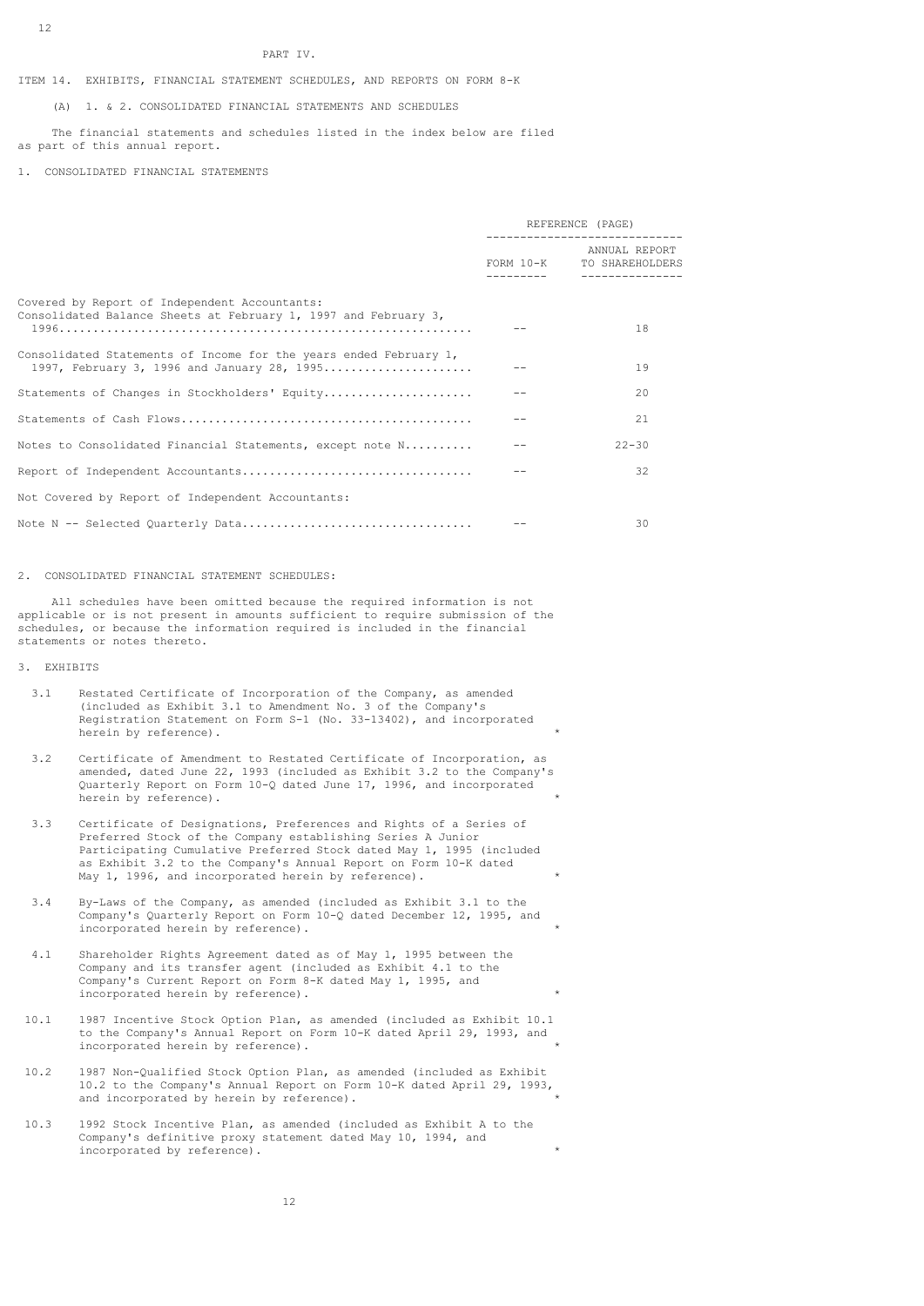#### PART IV.

## ITEM 14. EXHIBITS, FINANCIAL STATEMENT SCHEDULES, AND REPORTS ON FORM 8-K

(A) 1. & 2. CONSOLIDATED FINANCIAL STATEMENTS AND SCHEDULES

 The financial statements and schedules listed in the index below are filed as part of this annual report.

#### 1. CONSOLIDATED FINANCIAL STATEMENTS

|                                                                                                                  | REFERENCE (PAGE) |                                                              |
|------------------------------------------------------------------------------------------------------------------|------------------|--------------------------------------------------------------|
|                                                                                                                  | __________       | ANNUAL REPORT<br>FORM 10-K TO SHAREHOLDERS<br>______________ |
| Covered by Report of Independent Accountants:<br>Consolidated Balance Sheets at February 1, 1997 and February 3, |                  | 18                                                           |
| Consolidated Statements of Income for the years ended February 1,<br>1997, February 3, 1996 and January 28, 1995 |                  | 19                                                           |
| Statements of Changes in Stockholders' Equity                                                                    |                  | 20                                                           |
|                                                                                                                  |                  | 21                                                           |
| Notes to Consolidated Financial Statements, except note N                                                        |                  | $22 - 30$                                                    |
|                                                                                                                  |                  | 32                                                           |
| Not Covered by Report of Independent Accountants:                                                                |                  |                                                              |
|                                                                                                                  |                  | 30                                                           |

## 2. CONSOLIDATED FINANCIAL STATEMENT SCHEDULES:

 All schedules have been omitted because the required information is not applicable or is not present in amounts sufficient to require submission of the schedules, or because the information required is included in the financial statements or notes thereto.

## 3. EXHIBITS

- 3.1 Restated Certificate of Incorporation of the Company, as amended (included as Exhibit 3.1 to Amendment No. 3 of the Company's Registration Statement on Form S-1 (No. 33-13402), and incorporated herein by reference).
- 3.2 Certificate of Amendment to Restated Certificate of Incorporation, as amended, dated June 22, 1993 (included as Exhibit 3.2 to the Company's Quarterly Report on Form 10-Q dated June 17, 1996, and incorporated herein by reference).
- 3.3 Certificate of Designations, Preferences and Rights of a Series of Preferred Stock of the Company establishing Series A Junior Participating Cumulative Preferred Stock dated May 1, 1995 (included as Exhibit 3.2 to the Company's Annual Report on Form 10-K dated May 1, 1996, and incorporated herein by reference).
- 3.4 By-Laws of the Company, as amended (included as Exhibit 3.1 to the Company's Quarterly Report on Form 10-Q dated December 12, 1995, and  $\sum_{i=1}^{n}$  incorporated herein by reference).
- 4.1 Shareholder Rights Agreement dated as of May 1, 1995 between the Company and its transfer agent (included as Exhibit 4.1 to the Company's Current Report on Form 8-K dated May 1, 1995, and incorporated herein by reference). \*
- 10.1 1987 Incentive Stock Option Plan, as amended (included as Exhibit 10.1 to the Company's Annual Report on Form 10-K dated April 29, 1993, and incorporated herein by reference). \*
- 10.2 1987 Non-Qualified Stock Option Plan, as amended (included as Exhibit 10.2 to the Company's Annual Report on Form 10-K dated April 29, 1993, and incorporated by herein by reference).
- 10.3 1992 Stock Incentive Plan, as amended (included as Exhibit A to the Company's definitive proxy statement dated May 10, 1994, and incorporated by reference).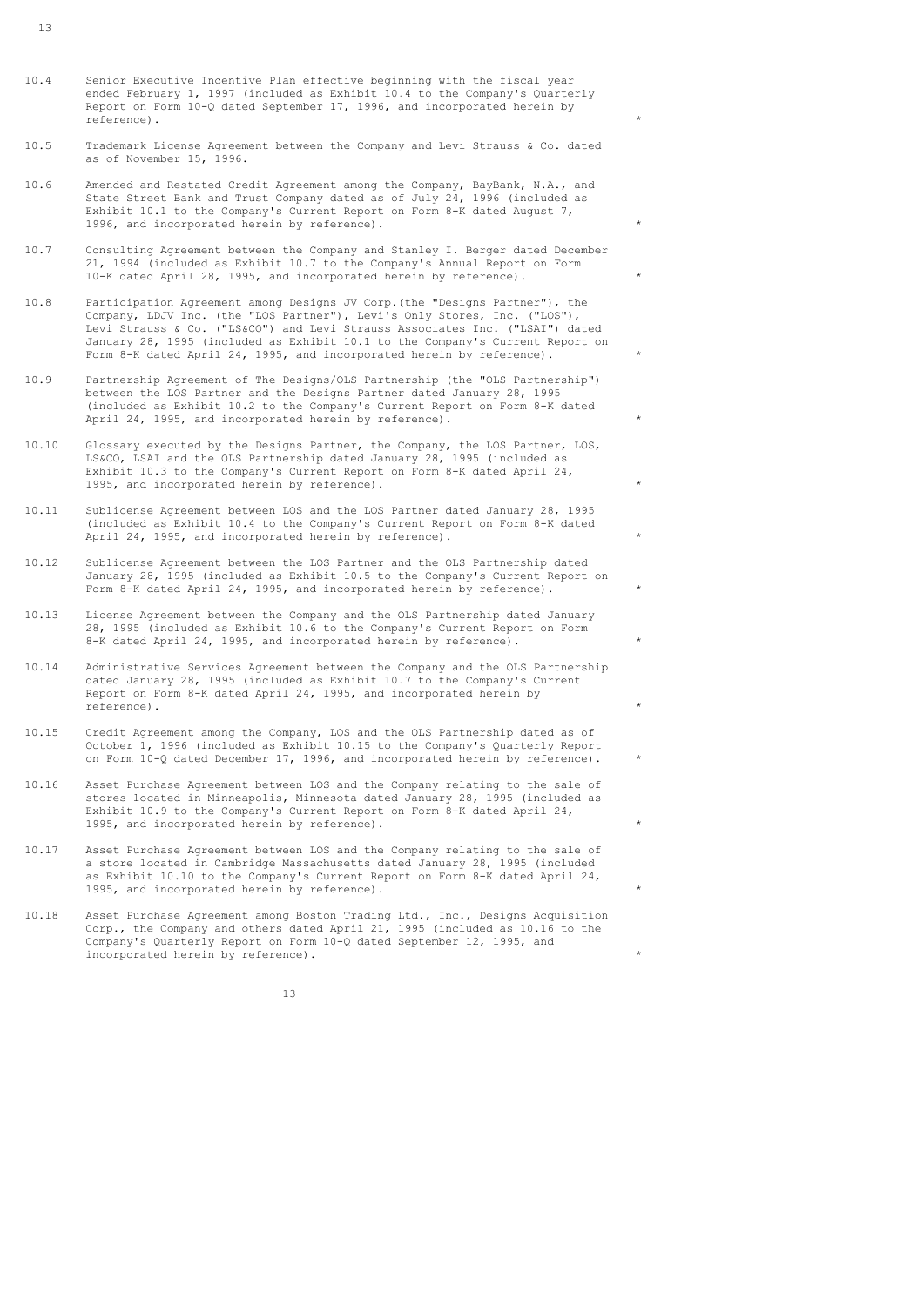- $10.4$ Senior Executive Incentive Plan effective beginning with the fiscal year ended February 1, 1997 (included as Exhibit 10.4 to the Company's Quarterly Report on Form 10-Q dated September 17, 1996, and incorporated herein by reference).  $\qquad \qquad$  \*
- 10.5 Trademark License Agreement between the Company and Levi Strauss & Co. dated as of November 15, 1996.
- 10.6 Amended and Restated Credit Agreement among the Company, BayBank, N.A., and State Street Bank and Trust Company dated as of July 24, 1996 (included as Exhibit 10.1 to the Company's Current Report on Form 8-K dated August 7, 1996, and incorporated herein by reference).
- 10.7 Consulting Agreement between the Company and Stanley I. Berger dated December 21, 1994 (included as Exhibit 10.7 to the Company's Annual Report on Form 10-K dated April 28, 1995, and incorporated herein by reference). \*
- 10.8 Participation Agreement among Designs JV Corp.(the "Designs Partner"), the Company, LDJV Inc. (the "LOS Partner"), Levi's Only Stores, Inc. ("LOS"), Levi Strauss & Co. ("LS&CO") and Levi Strauss Associates Inc. ("LSAI") dated January 28, 1995 (included as Exhibit 10.1 to the Company's Current Report on Form 8-K dated April 24, 1995, and incorporated herein by reference). \*
- 10.9 Partnership Agreement of The Designs/OLS Partnership (the "OLS Partnership") between the LOS Partner and the Designs Partner dated January 28, 1995 (included as Exhibit 10.2 to the Company's Current Report on Form 8-K dated April 24, 1995, and incorporated herein by reference).
- 10.10 Glossary executed by the Designs Partner, the Company, the LOS Partner, LOS, LS&CO, LSAI and the OLS Partnership dated January 28, 1995 (included as Exhibit 10.3 to the Company's Current Report on Form 8-K dated April 24, 1995, and incorporated herein by reference).
- 10.11 Sublicense Agreement between LOS and the LOS Partner dated January 28, 1995 (included as Exhibit 10.4 to the Company's Current Report on Form 8-K dated April 24, 1995, and incorporated herein by reference).
- 10.12 Sublicense Agreement between the LOS Partner and the OLS Partnership dated January 28, 1995 (included as Exhibit 10.5 to the Company's Current Report on Form 8-K dated April 24, 1995, and incorporated herein by reference). \*
- 10.13 License Agreement between the Company and the OLS Partnership dated January 28, 1995 (included as Exhibit 10.6 to the Company's Current Report on Form 8-K dated April 24, 1995, and incorporated herein by reference).
- 10.14 Administrative Services Agreement between the Company and the OLS Partnership dated January 28, 1995 (included as Exhibit 10.7 to the Company's Current Report on Form 8-K dated April 24, 1995, and incorporated herein by reference). reference).  $\qquad \qquad \star$
- 10.15 Credit Agreement among the Company, LOS and the OLS Partnership dated as of October 1, 1996 (included as Exhibit 10.15 to the Company's Quarterly Report on Form 10-Q dated December 17, 1996, and incorporated herein by reference). \*
- 10.16 Asset Purchase Agreement between LOS and the Company relating to the sale of stores located in Minneapolis, Minnesota dated January 28, 1995 (included as Exhibit 10.9 to the Company's Current Report on Form 8-K dated April 24, 1995, and incorporated herein by reference).
- 10.17 Asset Purchase Agreement between LOS and the Company relating to the sale of a store located in Cambridge Massachusetts dated January 28, 1995 (included as Exhibit 10.10 to the Company's Current Report on Form 8-K dated April 24, 1995, and incorporated herein by reference).
- 10.18 Asset Purchase Agreement among Boston Trading Ltd., Inc., Designs Acquisition Corp., the Company and others dated April 21, 1995 (included as 10.16 to the Company's Quarterly Report on Form 10-Q dated September 12, 1995, and incorporated herein by reference).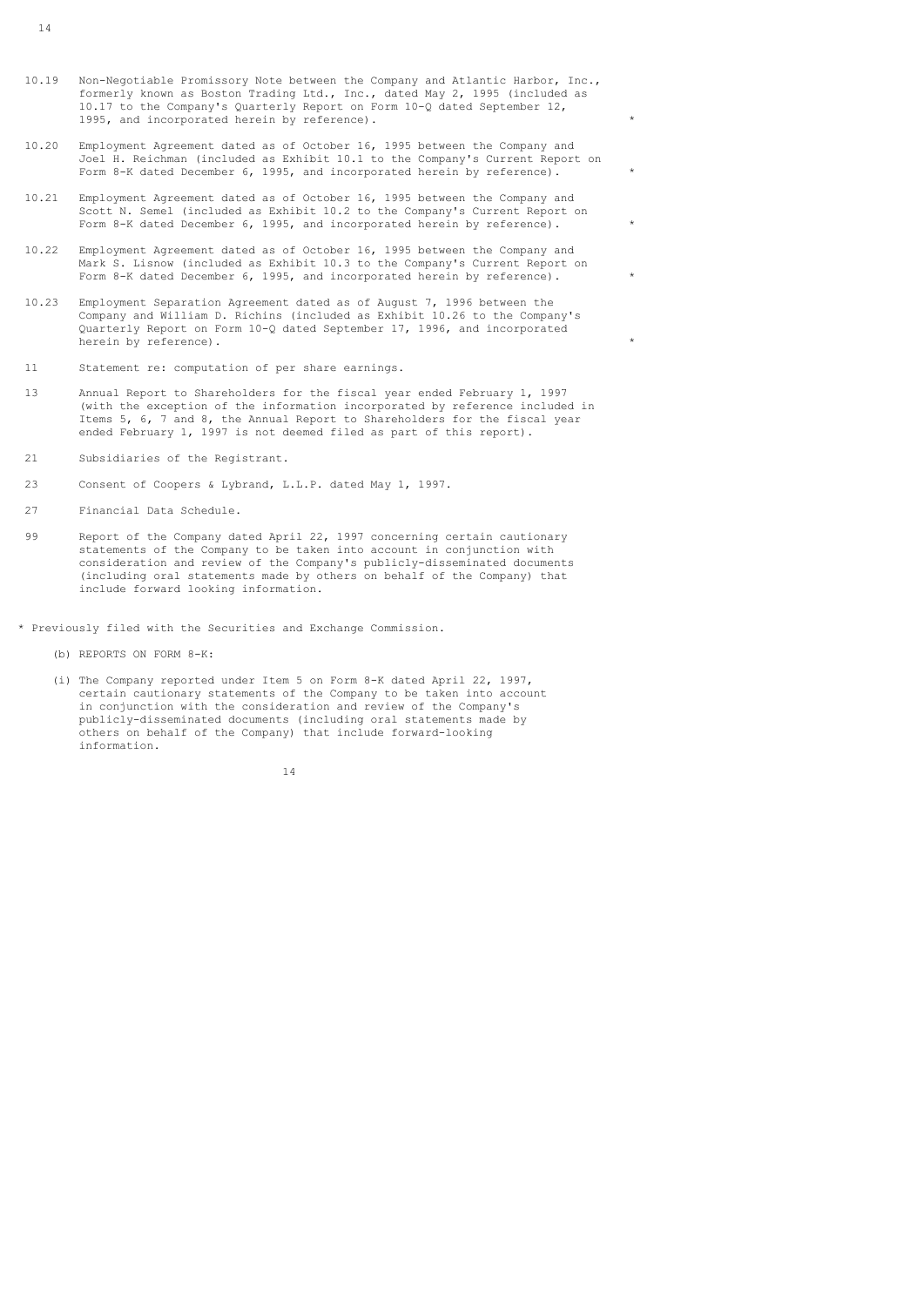- 10.19 10.19 Non-Negotiable Promissory Note between the Company and Atlantic Harbor, Inc., formerly known as Boston Trading Ltd., Inc., dated May 2, 1995 (included as 10.17 to the Company's Quarterly Report on Form 10-Q dated September 12, 1995, and incorporated herein by reference).
- $10.20$ Employment Agreement dated as of October 16, 1995 between the Company and Joel H. Reichman (included as Exhibit 10.1 to the Company's Current Report on Form 8-K dated December 6, 1995, and incorporated herein by reference). \*
- $10.21$ Employment Agreement dated as of October 16, 1995 between the Company and Scott N. Semel (included as Exhibit 10.2 to the Company's Current Report on Form 8-K dated December 6, 1995, and incorporated herein by reference).
- 10.22 Employment Agreement dated as of October 16, 1995 between the Company and Mark S. Lisnow (included as Exhibit 10.3 to the Company's Current Report on Form 8-K dated December 6, 1995, and incorporated herein by reference).
- 10.23 Employment Separation Agreement dated as of August 7, 1996 between the Company and William D. Richins (included as Exhibit 10.26 to the Company's Quarterly Report on Form 10-Q dated September 17, 1996, and incorporated herein by reference).
- 11 Statement re: computation of per share earnings.
- 13 Annual Report to Shareholders for the fiscal year ended February 1, 1997 (with the exception of the information incorporated by reference included in Items 5, 6, 7 and 8, the Annual Report to Shareholders for the fiscal year ended February 1, 1997 is not deemed filed as part of this report).
- $21$ Subsidiaries of the Registrant.
- 23 Consent of Coopers & Lybrand, L.L.P. dated May 1, 1997.
- 27 Financial Data Schedule.
- 99 Report of the Company dated April 22, 1997 concerning certain cautionary statements of the Company to be taken into account in conjunction with consideration and review of the Company's publicly-disseminated documents (including oral statements made by others on behalf of the Company) that include forward looking information.
- \* Previously filed with the Securities and Exchange Commission.
	- (b) REPORTS ON FORM 8-K:
	- (i) The Company reported under Item 5 on Form 8-K dated April 22, 1997, certain cautionary statements of the Company to be taken into account in conjunction with the consideration and review of the Company's publicly-disseminated documents (including oral statements made by others on behalf of the Company) that include forward-looking information.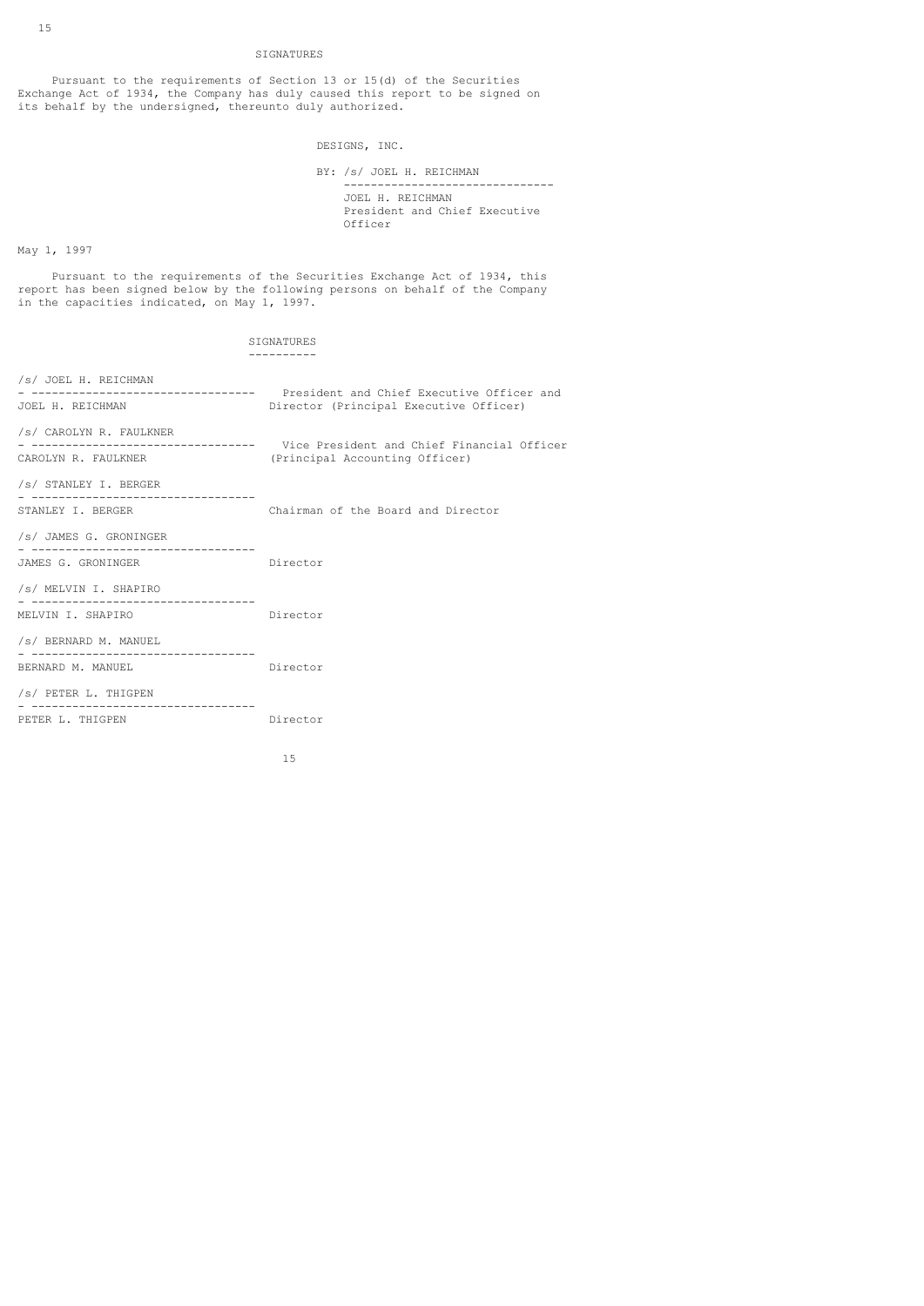# SIGNATURES

 Pursuant to the requirements of Section 13 or 15(d) of the Securities Exchange Act of 1934, the Company has duly caused this report to be signed on its behalf by the undersigned, thereunto duly authorized.

DESIGNS, INC.

| BY: /s/ JOEL H. REICHMAN                                     |  |  |
|--------------------------------------------------------------|--|--|
| JOEL H. REICHMAN<br>President and Chief Executive<br>Officer |  |  |

# May 1, 1997

 Pursuant to the requirements of the Securities Exchange Act of 1934, this report has been signed below by the following persons on behalf of the Company in the capacities indicated, on May 1, 1997.

| SIGNATURES                                                |                                                                                                                       |  |  |  |
|-----------------------------------------------------------|-----------------------------------------------------------------------------------------------------------------------|--|--|--|
| /s/ JOEL H. REICHMAN                                      |                                                                                                                       |  |  |  |
| JOEL H. REICHMAN                                          | - ------------------------------- President and Chief Executive Officer and<br>Director (Principal Executive Officer) |  |  |  |
| /s/ CAROLYN R. FAULKNER                                   | ------------------------------ Vice President and Chief Financial Officer                                             |  |  |  |
| CAROLYN R. FAULKNER                                       | (Principal Accounting Officer)                                                                                        |  |  |  |
| /s/ STANLEY I. BERGER                                     |                                                                                                                       |  |  |  |
| STANLEY I. BERGER                                         | Chairman of the Board and Director                                                                                    |  |  |  |
| /s/ JAMES G. GRONINGER                                    |                                                                                                                       |  |  |  |
| JAMES G. GRONINGER                                        | Director                                                                                                              |  |  |  |
| /s/ MELVIN I. SHAPIRO<br>________________________________ |                                                                                                                       |  |  |  |
| MELVIN I. SHAPIRO                                         | Director                                                                                                              |  |  |  |
| /s/ BERNARD M. MANUEL                                     |                                                                                                                       |  |  |  |
| BERNARD M. MANUEL                                         | Director                                                                                                              |  |  |  |
| /s/ PETER L. THIGPEN                                      |                                                                                                                       |  |  |  |
| PETER L. THIGPEN                                          | Director                                                                                                              |  |  |  |
|                                                           |                                                                                                                       |  |  |  |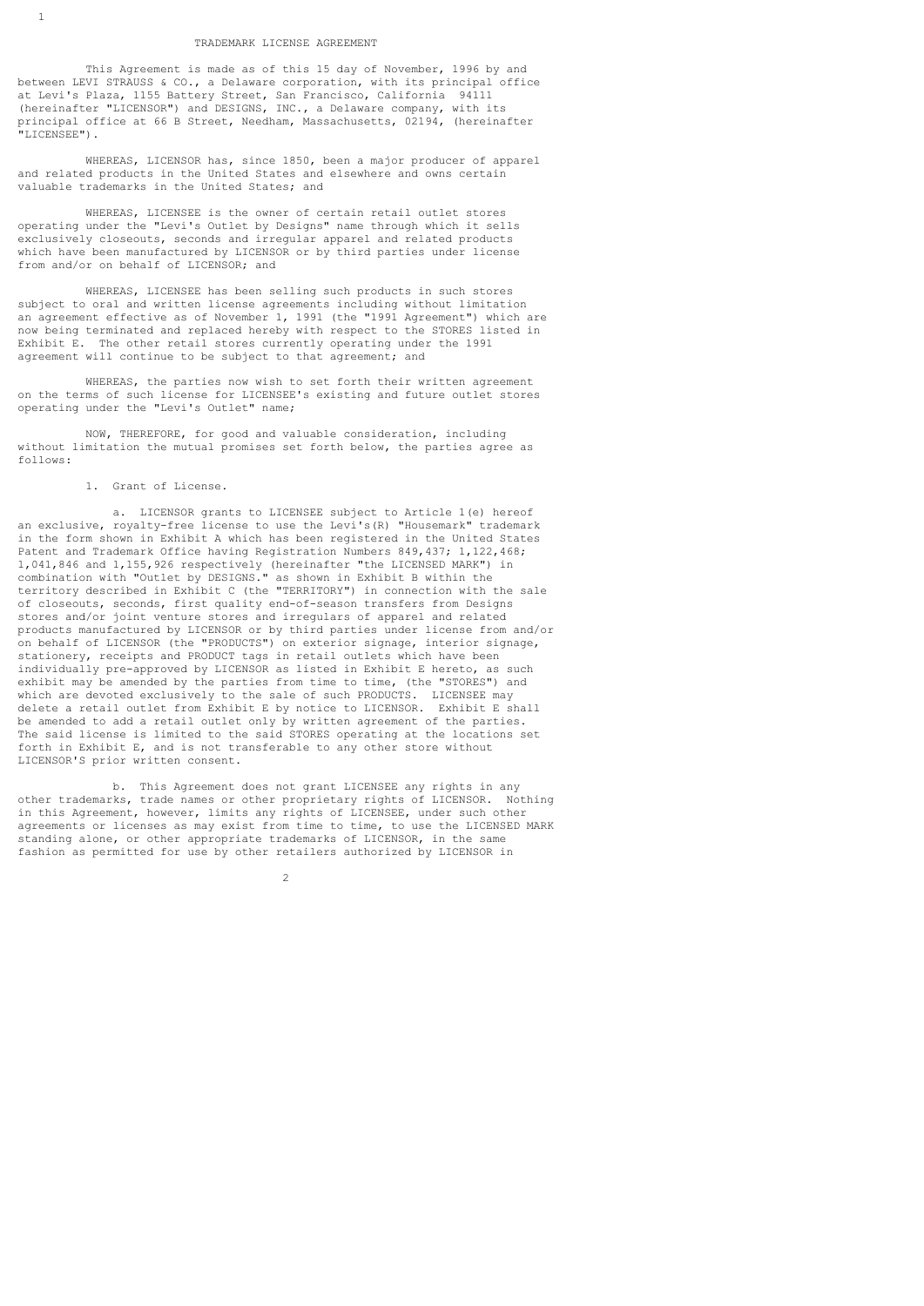## TRADEMARK LICENSE AGREEMENT

 This Agreement is made as of this 15 day of November, 1996 by and between LEVI STRAUSS & CO., a Delaware corporation, with its principal office at Levi's Plaza, 1155 Battery Street, San Francisco, California 94111 (hereinafter "LICENSOR") and DESIGNS, INC., a Delaware company, with its principal office at 66 B Street, Needham, Massachusetts, 02194, (hereinafter "LICENSEE").

 WHEREAS, LICENSOR has, since 1850, been a major producer of apparel and related products in the United States and elsewhere and owns certain valuable trademarks in the United States; and

 WHEREAS, LICENSEE is the owner of certain retail outlet stores operating under the "Levi's Outlet by Designs" name through which it sells exclusively closeouts, seconds and irregular apparel and related products which have been manufactured by LICENSOR or by third parties under license from and/or on behalf of LICENSOR; and

 WHEREAS, LICENSEE has been selling such products in such stores subject to oral and written license agreements including without limitation an agreement effective as of November 1, 1991 (the "1991 Agreement") which are now being terminated and replaced hereby with respect to the STORES listed in Exhibit E. The other retail stores currently operating under the 1991 agreement will continue to be subject to that agreement; and

 WHEREAS, the parties now wish to set forth their written agreement on the terms of such license for LICENSEE's existing and future outlet stores operating under the "Levi's Outlet" name;

 NOW, THEREFORE, for good and valuable consideration, including without limitation the mutual promises set forth below, the parties agree as follows:

1. Grant of License.

1

 a. LICENSOR grants to LICENSEE subject to Article 1(e) hereof an exclusive, royalty-free license to use the Levi's(R) "Housemark" trademark in the form shown in Exhibit A which has been registered in the United States Patent and Trademark Office having Registration Numbers 849,437; 1,122,468; 1,041,846 and 1,155,926 respectively (hereinafter "the LICENSED MARK") in combination with "Outlet by DESIGNS." as shown in Exhibit B within the territory described in Exhibit C (the "TERRITORY") in connection with the sale of closeouts, seconds, first quality end-of-season transfers from Designs stores and/or joint venture stores and irregulars of apparel and related products manufactured by LICENSOR or by third parties under license from and/or on behalf of LICENSOR (the "PRODUCTS") on exterior signage, interior signage, stationery, receipts and PRODUCT tags in retail outlets which have been individually pre-approved by LICENSOR as listed in Exhibit E hereto, as such exhibit may be amended by the parties from time to time, (the "STORES") and which are devoted exclusively to the sale of such PRODUCTS. LICENSEE may delete a retail outlet from Exhibit E by notice to LICENSOR. Exhibit E shall be amended to add a retail outlet only by written agreement of the parties. The said license is limited to the said STORES operating at the locations set forth in Exhibit E, and is not transferable to any other store without LICENSOR'S prior written consent.

 b. This Agreement does not grant LICENSEE any rights in any other trademarks, trade names or other proprietary rights of LICENSOR. Nothing in this Agreement, however, limits any rights of LICENSEE, under such other agreements or licenses as may exist from time to time, to use the LICENSED MARK standing alone, or other appropriate trademarks of LICENSOR, in the same fashion as permitted for use by other retailers authorized by LICENSOR in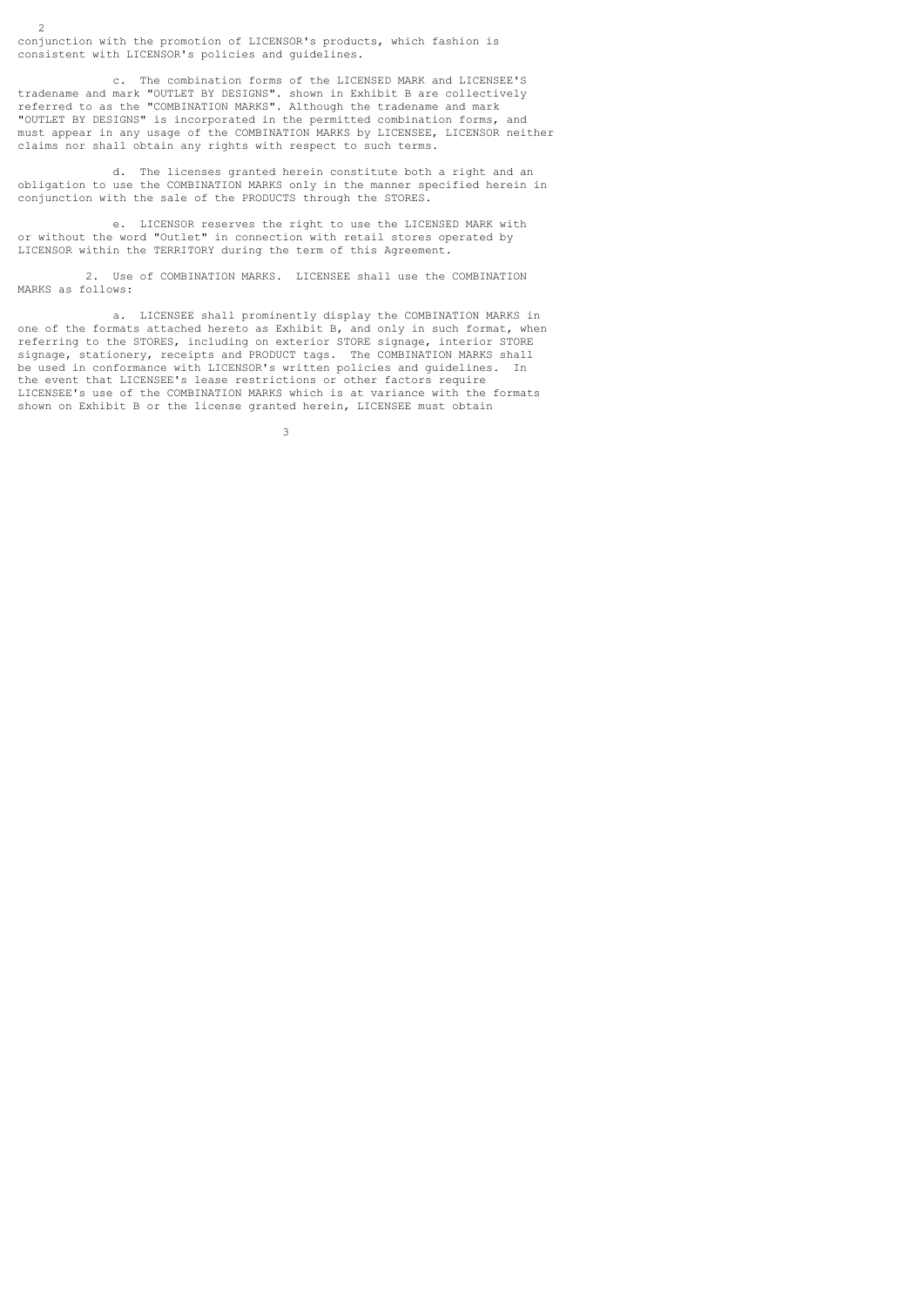conjunction with the promotion of LICENSOR's products, which fashion is consistent with LICENSOR's policies and guidelines.

 $\overline{2}$ 

 c. The combination forms of the LICENSED MARK and LICENSEE'S tradename and mark "OUTLET BY DESIGNS". shown in Exhibit B are collectively referred to as the "COMBINATION MARKS". Although the tradename and mark "OUTLET BY DESIGNS" is incorporated in the permitted combination forms, and must appear in any usage of the COMBINATION MARKS by LICENSEE, LICENSOR neither claims nor shall obtain any rights with respect to such terms.

 d. The licenses granted herein constitute both a right and an obligation to use the COMBINATION MARKS only in the manner specified herein in conjunction with the sale of the PRODUCTS through the STORES.

 e. LICENSOR reserves the right to use the LICENSED MARK with or without the word "Outlet" in connection with retail stores operated by LICENSOR within the TERRITORY during the term of this Agreement.

 2. Use of COMBINATION MARKS. LICENSEE shall use the COMBINATION MARKS as follows:

 a. LICENSEE shall prominently display the COMBINATION MARKS in one of the formats attached hereto as Exhibit B, and only in such format, when referring to the STORES, including on exterior STORE signage, interior STORE signage, stationery, receipts and PRODUCT tags. The COMBINATION MARKS shall be used in conformance with LICENSOR's written policies and guidelines. In the event that LICENSEE's lease restrictions or other factors require LICENSEE's use of the COMBINATION MARKS which is at variance with the formats shown on Exhibit B or the license granted herein, LICENSEE must obtain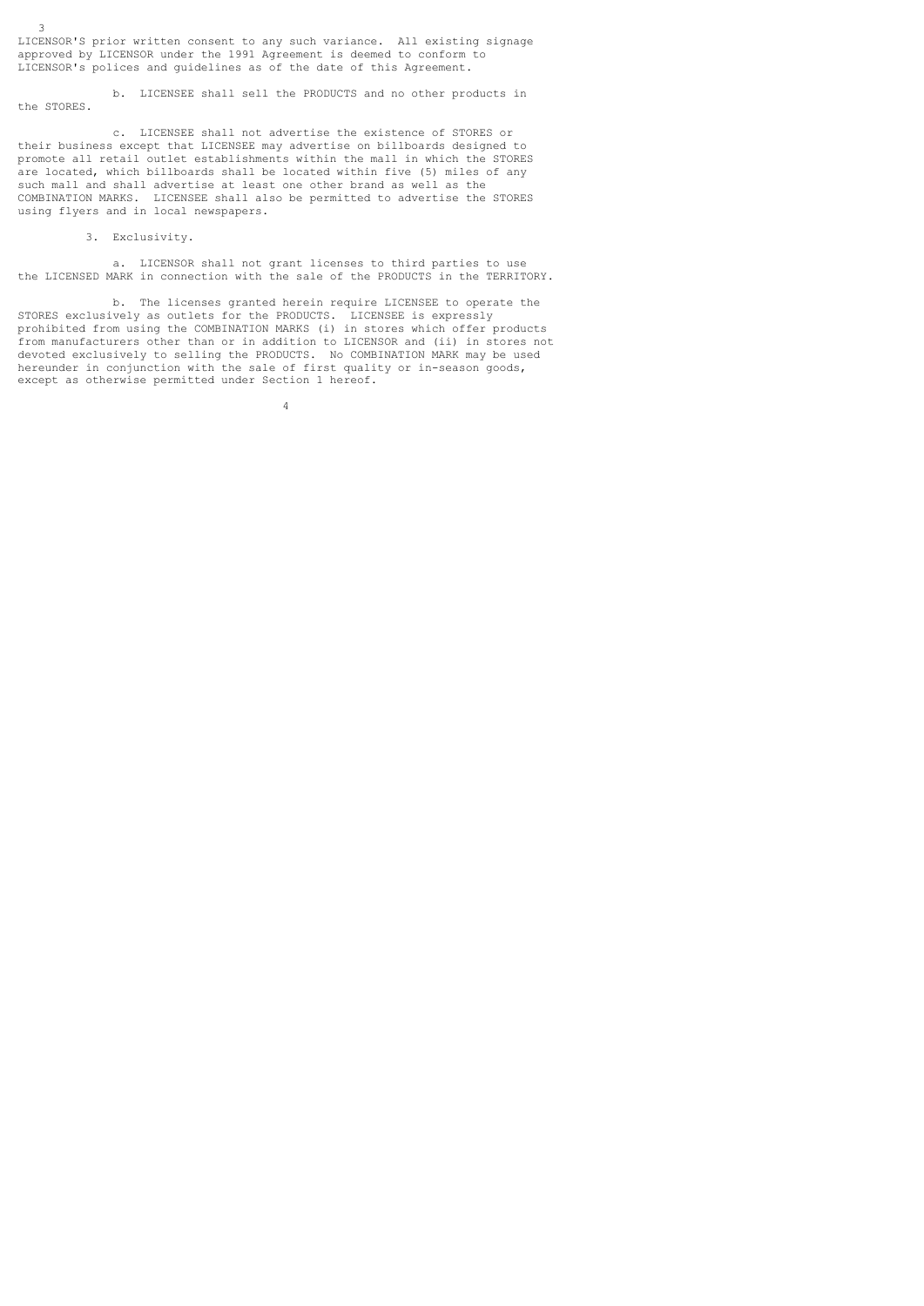LICENSOR'S prior written consent to any such variance. All existing signage approved by LICENSOR under the 1991 Agreement is deemed to conform to LICENSOR's polices and guidelines as of the date of this Agreement.

 b. LICENSEE shall sell the PRODUCTS and no other products in the STORES.

 c. LICENSEE shall not advertise the existence of STORES or their business except that LICENSEE may advertise on billboards designed to promote all retail outlet establishments within the mall in which the STORES are located, which billboards shall be located within five (5) miles of any such mall and shall advertise at least one other brand as well as the COMBINATION MARKS. LICENSEE shall also be permitted to advertise the STORES using flyers and in local newspapers.

# 3. Exclusivity.

4

3

 a. LICENSOR shall not grant licenses to third parties to use the LICENSED MARK in connection with the sale of the PRODUCTS in the TERRITORY.

 b. The licenses granted herein require LICENSEE to operate the STORES exclusively as outlets for the PRODUCTS. LICENSEE is expressly prohibited from using the COMBINATION MARKS (i) in stores which offer products from manufacturers other than or in addition to LICENSOR and (ii) in stores not devoted exclusively to selling the PRODUCTS. No COMBINATION MARK may be used hereunder in conjunction with the sale of first quality or in-season goods, except as otherwise permitted under Section 1 hereof.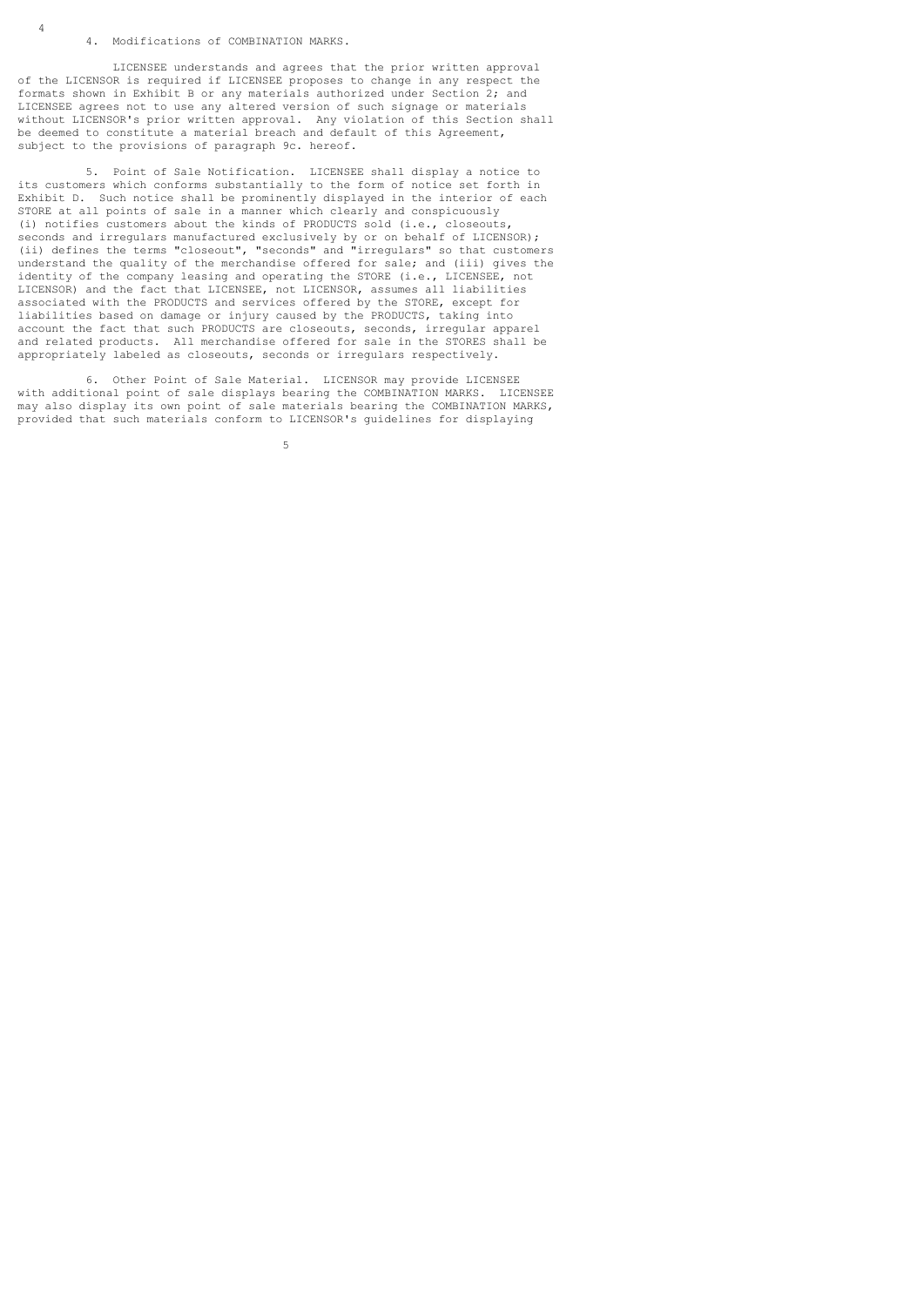### 4. Modifications of COMBINATION MARKS.

 LICENSEE understands and agrees that the prior written approval of the LICENSOR is required if LICENSEE proposes to change in any respect the formats shown in Exhibit B or any materials authorized under Section 2; and LICENSEE agrees not to use any altered version of such signage or materials without LICENSOR's prior written approval. Any violation of this Section shall be deemed to constitute a material breach and default of this Agreement, subject to the provisions of paragraph 9c. hereof.

 5. Point of Sale Notification. LICENSEE shall display a notice to its customers which conforms substantially to the form of notice set forth in Exhibit D. Such notice shall be prominently displayed in the interior of each STORE at all points of sale in a manner which clearly and conspicuously (i) notifies customers about the kinds of PRODUCTS sold (i.e., closeouts, seconds and irregulars manufactured exclusively by or on behalf of LICENSOR); (ii) defines the terms "closeout", "seconds" and "irregulars" so that customers understand the quality of the merchandise offered for sale; and (iii) gives the identity of the company leasing and operating the STORE (i.e., LICENSEE, not LICENSOR) and the fact that LICENSEE, not LICENSOR, assumes all liabilities associated with the PRODUCTS and services offered by the STORE, except for liabilities based on damage or injury caused by the PRODUCTS, taking into account the fact that such PRODUCTS are closeouts, seconds, irregular apparel and related products. All merchandise offered for sale in the STORES shall be appropriately labeled as closeouts, seconds or irregulars respectively.

 6. Other Point of Sale Material. LICENSOR may provide LICENSEE with additional point of sale displays bearing the COMBINATION MARKS. LICENSEE may also display its own point of sale materials bearing the COMBINATION MARKS, provided that such materials conform to LICENSOR's guidelines for displaying

 $5<sub>5</sub>$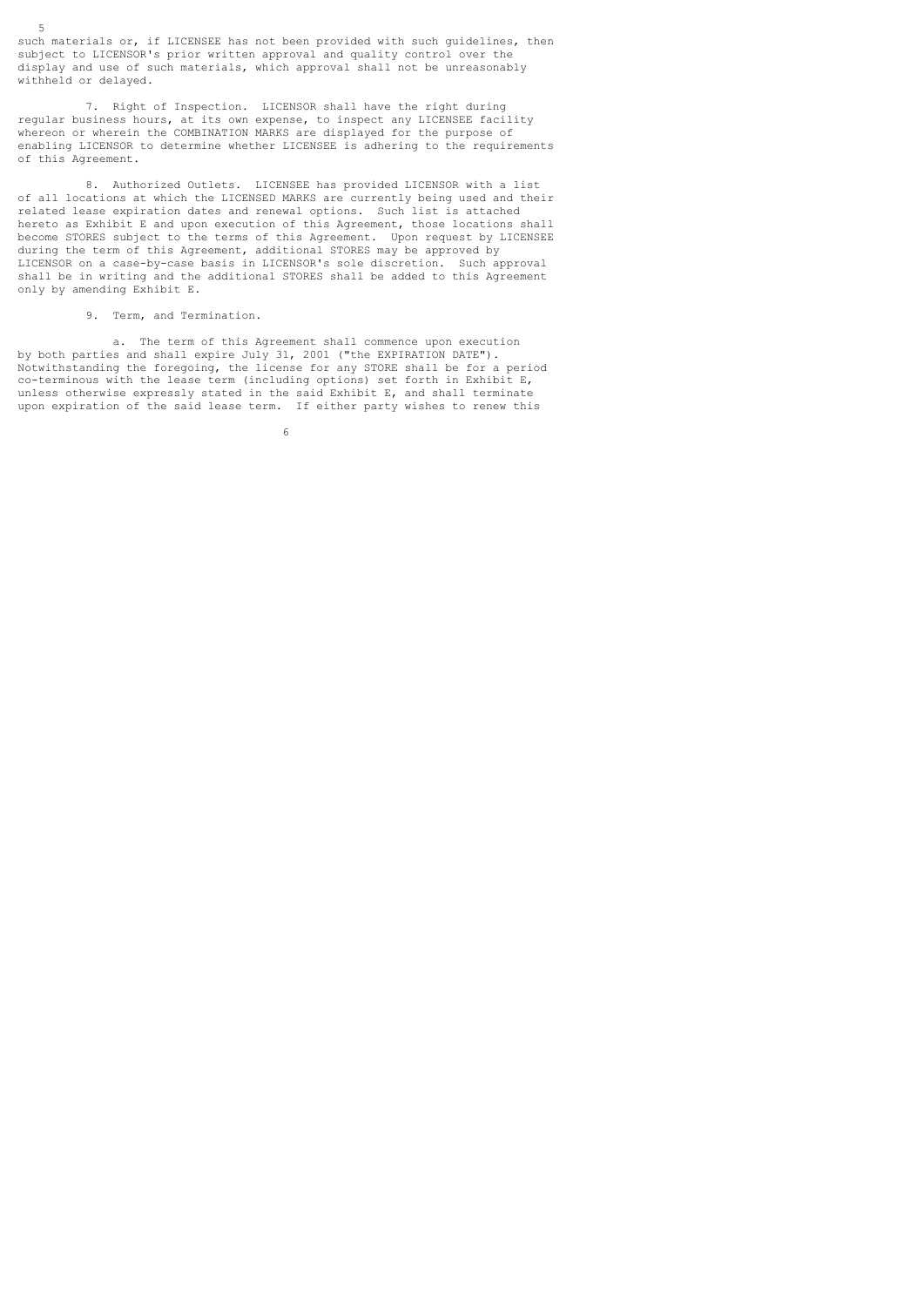5 such materials or, if LICENSEE has not been provided with such guidelines, then subject to LICENSOR's prior written approval and quality control over the display and use of such materials, which approval shall not be unreasonably withheld or delayed.

 7. Right of Inspection. LICENSOR shall have the right during regular business hours, at its own expense, to inspect any LICENSEE facility whereon or wherein the COMBINATION MARKS are displayed for the purpose of enabling LICENSOR to determine whether LICENSEE is adhering to the requirements of this Agreement.

 8. Authorized Outlets. LICENSEE has provided LICENSOR with a list of all locations at which the LICENSED MARKS are currently being used and their related lease expiration dates and renewal options. Such list is attached hereto as Exhibit E and upon execution of this Agreement, those locations shall become STORES subject to the terms of this Agreement. Upon request by LICENSEE during the term of this Agreement, additional STORES may be approved by LICENSOR on a case-by-case basis in LICENSOR's sole discretion. Such approval shall be in writing and the additional STORES shall be added to this Agreement only by amending Exhibit E.

## 9. Term, and Termination.

 a. The term of this Agreement shall commence upon execution by both parties and shall expire July 31, 2001 ("the EXPIRATION DATE"). Notwithstanding the foregoing, the license for any STORE shall be for a period co-terminous with the lease term (including options) set forth in Exhibit E, unless otherwise expressly stated in the said Exhibit E, and shall terminate upon expiration of the said lease term. If either party wishes to renew this

 $\sim$  6.6  $\sim$  6.6  $\sim$  6.6  $\sim$  6.6  $\sim$  6.6  $\sim$  6.6  $\sim$  6.6  $\sim$  6.6  $\sim$  6.6  $\sim$  6.6  $\sim$  6.6  $\sim$  6.6  $\sim$  6.6  $\sim$  6.6  $\sim$  6.6  $\sim$  6.6  $\sim$  6.6  $\sim$  6.6  $\sim$  6.6  $\sim$  6.6  $\sim$  6.6  $\sim$  6.6  $\sim$  6.6  $\sim$  6.6  $\sim$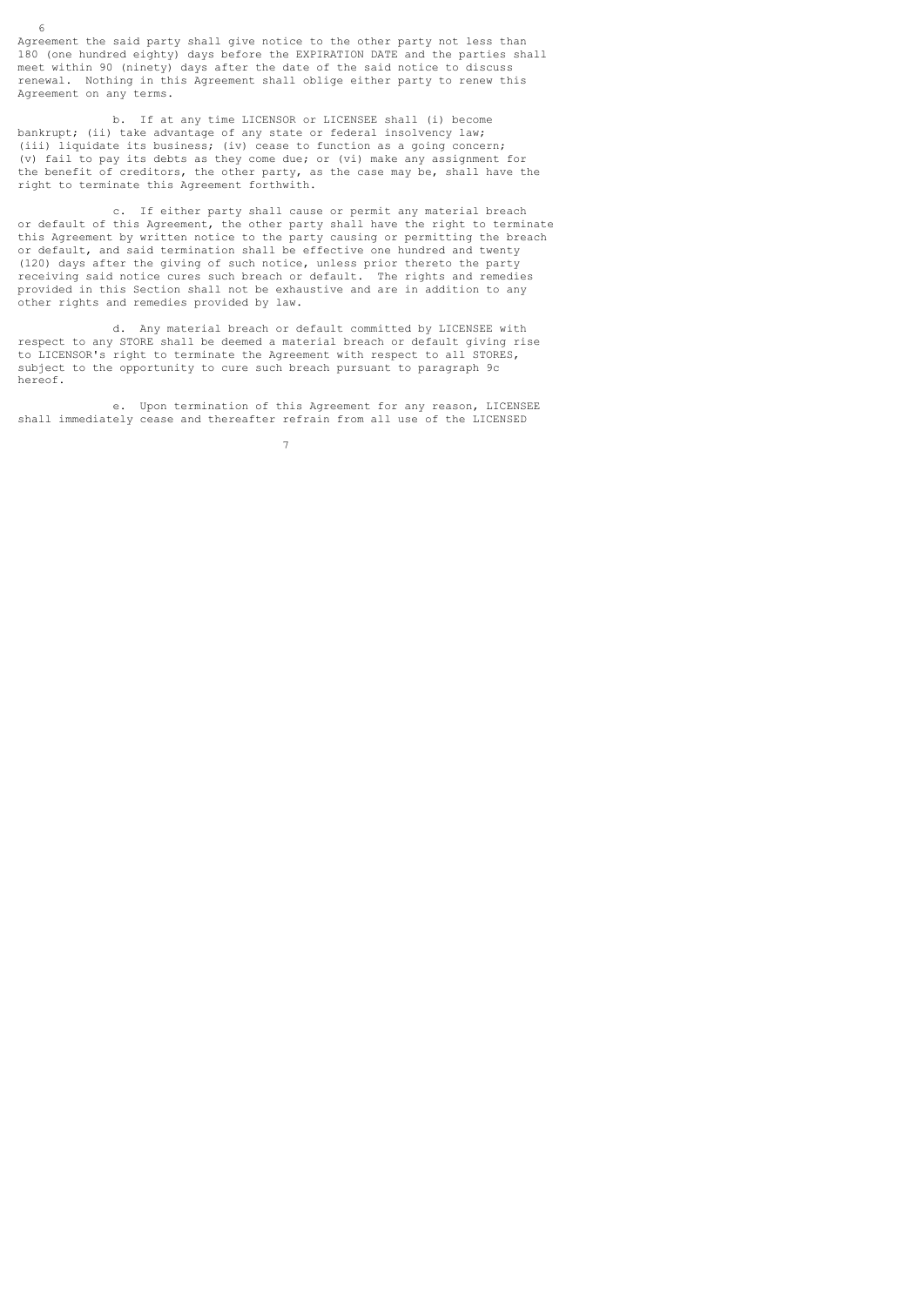Agreement the said party shall give notice to the other party not less than 180 (one hundred eighty) days before the EXPIRATION DATE and the parties shall meet within 90 (ninety) days after the date of the said notice to discuss renewal. Nothing in this Agreement shall oblige either party to renew this Agreement on any terms.

 b. If at any time LICENSOR or LICENSEE shall (i) become bankrupt; (ii) take advantage of any state or federal insolvency law; (iii) liquidate its business; (iv) cease to function as a going concern; (v) fail to pay its debts as they come due; or (vi) make any assignment for the benefit of creditors, the other party, as the case may be, shall have the right to terminate this Agreement forthwith.

 c. If either party shall cause or permit any material breach or default of this Agreement, the other party shall have the right to terminate this Agreement by written notice to the party causing or permitting the breach or default, and said termination shall be effective one hundred and twenty (120) days after the giving of such notice, unless prior thereto the party receiving said notice cures such breach or default. The rights and remedies provided in this Section shall not be exhaustive and are in addition to any other rights and remedies provided by law.

 d. Any material breach or default committed by LICENSEE with respect to any STORE shall be deemed a material breach or default giving rise to LICENSOR's right to terminate the Agreement with respect to all STORES, subject to the opportunity to cure such breach pursuant to paragraph 9c hereof.

 e. Upon termination of this Agreement for any reason, LICENSEE shall immediately cease and thereafter refrain from all use of the LICENSED

7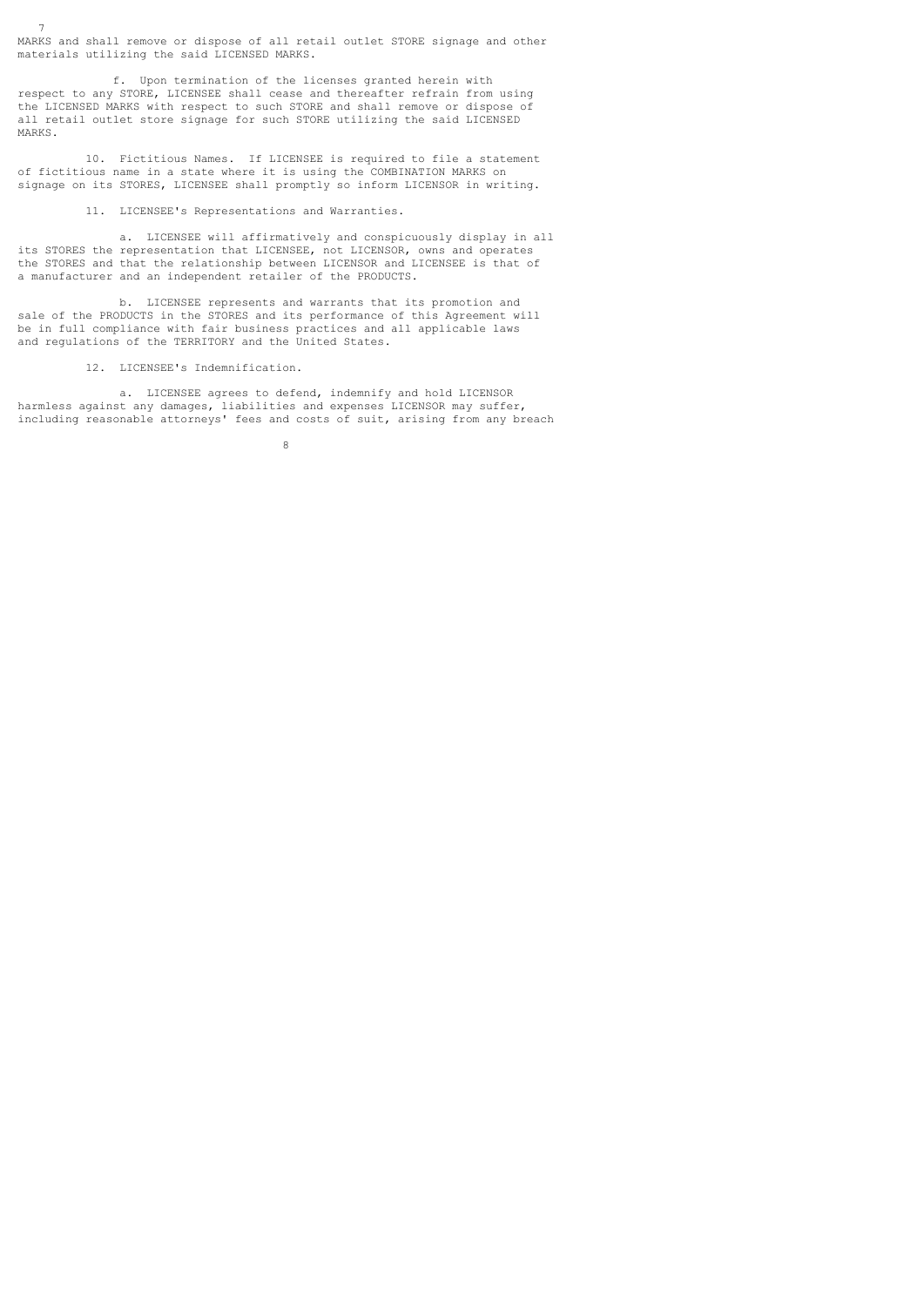MARKS and shall remove or dispose of all retail outlet STORE signage and other materials utilizing the said LICENSED MARKS.

 f. Upon termination of the licenses granted herein with respect to any STORE, LICENSEE shall cease and thereafter refrain from using the LICENSED MARKS with respect to such STORE and shall remove or dispose of all retail outlet store signage for such STORE utilizing the said LICENSED MARKS.

 10. Fictitious Names. If LICENSEE is required to file a statement of fictitious name in a state where it is using the COMBINATION MARKS on signage on its STORES, LICENSEE shall promptly so inform LICENSOR in writing.

11. LICENSEE's Representations and Warranties.

 a. LICENSEE will affirmatively and conspicuously display in all its STORES the representation that LICENSEE, not LICENSOR, owns and operates the STORES and that the relationship between LICENSOR and LICENSEE is that of a manufacturer and an independent retailer of the PRODUCTS.

 b. LICENSEE represents and warrants that its promotion and sale of the PRODUCTS in the STORES and its performance of this Agreement will be in full compliance with fair business practices and all applicable laws and regulations of the TERRITORY and the United States.

12. LICENSEE's Indemnification.

7

 a. LICENSEE agrees to defend, indemnify and hold LICENSOR harmless against any damages, liabilities and expenses LICENSOR may suffer, including reasonable attorneys' fees and costs of suit, arising from any breach

8 and 20 and 20 and 20 and 20 and 20 and 20 and 20 and 20 and 20 and 20 and 20 and 20 and 20 and 20 and 20 and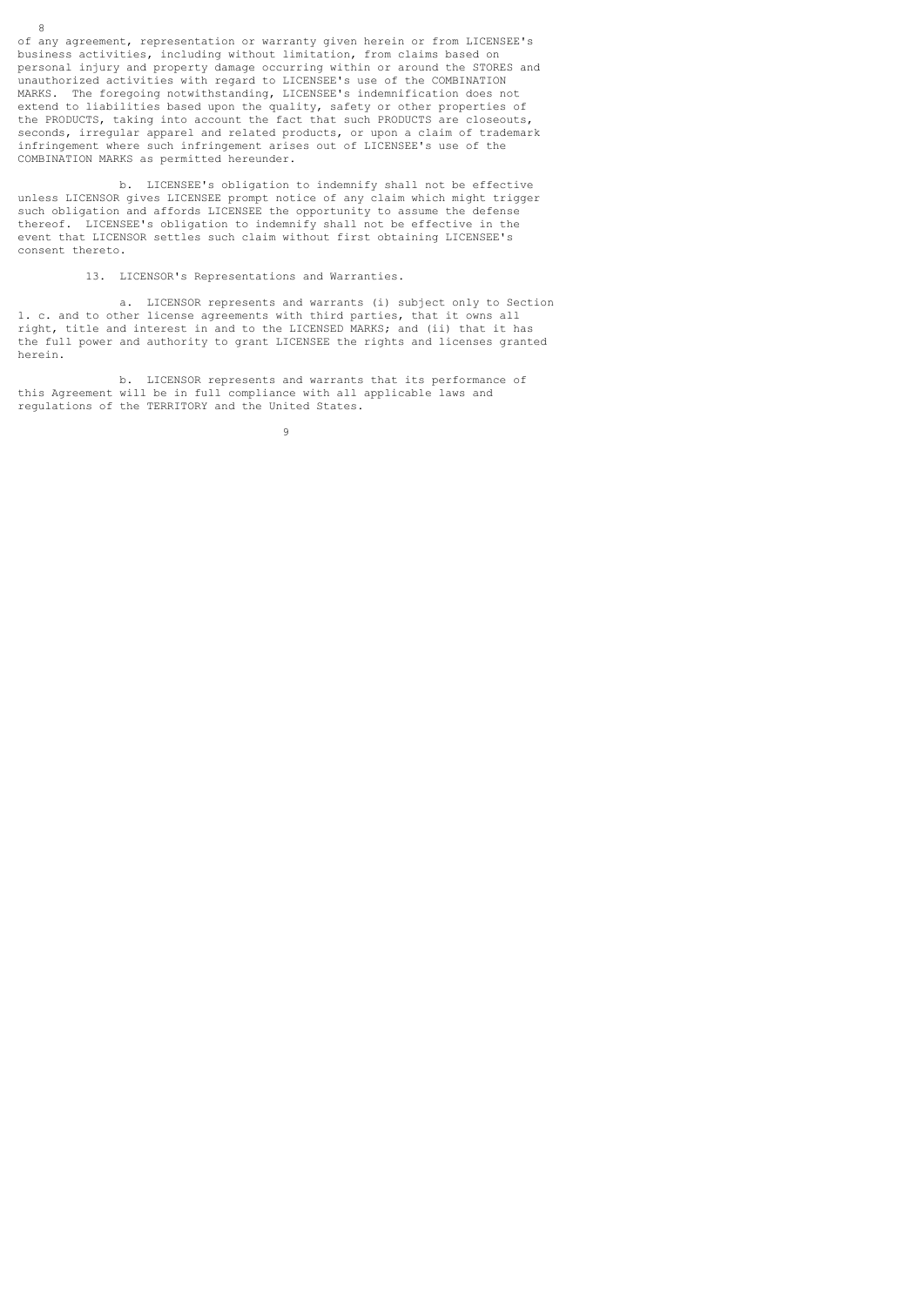of any agreement, representation or warranty given herein or from LICENSEE's business activities, including without limitation, from claims based on personal injury and property damage occurring within or around the STORES and unauthorized activities with regard to LICENSEE's use of the COMBINATION MARKS. The foregoing notwithstanding, LICENSEE's indemnification does not extend to liabilities based upon the quality, safety or other properties of the PRODUCTS, taking into account the fact that such PRODUCTS are closeouts, seconds, irregular apparel and related products, or upon a claim of trademark infringement where such infringement arises out of LICENSEE's use of the COMBINATION MARKS as permitted hereunder.

8

 b. LICENSEE's obligation to indemnify shall not be effective unless LICENSOR gives LICENSEE prompt notice of any claim which might trigger such obligation and affords LICENSEE the opportunity to assume the defense thereof. LICENSEE's obligation to indemnify shall not be effective in the event that LICENSOR settles such claim without first obtaining LICENSEE's consent thereto.

13. LICENSOR's Representations and Warranties.

 a. LICENSOR represents and warrants (i) subject only to Section 1. c. and to other license agreements with third parties, that it owns all right, title and interest in and to the LICENSED MARKS; and (ii) that it has the full power and authority to grant LICENSEE the rights and licenses granted herein.

 b. LICENSOR represents and warrants that its performance of this Agreement will be in full compliance with all applicable laws and regulations of the TERRITORY and the United States.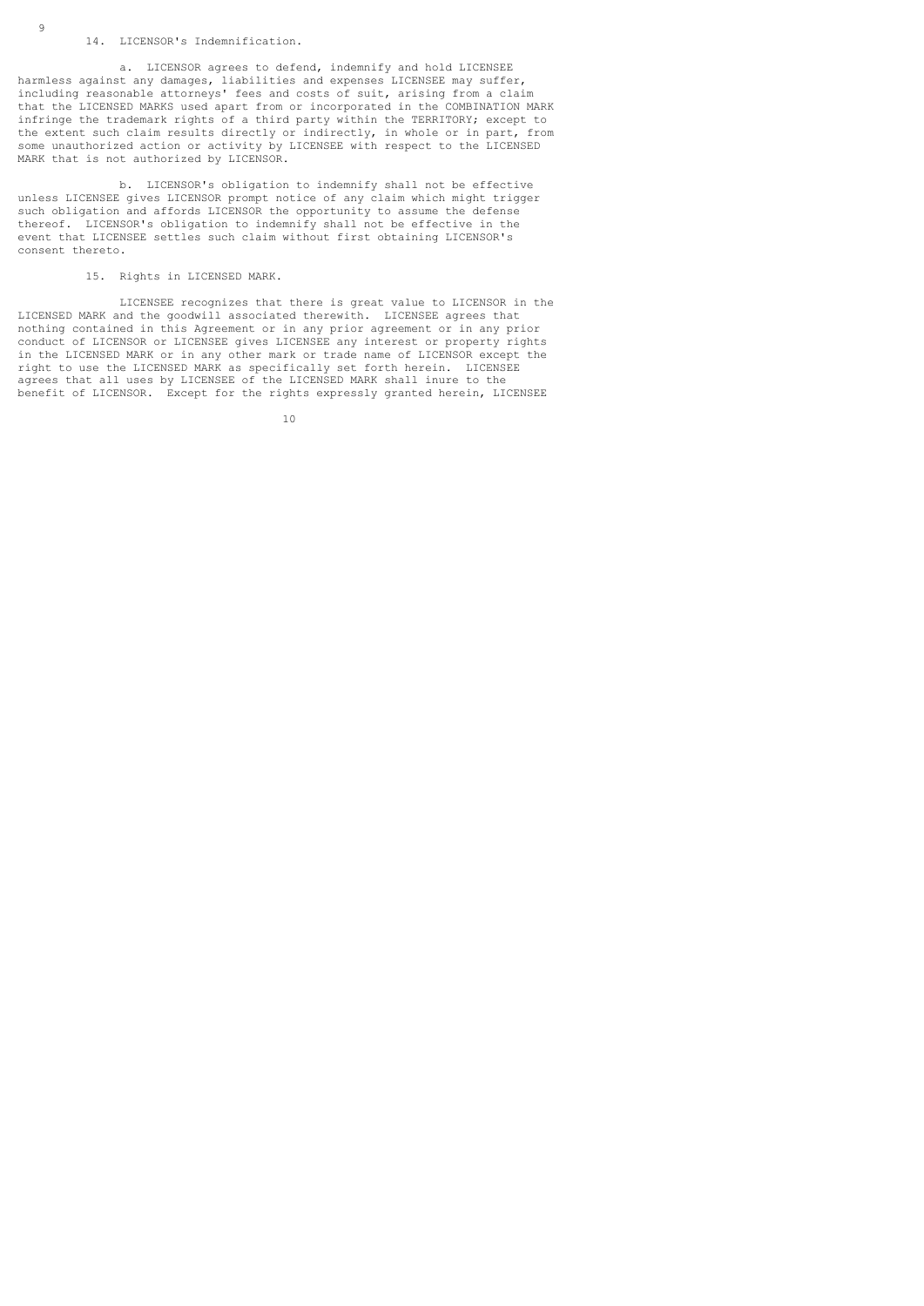## 14. LICENSOR's Indemnification.

 a. LICENSOR agrees to defend, indemnify and hold LICENSEE harmless against any damages, liabilities and expenses LICENSEE may suffer, including reasonable attorneys' fees and costs of suit, arising from a claim that the LICENSED MARKS used apart from or incorporated in the COMBINATION MARK infringe the trademark rights of a third party within the TERRITORY; except to the extent such claim results directly or indirectly, in whole or in part, from some unauthorized action or activity by LICENSEE with respect to the LICENSED MARK that is not authorized by LICENSOR.

 b. LICENSOR's obligation to indemnify shall not be effective unless LICENSEE gives LICENSOR prompt notice of any claim which might trigger such obligation and affords LICENSOR the opportunity to assume the defense thereof. LICENSOR's obligation to indemnify shall not be effective in the event that LICENSEE settles such claim without first obtaining LICENSOR's consent thereto.

15. Rights in LICENSED MARK.

 LICENSEE recognizes that there is great value to LICENSOR in the LICENSED MARK and the goodwill associated therewith. LICENSEE agrees that nothing contained in this Agreement or in any prior agreement or in any prior conduct of LICENSOR or LICENSEE gives LICENSEE any interest or property rights in the LICENSED MARK or in any other mark or trade name of LICENSOR except the right to use the LICENSED MARK as specifically set forth herein. LICENSEE agrees that all uses by LICENSEE of the LICENSED MARK shall inure to the benefit of LICENSOR. Except for the rights expressly granted herein, LICENSEE

10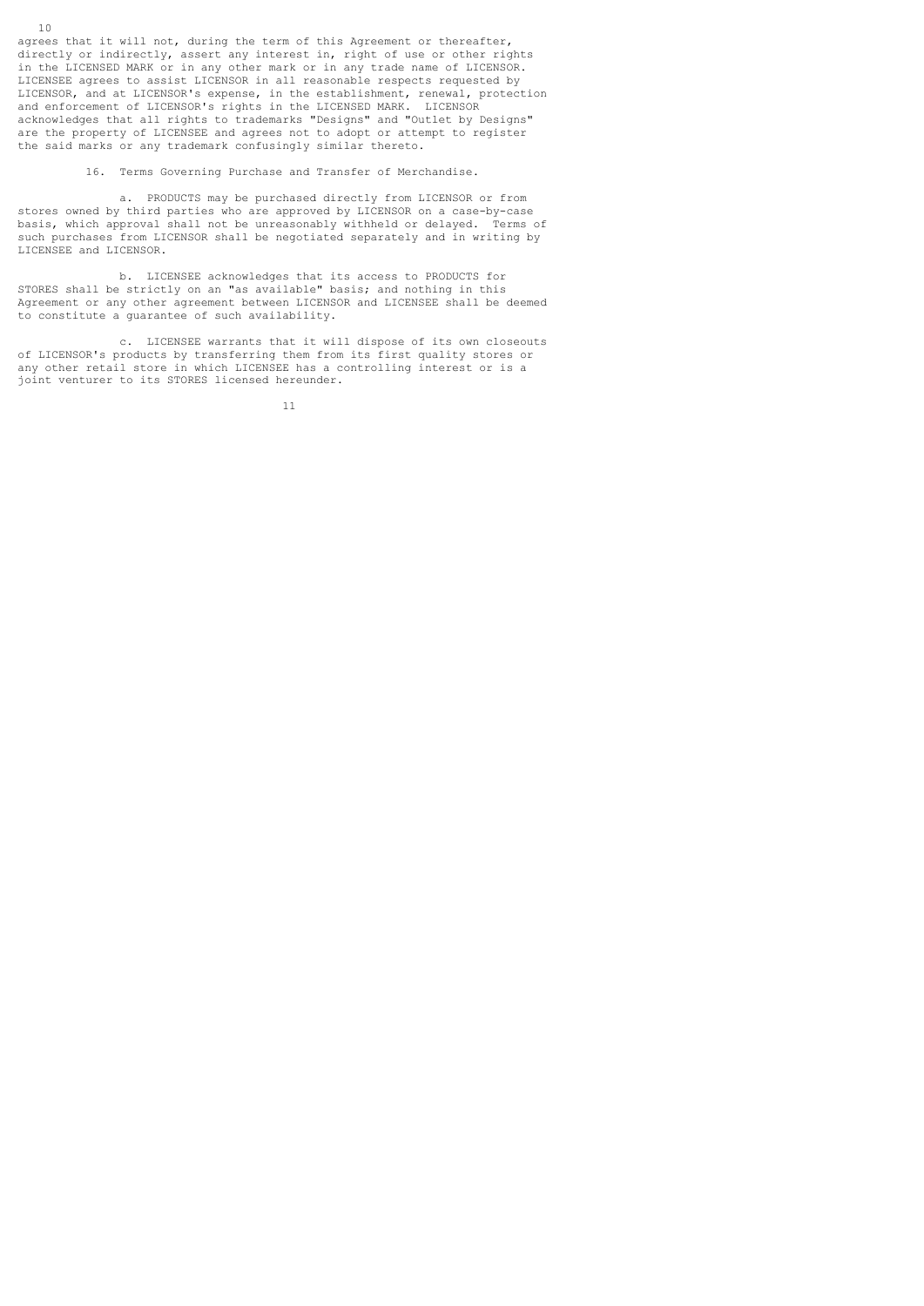agrees that it will not, during the term of this Agreement or thereafter, directly or indirectly, assert any interest in, right of use or other rights in the LICENSED MARK or in any other mark or in any trade name of LICENSOR. LICENSEE agrees to assist LICENSOR in all reasonable respects requested by LICENSOR, and at LICENSOR's expense, in the establishment, renewal, protection and enforcement of LICENSOR's rights in the LICENSED MARK. LICENSOR acknowledges that all rights to trademarks "Designs" and "Outlet by Designs" are the property of LICENSEE and agrees not to adopt or attempt to register the said marks or any trademark confusingly similar thereto.

16. Terms Governing Purchase and Transfer of Merchandise.

 a. PRODUCTS may be purchased directly from LICENSOR or from stores owned by third parties who are approved by LICENSOR on a case-by-case basis, which approval shall not be unreasonably withheld or delayed. Terms of such purchases from LICENSOR shall be negotiated separately and in writing by LICENSEE and LICENSOR.

 b. LICENSEE acknowledges that its access to PRODUCTS for STORES shall be strictly on an "as available" basis; and nothing in this Agreement or any other agreement between LICENSOR and LICENSEE shall be deemed to constitute a guarantee of such availability.

 c. LICENSEE warrants that it will dispose of its own closeouts of LICENSOR's products by transferring them from its first quality stores or any other retail store in which LICENSEE has a controlling interest or is a joint venturer to its STORES licensed hereunder.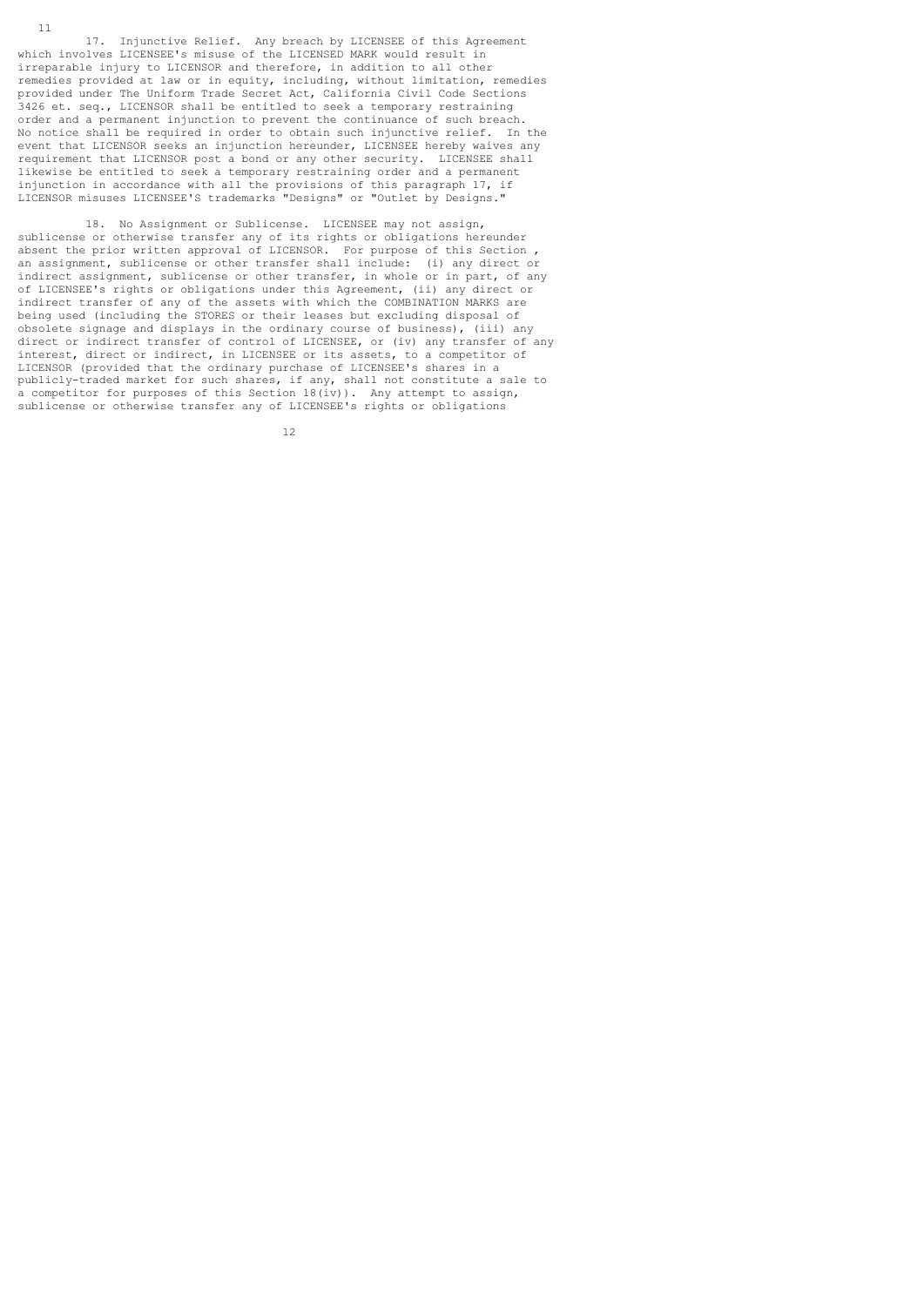17. Injunctive Relief. Any breach by LICENSEE of this Agreement which involves LICENSEE's misuse of the LICENSED MARK would result in irreparable injury to LICENSOR and therefore, in addition to all other remedies provided at law or in equity, including, without limitation, remedies provided under The Uniform Trade Secret Act, California Civil Code Sections 3426 et. seq., LICENSOR shall be entitled to seek a temporary restraining order and a permanent injunction to prevent the continuance of such breach. No notice shall be required in order to obtain such injunctive relief. In the event that LICENSOR seeks an injunction hereunder, LICENSEE hereby waives any requirement that LICENSOR post a bond or any other security. LICENSEE shall likewise be entitled to seek a temporary restraining order and a permanent injunction in accordance with all the provisions of this paragraph 17, if LICENSOR misuses LICENSEE'S trademarks "Designs" or "Outlet by Designs."

 18. No Assignment or Sublicense. LICENSEE may not assign, sublicense or otherwise transfer any of its rights or obligations hereunder absent the prior written approval of LICENSOR. For purpose of this Section , an assignment, sublicense or other transfer shall include: (i) any direct or indirect assignment, sublicense or other transfer, in whole or in part, of any of LICENSEE's rights or obligations under this Agreement, (ii) any direct or indirect transfer of any of the assets with which the COMBINATION MARKS are being used (including the STORES or their leases but excluding disposal of obsolete signage and displays in the ordinary course of business), (iii) any direct or indirect transfer of control of LICENSEE, or (iv) any transfer of any interest, direct or indirect, in LICENSEE or its assets, to a competitor of LICENSOR (provided that the ordinary purchase of LICENSEE's shares in a publicly-traded market for such shares, if any, shall not constitute a sale to a competitor for purposes of this Section 18(iv)). Any attempt to assign, sublicense or otherwise transfer any of LICENSEE's rights or obligations

12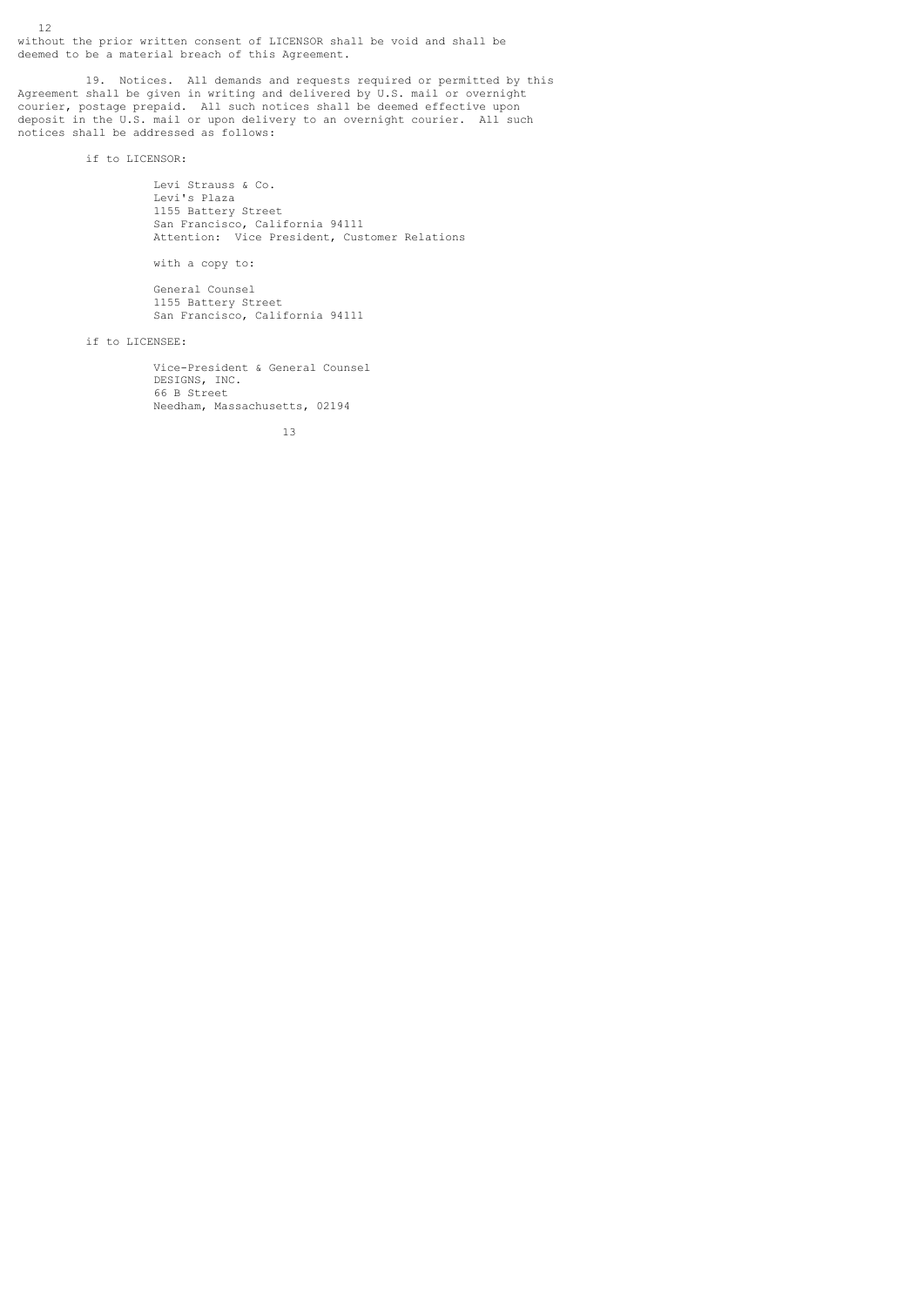12 without the prior written consent of LICENSOR shall be void and shall be deemed to be a material breach of this Agreement.

 19. Notices. All demands and requests required or permitted by this Agreement shall be given in writing and delivered by U.S. mail or overnight courier, postage prepaid. All such notices shall be deemed effective upon deposit in the U.S. mail or upon delivery to an overnight courier. All such notices shall be addressed as follows:

if to LICENSOR:

Levi Strauss & Co. Levi's Plaza 1155 Battery Street San Francisco, California 94111 Attention: Vice President, Customer Relations

with a copy to:

 General Counsel 1155 Battery Street San Francisco, California 94111

if to LICENSEE:

 Vice-President & General Counsel DESIGNS, INC. 66 B Street Needham, Massachusetts, 02194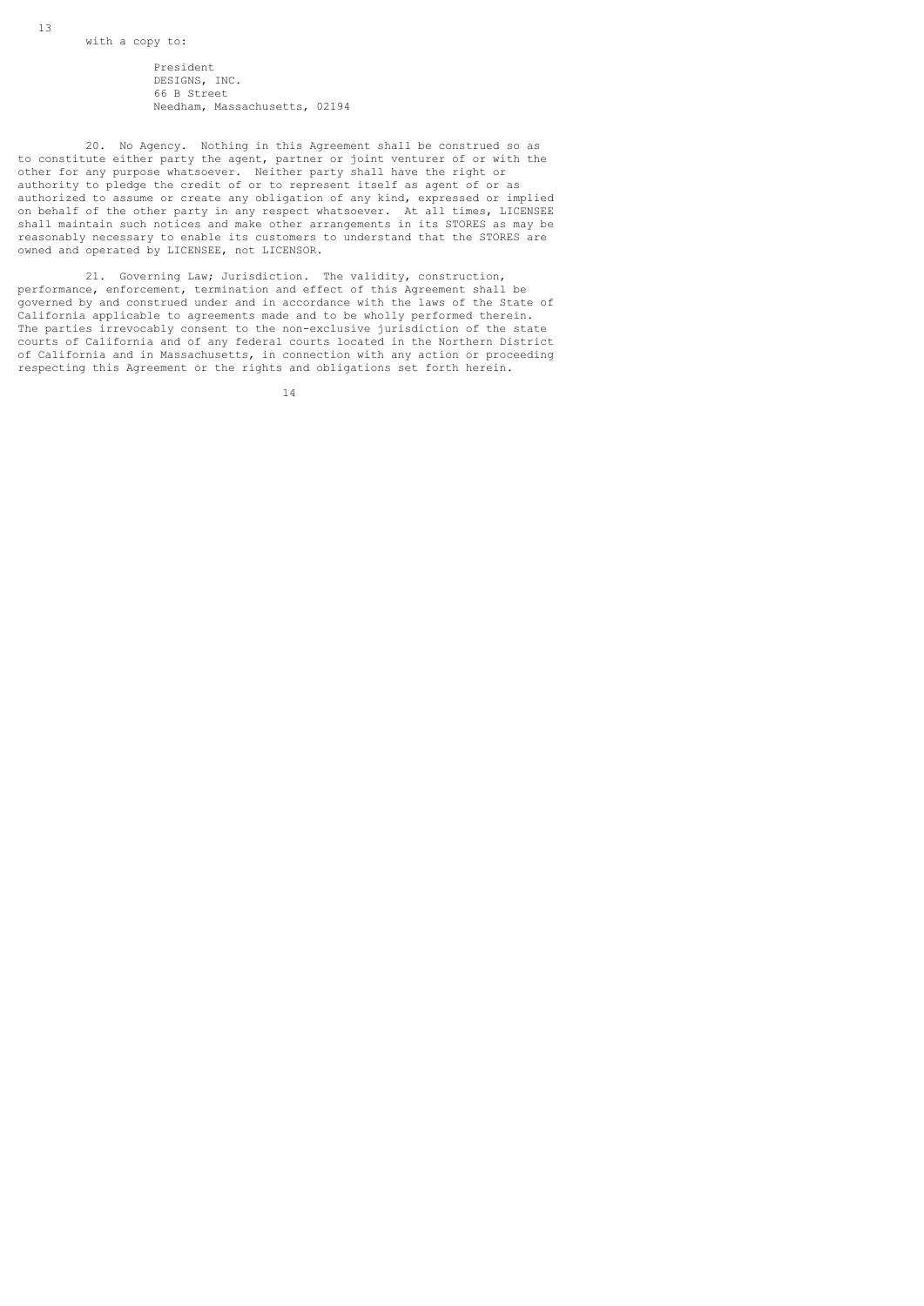13

 President DESIGNS, INC. 66 B Street Needham, Massachusetts, 02194

 20. No Agency. Nothing in this Agreement shall be construed so as to constitute either party the agent, partner or joint venturer of or with the other for any purpose whatsoever. Neither party shall have the right or authority to pledge the credit of or to represent itself as agent of or as authorized to assume or create any obligation of any kind, expressed or implied on behalf of the other party in any respect whatsoever. At all times, LICENSEE shall maintain such notices and make other arrangements in its STORES as may be reasonably necessary to enable its customers to understand that the STORES are owned and operated by LICENSEE, not LICENSOR.

 21. Governing Law; Jurisdiction. The validity, construction, performance, enforcement, termination and effect of this Agreement shall be governed by and construed under and in accordance with the laws of the State of California applicable to agreements made and to be wholly performed therein. The parties irrevocably consent to the non-exclusive jurisdiction of the state courts of California and of any federal courts located in the Northern District of California and in Massachusetts, in connection with any action or proceeding respecting this Agreement or the rights and obligations set forth herein.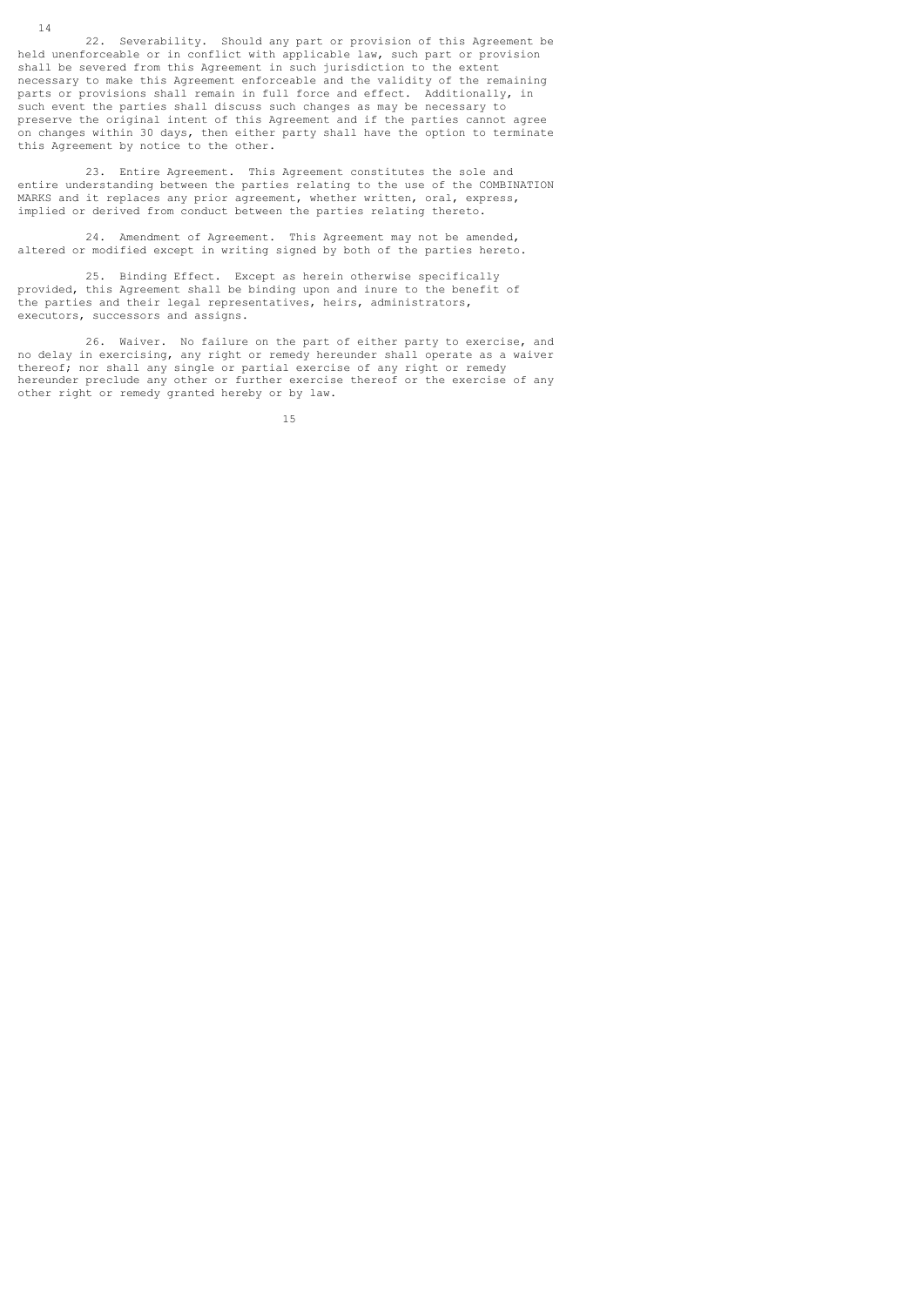22. Severability. Should any part or provision of this Agreement be held unenforceable or in conflict with applicable law, such part or provision shall be severed from this Agreement in such jurisdiction to the extent necessary to make this Agreement enforceable and the validity of the remaining parts or provisions shall remain in full force and effect. Additionally, in such event the parties shall discuss such changes as may be necessary to preserve the original intent of this Agreement and if the parties cannot agree on changes within 30 days, then either party shall have the option to terminate this Agreement by notice to the other.

 23. Entire Agreement. This Agreement constitutes the sole and entire understanding between the parties relating to the use of the COMBINATION MARKS and it replaces any prior agreement, whether written, oral, express, implied or derived from conduct between the parties relating thereto.

 24. Amendment of Agreement. This Agreement may not be amended, altered or modified except in writing signed by both of the parties hereto.

 25. Binding Effect. Except as herein otherwise specifically provided, this Agreement shall be binding upon and inure to the benefit of the parties and their legal representatives, heirs, administrators, executors, successors and assigns.

 26. Waiver. No failure on the part of either party to exercise, and no delay in exercising, any right or remedy hereunder shall operate as a waiver thereof; nor shall any single or partial exercise of any right or remedy hereunder preclude any other or further exercise thereof or the exercise of any other right or remedy granted hereby or by law.

15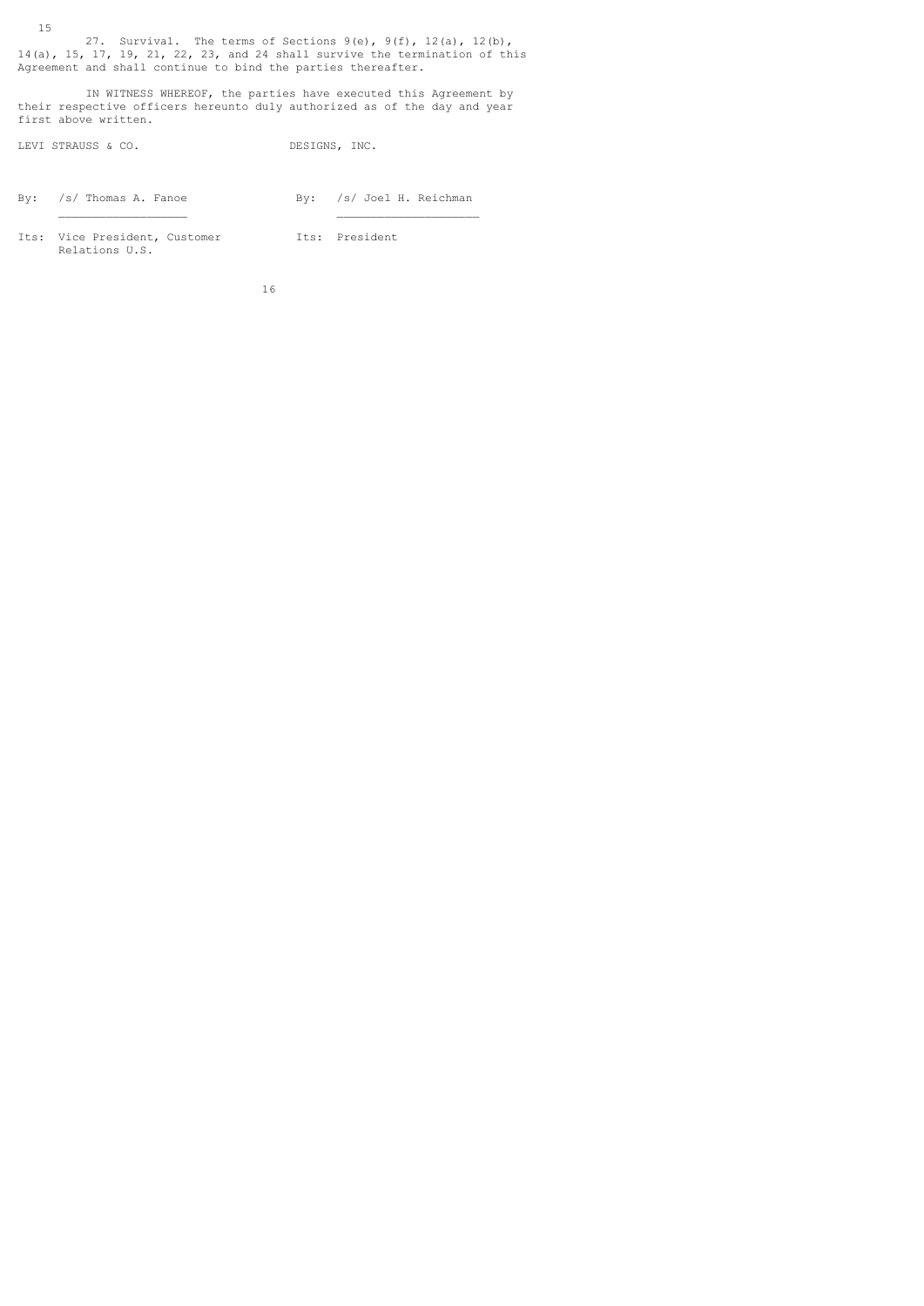15 27. Survival. The terms of Sections  $9(e)$ ,  $9(f)$ ,  $12(a)$ ,  $12(b)$ , 14(a), 15, 17, 19, 21, 22, 23, and 24 shall survive the termination of this Agreement and shall continue to bind the parties thereafter.

 IN WITNESS WHEREOF, the parties have executed this Agreement by their respective officers hereunto duly authorized as of the day and year first above written.

LEVI STRAUSS & CO. DESIGNS, INC.

By: /s/ Thomas A. Fanoe By: /s/ Joel H. Reichman

Its: Vice President, Customer 1ts: President Relations U.S.

 $\mathcal{L}_\text{max}$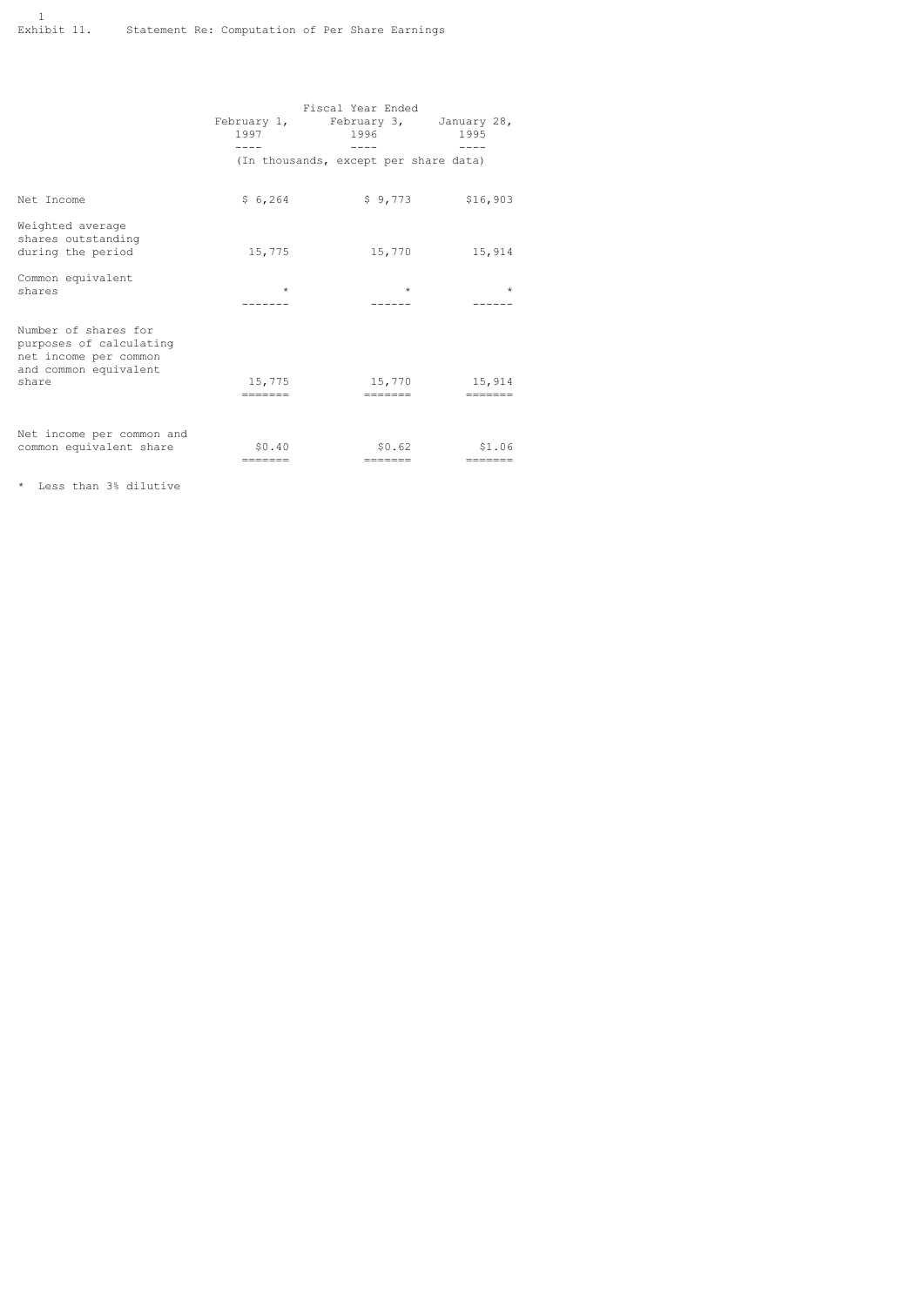|                                                                                                            | 1997                                  | Fiscal Year Ended<br>February 1, February 3, January 28,<br>1996<br>$- - - -$ | 1995<br>$- - - -$         |  |
|------------------------------------------------------------------------------------------------------------|---------------------------------------|-------------------------------------------------------------------------------|---------------------------|--|
|                                                                                                            | (In thousands, except per share data) |                                                                               |                           |  |
| Net Income                                                                                                 | \$6,264                               |                                                                               | $$9,773$ $$16,903$        |  |
| Weighted average<br>shares outstanding<br>during the period                                                | 15,775                                | 15,770                                                                        | 15,914                    |  |
| Common equivalent<br>shares                                                                                | $\star$                               | $\star$                                                                       | $\star$                   |  |
| Number of shares for<br>purposes of calculating<br>net income per common<br>and common equivalent<br>share | 15,775<br>$=$ = = = = = =             | 15,770<br>$=======$                                                           | 15,914<br>$=$ = = = = = = |  |
| Net income per common and<br>common equivalent share                                                       | \$0.40<br>$=======$                   | \$0.62<br>$=$ $=$ $=$ $=$ $=$ $=$                                             | \$1.06<br>$=$ = = = = = = |  |

\* Less than 3% dilutive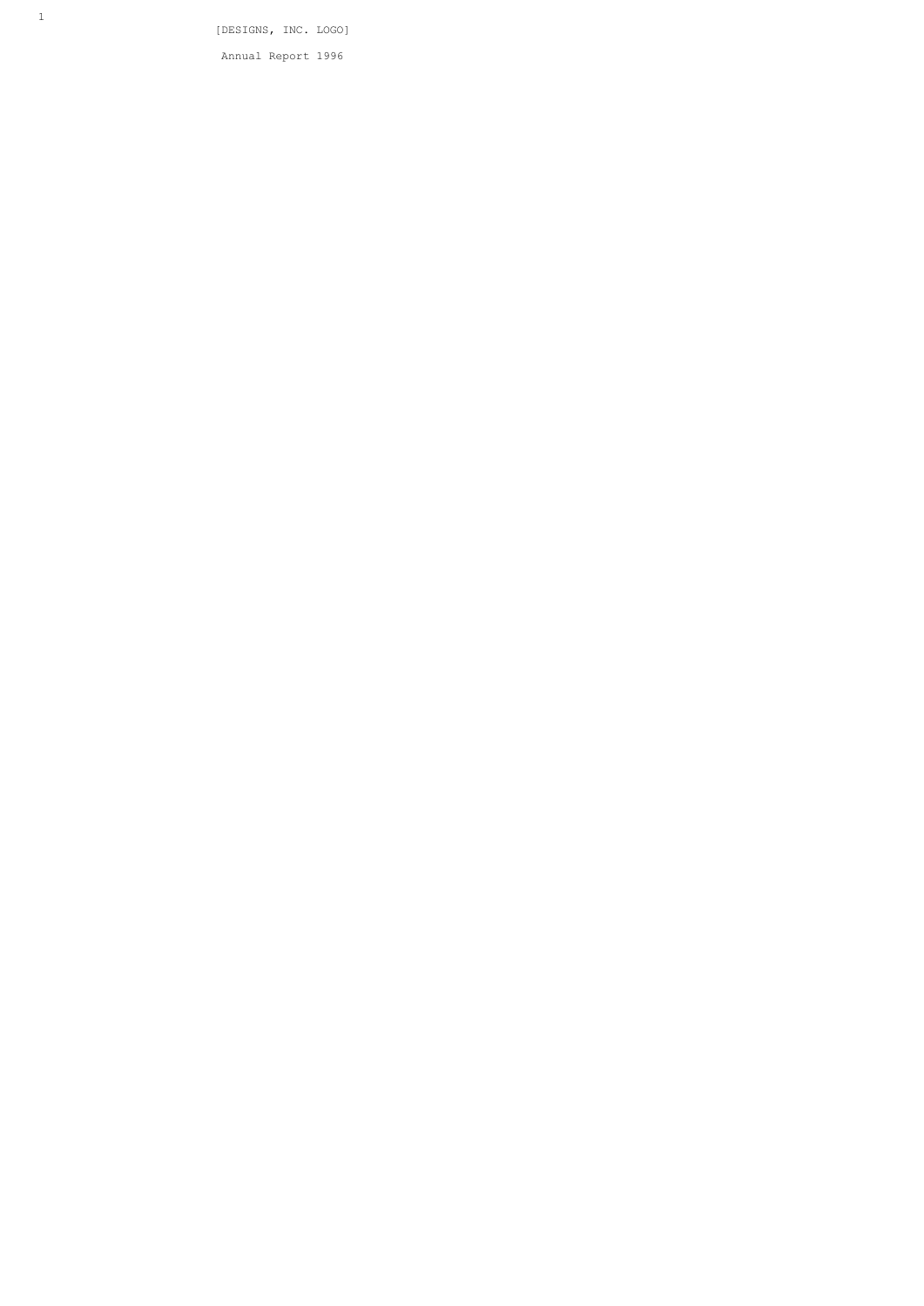[DESIGNS, INC. LOGO]

Annual Report 1996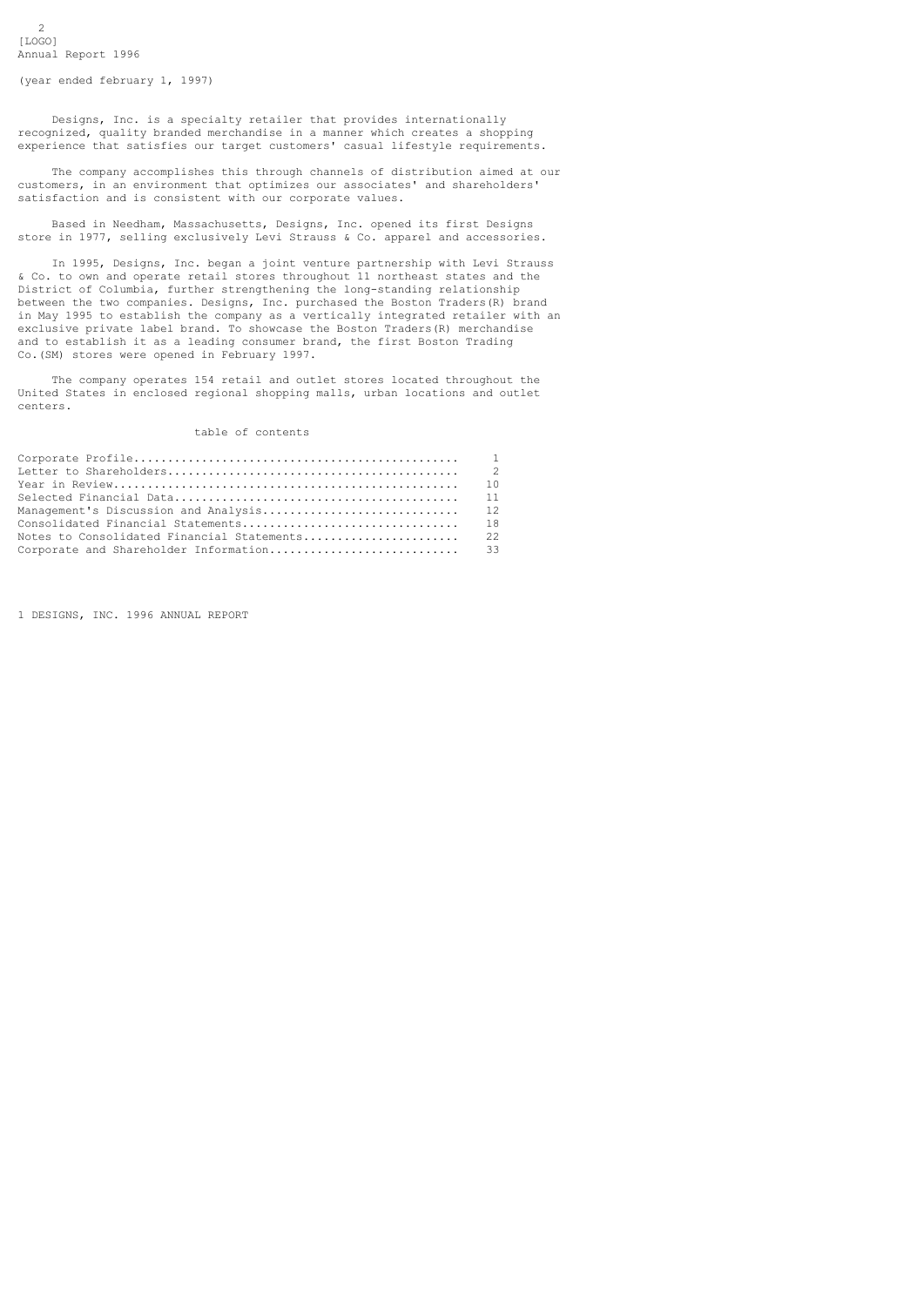$\overline{2}$ [LOGO] Annual Report 1996

(year ended february 1, 1997)

 Designs, Inc. is a specialty retailer that provides internationally recognized, quality branded merchandise in a manner which creates a shopping experience that satisfies our target customers' casual lifestyle requirements.

 The company accomplishes this through channels of distribution aimed at our customers, in an environment that optimizes our associates' and shareholders' satisfaction and is consistent with our corporate values.

 Based in Needham, Massachusetts, Designs, Inc. opened its first Designs store in 1977, selling exclusively Levi Strauss & Co. apparel and accessories.

 In 1995, Designs, Inc. began a joint venture partnership with Levi Strauss & Co. to own and operate retail stores throughout 11 northeast states and the District of Columbia, further strengthening the long-standing relationship between the two companies. Designs, Inc. purchased the Boston Traders(R) brand in May 1995 to establish the company as a vertically integrated retailer with an exclusive private label brand. To showcase the Boston Traders(R) merchandise and to establish it as a leading consumer brand, the first Boston Trading Co.(SM) stores were opened in February 1997.

 The company operates 154 retail and outlet stores located throughout the United States in enclosed regional shopping malls, urban locations and outlet centers.

## table of contents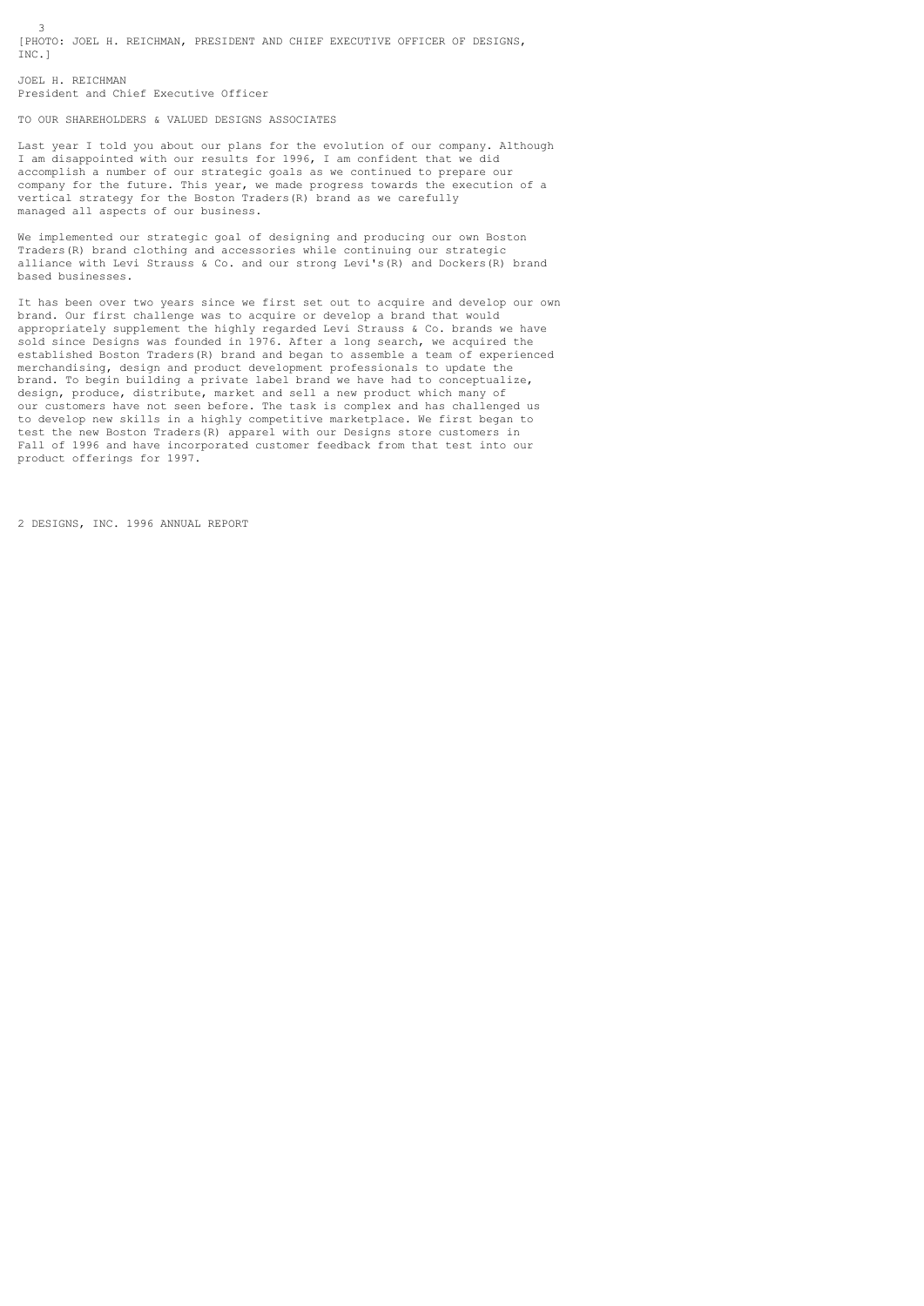3 [PHOTO: JOEL H. REICHMAN, PRESIDENT AND CHIEF EXECUTIVE OFFICER OF DESIGNS, INC.]

JOEL H. REICHMAN President and Chief Executive Officer

TO OUR SHAREHOLDERS & VALUED DESIGNS ASSOCIATES

Last year I told you about our plans for the evolution of our company. Although I am disappointed with our results for 1996, I am confident that we did accomplish a number of our strategic goals as we continued to prepare our company for the future. This year, we made progress towards the execution of a vertical strategy for the Boston Traders(R) brand as we carefully managed all aspects of our business.

We implemented our strategic goal of designing and producing our own Boston Traders(R) brand clothing and accessories while continuing our strategic alliance with Levi Strauss & Co. and our strong Levi's(R) and Dockers(R) brand based businesses.

It has been over two years since we first set out to acquire and develop our own brand. Our first challenge was to acquire or develop a brand that would appropriately supplement the highly regarded Levi Strauss & Co. brands we have sold since Designs was founded in 1976. After a long search, we acquired the established Boston Traders(R) brand and began to assemble a team of experienced merchandising, design and product development professionals to update the brand. To begin building a private label brand we have had to conceptualize, design, produce, distribute, market and sell a new product which many of our customers have not seen before. The task is complex and has challenged us to develop new skills in a highly competitive marketplace. We first began to test the new Boston Traders(R) apparel with our Designs store customers in Fall of 1996 and have incorporated customer feedback from that test into our product offerings for 1997.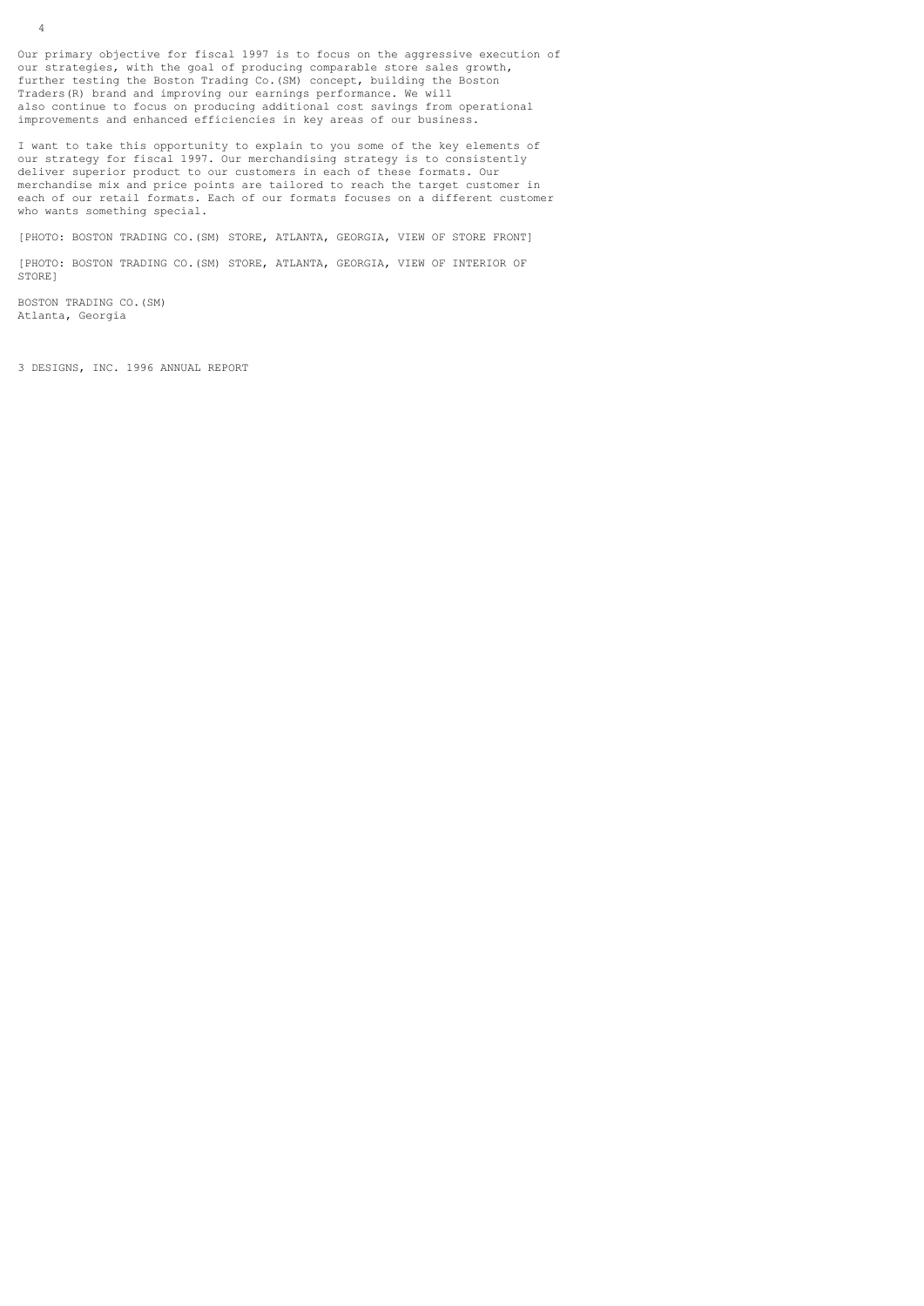Our primary objective for fiscal 1997 is to focus on the aggressive execution of our strategies, with the goal of producing comparable store sales growth, further testing the Boston Trading Co.(SM) concept, building the Boston Traders(R) brand and improving our earnings performance. We will also continue to focus on producing additional cost savings from operational improvements and enhanced efficiencies in key areas of our business.

I want to take this opportunity to explain to you some of the key elements of our strategy for fiscal 1997. Our merchandising strategy is to consistently deliver superior product to our customers in each of these formats. Our merchandise mix and price points are tailored to reach the target customer in each of our retail formats. Each of our formats focuses on a different customer who wants something special.

[PHOTO: BOSTON TRADING CO.(SM) STORE, ATLANTA, GEORGIA, VIEW OF STORE FRONT]

[PHOTO: BOSTON TRADING CO.(SM) STORE, ATLANTA, GEORGIA, VIEW OF INTERIOR OF STORE<sup>1</sup>

BOSTON TRADING CO.(SM) Atlanta, Georgia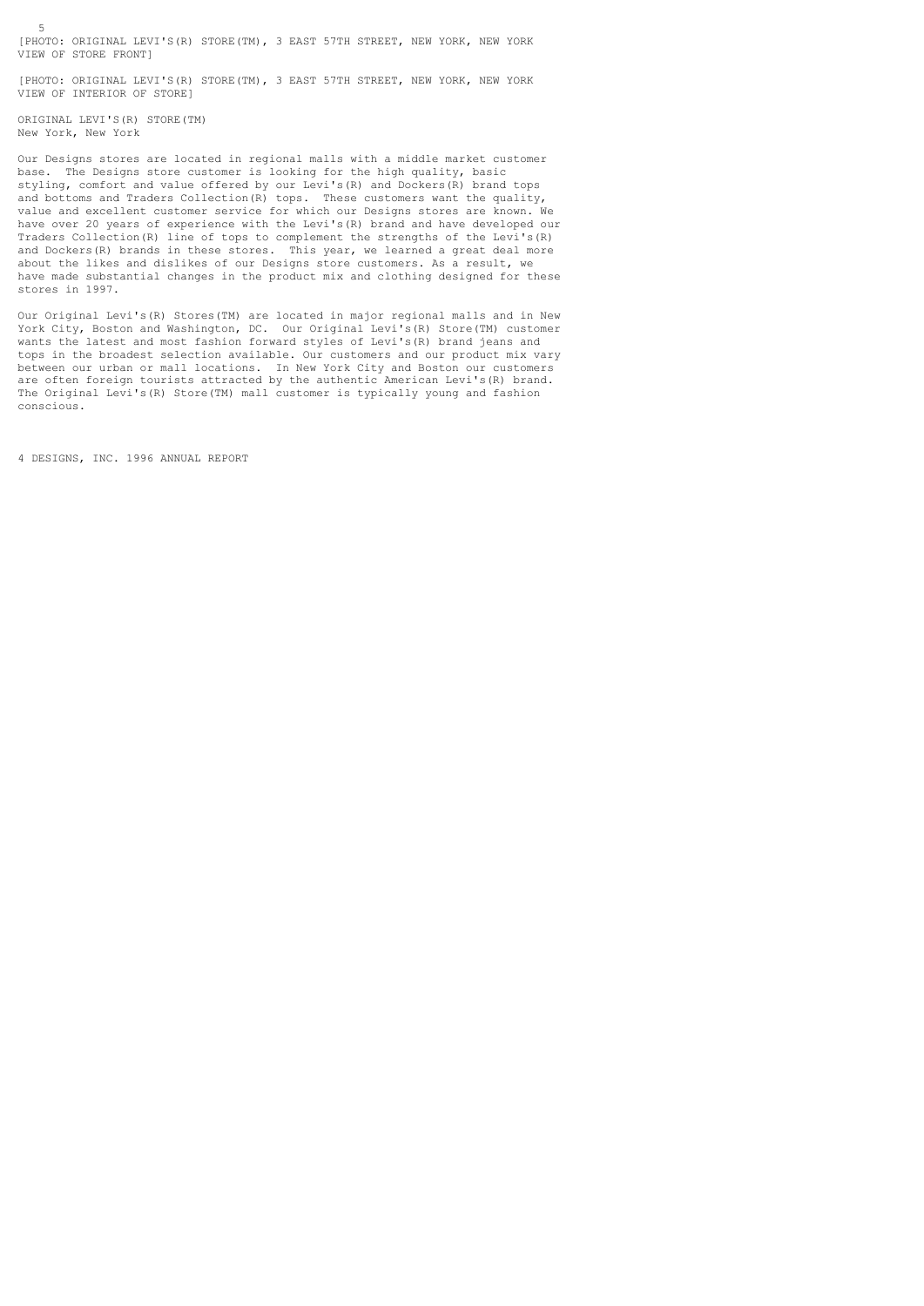[PHOTO: ORIGINAL LEVI'S(R) STORE(TM), 3 EAST 57TH STREET, NEW YORK, NEW YORK VIEW OF STORE FRONT]

[PHOTO: ORIGINAL LEVI'S(R) STORE(TM), 3 EAST 57TH STREET, NEW YORK, NEW YORK VIEW OF INTERIOR OF STORE]

ORIGINAL LEVI'S(R) STORE(TM) New York, New York

5

Our Designs stores are located in regional malls with a middle market customer base. The Designs store customer is looking for the high quality, basic styling, comfort and value offered by our Levi's(R) and Dockers(R) brand tops and bottoms and Traders Collection(R) tops. These customers want the quality, value and excellent customer service for which our Designs stores are known. We have over 20 years of experience with the Levi's(R) brand and have developed our Traders Collection(R) line of tops to complement the strengths of the Levi's(R) and Dockers(R) brands in these stores. This year, we learned a great deal more about the likes and dislikes of our Designs store customers. As a result, we have made substantial changes in the product mix and clothing designed for these stores in 1997.

Our Original Levi's(R) Stores(TM) are located in major regional malls and in New York City, Boston and Washington, DC. Our Original Levi's(R) Store(TM) customer wants the latest and most fashion forward styles of Levi's(R) brand jeans and tops in the broadest selection available. Our customers and our product mix vary between our urban or mall locations. In New York City and Boston our customers are often foreign tourists attracted by the authentic American Levi's(R) brand. The Original Levi's(R) Store(TM) mall customer is typically young and fashion conscious.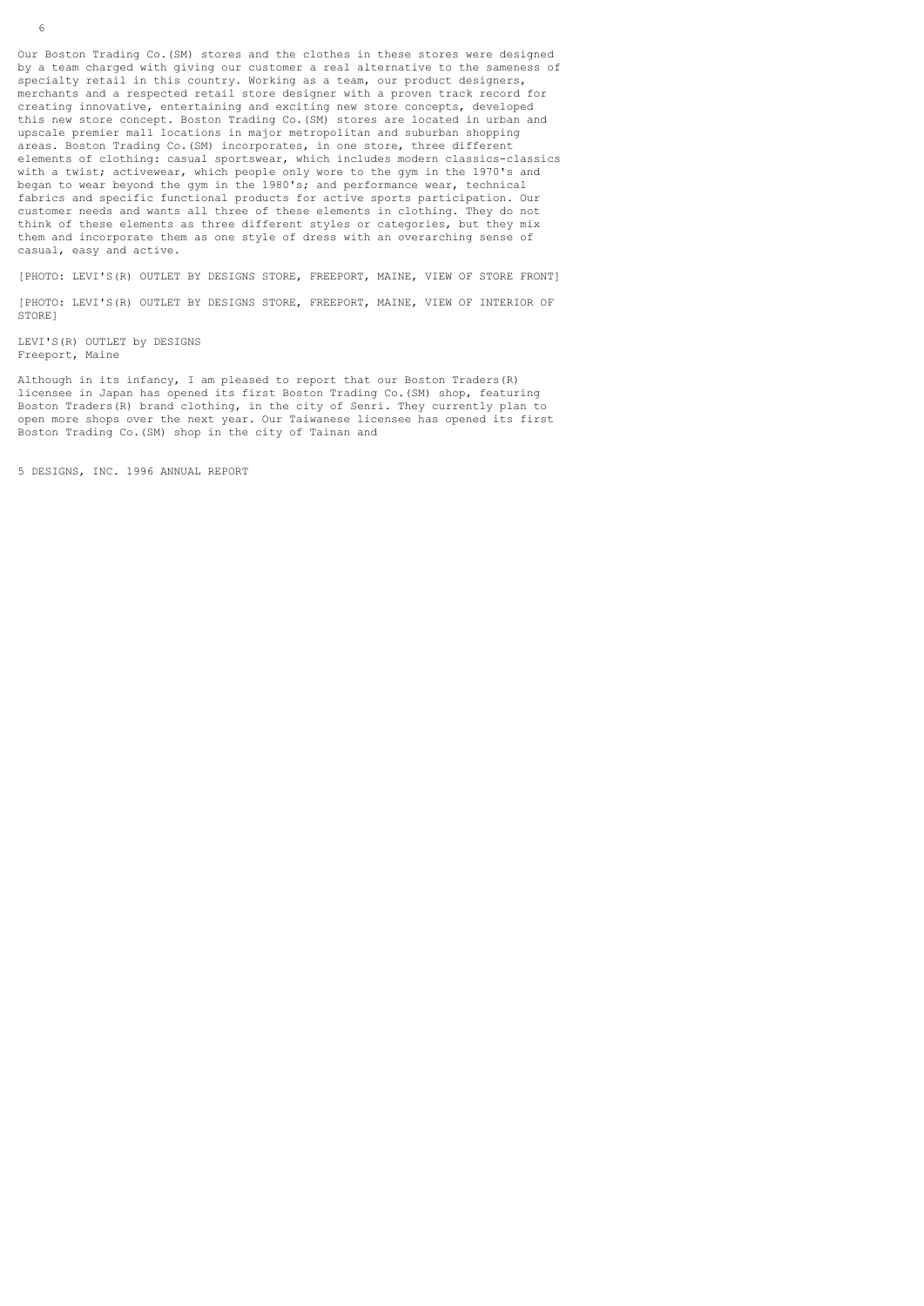Our Boston Trading Co.(SM) stores and the clothes in these stores were designed by a team charged with giving our customer a real alternative to the sameness of specialty retail in this country. Working as a team, our product designers, merchants and a respected retail store designer with a proven track record for creating innovative, entertaining and exciting new store concepts, developed this new store concept. Boston Trading Co.(SM) stores are located in urban and upscale premier mall locations in major metropolitan and suburban shopping areas. Boston Trading Co.(SM) incorporates, in one store, three different elements of clothing: casual sportswear, which includes modern classics-classics with a twist; activewear, which people only wore to the gym in the 1970's and began to wear beyond the gym in the 1980's; and performance wear, technical fabrics and specific functional products for active sports participation. Our customer needs and wants all three of these elements in clothing. They do not think of these elements as three different styles or categories, but they mix them and incorporate them as one style of dress with an overarching sense of casual, easy and active.

[PHOTO: LEVI'S(R) OUTLET BY DESIGNS STORE, FREEPORT, MAINE, VIEW OF STORE FRONT]

[PHOTO: LEVI'S(R) OUTLET BY DESIGNS STORE, FREEPORT, MAINE, VIEW OF INTERIOR OF STORE]

LEVI'S(R) OUTLET by DESIGNS Freeport, Maine

Although in its infancy, I am pleased to report that our Boston Traders(R) licensee in Japan has opened its first Boston Trading Co.(SM) shop, featuring Boston Traders(R) brand clothing, in the city of Senri. They currently plan to open more shops over the next year. Our Taiwanese licensee has opened its first Boston Trading Co.(SM) shop in the city of Tainan and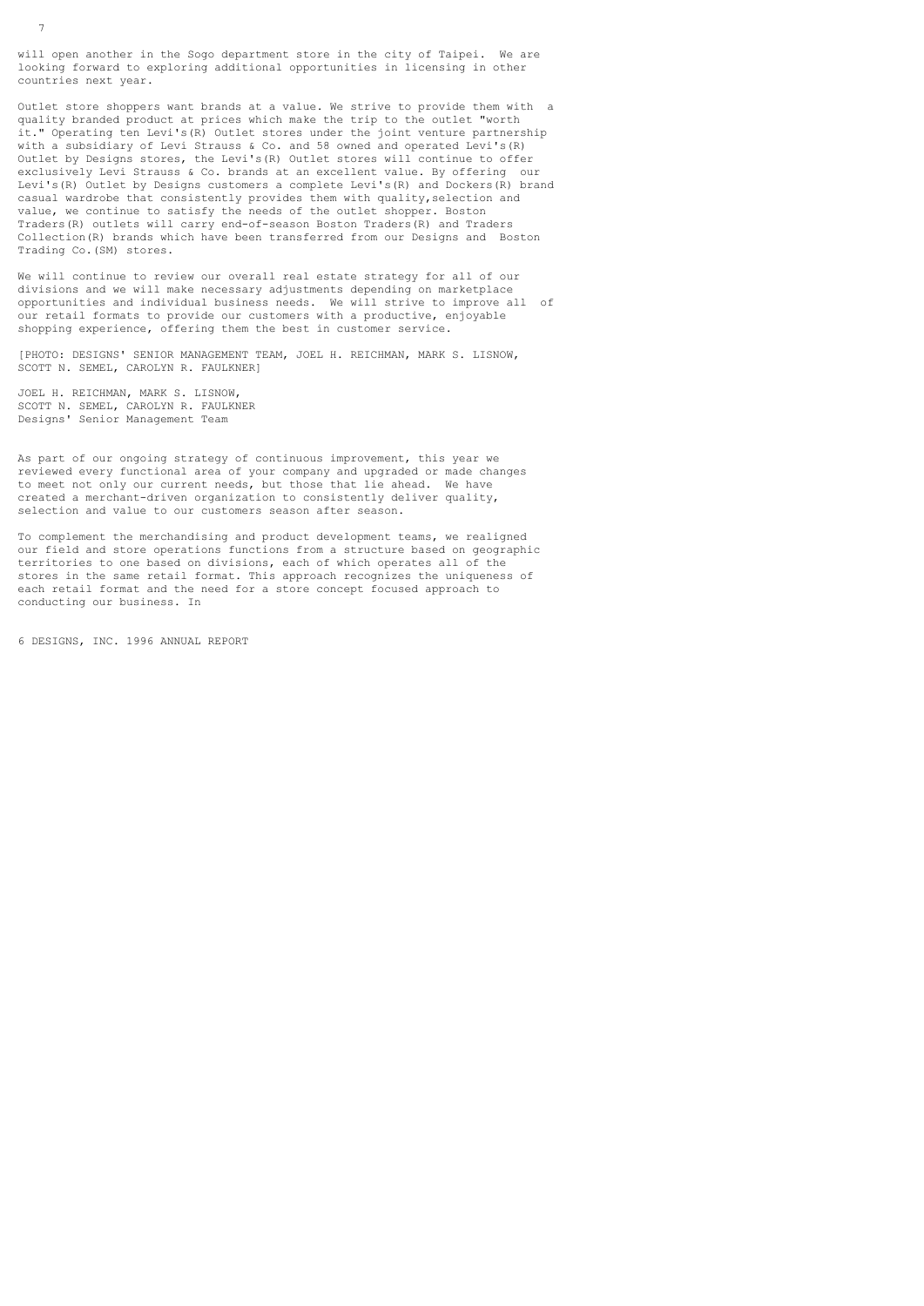will open another in the Sogo department store in the city of Taipei. We are looking forward to exploring additional opportunities in licensing in other countries next year.

Outlet store shoppers want brands at a value. We strive to provide them with a quality branded product at prices which make the trip to the outlet "worth it." Operating ten Levi's(R) Outlet stores under the joint venture partnership with a subsidiary of Levi Strauss & Co. and 58 owned and operated Levi's(R) Outlet by Designs stores, the Levi's(R) Outlet stores will continue to offer exclusively Levi Strauss & Co. brands at an excellent value. By offering our Levi's(R) Outlet by Designs customers a complete Levi's(R) and Dockers(R) brand casual wardrobe that consistently provides them with quality,selection and value, we continue to satisfy the needs of the outlet shopper. Boston Traders(R) outlets will carry end-of-season Boston Traders(R) and Traders Collection(R) brands which have been transferred from our Designs and Boston Trading Co.(SM) stores.

We will continue to review our overall real estate strategy for all of our divisions and we will make necessary adjustments depending on marketplace opportunities and individual business needs. We will strive to improve all of our retail formats to provide our customers with a productive, enjoyable shopping experience, offering them the best in customer service.

[PHOTO: DESIGNS' SENIOR MANAGEMENT TEAM, JOEL H. REICHMAN, MARK S. LISNOW, SCOTT N. SEMEL, CAROLYN R. FAULKNER]

JOEL H. REICHMAN, MARK S. LISNOW, SCOTT N. SEMEL, CAROLYN R. FAULKNER Designs' Senior Management Team

As part of our ongoing strategy of continuous improvement, this year we reviewed every functional area of your company and upgraded or made changes to meet not only our current needs, but those that lie ahead. We have created a merchant-driven organization to consistently deliver quality, selection and value to our customers season after season.

To complement the merchandising and product development teams, we realigned our field and store operations functions from a structure based on geographic territories to one based on divisions, each of which operates all of the stores in the same retail format. This approach recognizes the uniqueness of each retail format and the need for a store concept focused approach to conducting our business. In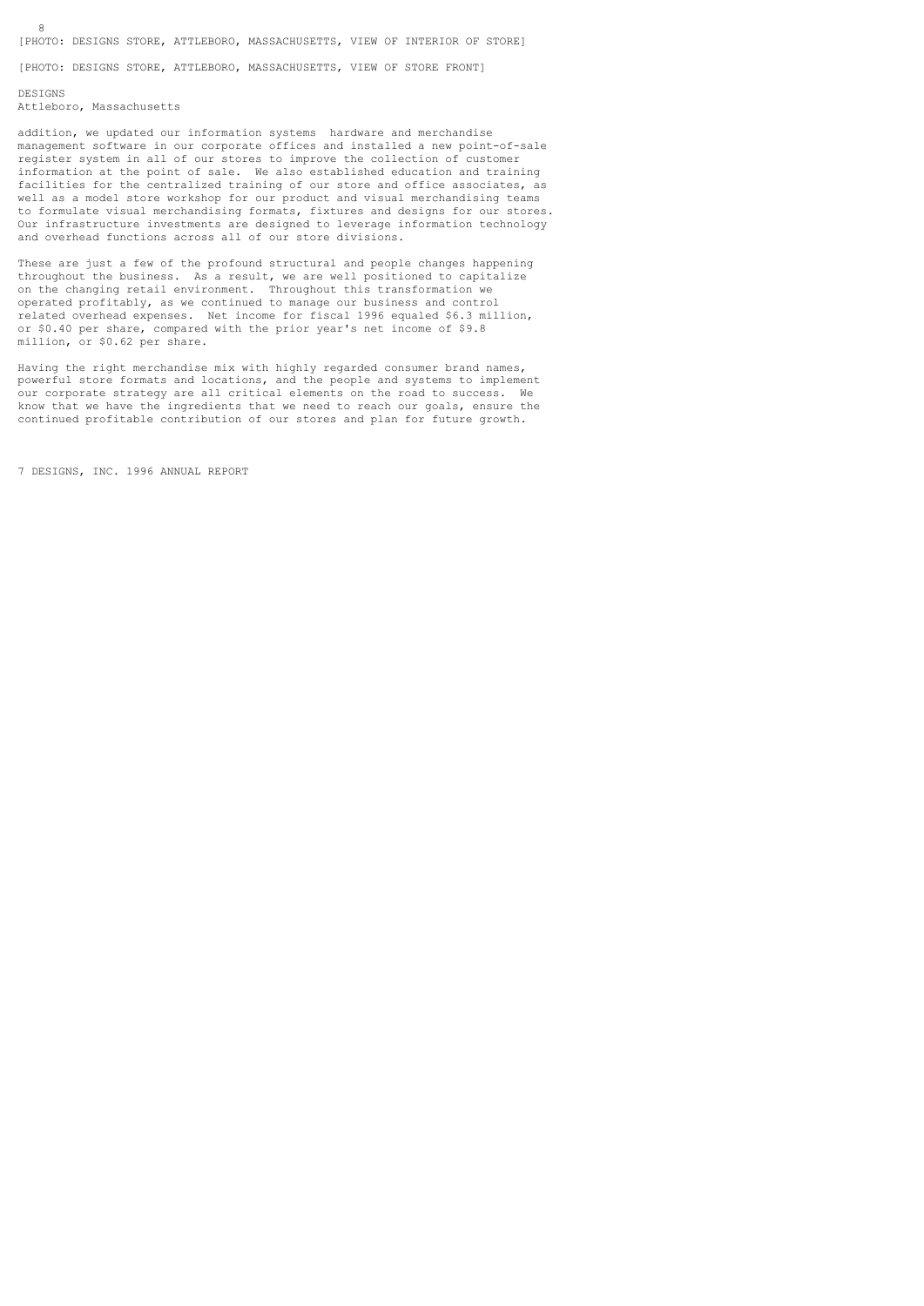[PHOTO: DESIGNS STORE, ATTLEBORO, MASSACHUSETTS, VIEW OF STORE FRONT]

# DESIGNS

Attleboro, Massachusetts

addition, we updated our information systems hardware and merchandise management software in our corporate offices and installed a new point-of-sale register system in all of our stores to improve the collection of customer information at the point of sale. We also established education and training facilities for the centralized training of our store and office associates, as well as a model store workshop for our product and visual merchandising teams to formulate visual merchandising formats, fixtures and designs for our stores. Our infrastructure investments are designed to leverage information technology and overhead functions across all of our store divisions.

These are just a few of the profound structural and people changes happening throughout the business. As a result, we are well positioned to capitalize on the changing retail environment. Throughout this transformation we operated profitably, as we continued to manage our business and control related overhead expenses. Net income for fiscal 1996 equaled \$6.3 million, or \$0.40 per share, compared with the prior year's net income of \$9.8 million, or \$0.62 per share.

Having the right merchandise mix with highly regarded consumer brand names, powerful store formats and locations, and the people and systems to implement our corporate strategy are all critical elements on the road to success. We know that we have the ingredients that we need to reach our goals, ensure the continued profitable contribution of our stores and plan for future growth.

7 DESIGNS, INC. 1996 ANNUAL REPORT

8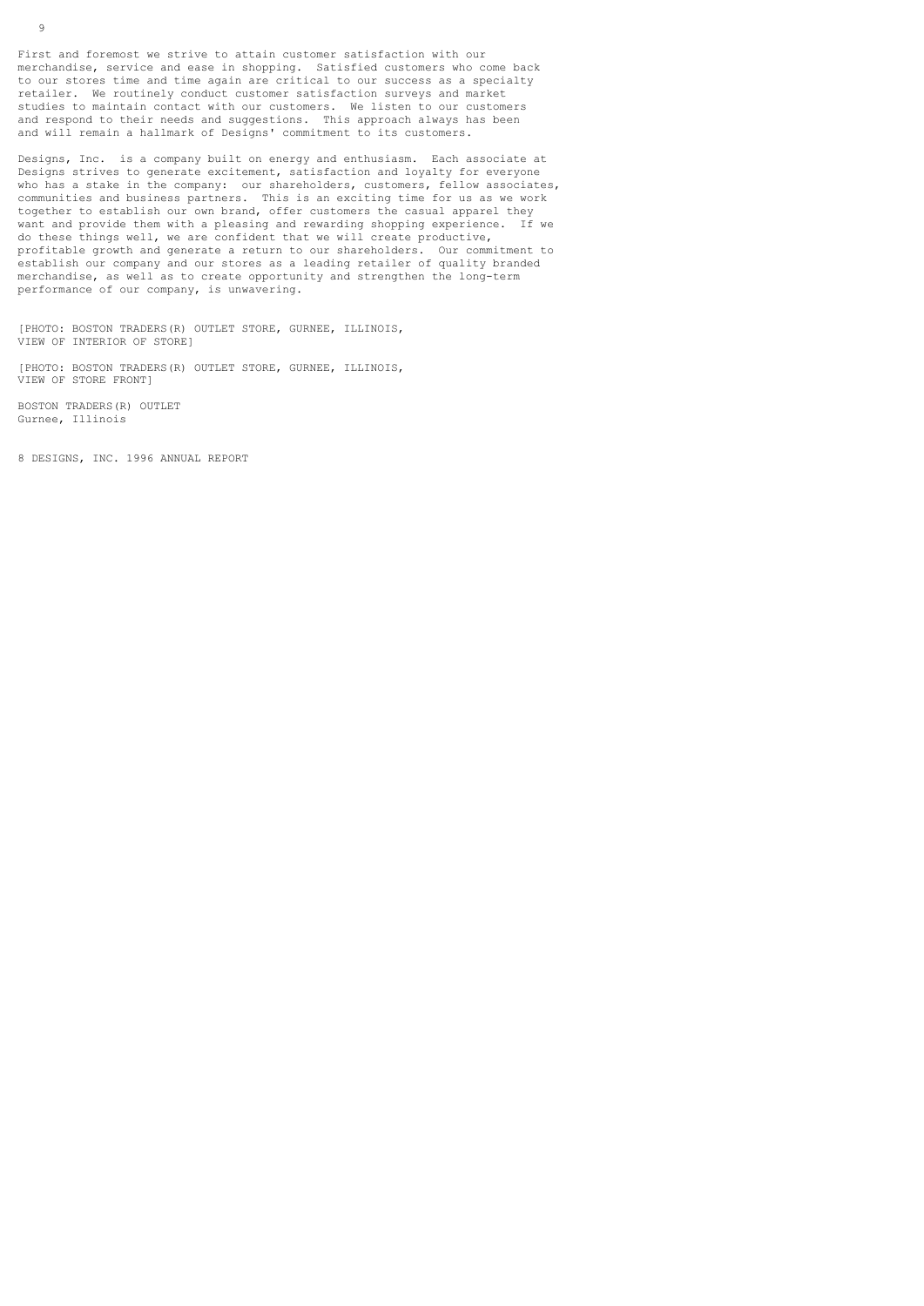First and foremost we strive to attain customer satisfaction with our merchandise, service and ease in shopping. Satisfied customers who come back to our stores time and time again are critical to our success as a specialty retailer. We routinely conduct customer satisfaction surveys and market studies to maintain contact with our customers. We listen to our customers and respond to their needs and suggestions. This approach always has been and will remain a hallmark of Designs' commitment to its customers.

Designs, Inc. is a company built on energy and enthusiasm. Each associate at Designs strives to generate excitement, satisfaction and loyalty for everyone who has a stake in the company: our shareholders, customers, fellow associates, communities and business partners. This is an exciting time for us as we work together to establish our own brand, offer customers the casual apparel they want and provide them with a pleasing and rewarding shopping experience. If we do these things well, we are confident that we will create productive, profitable growth and generate a return to our shareholders. Our commitment to establish our company and our stores as a leading retailer of quality branded merchandise, as well as to create opportunity and strengthen the long-term performance of our company, is unwavering.

[PHOTO: BOSTON TRADERS(R) OUTLET STORE, GURNEE, ILLINOIS, VIEW OF INTERIOR OF STORE]

[PHOTO: BOSTON TRADERS(R) OUTLET STORE, GURNEE, ILLINOIS, VIEW OF STORE FRONT]

BOSTON TRADERS(R) OUTLET Gurnee, Illinois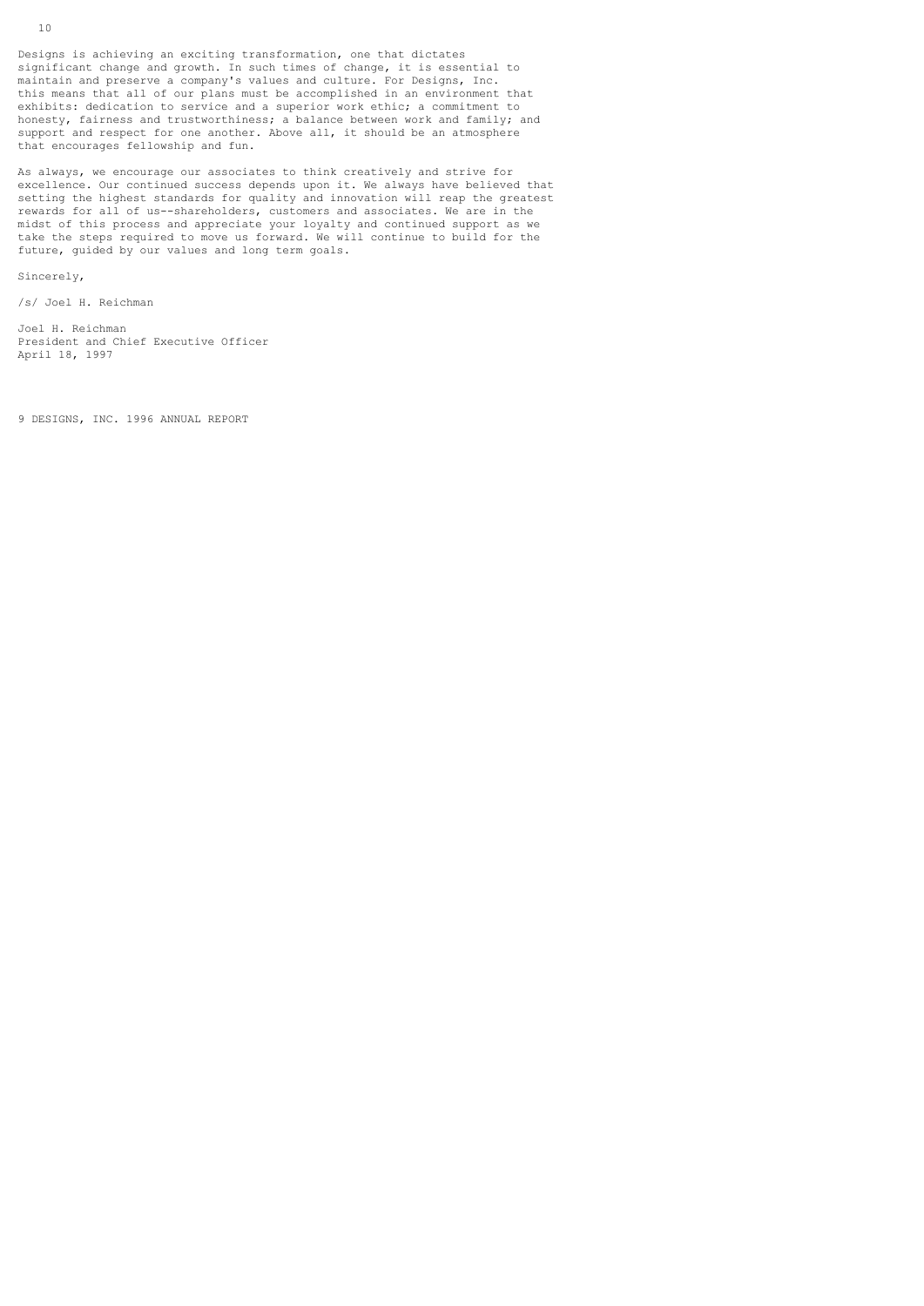Designs is achieving an exciting transformation, one that dictates significant change and growth. In such times of change, it is essential to maintain and preserve a company's values and culture. For Designs, Inc. this means that all of our plans must be accomplished in an environment that exhibits: dedication to service and a superior work ethic; a commitment to honesty, fairness and trustworthiness; a balance between work and family; and support and respect for one another. Above all, it should be an atmosphere that encourages fellowship and fun.

As always, we encourage our associates to think creatively and strive for excellence. Our continued success depends upon it. We always have believed that setting the highest standards for quality and innovation will reap the greatest rewards for all of us--shareholders, customers and associates. We are in the midst of this process and appreciate your loyalty and continued support as we take the steps required to move us forward. We will continue to build for the future, guided by our values and long term goals.

Sincerely,

/s/ Joel H. Reichman

Joel H. Reichman President and Chief Executive Officer April 18, 1997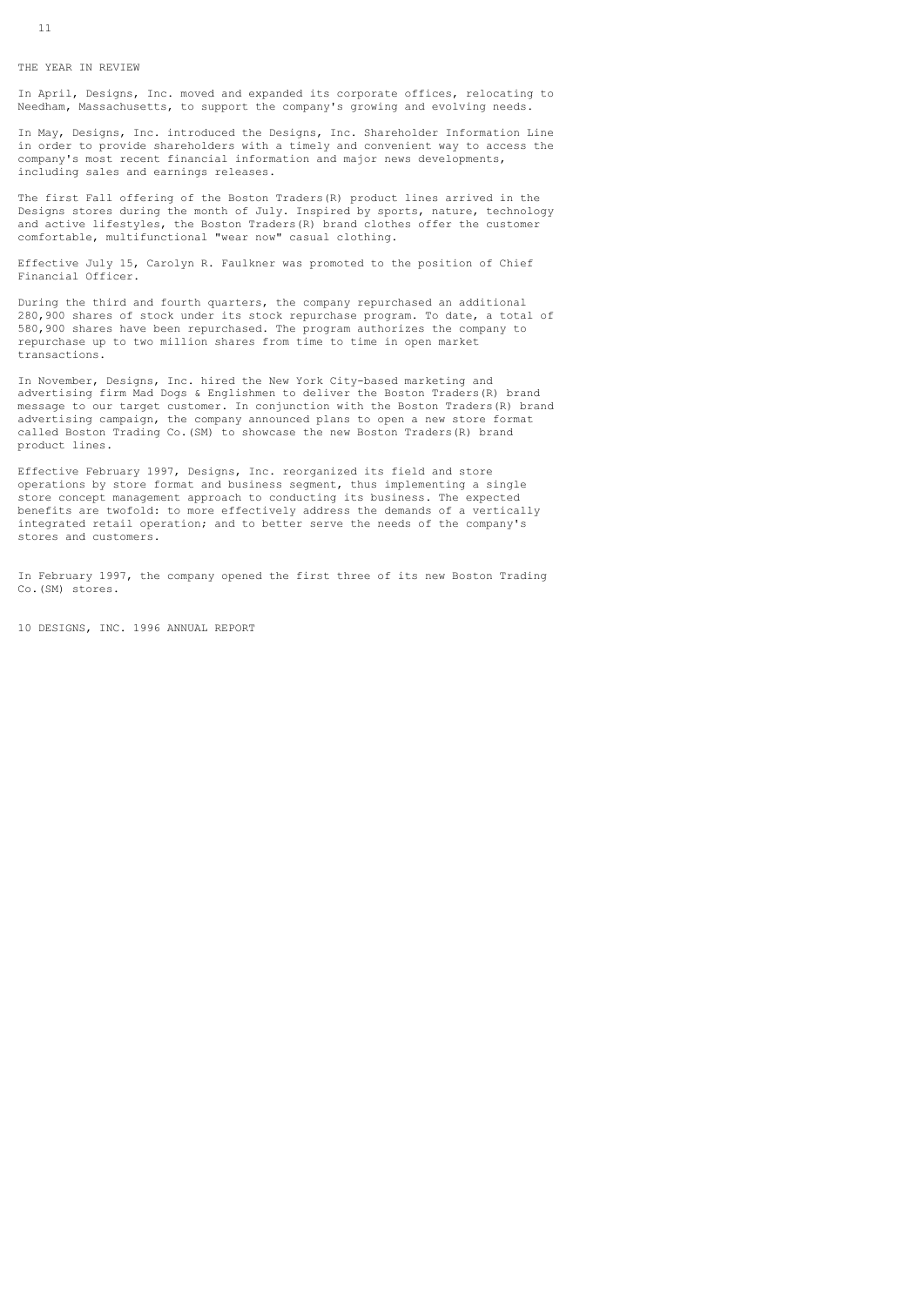In April, Designs, Inc. moved and expanded its corporate offices, relocating to Needham, Massachusetts, to support the company's growing and evolving needs.

In May, Designs, Inc. introduced the Designs, Inc. Shareholder Information Line in order to provide shareholders with a timely and convenient way to access the company's most recent financial information and major news developments, including sales and earnings releases.

The first Fall offering of the Boston Traders(R) product lines arrived in the Designs stores during the month of July. Inspired by sports, nature, technology and active lifestyles, the Boston Traders(R) brand clothes offer the customer comfortable, multifunctional "wear now" casual clothing.

Effective July 15, Carolyn R. Faulkner was promoted to the position of Chief Financial Officer.

During the third and fourth quarters, the company repurchased an additional 280,900 shares of stock under its stock repurchase program. To date, a total of 580,900 shares have been repurchased. The program authorizes the company to repurchase up to two million shares from time to time in open market transactions.

In November, Designs, Inc. hired the New York City-based marketing and advertising firm Mad Dogs & Englishmen to deliver the Boston Traders(R) brand message to our target customer. In conjunction with the Boston Traders(R) brand advertising campaign, the company announced plans to open a new store format called Boston Trading Co.(SM) to showcase the new Boston Traders(R) brand product lines.

Effective February 1997, Designs, Inc. reorganized its field and store operations by store format and business segment, thus implementing a single store concept management approach to conducting its business. The expected benefits are twofold: to more effectively address the demands of a vertically integrated retail operation; and to better serve the needs of the company's stores and customers.

In February 1997, the company opened the first three of its new Boston Trading Co.(SM) stores.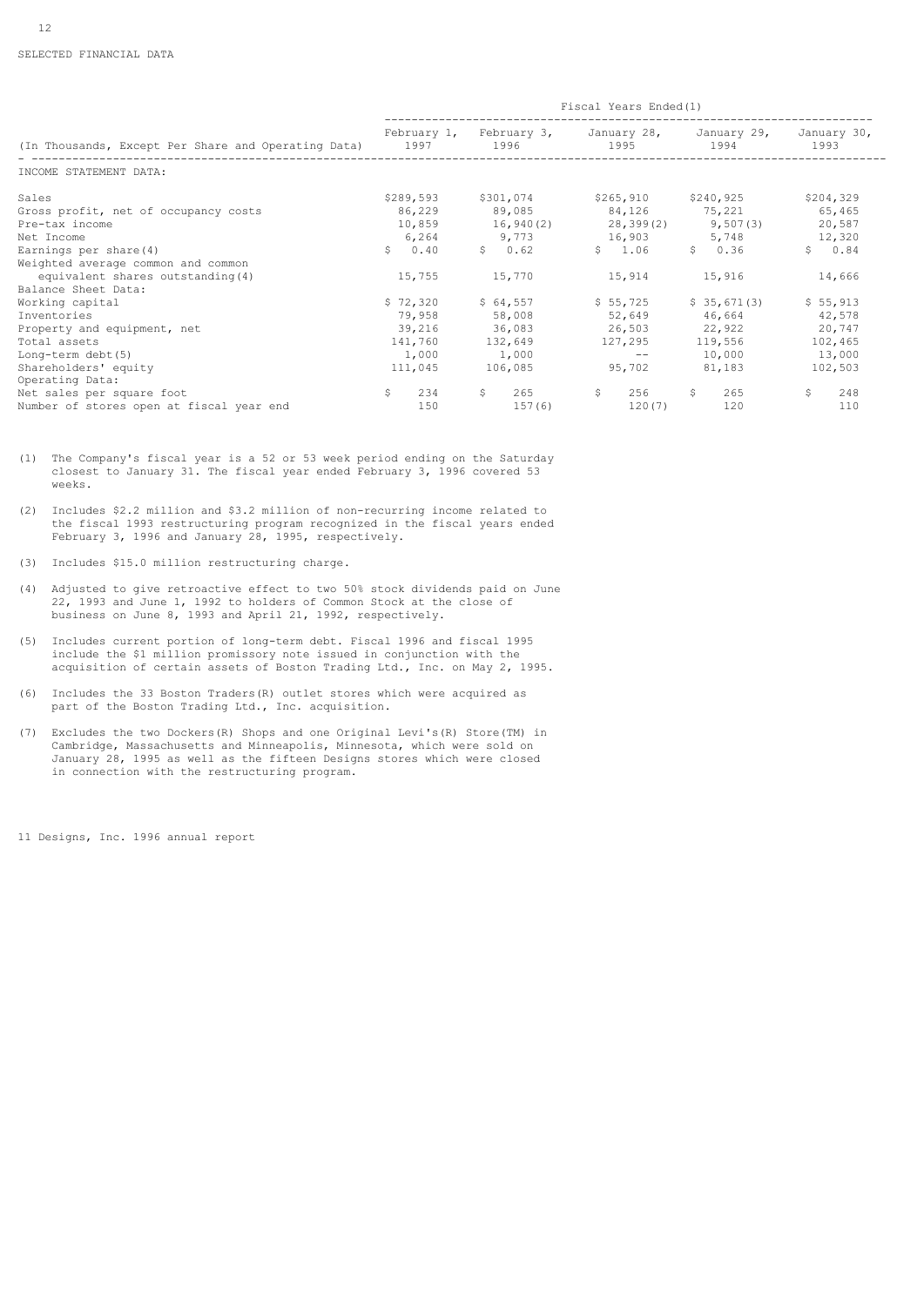|                                                          | Fiscal Years Ended(1) |               |                                                                     |               |                     |  |  |
|----------------------------------------------------------|-----------------------|---------------|---------------------------------------------------------------------|---------------|---------------------|--|--|
| (In Thousands, Except Per Share and Operating Data) 1997 |                       | 1996          | February 1, February 3, January 28, January 29, January 30,<br>1995 | 1994          | 1993                |  |  |
| INCOME STATEMENT DATA:                                   |                       |               |                                                                     |               |                     |  |  |
| Sales                                                    | \$289,593             | \$301,074     | \$265,910 \$240,925                                                 |               | \$204,329           |  |  |
| Gross profit, net of occupancy costs                     | 86,229                | 89,085        | 84,126 75,221                                                       |               | 65,465              |  |  |
| Pre-tax income                                           |                       |               | $10,859$ $16,940(2)$ $28,399(2)$ $9,507(3)$                         |               | 20,587              |  |  |
| Net Income                                               |                       |               | 6,264 9,773 16,903                                                  | 5,748         | 12,320              |  |  |
| Earnings per share (4)                                   | \$0.40                | \$0.62        | \$1.06                                                              | \$0.36        | \$0.84              |  |  |
| Weighted average common and common                       |                       |               |                                                                     |               |                     |  |  |
| equivalent shares outstanding (4)                        | 15,755                | 15,770        | 15,914                                                              | 15,916        | 14,666              |  |  |
| Balance Sheet Data:                                      |                       |               |                                                                     |               |                     |  |  |
| Working capital                                          | \$72,320              | \$64,557      | \$55,725                                                            | \$35,671(3)   | \$55,913            |  |  |
| Inventories                                              | 79,958                | 58,008        |                                                                     | 52,649 46,664 | 42,578              |  |  |
| Property and equipment, net                              |                       | 39,216 36,083 | 26,503 22,922                                                       |               | 20,747              |  |  |
| Total assets                                             | 141,760               | 132,649       | 127,295                                                             | 119,556       | 102,465             |  |  |
| Long-term debt (5)                                       | 1,000                 | 1,000         | $--$                                                                | 10,000        | 13,000              |  |  |
| Shareholders' equity                                     | 111,045               | 106,085       | 95,702                                                              | 81,183        | 102,503             |  |  |
| Operating Data:                                          |                       |               |                                                                     |               |                     |  |  |
| Net sales per square foot                                | $\mathsf{S}$<br>234   | S.<br>265     | $\mathsf{S}$                                                        | S.<br>265     | $\mathsf{S}$<br>248 |  |  |
| Number of stores open at fiscal year end                 | 150                   | 157(6)        | 120(7)                                                              | 120           | 110                 |  |  |

(1) The Company's fiscal year is a 52 or 53 week period ending on the Saturday closest to January 31. The fiscal year ended February 3, 1996 covered 53 weeks.

(2) Includes \$2.2 million and \$3.2 million of non-recurring income related to the fiscal 1993 restructuring program recognized in the fiscal years ended February 3, 1996 and January 28, 1995, respectively.

- (3) Includes \$15.0 million restructuring charge.
- (4) Adjusted to give retroactive effect to two 50% stock dividends paid on June 22, 1993 and June 1, 1992 to holders of Common Stock at the close of business on June 8, 1993 and April 21, 1992, respectively.
- (5) Includes current portion of long-term debt. Fiscal 1996 and fiscal 1995 include the \$1 million promissory note issued in conjunction with the acquisition of certain assets of Boston Trading Ltd., Inc. on May 2, 1995.
- (6) Includes the 33 Boston Traders(R) outlet stores which were acquired as part of the Boston Trading Ltd., Inc. acquisition.
- (7) Excludes the two Dockers(R) Shops and one Original Levi's(R) Store(TM) in Cambridge, Massachusetts and Minneapolis, Minnesota, which were sold on January 28, 1995 as well as the fifteen Designs stores which were closed in connection with the restructuring program.

11 Designs, Inc. 1996 annual report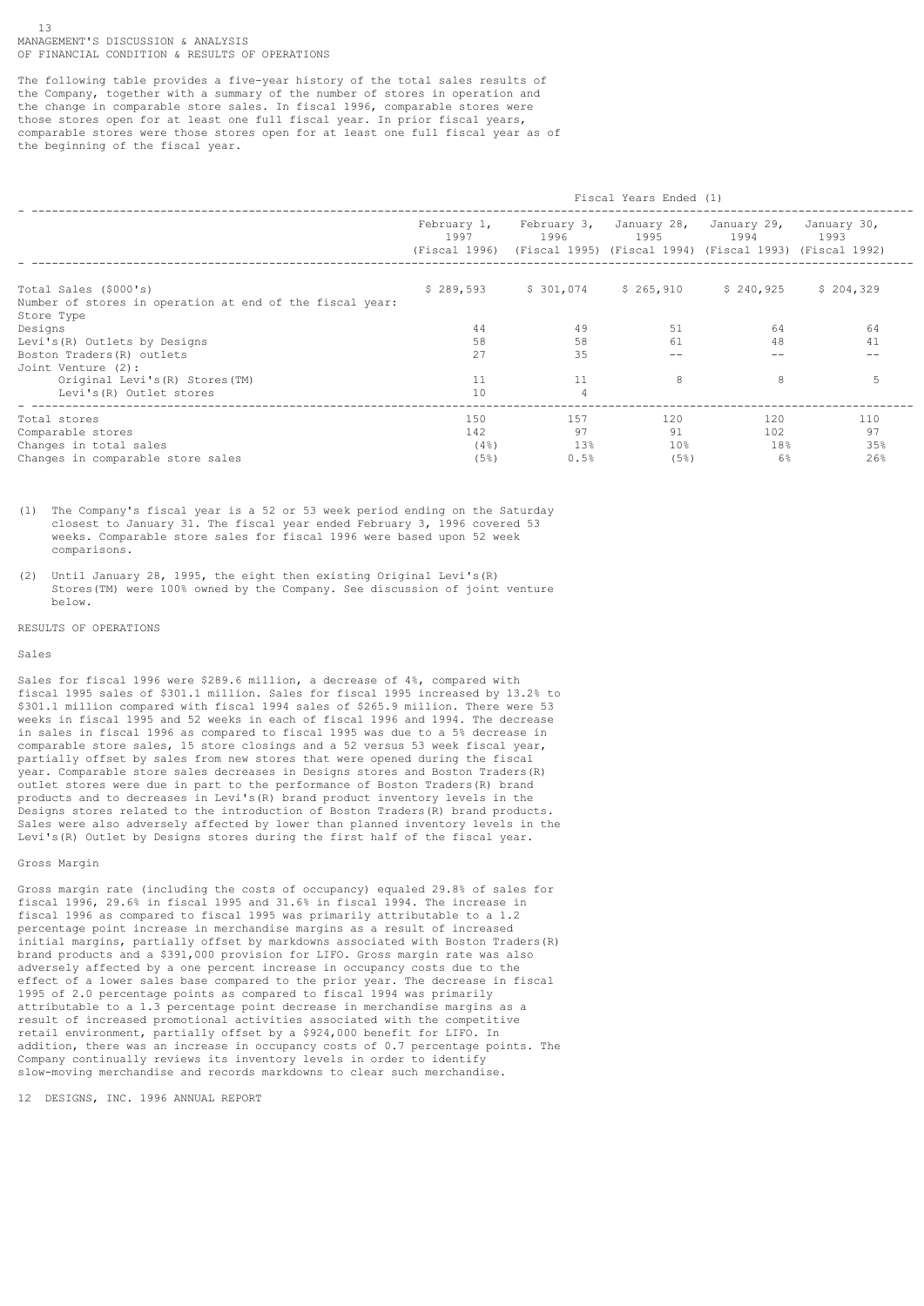The following table provides a five-year history of the total sales results of the Company, together with a summary of the number of stores in operation and the change in comparable store sales. In fiscal 1996, comparable stores were those stores open for at least one full fiscal year. In prior fiscal years, comparable stores were those stores open for at least one full fiscal year as of the beginning of the fiscal year.

|                                                          | Fiscal Years Ended (1) |                                                                                                                                              |                 |           |           |  |
|----------------------------------------------------------|------------------------|----------------------------------------------------------------------------------------------------------------------------------------------|-----------------|-----------|-----------|--|
|                                                          | 1997                   | February 1, February 3, January 28, January 29, January 30,<br>1996<br>(Fiscal 1996) (Fiscal 1995) (Fiscal 1994) (Fiscal 1993) (Fiscal 1992) | 1995            | 1994      | 1993      |  |
| Total Sales (\$000's)                                    | \$289,593              | \$301,074                                                                                                                                    | \$ 265,910      | \$240,925 | \$204,329 |  |
| Number of stores in operation at end of the fiscal year: |                        |                                                                                                                                              |                 |           |           |  |
| Store Type                                               |                        |                                                                                                                                              |                 |           |           |  |
| Designs                                                  | 44                     | 49                                                                                                                                           | 51              | 64        | 64        |  |
| Levi's (R) Outlets by Designs                            | 58                     | 58                                                                                                                                           | 61              | 48        | 41        |  |
| Boston Traders (R) outlets                               | 27                     | 35                                                                                                                                           |                 |           |           |  |
| Joint Venture (2):                                       |                        |                                                                                                                                              |                 |           |           |  |
| Original Levi's (R) Stores (TM)                          | 11                     | 11                                                                                                                                           | 8               | 8         | 5         |  |
| Levi's (R) Outlet stores                                 | 10                     |                                                                                                                                              |                 |           |           |  |
| Total stores                                             | 150                    | 157                                                                                                                                          | 120             | 120       | 110       |  |
| Comparable stores                                        | 142                    | 97                                                                                                                                           | 91              | 102       | 97        |  |
| Changes in total sales                                   | $(4\%)$                | 13%                                                                                                                                          | 10 <sub>8</sub> | 18%       | 35%       |  |
| Changes in comparable store sales                        | $(5\%)$                | 0.5%                                                                                                                                         | $(5\%)$         | $6\%$     | 26%       |  |

(1) The Company's fiscal year is a 52 or 53 week period ending on the Saturday closest to January 31. The fiscal year ended February 3, 1996 covered 53 weeks. Comparable store sales for fiscal 1996 were based upon 52 week comparisons.

(2) Until January 28, 1995, the eight then existing Original Levi's(R) Stores(TM) were 100% owned by the Company. See discussion of joint venture below.

RESULTS OF OPERATIONS

#### Sales

Sales for fiscal 1996 were \$289.6 million, a decrease of 4%, compared with fiscal 1995 sales of \$301.1 million. Sales for fiscal 1995 increased by 13.2% to \$301.1 million compared with fiscal 1994 sales of \$265.9 million. There were 53 weeks in fiscal 1995 and 52 weeks in each of fiscal 1996 and 1994. The decrease in sales in fiscal 1996 as compared to fiscal 1995 was due to a 5% decrease in comparable store sales, 15 store closings and a 52 versus 53 week fiscal year, partially offset by sales from new stores that were opened during the fiscal year. Comparable store sales decreases in Designs stores and Boston Traders(R) outlet stores were due in part to the performance of Boston Traders(R) brand products and to decreases in Levi's(R) brand product inventory levels in the Designs stores related to the introduction of Boston Traders(R) brand products. Sales were also adversely affected by lower than planned inventory levels in the Levi's(R) Outlet by Designs stores during the first half of the fiscal year.

Gross Margin

Gross margin rate (including the costs of occupancy) equaled 29.8% of sales for fiscal 1996, 29.6% in fiscal 1995 and 31.6% in fiscal 1994. The increase in fiscal 1996 as compared to fiscal 1995 was primarily attributable to a 1.2 percentage point increase in merchandise margins as a result of increased initial margins, partially offset by markdowns associated with Boston Traders(R) brand products and a \$391,000 provision for LIFO. Gross margin rate was also adversely affected by a one percent increase in occupancy costs due to the effect of a lower sales base compared to the prior year. The decrease in fiscal 1995 of 2.0 percentage points as compared to fiscal 1994 was primarily attributable to a 1.3 percentage point decrease in merchandise margins as a result of increased promotional activities associated with the competitive retail environment, partially offset by a \$924,000 benefit for LIFO. In addition, there was an increase in occupancy costs of 0.7 percentage points. The Company continually reviews its inventory levels in order to identify slow-moving merchandise and records markdowns to clear such merchandise.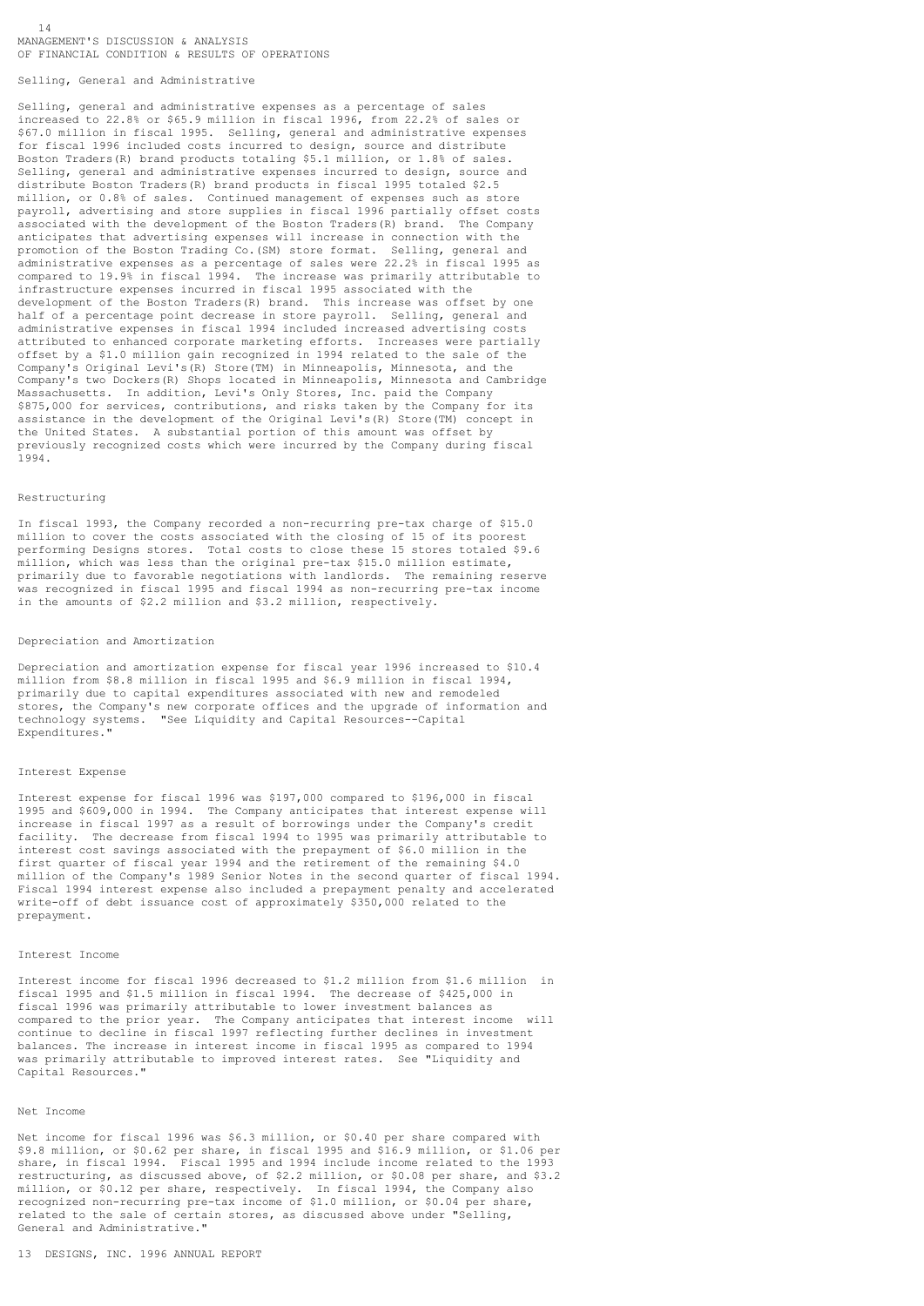Selling, General and Administrative

14

Selling, general and administrative expenses as a percentage of sales increased to 22.8% or \$65.9 million in fiscal 1996, from 22.2% of sales or \$67.0 million in fiscal 1995. Selling, general and administrative expenses for fiscal 1996 included costs incurred to design, source and distribute Boston Traders(R) brand products totaling \$5.1 million, or 1.8% of sales. Selling, general and administrative expenses incurred to design, source and distribute Boston Traders(R) brand products in fiscal 1995 totaled \$2.5 million, or 0.8% of sales. Continued management of expenses such as store payroll, advertising and store supplies in fiscal 1996 partially offset costs associated with the development of the Boston Traders(R) brand. The Company anticipates that advertising expenses will increase in connection with the promotion of the Boston Trading Co.(SM) store format. Selling, general and administrative expenses as a percentage of sales were 22.2% in fiscal 1995 as compared to 19.9% in fiscal 1994. The increase was primarily attributable to infrastructure expenses incurred in fiscal 1995 associated with the development of the Boston Traders(R) brand. This increase was offset by one half of a percentage point decrease in store payroll. Selling, general and administrative expenses in fiscal 1994 included increased advertising costs attributed to enhanced corporate marketing efforts. Increases were partially offset by a \$1.0 million gain recognized in 1994 related to the sale of the Company's Original Levi's(R) Store(TM) in Minneapolis, Minnesota, and the Company's two Dockers(R) Shops located in Minneapolis, Minnesota and Cambridge Massachusetts. In addition, Levi's Only Stores, Inc. paid the Company \$875,000 for services, contributions, and risks taken by the Company for its assistance in the development of the Original Levi's(R) Store(TM) concept in the United States. A substantial portion of this amount was offset by previously recognized costs which were incurred by the Company during fiscal 1994.

### Restructuring

In fiscal 1993, the Company recorded a non-recurring pre-tax charge of \$15.0 million to cover the costs associated with the closing of 15 of its poorest performing Designs stores. Total costs to close these 15 stores totaled \$9.6 million, which was less than the original pre-tax \$15.0 million estimate, primarily due to favorable negotiations with landlords. The remaining reserve was recognized in fiscal 1995 and fiscal 1994 as non-recurring pre-tax income in the amounts of \$2.2 million and \$3.2 million, respectively.

#### Depreciation and Amortization

Depreciation and amortization expense for fiscal year 1996 increased to \$10.4 million from \$8.8 million in fiscal 1995 and \$6.9 million in fiscal 1994, primarily due to capital expenditures associated with new and remodeled stores, the Company's new corporate offices and the upgrade of information and technology systems. "See Liquidity and Capital Resources--Capital Expenditures."

#### Interest Expense

Interest expense for fiscal 1996 was \$197,000 compared to \$196,000 in fiscal 1995 and \$609,000 in 1994. The Company anticipates that interest expense will increase in fiscal 1997 as a result of borrowings under the Company's credit facility. The decrease from fiscal 1994 to 1995 was primarily attributable to interest cost savings associated with the prepayment of \$6.0 million in the first quarter of fiscal year 1994 and the retirement of the remaining \$4.0 million of the Company's 1989 Senior Notes in the second quarter of fiscal 1994. Fiscal 1994 interest expense also included a prepayment penalty and accelerated write-off of debt issuance cost of approximately \$350,000 related to the prepayment.

#### Interest Income

Interest income for fiscal 1996 decreased to \$1.2 million from \$1.6 million in fiscal 1995 and \$1.5 million in fiscal 1994. The decrease of \$425,000 in fiscal 1996 was primarily attributable to lower investment balances as compared to the prior year. The Company anticipates that interest income will computed to the prior fear. The computer material continue to decline in fiscal 1997 reflecting further declines in investment balances. The increase in interest income in fiscal 1995 as compared to 1994 was primarily attributable to improved interest rates. See "Liquidity and Capital Resources."

### Net Income

Net income for fiscal 1996 was \$6.3 million, or \$0.40 per share compared with \$9.8 million, or \$0.62 per share, in fiscal 1995 and \$16.9 million, or \$1.06 per share, in fiscal 1994. Fiscal 1995 and 1994 include income related to the 1993 restructuring, as discussed above, of \$2.2 million, or \$0.08 per share, and \$3.2 million, or \$0.12 per share, respectively. In fiscal 1994, the Company also recognized non-recurring pre-tax income of \$1.0 million, or \$0.04 per share, related to the sale of certain stores, as discussed above under "Selling, General and Administrative."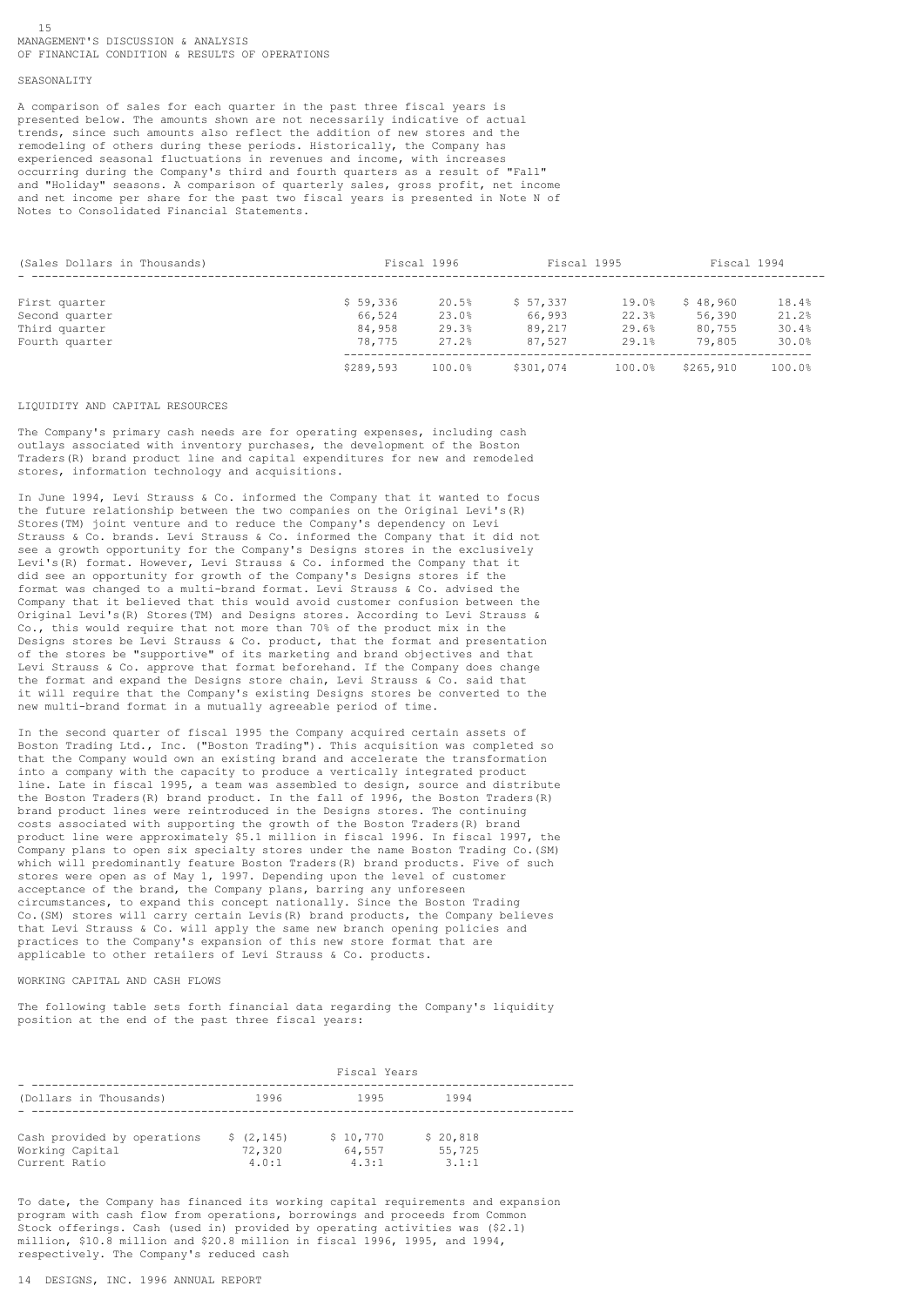### SEASONALITY

A comparison of sales for each quarter in the past three fiscal years is presented below. The amounts shown are not necessarily indicative of actual trends, since such amounts also reflect the addition of new stores and the remodeling of others during these periods. Historically, the Company has experienced seasonal fluctuations in revenues and income, with increases occurring during the Company's third and fourth quarters as a result of "Fall" and "Holiday" seasons. A comparison of quarterly sales, gross profit, net income and net income per share for the past two fiscal years is presented in Note N of Notes to Consolidated Financial Statements.

| (Sales Dollars in Thousands) |           | Fiscal 1996 | Fiscal 1995 |        | Fiscal 1994 |        |
|------------------------------|-----------|-------------|-------------|--------|-------------|--------|
| First quarter                | \$59,336  | 20.5%       | \$57.337    | 19.0%  | \$48,960    | 18.4%  |
| Second quarter               | 66,524    | 23.0%       | 66,993      | 22.3%  | 56,390      | 21.2%  |
| Third quarter                | 84,958    | 29.3%       | 89,217      | 29.6%  | 80,755      | 30.4%  |
| Fourth quarter               | 78,775    | 27.2%       | 87.527      | 29.1%  | 79,805      | 30.0%  |
|                              | \$289,593 | 100.0%      | \$301,074   | 100.0% | \$265,910   | 100.0% |

#### LIQUIDITY AND CAPITAL RESOURCES

The Company's primary cash needs are for operating expenses, including cash outlays associated with inventory purchases, the development of the Boston Traders(R) brand product line and capital expenditures for new and remodeled stores, information technology and acquisitions.

In June 1994, Levi Strauss & Co. informed the Company that it wanted to focus the future relationship between the two companies on the Original Levi's(R) Stores(TM) joint venture and to reduce the Company's dependency on Levi Strauss & Co. brands. Levi Strauss & Co. informed the Company that it did not see a growth opportunity for the Company's Designs stores in the exclusively Levi's(R) format. However, Levi Strauss & Co. informed the Company that it did see an opportunity for growth of the Company's Designs stores if the format was changed to a multi-brand format. Levi Strauss & Co. advised the Company that it believed that this would avoid customer confusion between the Original Levi's(R) Stores(TM) and Designs stores. According to Levi Strauss & Co., this would require that not more than 70% of the product mix in the Designs stores be Levi Strauss & Co. product, that the format and presentation of the stores be "supportive" of its marketing and brand objectives and that Levi Strauss & Co. approve that format beforehand. If the Company does change the format and expand the Designs store chain, Levi Strauss & Co. said that it will require that the Company's existing Designs stores be converted to the new multi-brand format in a mutually agreeable period of time.

In the second quarter of fiscal 1995 the Company acquired certain assets of Boston Trading Ltd., Inc. ("Boston Trading"). This acquisition was completed so that the Company would own an existing brand and accelerate the transformation into a company with the capacity to produce a vertically integrated product line. Late in fiscal 1995, a team was assembled to design, source and distribute the Boston Traders(R) brand product. In the fall of 1996, the Boston Traders(R) brand product lines were reintroduced in the Designs stores. The continuing costs associated with supporting the growth of the Boston Traders(R) brand product line were approximately \$5.1 million in fiscal 1996. In fiscal 1997, the Company plans to open six specialty stores under the name Boston Trading Co.(SM) which will predominantly feature Boston Traders(R) brand products. Five of such stores were open as of May 1, 1997. Depending upon the level of customer acceptance of the brand, the Company plans, barring any unforeseen circumstances, to expand this concept nationally. Since the Boston Trading Co.(SM) stores will carry certain Levis(R) brand products, the Company believes that Levi Strauss & Co. will apply the same new branch opening policies and practices to the Company's expansion of this new store format that are applicable to other retailers of Levi Strauss & Co. products.

# WORKING CAPITAL AND CASH FLOWS

The following table sets forth financial data regarding the Company's liquidity position at the end of the past three fiscal years:

|                                  | Fiscal Years    |                 |                 |  |  |
|----------------------------------|-----------------|-----------------|-----------------|--|--|
| (Dollars in Thousands)           | 1996            | 1995            | 1994            |  |  |
| Cash provided by operations      | \$(2, 145)      | \$10,770        | \$20,818        |  |  |
| Working Capital<br>Current Ratio | 72,320<br>4.0:1 | 64,557<br>4.3:1 | 55,725<br>3.1:1 |  |  |

To date, the Company has financed its working capital requirements and expansion program with cash flow from operations, borrowings and proceeds from Common Stock offerings. Cash (used in) provided by operating activities was (\$2.1) million, \$10.8 million and \$20.8 million in fiscal 1996, 1995, and 1994, respectively. The Company's reduced cash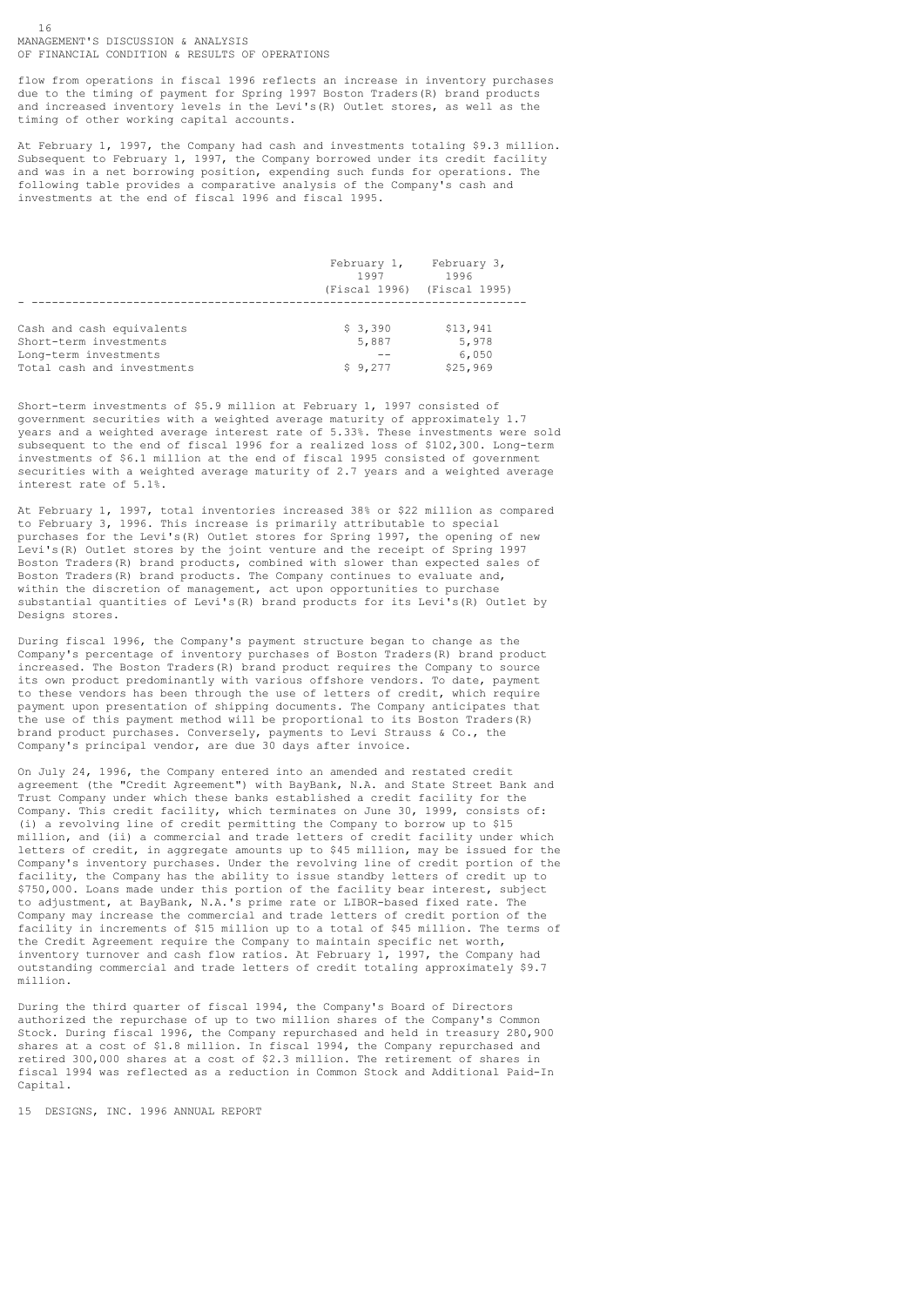flow from operations in fiscal 1996 reflects an increase in inventory purchases due to the timing of payment for Spring 1997 Boston Traders(R) brand products and increased inventory levels in the Levi's(R) Outlet stores, as well as the timing of other working capital accounts.

At February 1, 1997, the Company had cash and investments totaling \$9.3 million. Subsequent to February 1, 1997, the Company borrowed under its credit facility and was in a net borrowing position, expending such funds for operations. The following table provides a comparative analysis of the Company's cash and investments at the end of fiscal 1996 and fiscal 1995.

|                            | February 1,<br>1997 | February 3,<br>1996<br>(Fiscal 1996) (Fiscal 1995) |
|----------------------------|---------------------|----------------------------------------------------|
|                            |                     |                                                    |
| Cash and cash equivalents  | \$3,390             | \$13,941                                           |
| Short-term investments     | 5,887               | 5,978                                              |
| Long-term investments      |                     | 6,050                                              |
| Total cash and investments | \$9,277             | \$25,969                                           |

Short-term investments of \$5.9 million at February 1, 1997 consisted of government securities with a weighted average maturity of approximately 1.7 years and a weighted average interest rate of 5.33%. These investments were sold subsequent to the end of fiscal 1996 for a realized loss of \$102,300. Long-term investments of \$6.1 million at the end of fiscal 1995 consisted of government securities with a weighted average maturity of 2.7 years and a weighted average interest rate of 5.1%.

At February 1, 1997, total inventories increased 38% or \$22 million as compared to February 3, 1996. This increase is primarily attributable to special purchases for the Levi's(R) Outlet stores for Spring 1997, the opening of new Levi's(R) Outlet stores by the joint venture and the receipt of Spring 1997 Boston Traders(R) brand products, combined with slower than expected sales of Boston Traders(R) brand products. The Company continues to evaluate and, within the discretion of management, act upon opportunities to purchase substantial quantities of Levi's(R) brand products for its Levi's(R) Outlet by Designs stores.

During fiscal 1996, the Company's payment structure began to change as the Company's percentage of inventory purchases of Boston Traders(R) brand product increased. The Boston Traders(R) brand product requires the Company to source its own product predominantly with various offshore vendors. To date, payment to these vendors has been through the use of letters of credit, which require payment upon presentation of shipping documents. The Company anticipates that the use of this payment method will be proportional to its Boston Traders(R) brand product purchases. Conversely, payments to Levi Strauss & Co., the Company's principal vendor, are due 30 days after invoice.

On July 24, 1996, the Company entered into an amended and restated credit agreement (the "Credit Agreement") with BayBank, N.A. and State Street Bank and Trust Company under which these banks established a credit facility for the Company. This credit facility, which terminates on June 30, 1999, consists of: (i) a revolving line of credit permitting the Company to borrow up to \$15 million, and (ii) a commercial and trade letters of credit facility under which letters of credit, in aggregate amounts up to \$45 million, may be issued for the Company's inventory purchases. Under the revolving line of credit portion of the facility, the Company has the ability to issue standby letters of credit up to \$750,000. Loans made under this portion of the facility bear interest, subject to adjustment, at BayBank, N.A.'s prime rate or LIBOR-based fixed rate. The Company may increase the commercial and trade letters of credit portion of the facility in increments of \$15 million up to a total of \$45 million. The terms of the Credit Agreement require the Company to maintain specific net worth, inventory turnover and cash flow ratios. At February 1, 1997, the Company had outstanding commercial and trade letters of credit totaling approximately \$9.7 million.

During the third quarter of fiscal 1994, the Company's Board of Directors authorized the repurchase of up to two million shares of the Company's Common Stock. During fiscal 1996, the Company repurchased and held in treasury 280,900 shares at a cost of \$1.8 million. In fiscal 1994, the Company repurchased and retired 300,000 shares at a cost of \$2.3 million. The retirement of shares in fiscal 1994 was reflected as a reduction in Common Stock and Additional Paid-In Capital.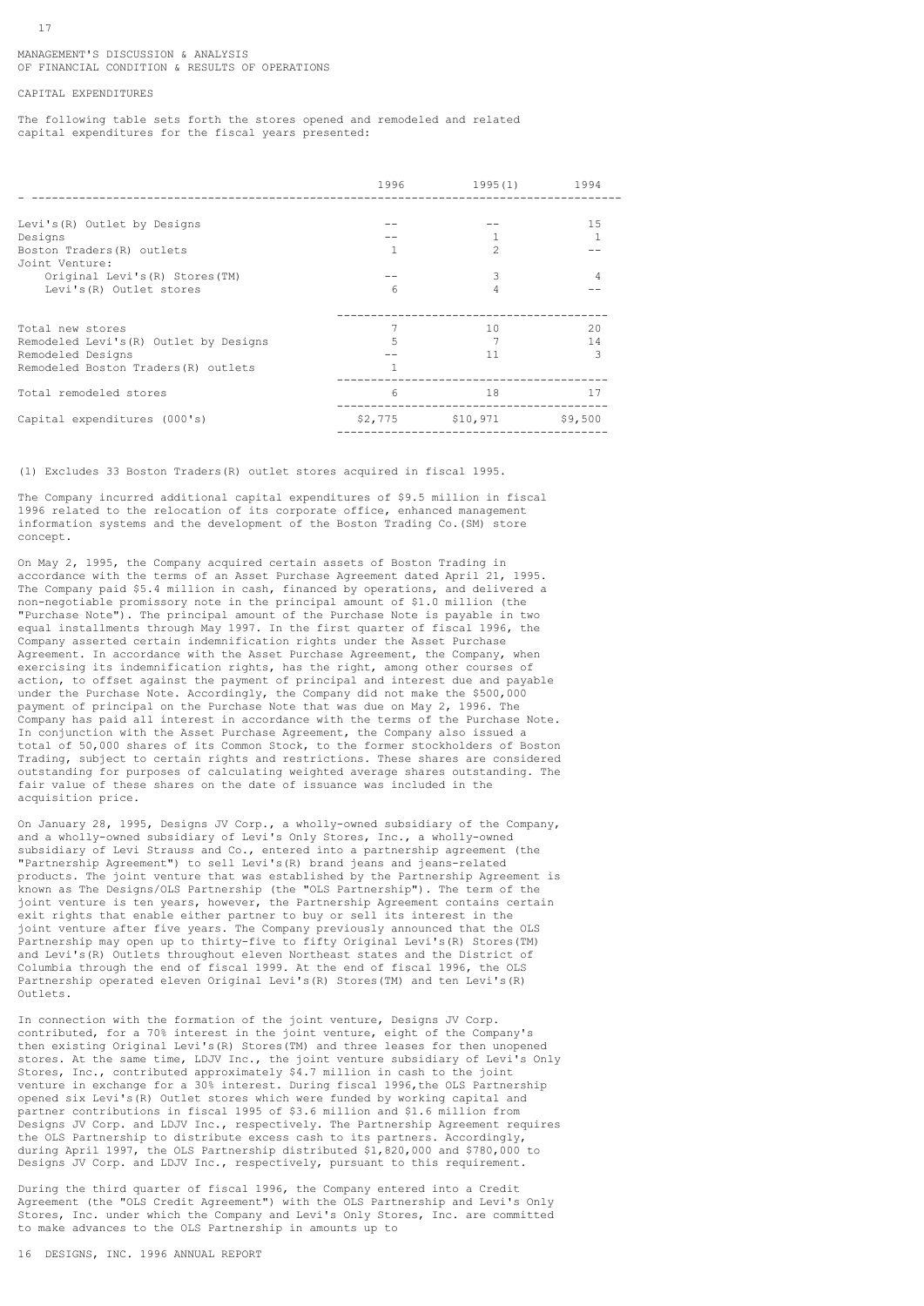# CAPITAL EXPENDITURES

The following table sets forth the stores opened and remodeled and related capital expenditures for the fiscal years presented:

|                                        | 1996    | 1995(1)        | 1994    |
|----------------------------------------|---------|----------------|---------|
|                                        |         |                |         |
| Levi's (R) Outlet by Designs           |         |                | 15      |
| Designs                                |         |                |         |
| Boston Traders (R) outlets             |         | $\mathfrak{D}$ |         |
| Joint Venture:                         |         |                |         |
| Original Levi's (R) Stores (TM)        |         | 3              | 4       |
| Levi's (R) Outlet stores               | 6       | 4              |         |
|                                        |         |                |         |
|                                        |         |                |         |
| Total new stores                       |         | 10             | 20      |
| Remodeled Levi's (R) Outlet by Designs | 5       |                | 14      |
| Remodeled Designs                      |         | 11             | 3       |
| Remodeled Boston Traders (R) outlets   | 1       |                |         |
| Total remodeled stores                 | 6       | 18             | 17      |
| Capital expenditures (000's)           | \$2,775 | \$10,971       | \$9,500 |
|                                        |         |                |         |

(1) Excludes 33 Boston Traders(R) outlet stores acquired in fiscal 1995.

The Company incurred additional capital expenditures of \$9.5 million in fiscal 1996 related to the relocation of its corporate office, enhanced management information systems and the development of the Boston Trading Co.(SM) store concept.

On May 2, 1995, the Company acquired certain assets of Boston Trading in accordance with the terms of an Asset Purchase Agreement dated April 21, 1995. The Company paid \$5.4 million in cash, financed by operations, and delivered a non-negotiable promissory note in the principal amount of \$1.0 million (the "Purchase Note"). The principal amount of the Purchase Note is payable in two equal installments through May 1997. In the first quarter of fiscal 1996, the Company asserted certain indemnification rights under the Asset Purchase Agreement. In accordance with the Asset Purchase Agreement, the Company, when exercising its indemnification rights, has the right, among other courses of action, to offset against the payment of principal and interest due and payable under the Purchase Note. Accordingly, the Company did not make the \$500,000 payment of principal on the Purchase Note that was due on May 2, 1996. The Company has paid all interest in accordance with the terms of the Purchase Note. In conjunction with the Asset Purchase Agreement, the Company also issued a total of 50,000 shares of its Common Stock, to the former stockholders of Boston Trading, subject to certain rights and restrictions. These shares are considered outstanding for purposes of calculating weighted average shares outstanding. The fair value of these shares on the date of issuance was included in the acquisition price.

On January 28, 1995, Designs JV Corp., a wholly-owned subsidiary of the Company, and a wholly-owned subsidiary of Levi's Only Stores, Inc., a wholly-owned subsidiary of Levi Strauss and Co., entered into a partnership agreement (the "Partnership Agreement") to sell Levi's(R) brand jeans and jeans-related products. The joint venture that was established by the Partnership Agreement is known as The Designs/OLS Partnership (the "OLS Partnership"). The term of the joint venture is ten years, however, the Partnership Agreement contains certain exit rights that enable either partner to buy or sell its interest in the joint venture after five years. The Company previously announced that the OLS Partnership may open up to thirty-five to fifty Original Levi's(R) Stores(TM) and Levi's(R) Outlets throughout eleven Northeast states and the District of Columbia through the end of fiscal 1999. At the end of fiscal 1996, the OLS Partnership operated eleven Original Levi's(R) Stores(TM) and ten Levi's(R) Outlets.

In connection with the formation of the joint venture, Designs JV Corp. contributed, for a 70% interest in the joint venture, eight of the Company's then existing Original Levi's(R) Stores(TM) and three leases for then unopened stores. At the same time, LDJV Inc., the joint venture subsidiary of Levi's Only Stores, Inc., contributed approximately \$4.7 million in cash to the joint venture in exchange for a 30% interest. During fiscal 1996,the OLS Partnership opened six Levi's(R) Outlet stores which were funded by working capital and partner contributions in fiscal 1995 of \$3.6 million and \$1.6 million from Designs JV Corp. and LDJV Inc., respectively. The Partnership Agreement requires the OLS Partnership to distribute excess cash to its partners. Accordingly, during April 1997, the OLS Partnership distributed \$1,820,000 and \$780,000 to Designs JV Corp. and LDJV Inc., respectively, pursuant to this requirement.

During the third quarter of fiscal 1996, the Company entered into a Credit Agreement (the "OLS Credit Agreement") with the OLS Partnership and Levi's Only Stores, Inc. under which the Company and Levi's Only Stores, Inc. are committed to make advances to the OLS Partnership in amounts up to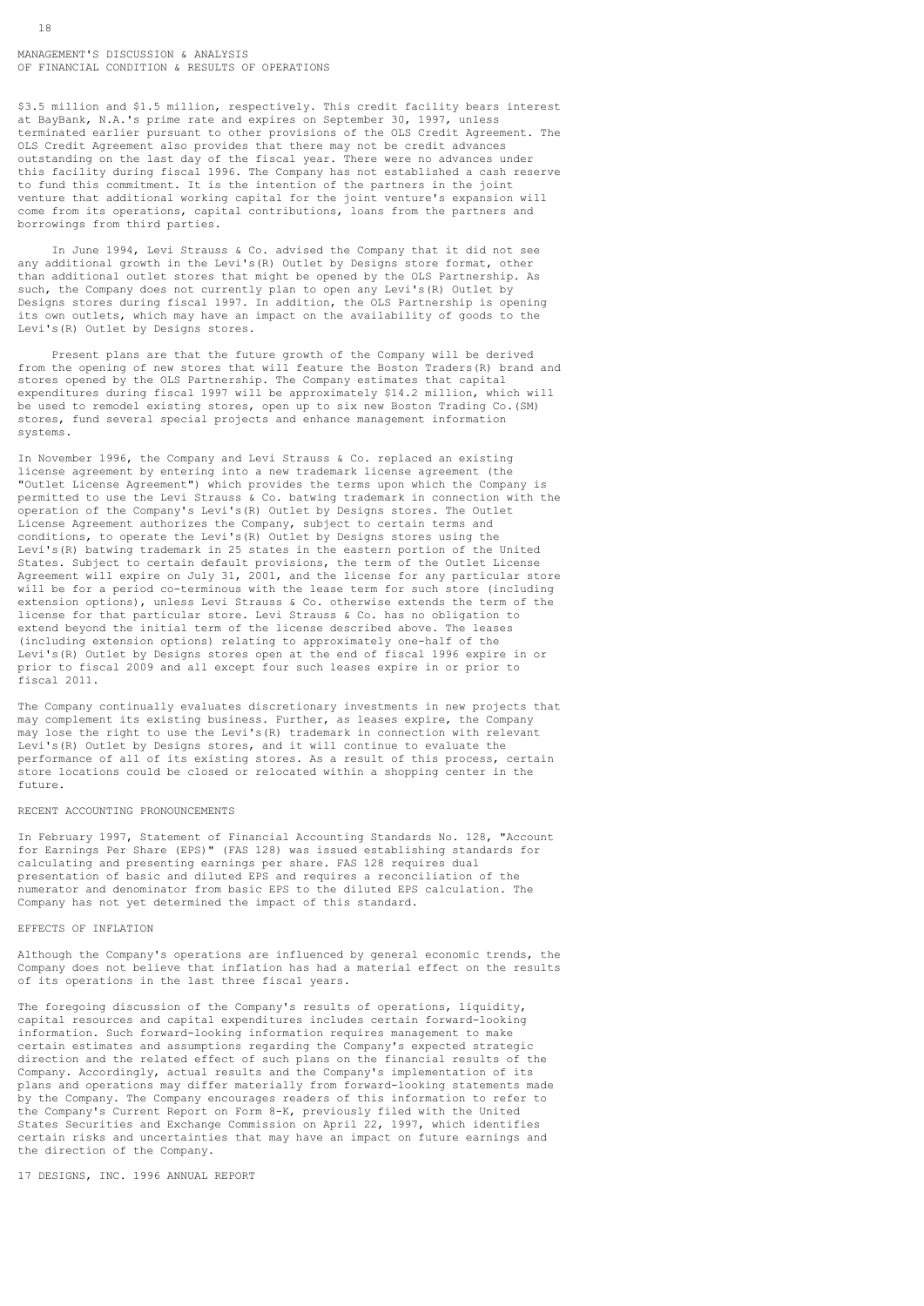\$3.5 million and \$1.5 million, respectively. This credit facility bears interest at BayBank, N.A.'s prime rate and expires on September 30, 1997, unless terminated earlier pursuant to other provisions of the OLS Credit Agreement. The OLS Credit Agreement also provides that there may not be credit advances outstanding on the last day of the fiscal year. There were no advances under this facility during fiscal 1996. The Company has not established a cash reserve to fund this commitment. It is the intention of the partners in the joint venture that additional working capital for the joint venture's expansion will come from its operations, capital contributions, loans from the partners and borrowings from third parties.

 In June 1994, Levi Strauss & Co. advised the Company that it did not see any additional growth in the Levi's(R) Outlet by Designs store format, other than additional outlet stores that might be opened by the OLS Partnership. As such, the Company does not currently plan to open any Levi's (R) Outlet by Designs stores during fiscal 1997. In addition, the OLS Partnership is opening its own outlets, which may have an impact on the availability of goods to the Levi's(R) Outlet by Designs stores.

 Present plans are that the future growth of the Company will be derived from the opening of new stores that will feature the Boston Traders(R) brand and stores opened by the OLS Partnership. The Company estimates that capital expenditures during fiscal 1997 will be approximately \$14.2 million, which will be used to remodel existing stores, open up to six new Boston Trading Co.(SM) stores, fund several special projects and enhance management information systems.

In November 1996, the Company and Levi Strauss & Co. replaced an existing license agreement by entering into a new trademark license agreement (the "Outlet License Agreement") which provides the terms upon which the Company is permitted to use the Levi Strauss & Co. batwing trademark in connection with the operation of the Company's Levi's(R) Outlet by Designs stores. The Outlet License Agreement authorizes the Company, subject to certain terms and conditions, to operate the Levi's(R) Outlet by Designs stores using the Levi's(R) batwing trademark in 25 states in the eastern portion of the United States. Subject to certain default provisions, the term of the Outlet License Agreement will expire on July 31, 2001, and the license for any particular store will be for a period co-terminous with the lease term for such store (including extension options), unless Levi Strauss & Co. otherwise extends the term of the license for that particular store. Levi Strauss & Co. has no obligation to extend beyond the initial term of the license described above. The leases (including extension options) relating to approximately one-half of the Levi's(R) Outlet by Designs stores open at the end of fiscal 1996 expire in or prior to fiscal 2009 and all except four such leases expire in or prior to fiscal 2011.

The Company continually evaluates discretionary investments in new projects that may complement its existing business. Further, as leases expire, the Company may lose the right to use the Levi's(R) trademark in connection with relevant Levi's(R) Outlet by Designs stores, and it will continue to evaluate the performance of all of its existing stores. As a result of this process, certain store locations could be closed or relocated within a shopping center in the future.

#### RECENT ACCOUNTING PRONOUNCEMENTS

In February 1997, Statement of Financial Accounting Standards No. 128, "Account for Earnings Per Share (EPS)" (FAS 128) was issued establishing standards for calculating and presenting earnings per share. FAS 128 requires dual presentation of basic and diluted EPS and requires a reconciliation of the numerator and denominator from basic EPS to the diluted EPS calculation. The Company has not yet determined the impact of this standard.

# EFFECTS OF INFLATION

Although the Company's operations are influenced by general economic trends, the Company does not believe that inflation has had a material effect on the results of its operations in the last three fiscal years.

The foregoing discussion of the Company's results of operations, liquidity, capital resources and capital expenditures includes certain forward-looking information. Such forward-looking information requires management to make certain estimates and assumptions regarding the Company's expected strategic direction and the related effect of such plans on the financial results of the Company. Accordingly, actual results and the Company's implementation of its plans and operations may differ materially from forward-looking statements made by the Company. The Company encourages readers of this information to refer to the Company's Current Report on Form 8-K, previously filed with the United States Securities and Exchange Commission on April 22, 1997, which identifies certain risks and uncertainties that may have an impact on future earnings and the direction of the Company.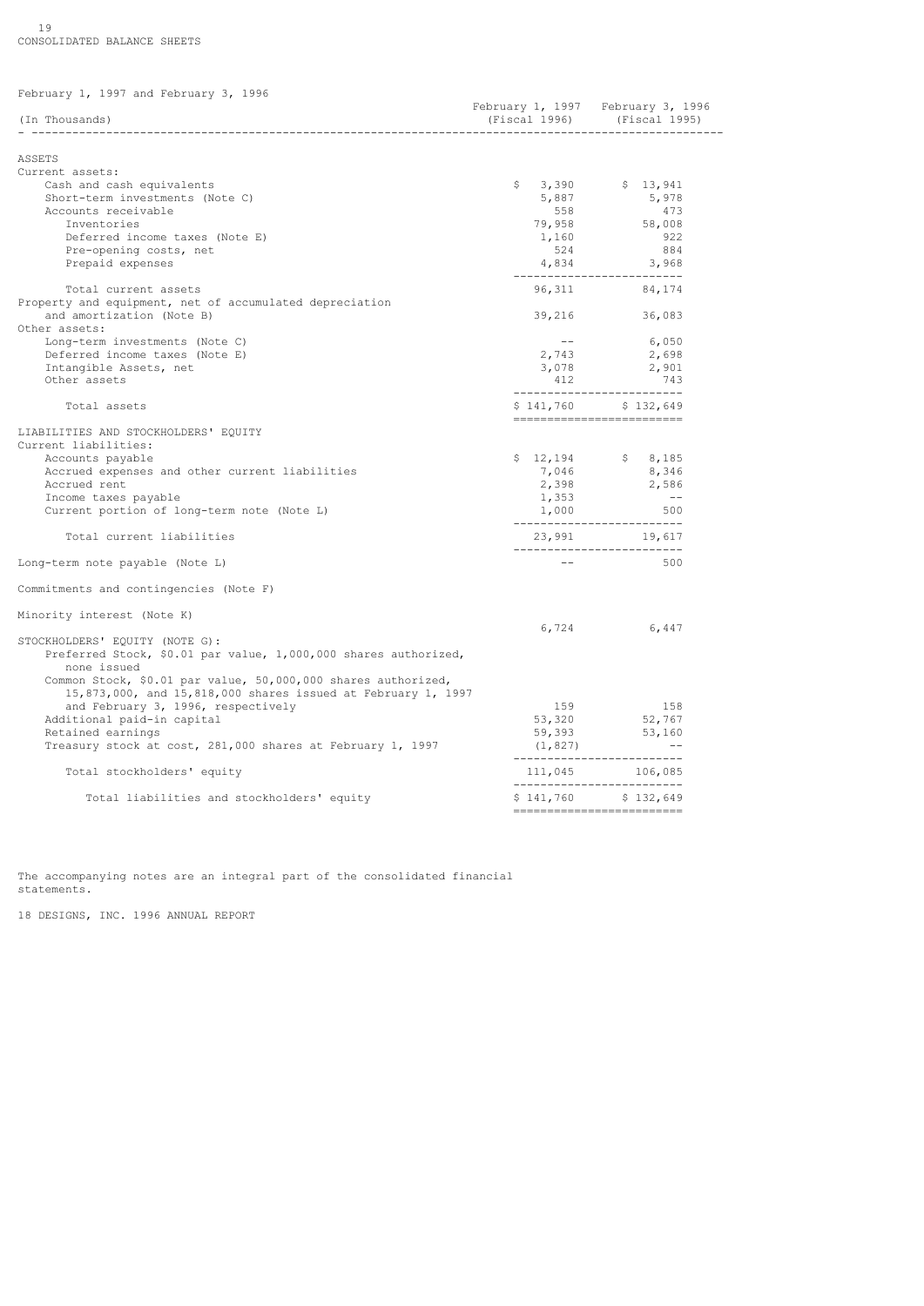19 CONSOLIDATED BALANCE SHEETS

| February 1, 1997 and February 3, 1996                           |                             |                                                                  |
|-----------------------------------------------------------------|-----------------------------|------------------------------------------------------------------|
| (In Thousands)                                                  |                             | February 1, 1997 February 3, 1996<br>(Fiscal 1996) (Fiscal 1995) |
|                                                                 |                             |                                                                  |
| ASSETS                                                          |                             |                                                                  |
| Current assets:                                                 |                             |                                                                  |
| Cash and cash equivalents                                       |                             | $$3,390$ $$13,941$                                               |
| Short-term investments (Note C)                                 | 5,887                       | 5,978                                                            |
| Accounts receivable                                             | 558                         | 473                                                              |
| Inventories                                                     | 79,958                      | 58,008                                                           |
| Deferred income taxes (Note E)                                  | 1,160                       | 922                                                              |
| Pre-opening costs, net                                          | 524                         | 884                                                              |
| Prepaid expenses                                                |                             | 4,834 3,968<br>__________________________                        |
| Total current assets                                            |                             | 96, 311 84, 174                                                  |
| Property and equipment, net of accumulated depreciation         |                             |                                                                  |
| and amortization (Note B)<br>Other assets:                      | 39,216                      | 36,083                                                           |
| Long-term investments (Note C)                                  | <b>Service</b> Construction | 6,050                                                            |
| Deferred income taxes (Note E)                                  | 2,743                       | 2,698                                                            |
| Intangible Assets, net                                          |                             | 2,901                                                            |
| Other assets                                                    | $2, 12$<br>3,078            | 743                                                              |
| Total assets                                                    |                             | ___________________________<br>$$141,760$ $$132,649$             |
|                                                                 |                             | _________________________                                        |
| LIABILITIES AND STOCKHOLDERS' EQUITY                            |                             |                                                                  |
| Current liabilities:                                            |                             |                                                                  |
| Accounts payable                                                |                             | $$12,194$ $$8,185$                                               |
| Accrued expenses and other current liabilities                  | 7,046                       | 8,346                                                            |
| Accrued rent                                                    | 2,398                       | 2,586                                                            |
| Income taxes payable                                            | 1,353                       | $\sim$ $-$                                                       |
| Current portion of long-term note (Note L)                      | 1,000                       | 500                                                              |
|                                                                 |                             | --------------------------                                       |
| Total current liabilities                                       |                             | 23,991 19,617<br>___________________________                     |
| Long-term note payable (Note L)                                 | $- -$                       | 500                                                              |
| Commitments and contingencies (Note F)                          |                             |                                                                  |
| Minority interest (Note K)                                      |                             |                                                                  |
|                                                                 | 6,724                       | 6,447                                                            |
| STOCKHOLDERS' EQUITY (NOTE G):                                  |                             |                                                                  |
| Preferred Stock, \$0.01 par value, 1,000,000 shares authorized, |                             |                                                                  |
| none issued                                                     |                             |                                                                  |
| Common Stock, \$0.01 par value, 50,000,000 shares authorized,   |                             |                                                                  |
| 15,873,000, and 15,818,000 shares issued at February 1, 1997    |                             |                                                                  |
| and February 3, 1996, respectively                              | 159                         | 158                                                              |
| Additional paid-in capital                                      | 53,320                      |                                                                  |
| Retained earnings                                               | 59,393                      | 52,767<br>53,160                                                 |
| Treasury stock at cost, 281,000 shares at February 1, 1997      | (1, 827)                    |                                                                  |
| Total stockholders' equity                                      |                             | ___________________________<br>111,045 106,085                   |
| Total liabilities and stockholders' equity                      |                             | ___________________________<br>$$141,760$ $$132,649$             |
|                                                                 |                             | ========================                                         |

The accompanying notes are an integral part of the consolidated financial statements.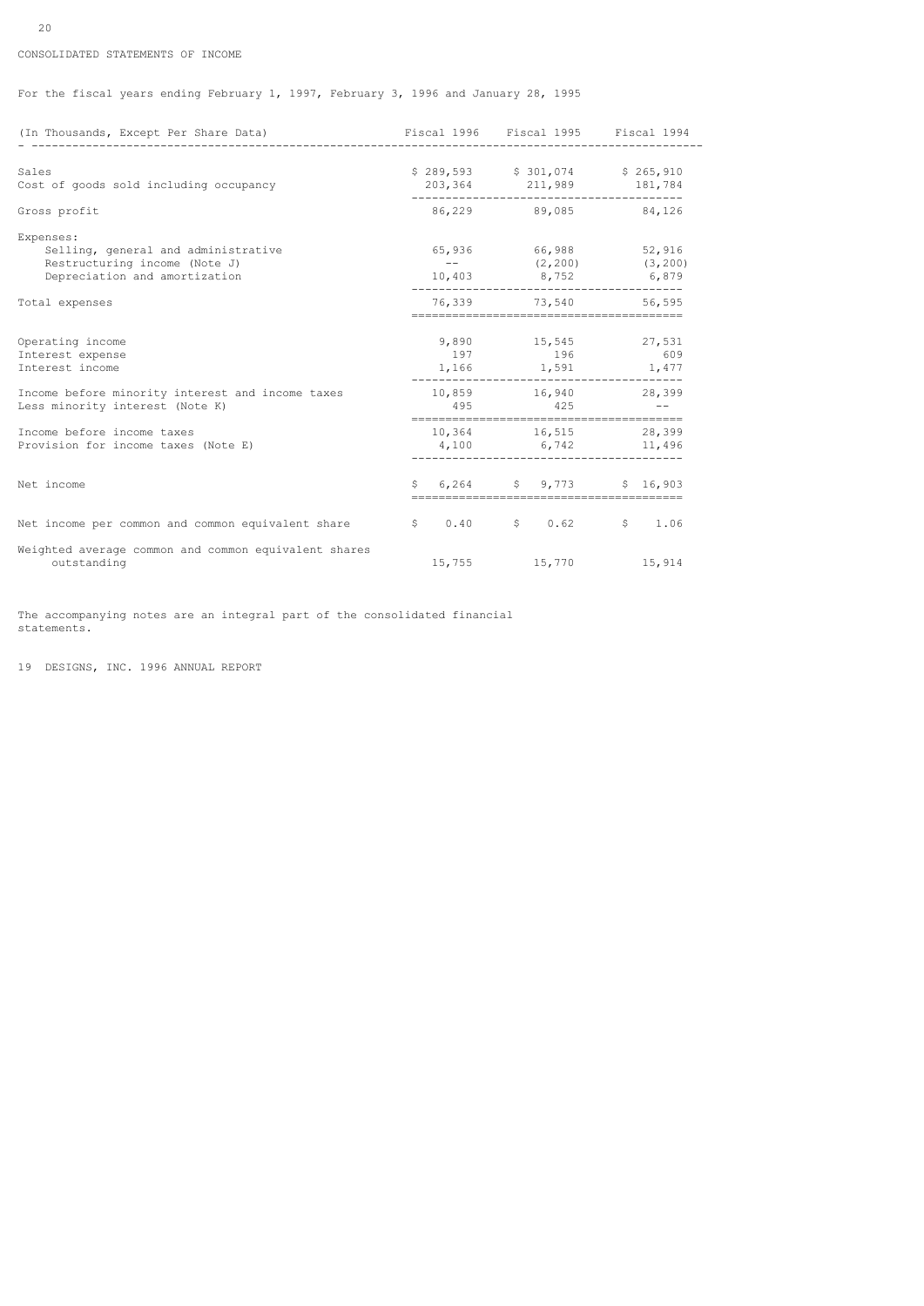# CONSOLIDATED STATEMENTS OF INCOME

For the fiscal years ending February 1, 1997, February 3, 1996 and January 28, 1995

| (In Thousands, Except Per Share Data)                                               | Fiscal 1996 Fiscal 1995 Fiscal 1994           |  |
|-------------------------------------------------------------------------------------|-----------------------------------------------|--|
| Sales                                                                               | \$289,593 \$301,074 \$265,910                 |  |
| Cost of goods sold including occupancy                                              | 203, 364 211, 989 181, 784                    |  |
| Gross profit                                                                        | 86,229 89,085 84,126                          |  |
| Expenses:                                                                           |                                               |  |
| Selling, general and administrative<br>Restructuring income (Note J)                | 65,936 66,988 52,916<br>$---$ (2,200) (3,200) |  |
| Depreciation and amortization                                                       | 10,403 8,752 6,879                            |  |
| Total expenses                                                                      | 76,339 73,540 56,595                          |  |
| Operating income                                                                    | 9,890 15,545 27,531                           |  |
| Interest expense                                                                    | 197 196 609                                   |  |
| Interest income                                                                     | $1,166$ $1,591$ $1,477$                       |  |
| Income before minority interest and income taxes<br>Less minority interest (Note K) | 10,859 16,940 28,399<br>$495$ $425$ $-$       |  |
| Income before income taxes                                                          | 10,364 16,515 28,399                          |  |
| Provision for income taxes (Note E)                                                 | 4,100 6,742 11,496                            |  |
| Net income                                                                          | $$6,264$ $$9,773$ $$16,903$                   |  |
| Net income per common and common equivalent share                                   | $$0.40$ $$0.62$ $$1.06$                       |  |
| Weighted average common and common equivalent shares<br>outstanding                 | 15,755 15,770 15,914                          |  |

The accompanying notes are an integral part of the consolidated financial statements.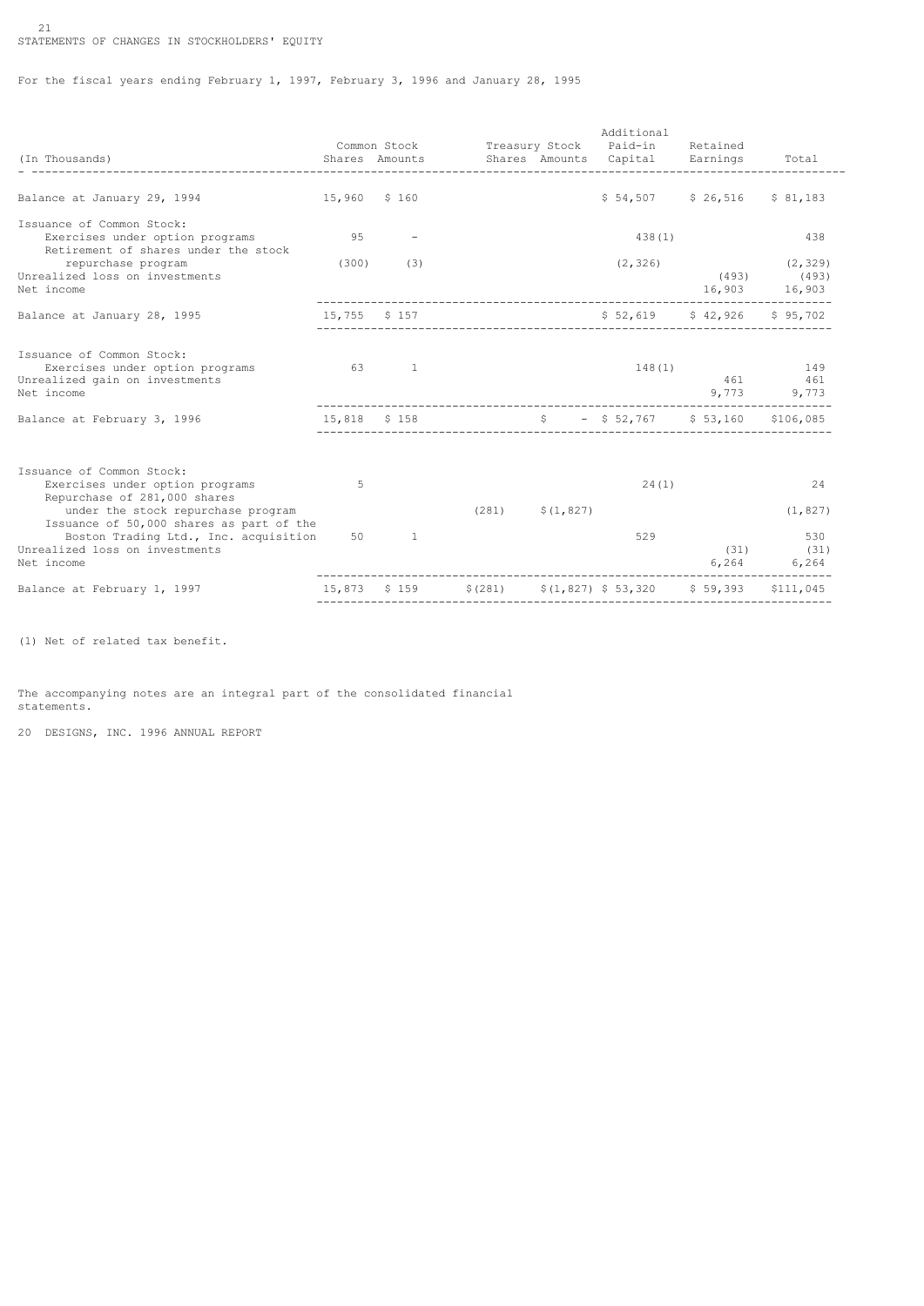# 21 STATEMENTS OF CHANGES IN STOCKHOLDERS' EQUITY

For the fiscal years ending February 1, 1997, February 3, 1996 and January 28, 1995

| (In Thousands)                                                                                                                                                                                                                                                          |              |                         | Common Stock Treasury Stock Paid-in<br>Shares Amounts Shares Amounts Capital Earnings | Additional                    | Retained<br>-------------------------- | Total                                        |
|-------------------------------------------------------------------------------------------------------------------------------------------------------------------------------------------------------------------------------------------------------------------------|--------------|-------------------------|---------------------------------------------------------------------------------------|-------------------------------|----------------------------------------|----------------------------------------------|
| Balance at January 29, 1994                                                                                                                                                                                                                                             | 15,960 \$160 |                         |                                                                                       |                               | $$54,507$ $$26,516$                    | \$81,183                                     |
| Issuance of Common Stock:<br>Exercises under option programs<br>Retirement of shares under the stock                                                                                                                                                                    |              | 9.5                     |                                                                                       | 438(1)                        |                                        | 438                                          |
| repurchase program<br>Unrealized loss on investments<br>Net income                                                                                                                                                                                                      |              | $(300)$ (3)             |                                                                                       | (2, 326)                      | 16,903 16,903                          | (2, 329)<br>$(493)$ $(493)$                  |
| Balance at January 28, 1995                                                                                                                                                                                                                                             |              | 15,755 \$ 157           |                                                                                       | $$52,619$ $$42,926$ $$95,702$ |                                        |                                              |
| Issuance of Common Stock:<br>Exercises under option programs<br>Unrealized gain on investments<br>Net income                                                                                                                                                            |              | $63 \qquad \qquad 1$    |                                                                                       | 148(1)                        |                                        | 149<br>461 461<br>9,773 9,773                |
| Balance at February 3, 1996                                                                                                                                                                                                                                             |              | 15,818 \$158            | $\frac{1}{2}$ = \$52,767 \$53,160 \$106,085                                           |                               |                                        |                                              |
| Issuance of Common Stock:<br>Exercises under option programs<br>Repurchase of 281,000 shares<br>under the stock repurchase program<br>Issuance of 50,000 shares as part of the<br>Boston Trading Ltd., Inc. acquisition<br>Unrealized loss on investments<br>Net income | 5            | 50 - 10<br><sup>1</sup> | $(281)$ $\frac{281}{7}$ $(1, 827)$                                                    | 24(1)<br>529                  | (31)                                   | 24<br>(1, 827)<br>530<br>(31)<br>6,264 6,264 |
| Balance at February 1, 1997                                                                                                                                                                                                                                             |              |                         | $15,873$ \$ 159 \$ (281) \$ (1,827) \$ 53,320 \$ 59,393 \$ 111,045                    |                               |                                        |                                              |

(1) Net of related tax benefit.

The accompanying notes are an integral part of the consolidated financial statements.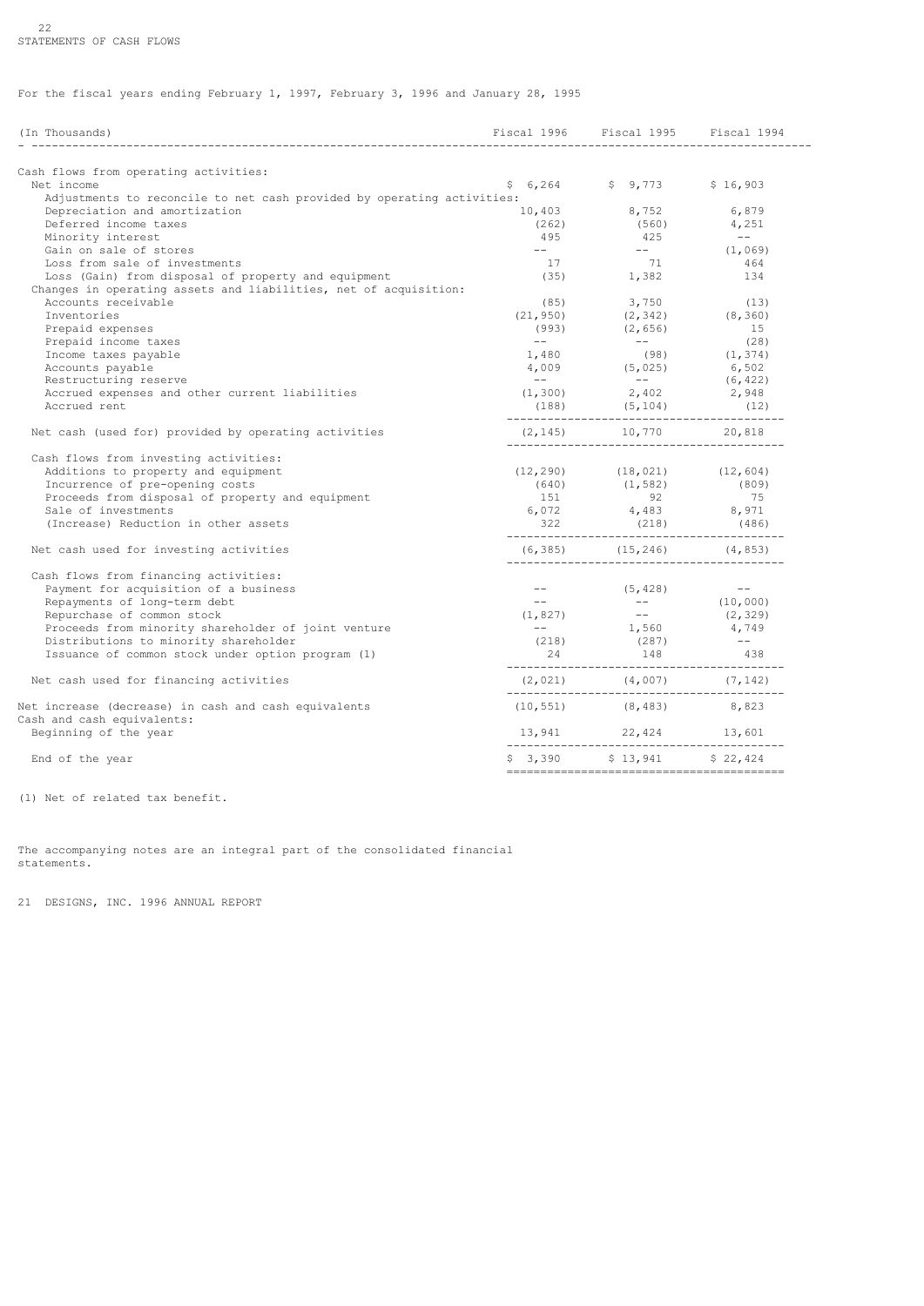# 22 STATEMENTS OF CASH FLOWS

For the fiscal years ending February 1, 1997, February 3, 1996 and January 28, 1995

| (In Thousands)                                                                      |                                                            | Fiscal 1996 Fiscal 1995 Fiscal 1994<br>---------------------------------                    |                    |
|-------------------------------------------------------------------------------------|------------------------------------------------------------|---------------------------------------------------------------------------------------------|--------------------|
| Cash flows from operating activities:                                               |                                                            |                                                                                             |                    |
| Net income                                                                          |                                                            | $$6,264$ $$9,773$ $$16,903$                                                                 |                    |
| Adjustments to reconcile to net cash provided by operating activities:              |                                                            |                                                                                             |                    |
| Depreciation and amortization                                                       | 10,403                                                     | 8,752                                                                                       | 6,879              |
| Deferred income taxes                                                               | (262)                                                      | (560)                                                                                       | 4,251              |
| Minority interest                                                                   | 495                                                        | 425                                                                                         | $\sim$ $  -$       |
| Gain on sale of stores                                                              | $\omega = 1$ , and $\omega$                                |                                                                                             | (1,069)            |
| Loss from sale of investments                                                       | 17                                                         | 71                                                                                          | 464                |
| Loss (Gain) from disposal of property and equipment                                 |                                                            | $(35)$ 1,382                                                                                | 134                |
| Changes in operating assets and liabilities, net of acquisition:                    |                                                            |                                                                                             |                    |
| Accounts receivable                                                                 |                                                            | $(85)$ 3,750                                                                                | (13)               |
| Inventories                                                                         | (21, 950)                                                  | (2, 342)                                                                                    | (8, 360)           |
| Prepaid expenses                                                                    | (993)                                                      | (2, 656)                                                                                    | 15                 |
| Prepaid income taxes                                                                | $\frac{1}{2}$ and $\frac{1}{2}$ . The set of $\frac{1}{2}$ | $\mathcal{L}_{\mathcal{A}}$ and $\mathcal{L}_{\mathcal{A}}$ and $\mathcal{L}_{\mathcal{A}}$ | (28)               |
| Income taxes payable                                                                | 1,480                                                      |                                                                                             | $(98)$ $(1, 374)$  |
| Accounts payable                                                                    |                                                            |                                                                                             | 6,502              |
| Restructuring reserve                                                               | <b>Common</b>                                              | $4,009$ (5,025)<br>$\mathcal{L}_{\text{max}}$ and $\mathcal{L}_{\text{max}}$                | (6, 422)           |
| Accrued expenses and other current liabilities                                      |                                                            | $(1, 300)$ 2,402                                                                            | 2,948              |
| Accrued rent                                                                        |                                                            | $(188)$ $(5, 104)$                                                                          | (12)               |
|                                                                                     |                                                            |                                                                                             |                    |
| Net cash (used for) provided by operating activities                                |                                                            | $(2, 145)$ 10,770 20,818                                                                    |                    |
| Cash flows from investing activities:                                               |                                                            |                                                                                             |                    |
| Additions to property and equipment                                                 |                                                            | $(12, 290)$ $(18, 021)$ $(12, 604)$                                                         |                    |
|                                                                                     |                                                            |                                                                                             |                    |
| Incurrence of pre-opening costs<br>Proceeds from disposal of property and equipment | 151                                                        | $(640)$ $(1,582)$ $(809)$<br>92                                                             | 75                 |
| Sale of investments                                                                 |                                                            |                                                                                             |                    |
|                                                                                     |                                                            | $6,072$ $4,483$ $8,971$                                                                     |                    |
| (Increase) Reduction in other assets                                                |                                                            | $322 \qquad (218) \qquad (486)$                                                             |                    |
| Net cash used for investing activities                                              |                                                            | $(6, 385)$ $(15, 246)$ $(4, 853)$                                                           |                    |
| Cash flows from financing activities:                                               |                                                            |                                                                                             |                    |
| Payment for acquisition of a business                                               | $\frac{1}{2}$ and $\frac{1}{2}$ and $\frac{1}{2}$          |                                                                                             |                    |
| Repayments of long-term debt                                                        | $\sim$ $\sim$ $\sim$                                       | (5, 428)                                                                                    | (10, 000)          |
| Repurchase of common stock                                                          |                                                            | $(1, 827)$ --<br>-- $1,560$                                                                 |                    |
|                                                                                     |                                                            |                                                                                             | (2, 329)<br>4,749  |
| Proceeds from minority shareholder of joint venture                                 |                                                            |                                                                                             |                    |
| Distributions to minority shareholder                                               |                                                            | $(218)$ $(287)$<br>$24$ $148$                                                               | $\sim$ $ -$<br>438 |
| Issuance of common stock under option program (1)                                   |                                                            |                                                                                             |                    |
| Net cash used for financing activities                                              |                                                            |                                                                                             |                    |
| Net increase (decrease) in cash and cash equivalents                                |                                                            | $(10, 551)$ $(8, 483)$ $8, 823$                                                             |                    |
|                                                                                     |                                                            |                                                                                             |                    |
| Cash and cash equivalents:                                                          |                                                            |                                                                                             |                    |
| Beginning of the year                                                               |                                                            | $13,941$ $22,424$ $13,601$                                                                  |                    |
| End of the year                                                                     |                                                            | $$3,390$ $$13,941$ $$22,424$                                                                |                    |

(1) Net of related tax benefit.

The accompanying notes are an integral part of the consolidated financial statements.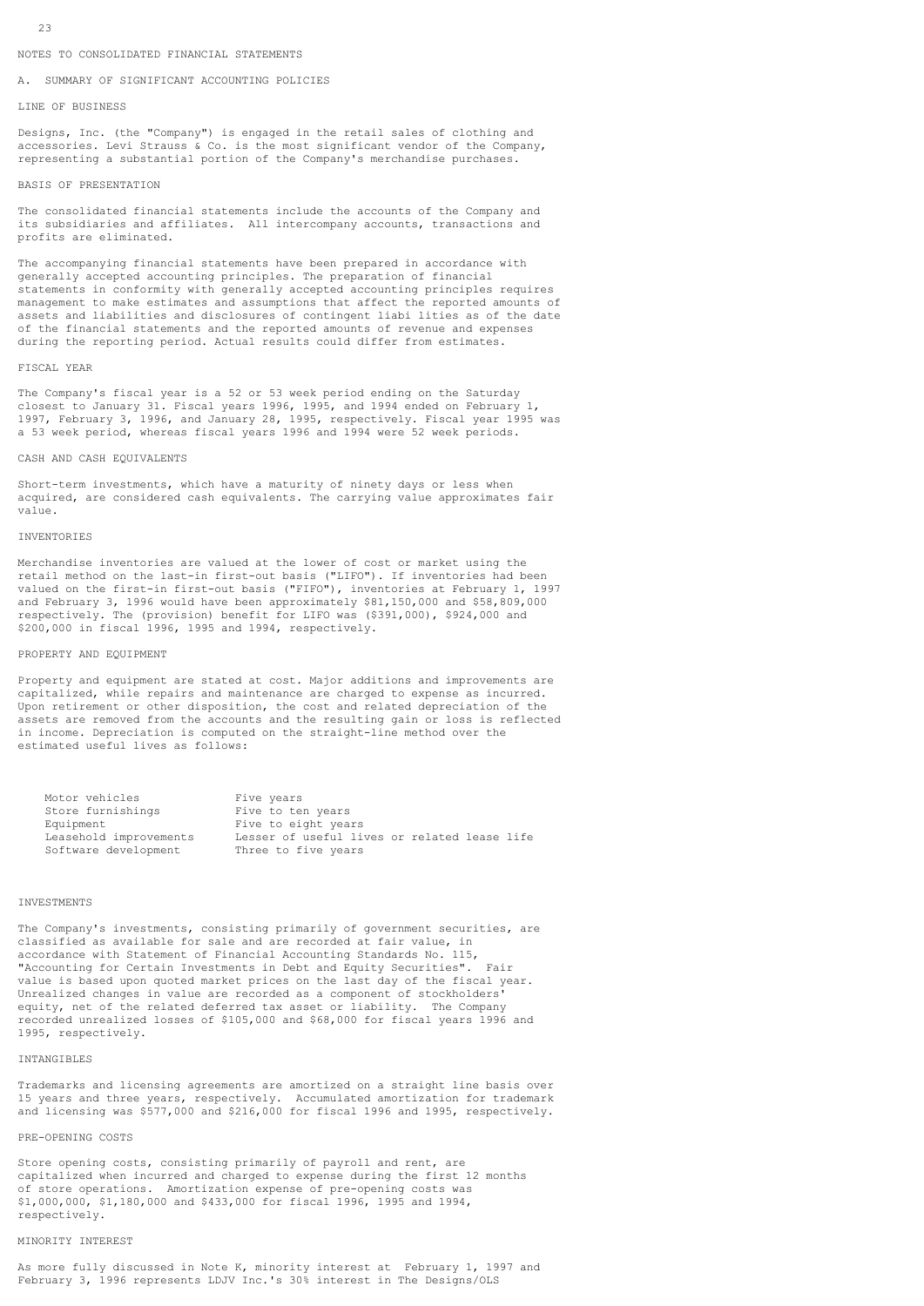#### NOTES TO CONSOLIDATED FINANCIAL STATEMENTS

A. SUMMARY OF SIGNIFICANT ACCOUNTING POLICIES

#### LINE OF BUSINESS

Designs, Inc. (the "Company") is engaged in the retail sales of clothing and accessories. Levi Strauss & Co. is the most significant vendor of the Company, representing a substantial portion of the Company's merchandise purchases.

### BASIS OF PRESENTATION

The consolidated financial statements include the accounts of the Company and its subsidiaries and affiliates. All intercompany accounts, transactions and profits are eliminated.

The accompanying financial statements have been prepared in accordance with generally accepted accounting principles. The preparation of financial statements in conformity with generally accepted accounting principles requires management to make estimates and assumptions that affect the reported amounts of assets and liabilities and disclosures of contingent liabi lities as of the date of the financial statements and the reported amounts of revenue and expenses during the reporting period. Actual results could differ from estimates.

### FISCAL YEAR

The Company's fiscal year is a 52 or 53 week period ending on the Saturday closest to January 31. Fiscal years 1996, 1995, and 1994 ended on February 1, 1997, February 3, 1996, and January 28, 1995, respectively. Fiscal year 1995 was a 53 week period, whereas fiscal years 1996 and 1994 were 52 week periods.

#### CASH AND CASH EQUIVALENTS

Short-term investments, which have a maturity of ninety days or less when acquired, are considered cash equivalents. The carrying value approximates fair value.

# INVENTORIES

Merchandise inventories are valued at the lower of cost or market using the retail method on the last-in first-out basis ("LIFO"). If inventories had been valued on the first-in first-out basis ("FIFO"), inventories at February 1, 1997 and February 3, 1996 would have been approximately \$81,150,000 and \$58,809,000 respectively. The (provision) benefit for LIFO was (\$391,000), \$924,000 and \$200,000 in fiscal 1996, 1995 and 1994, respectively.

### PROPERTY AND EQUIPMENT

Property and equipment are stated at cost. Major additions and improvements are capitalized, while repairs and maintenance are charged to expense as incurred. Upon retirement or other disposition, the cost and related depreciation of the assets are removed from the accounts and the resulting gain or loss is reflected in income. Depreciation is computed on the straight-line method over the estimated useful lives as follows:

| Motor vehicles         | Five years                                   |
|------------------------|----------------------------------------------|
| Store furnishings      | Five to ten years                            |
| Equipment              | Five to eight years                          |
| Leasehold improvements | Lesser of useful lives or related lease life |
| Software development   | Three to five years                          |

### INVESTMENTS

The Company's investments, consisting primarily of government securities, are classified as available for sale and are recorded at fair value, in accordance with Statement of Financial Accounting Standards No. 115, "Accounting for Certain Investments in Debt and Equity Securities". Fair value is based upon quoted market prices on the last day of the fiscal year. Unrealized changes in value are recorded as a component of stockholders' equity, net of the related deferred tax asset or liability. The Company recorded unrealized losses of \$105,000 and \$68,000 for fiscal years 1996 and 1995, respectively.

### INTANGIBLES

Trademarks and licensing agreements are amortized on a straight line basis over 15 years and three years, respectively. Accumulated amortization for trademark and licensing was \$577,000 and \$216,000 for fiscal 1996 and 1995, respectively.

### PRE-OPENING COSTS

Store opening costs, consisting primarily of payroll and rent, are capitalized when incurred and charged to expense during the first 12 months of store operations. Amortization expense of pre-opening costs was \$1,000,000, \$1,180,000 and \$433,000 for fiscal 1996, 1995 and 1994, respectively.

# MINORITY INTEREST

As more fully discussed in Note K, minority interest at February 1, 1997 and February 3, 1996 represents LDJV Inc.'s 30% interest in The Designs/OLS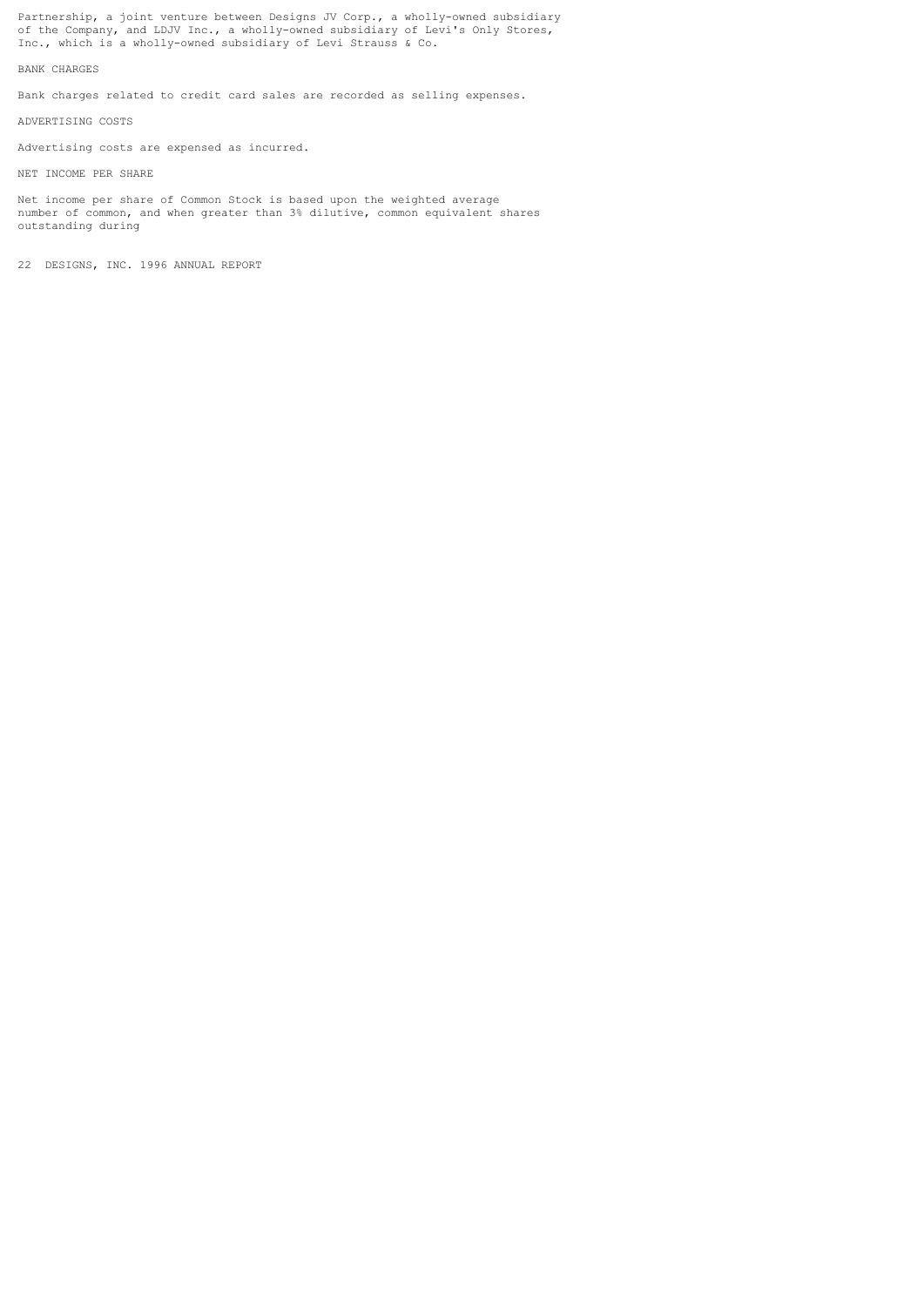Partnership, a joint venture between Designs JV Corp., a wholly-owned subsidiary of the Company, and LDJV Inc., a wholly-owned subsidiary of Levi's Only Stores, Inc., which is a wholly-owned subsidiary of Levi Strauss & Co.

BANK CHARGES

Bank charges related to credit card sales are recorded as selling expenses.

ADVERTISING COSTS

Advertising costs are expensed as incurred.

NET INCOME PER SHARE

Net income per share of Common Stock is based upon the weighted average number of common, and when greater than 3% dilutive, common equivalent shares outstanding during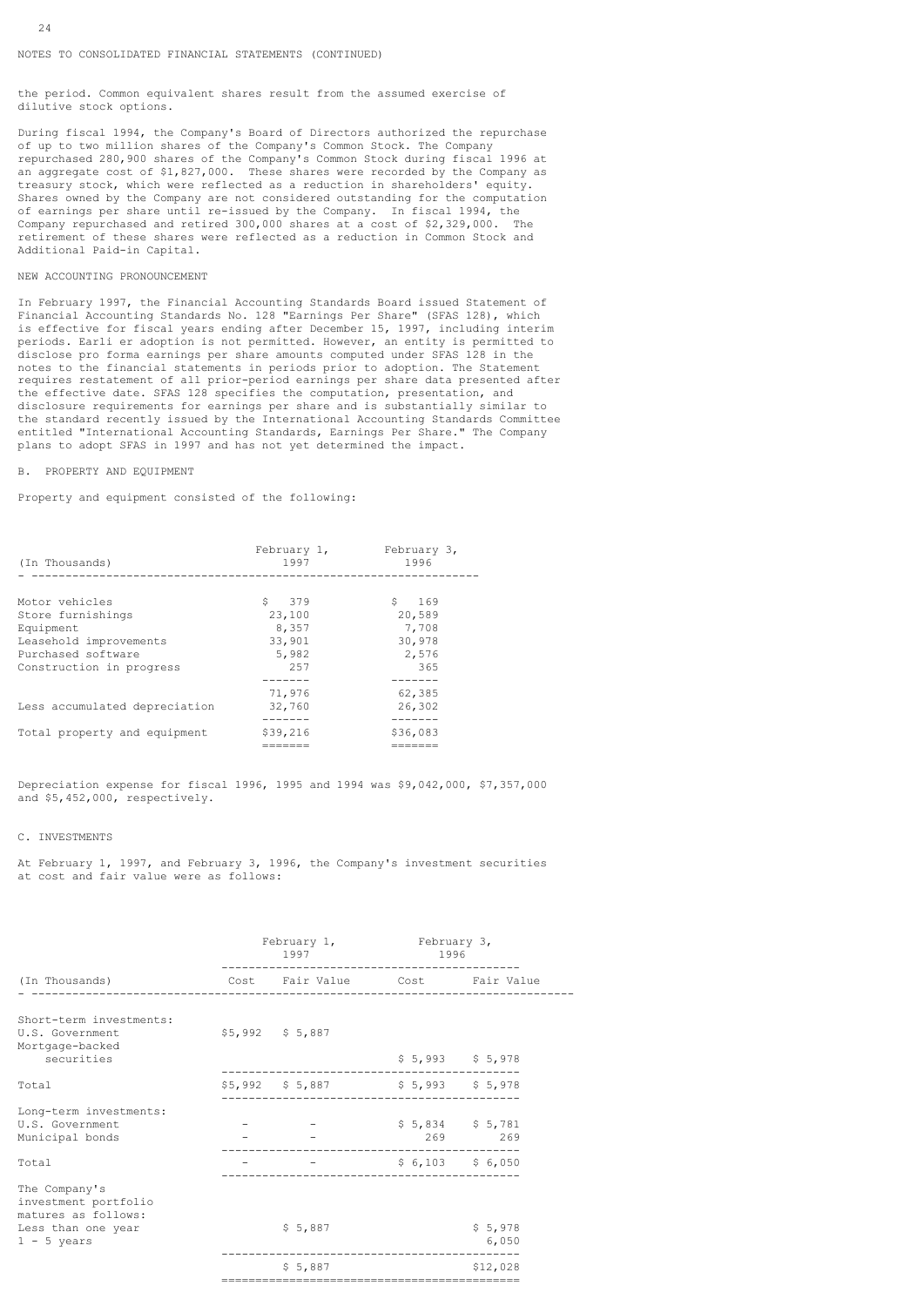#### NOTES TO CONSOLIDATED FINANCIAL STATEMENTS (CONTINUED)

the period. Common equivalent shares result from the assumed exercise of dilutive stock options.

During fiscal 1994, the Company's Board of Directors authorized the repurchase of up to two million shares of the Company's Common Stock. The Company repurchased 280,900 shares of the Company's Common Stock during fiscal 1996 at an aggregate cost of \$1,827,000. These shares were recorded by the Company as treasury stock, which were reflected as a reduction in shareholders' equity. Shares owned by the Company are not considered outstanding for the computation of earnings per share until re-issued by the Company. In fiscal 1994, the Company repurchased and retired 300,000 shares at a cost of \$2,329,000. The retirement of these shares were reflected as a reduction in Common Stock and Additional Paid-in Capital.

### NEW ACCOUNTING PRONOUNCEMENT

In February 1997, the Financial Accounting Standards Board issued Statement of Financial Accounting Standards No. 128 "Earnings Per Share" (SFAS 128), which is effective for fiscal years ending after December 15, 1997, including interim periods. Earli er adoption is not permitted. However, an entity is permitted to disclose pro forma earnings per share amounts computed under SFAS 128 in the notes to the financial statements in periods prior to adoption. The Statement requires restatement of all prior-period earnings per share data presented after the effective date. SFAS 128 specifies the computation, presentation, and disclosure requirements for earnings per share and is substantially similar to the standard recently issued by the International Accounting Standards Committee entitled "International Accounting Standards, Earnings Per Share." The Company plans to adopt SFAS in 1997 and has not yet determined the impact.

### B. PROPERTY AND EQUIPMENT

Property and equipment consisted of the following:

| (In Thousands)                | February 1,<br>1997 | February 3,<br>1996 |
|-------------------------------|---------------------|---------------------|
|                               |                     |                     |
| Motor vehicles                | \$ 379              | S<br>169            |
| Store furnishings             | 23,100              | 20,589              |
| Equipment                     | 8,357               | 7,708               |
| Leasehold improvements        | 33,901              | 30,978              |
| Purchased software            | 5,982               | 2,576               |
| Construction in progress      | 2.57                | 365                 |
|                               |                     |                     |
|                               | 71,976              | 62,385              |
| Less accumulated depreciation | 32,760              | 26,302              |
|                               |                     |                     |
| Total property and equipment  | \$39,216            | \$36,083            |
|                               |                     |                     |

Depreciation expense for fiscal 1996, 1995 and 1994 was \$9,042,000, \$7,357,000 and \$5,452,000, respectively.

### C. INVESTMENTS

At February 1, 1997, and February 3, 1996, the Company's investment securities at cost and fair value were as follows:

|                                                               | February 1, February 3,<br>1997                 | 1996                      |                   |
|---------------------------------------------------------------|-------------------------------------------------|---------------------------|-------------------|
| (In Thousands)                                                | Cost Fair-Value - Cost - Fair-Value             |                           |                   |
| Short-term investments:<br>U.S. Government<br>Mortgage-backed | $$5,992$ $$5,887$                               |                           |                   |
| securities                                                    |                                                 |                           | $$5,993$ $$5,978$ |
| Total                                                         | \$5,992 \$5,887 \$5,993 \$5,978                 |                           |                   |
| Long-term investments:<br>U.S. Government<br>Municipal bonds  | $\frac{1}{2}$ = $\frac{1}{2}$ \$ 5,834 \$ 5,781 | 269 269                   |                   |
| Total                                                         |                                                 | $-$ \$ 6,103 \$ 6,050     |                   |
| The Company's<br>investment portfolio<br>matures as follows:  |                                                 | ------------------------- |                   |
| Less than one year<br>$1 - 5$ years                           | \$5,887                                         | ---------------------     | \$5,978<br>6,050  |
|                                                               | \$5,887                                         |                           | \$12,028          |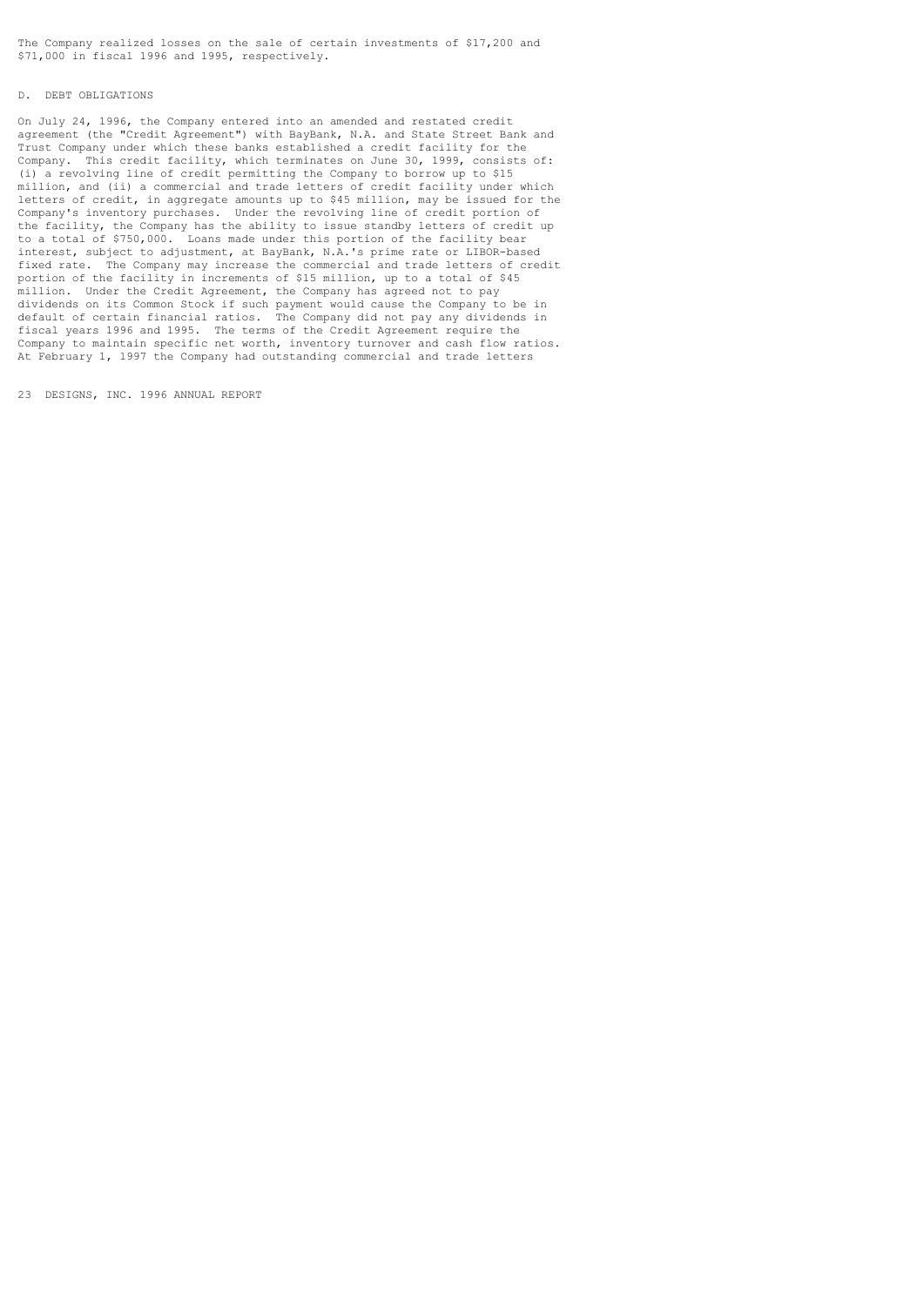The Company realized losses on the sale of certain investments of \$17,200 and \$71,000 in fiscal 1996 and 1995, respectively.

### D. DEBT OBLIGATIONS

On July 24, 1996, the Company entered into an amended and restated credit agreement (the "Credit Agreement") with BayBank, N.A. and State Street Bank and Trust Company under which these banks established a credit facility for the Company. This credit facility, which terminates on June 30, 1999, consists of: (i) a revolving line of credit permitting the Company to borrow up to \$15 million, and (ii) a commercial and trade letters of credit facility under which letters of credit, in aggregate amounts up to \$45 million, may be issued for the Company's inventory purchases. Under the revolving line of credit portion of the facility, the Company has the ability to issue standby letters of credit up to a total of \$750,000. Loans made under this portion of the facility bear interest, subject to adjustment, at BayBank, N.A.'s prime rate or LIBOR-based fixed rate. The Company may increase the commercial and trade letters of credit portion of the facility in increments of \$15 million, up to a total of \$45 million. Under the Credit Agreement, the Company has agreed not to pay dividends on its Common Stock if such payment would cause the Company to be in default of certain financial ratios. The Company did not pay any dividends in fiscal years 1996 and 1995. The terms of the Credit Agreement require the Company to maintain specific net worth, inventory turnover and cash flow ratios. At February 1, 1997 the Company had outstanding commercial and trade letters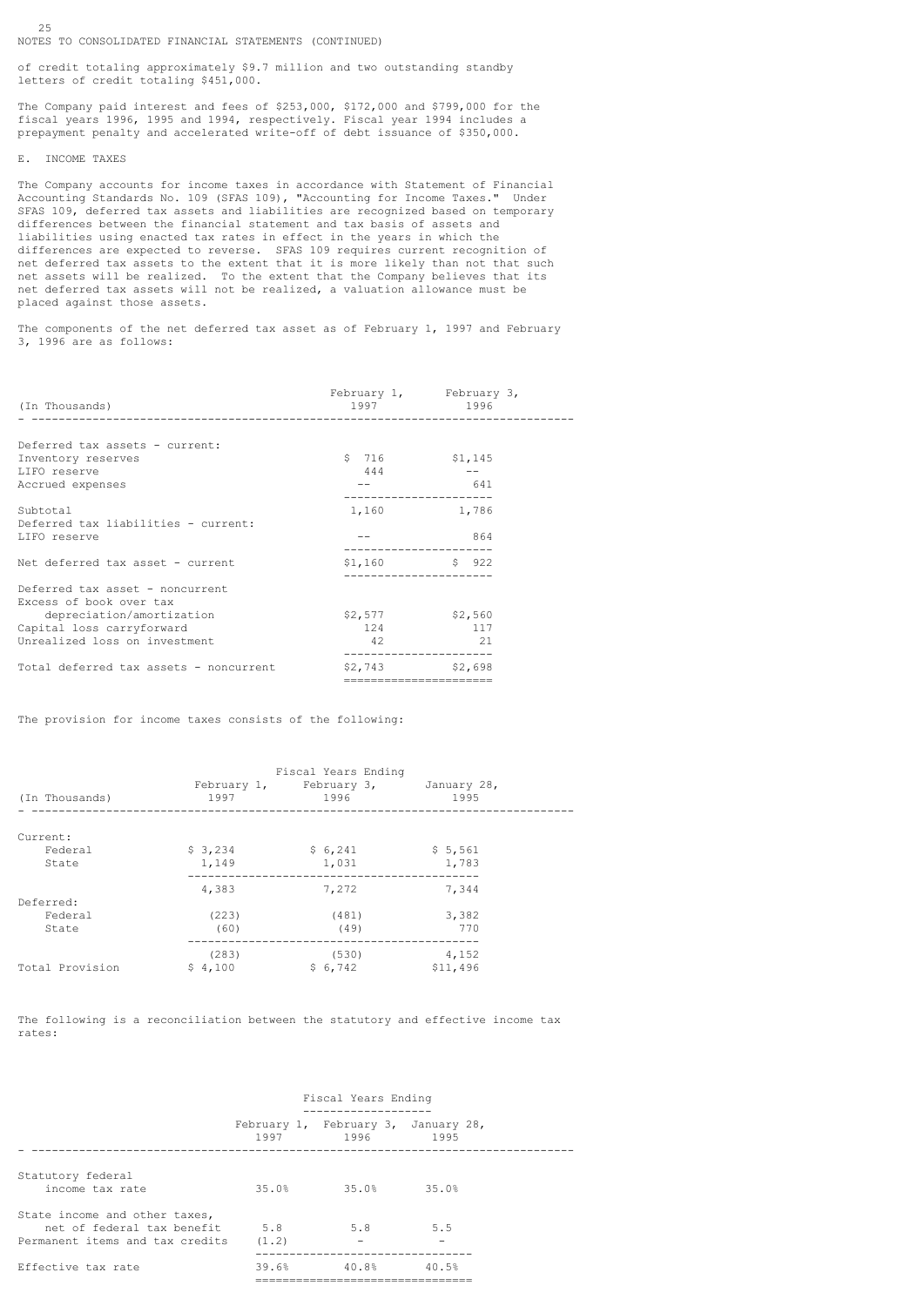NOTES TO CONSOLIDATED FINANCIAL STATEMENTS (CONTINUED)

of credit totaling approximately \$9.7 million and two outstanding standby letters of credit totaling \$451,000.

The Company paid interest and fees of \$253,000, \$172,000 and \$799,000 for the fiscal years 1996, 1995 and 1994, respectively. Fiscal year 1994 includes a prepayment penalty and accelerated write-off of debt issuance of \$350,000.

#### E. INCOME TAXES

25

The Company accounts for income taxes in accordance with Statement of Financial Accounting Standards No. 109 (SFAS 109), "Accounting for Income Taxes." Under SFAS 109, deferred tax assets and liabilities are recognized based on temporary differences between the financial statement and tax basis of assets and liabilities using enacted tax rates in effect in the years in which the differences are expected to reverse. SFAS 109 requires current recognition of net deferred tax assets to the extent that it is more likely than not that such net assets will be realized. To the extent that the Company believes that its net deferred tax assets will not be realized, a valuation allowance must be placed against those assets.

The components of the net deferred tax asset as of February 1, 1997 and February 3, 1996 are as follows:

|                                        |                       | February 1, February 3, |  |
|----------------------------------------|-----------------------|-------------------------|--|
| (In Thousands)                         | 1997 1996             |                         |  |
|                                        |                       |                         |  |
| Deferred tax assets - current:         |                       |                         |  |
| Inventory reserves                     | \$716                 | \$1,145                 |  |
| LIFO reserve                           | 444                   |                         |  |
| Accrued expenses                       |                       | 641                     |  |
| Subtotal                               | 1,160 1,786           |                         |  |
| Deferred tax liabilities - current:    |                       |                         |  |
| LIFO reserve                           |                       | 864                     |  |
| Net deferred tax asset - current       | $$1,160$ $$922$       |                         |  |
| Deferred tax asset - noncurrent        |                       |                         |  |
| Excess of book over tax                |                       |                         |  |
| depreciation/amortization              | $$2,577$ $$2,560$     |                         |  |
| Capital loss carryforward              | 124                   | 117                     |  |
| Unrealized loss on investment          | 42                    | $\sim$ 21               |  |
| Total deferred tax assets - noncurrent | $$2,743$ $$2,698$     |                         |  |
|                                        | ===================== |                         |  |

The provision for income taxes consists of the following:

| (In Thousands)  | 1997    | Fiscal Years Ending<br>February 1, February 3, January 28,<br>1996 | 1995     |
|-----------------|---------|--------------------------------------------------------------------|----------|
| Current:        |         |                                                                    |          |
| Federal         | \$3,234 | \$6,241                                                            | \$5,561  |
| State           | 1,149   | 1,031                                                              | 1,783    |
|                 | 4,383   | 7,272                                                              | 7,344    |
| Deferred:       |         |                                                                    |          |
| Federal         | (223)   | (481)                                                              | 3,382    |
| State           | (60)    | (49)                                                               | 770      |
|                 | (283)   | (530)                                                              | 4,152    |
| Total Provision | \$4,100 | \$6,742                                                            | \$11,496 |

The following is a reconciliation between the statutory and effective income tax rates:

|                                                                                                    | Fiscal Years Ending<br>___________________ |                                                       |       |
|----------------------------------------------------------------------------------------------------|--------------------------------------------|-------------------------------------------------------|-------|
|                                                                                                    |                                            | February 1, February 3, January 28,<br>1997 1996 1995 |       |
| Statutory federal<br>income tax rate                                                               | 35.0%                                      | 35.0% 35.0%                                           |       |
| State income and other taxes,<br>net of federal tax benefit 5.8<br>Permanent items and tax credits | (1.2)                                      | 5.8                                                   | 5.5   |
| Effective tax rate                                                                                 | 39.6%                                      | 40.8%                                                 | 40.5% |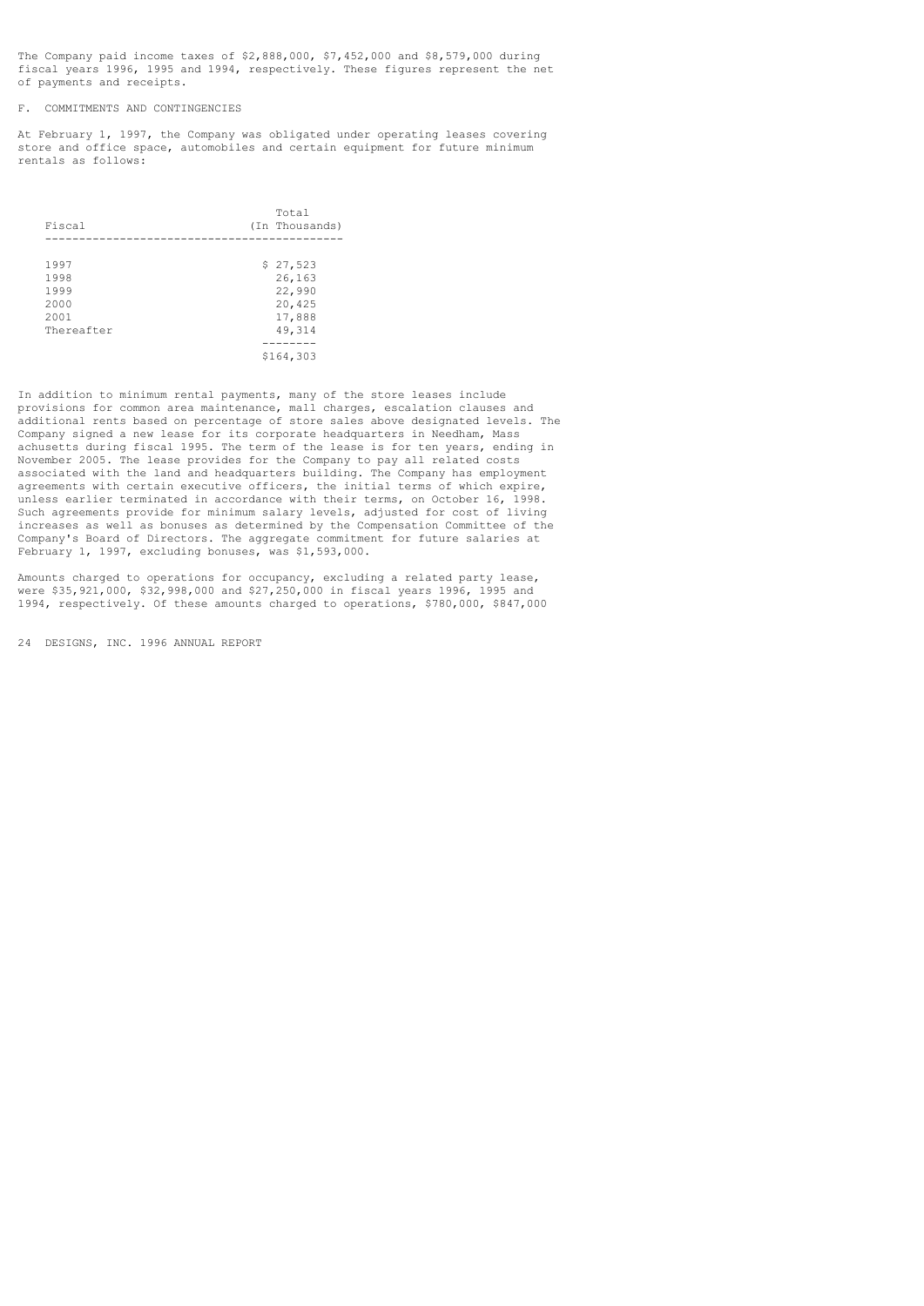The Company paid income taxes of \$2,888,000, \$7,452,000 and \$8,579,000 during fiscal years 1996, 1995 and 1994, respectively. These figures represent the net of payments and receipts.

F. COMMITMENTS AND CONTINGENCIES

At February 1, 1997, the Company was obligated under operating leases covering store and office space, automobiles and certain equipment for future minimum rentals as follows:

| Fiscal     | Total<br>(In Thousands) |
|------------|-------------------------|
|            |                         |
| 1997       | \$27,523                |
| 1998       | 26,163                  |
| 1999       | 22,990                  |
| 2000       | 20,425                  |
| 2001       | 17,888                  |
| Thereafter | 49,314                  |
|            |                         |
|            | \$164,303               |

In addition to minimum rental payments, many of the store leases include provisions for common area maintenance, mall charges, escalation clauses and additional rents based on percentage of store sales above designated levels. The Company signed a new lease for its corporate headquarters in Needham, Mass achusetts during fiscal 1995. The term of the lease is for ten years, ending in November 2005. The lease provides for the Company to pay all related costs associated with the land and headquarters building. The Company has employment agreements with certain executive officers, the initial terms of which expire, unless earlier terminated in accordance with their terms, on October 16, 1998. Such agreements provide for minimum salary levels, adjusted for cost of living increases as well as bonuses as determined by the Compensation Committee of the Company's Board of Directors. The aggregate commitment for future salaries at February 1, 1997, excluding bonuses, was \$1,593,000.

Amounts charged to operations for occupancy, excluding a related party lease, were \$35,921,000, \$32,998,000 and \$27,250,000 in fiscal years 1996, 1995 and 1994, respectively. Of these amounts charged to operations, \$780,000, \$847,000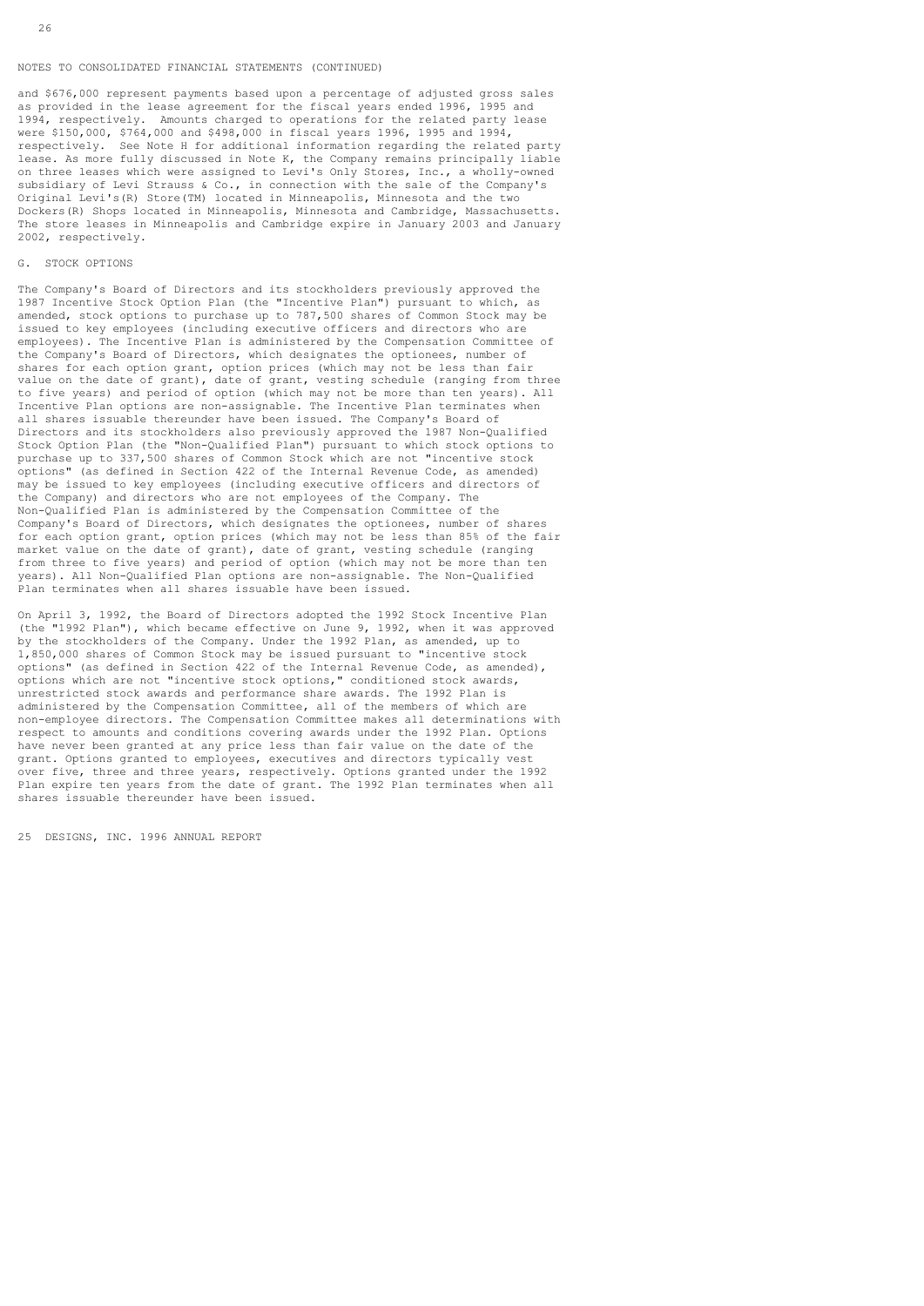#### NOTES TO CONSOLIDATED FINANCIAL STATEMENTS (CONTINUED)

and \$676,000 represent payments based upon a percentage of adjusted gross sales as provided in the lease agreement for the fiscal years ended 1996, 1995 and 1994, respectively. Amounts charged to operations for the related party lease were \$150,000, \$764,000 and \$498,000 in fiscal years 1996, 1995 and 1994, respectively. See Note H for additional information regarding the related party lease. As more fully discussed in Note K, the Company remains principally liable on three leases which were assigned to Levi's Only Stores, Inc., a wholly-owned subsidiary of Levi Strauss & Co., in connection with the sale of the Company's Original Levi's(R) Store(TM) located in Minneapolis, Minnesota and the two Dockers(R) Shops located in Minneapolis, Minnesota and Cambridge, Massachusetts. The store leases in Minneapolis and Cambridge expire in January 2003 and January 2002, respectively.

# G. STOCK OPTIONS

The Company's Board of Directors and its stockholders previously approved the 1987 Incentive Stock Option Plan (the "Incentive Plan") pursuant to which, as amended, stock options to purchase up to 787,500 shares of Common Stock may be issued to key employees (including executive officers and directors who are employees). The Incentive Plan is administered by the Compensation Committee of the Company's Board of Directors, which designates the optionees, number of shares for each option grant, option prices (which may not be less than fair value on the date of grant), date of grant, vesting schedule (ranging from three to five years) and period of option (which may not be more than ten years). All Incentive Plan options are non-assignable. The Incentive Plan terminates when all shares issuable thereunder have been issued. The Company's Board of Directors and its stockholders also previously approved the 1987 Non-Qualified Stock Option Plan (the "Non-Qualified Plan") pursuant to which stock options to purchase up to 337,500 shares of Common Stock which are not "incentive stock options" (as defined in Section 422 of the Internal Revenue Code, as amended) may be issued to key employees (including executive officers and directors of the Company) and directors who are not employees of the Company. The Non-Qualified Plan is administered by the Compensation Committee of the Company's Board of Directors, which designates the optionees, number of shares for each option grant, option prices (which may not be less than 85% of the fair market value on the date of grant), date of grant, vesting schedule (ranging from three to five years) and period of option (which may not be more than ten years). All Non-Qualified Plan options are non-assignable. The Non-Qualified Plan terminates when all shares issuable have been issued.

On April 3, 1992, the Board of Directors adopted the 1992 Stock Incentive Plan (the "1992 Plan"), which became effective on June 9, 1992, when it was approved by the stockholders of the Company. Under the 1992 Plan, as amended, up to 1,850,000 shares of Common Stock may be issued pursuant to "incentive stock options" (as defined in Section 422 of the Internal Revenue Code, as amended), options which are not "incentive stock options," conditioned stock awards, unrestricted stock awards and performance share awards. The 1992 Plan is administered by the Compensation Committee, all of the members of which are non-employee directors. The Compensation Committee makes all determinations with respect to amounts and conditions covering awards under the 1992 Plan. Options have never been granted at any price less than fair value on the date of the grant. Options granted to employees, executives and directors typically vest over five, three and three years, respectively. Options granted under the 1992 Plan expire ten years from the date of grant. The 1992 Plan terminates when all shares issuable thereunder have been issued.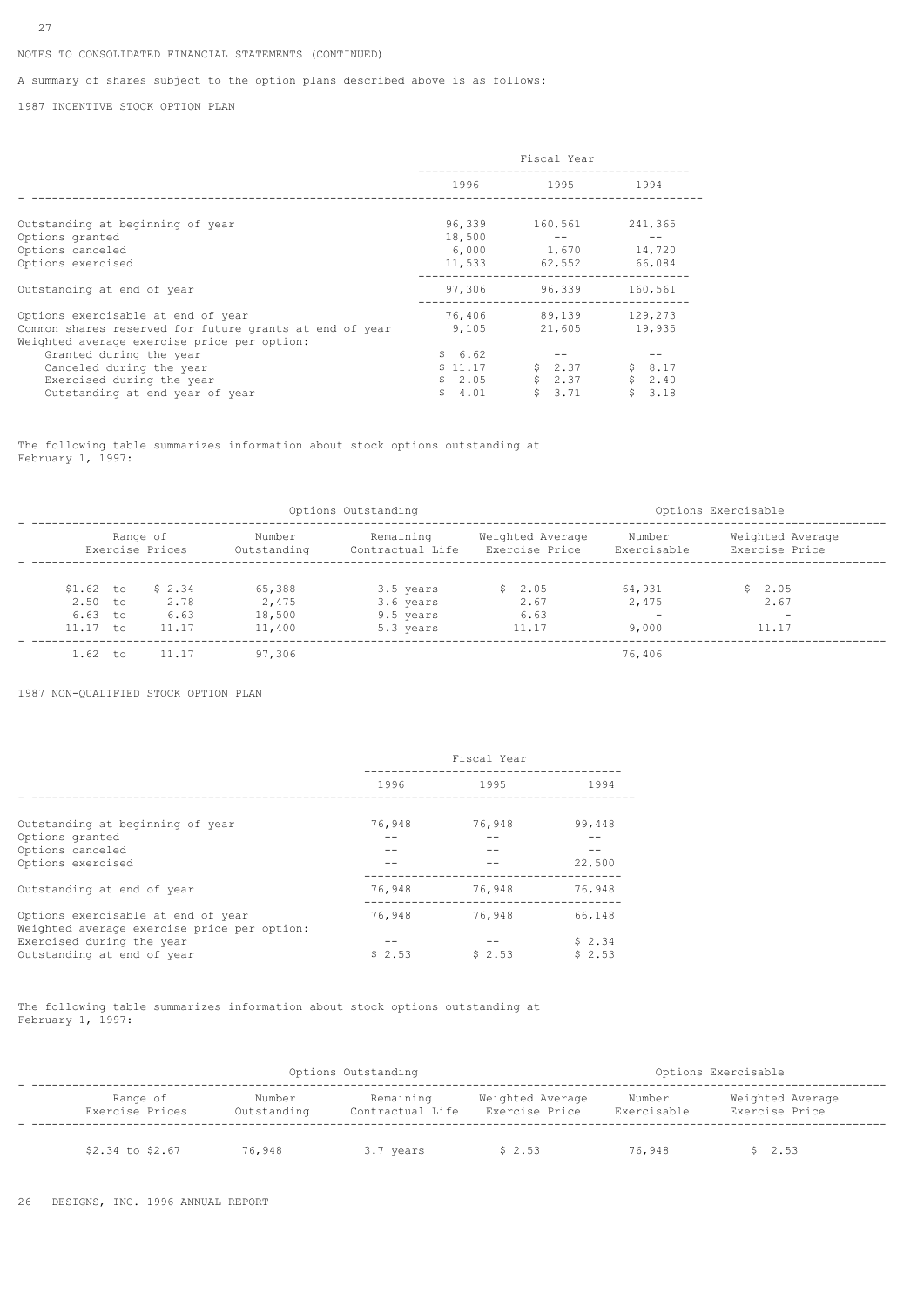# NOTES TO CONSOLIDATED FINANCIAL STATEMENTS (CONTINUED)

A summary of shares subject to the option plans described above is as follows:

1987 INCENTIVE STOCK OPTION PLAN

|                                                         | Fiscal Year |                |         |
|---------------------------------------------------------|-------------|----------------|---------|
|                                                         |             | 1996 1995 1996 | 1994    |
|                                                         |             |                |         |
| Outstanding at beginning of year                        | 96,339      | 160,561        | 241,365 |
| Options granted                                         | 18,500      |                |         |
| Options canceled                                        | 6,000       | 1,670          | 14,720  |
| Options exercised                                       |             | 11,533 62,552  | 66,084  |
| Outstanding at end of year                              | 97,306      | 96,339         | 160,561 |
| Options exercisable at end of year                      |             | 76,406 89,139  | 129,273 |
| Common shares reserved for future grants at end of year | 9,105       | 21,605         | 19,935  |
| Weighted average exercise price per option:             |             |                |         |
| Granted during the year                                 | \$6.62      |                |         |
| Canceled during the year                                | \$11.17     | \$2.37         | \$8.17  |
| Exercised during the year                               | \$2.05      | \$2.37         | \$2.40  |
| Outstanding at end year of year                         | \$4.01      | \$3.71         | \$3.18  |

The following table summarizes information about stock options outstanding at February 1, 1997:

|                                                    | Options Outstanding |                                 |                                     |                                                  |                                    |                               | Options Exercisable                |  |
|----------------------------------------------------|---------------------|---------------------------------|-------------------------------------|--------------------------------------------------|------------------------------------|-------------------------------|------------------------------------|--|
|                                                    |                     | Range of<br>Exercise Prices     | Number<br>Outstanding               | Remaining<br>Contractual Life                    | Weighted Average<br>Exercise Price | Number<br>Exercisable         | Weighted Average<br>Exercise Price |  |
| $$1.62$ to<br>$2.50$ to<br>$6.63$ to<br>$11.17$ to |                     | \$2.34<br>2.78<br>6.63<br>11.17 | 65,388<br>2,475<br>18,500<br>11,400 | 3.5 years<br>3.6 years<br>9.5 years<br>5.3 years | \$2.05<br>2.67<br>6.63<br>11.17    | 64,931<br>2,475<br>-<br>9,000 | \$2.05<br>2.67<br>11.17            |  |
| $1.62$ to                                          |                     | 11.17                           | 97,306                              |                                                  |                                    | 76,406                        |                                    |  |

1987 NON-QUALIFIED STOCK OPTION PLAN

|                                                                                   | Fiscal Year |        |                  |
|-----------------------------------------------------------------------------------|-------------|--------|------------------|
|                                                                                   | 1996        | 1995   | 1994             |
| Outstanding at beginning of year                                                  | 76,948      | 76,948 | 99,448           |
| Options granted<br>Options canceled                                               |             |        |                  |
| Options exercised                                                                 |             |        | 22,500           |
| Outstanding at end of year                                                        | 76,948      | 76,948 | 76,948           |
| Options exercisable at end of year<br>Weighted average exercise price per option: | 76,948      | 76,948 | 66,148           |
| Exercised during the year<br>Outstanding at end of year                           | \$2.53      | \$2.53 | \$2.34<br>\$2.53 |

The following table summarizes information about stock options outstanding at February 1, 1997:

| Options Outstanding         |                       |                               |                                    | Options Exercisable   |                                    |  |
|-----------------------------|-----------------------|-------------------------------|------------------------------------|-----------------------|------------------------------------|--|
| Range of<br>Exercise Prices | Number<br>Outstanding | Remaining<br>Contractual Life | Weighted Average<br>Exercise Price | Number<br>Exercisable | Weighted Average<br>Exercise Price |  |
| \$2.34 to \$2.67            | 76,948                | 3.7 years                     | \$2.53                             | 76,948                | \$2.53                             |  |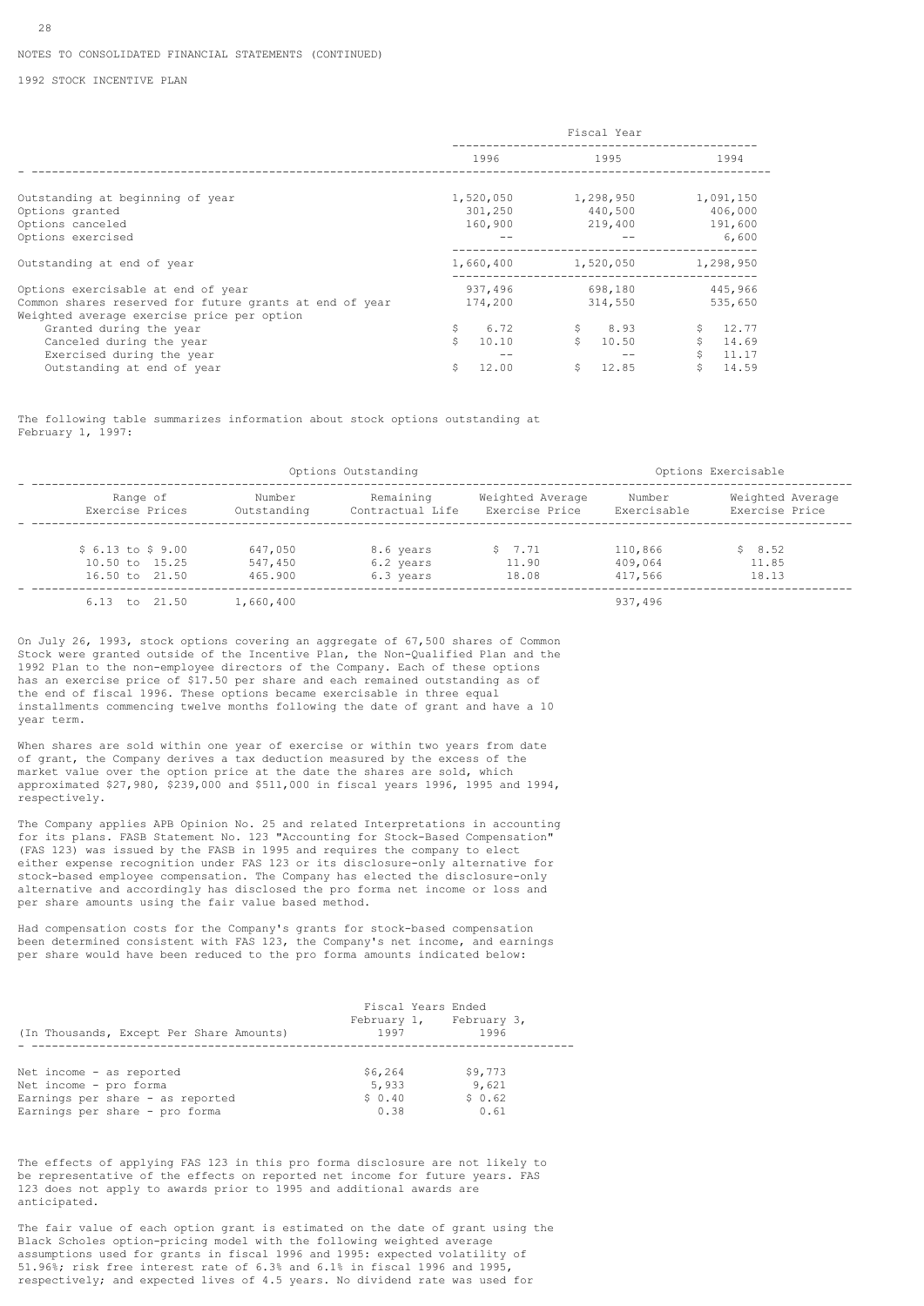1992 STOCK INCENTIVE PLAN

|                                                                                                       | Fiscal Year |                      |             |
|-------------------------------------------------------------------------------------------------------|-------------|----------------------|-------------|
|                                                                                                       | 1996        | 1995                 | 1994        |
|                                                                                                       |             |                      |             |
| Outstanding at beginning of year                                                                      | 1,520,050   | 1,298,950            | 1,091,150   |
| Options granted                                                                                       | 301,250     | 440,500              | 406,000     |
| Options canceled                                                                                      | 160,900     | 219,400              | 191,600     |
| Options exercised                                                                                     |             |                      | 6,600       |
| Outstanding at end of year                                                                            | 1,660,400   | 1,520,050            | 1,298,950   |
| Options exercisable at end of year                                                                    | 937,496     | 698,180              | 445,966     |
| Common shares reserved for future grants at end of year<br>Weighted average exercise price per option | 174,200     | 314,550              | 535,650     |
| Granted during the year                                                                               | \$<br>6.72  | $\mathsf{S}$<br>8.93 | 12.77       |
| Canceled during the year                                                                              | Ŝ<br>10.10  | Ŝ.<br>10.50          | 14.69       |
| Exercised during the year                                                                             |             |                      | 11.17       |
| Outstanding at end of year                                                                            | 12.00<br>\$ | 12.85<br>\$          | 14.59<br>\$ |

The following table summarizes information about stock options outstanding at February 1, 1997:

| Options Outstanding       |             |                  |                  | Options Exercisable |                  |  |
|---------------------------|-------------|------------------|------------------|---------------------|------------------|--|
| Range of                  | Number      | Remaining        | Weighted Average | Number              | Weighted Average |  |
| Exercise Prices           | Outstanding | Contractual Life | Exercise Price   | Exercisable         | Exercise Price   |  |
| $$6.13 \text{ to } $9.00$ | 647,050     | 8.6 years        | \$7.71           | 110,866             | \$8.52           |  |
| 10.50 to 15.25            | 547,450     | 6.2 years        | 11.90            | 409,064             | 11.85            |  |
| 16.50 to 21.50            | 465.900     | 6.3 years        | 18.08            | 417.566             | 18.13            |  |
| 6.13 to 21.50             | 1,660,400   |                  |                  | 937,496             |                  |  |

On July 26, 1993, stock options covering an aggregate of 67,500 shares of Common Stock were granted outside of the Incentive Plan, the Non-Qualified Plan and the 1992 Plan to the non-employee directors of the Company. Each of these options has an exercise price of \$17.50 per share and each remained outstanding as of the end of fiscal 1996. These options became exercisable in three equal installments commencing twelve months following the date of grant and have a 10 year term.

When shares are sold within one year of exercise or within two years from date of grant, the Company derives a tax deduction measured by the excess of the market value over the option price at the date the shares are sold, which approximated \$27,980, \$239,000 and \$511,000 in fiscal years 1996, 1995 and 1994, respectively.

The Company applies APB Opinion No. 25 and related Interpretations in accounting for its plans. FASB Statement No. 123 "Accounting for Stock-Based Compensation" (FAS 123) was issued by the FASB in 1995 and requires the company to elect either expense recognition under FAS 123 or its disclosure-only alternative for stock-based employee compensation. The Company has elected the disclosure-only alternative and accordingly has disclosed the pro forma net income or loss and per share amounts using the fair value based method.

Had compensation costs for the Company's grants for stock-based compensation been determined consistent with FAS 123, the Company's net income, and earnings per share would have been reduced to the pro forma amounts indicated below:

| (In Thousands, Except Per Share Amounts)           | Fiscal Years Ended<br>February 1, February 3,<br>1997 | 1996             |
|----------------------------------------------------|-------------------------------------------------------|------------------|
| Net income - as reported<br>Net income - pro forma | \$6,264<br>5,933                                      | \$9,773<br>9,621 |
| Earnings per share - as reported                   | \$0.40                                                | \$0.62           |
| Earnings per share - pro forma                     | 0.38                                                  | 0.61             |

The effects of applying FAS 123 in this pro forma disclosure are not likely to be representative of the effects on reported net income for future years. FAS 123 does not apply to awards prior to 1995 and additional awards are anticipated.

The fair value of each option grant is estimated on the date of grant using the Black Scholes option-pricing model with the following weighted average assumptions used for grants in fiscal 1996 and 1995: expected volatility of 51.96%; risk free interest rate of 6.3% and 6.1% in fiscal 1996 and 1995, respectively; and expected lives of 4.5 years. No dividend rate was used for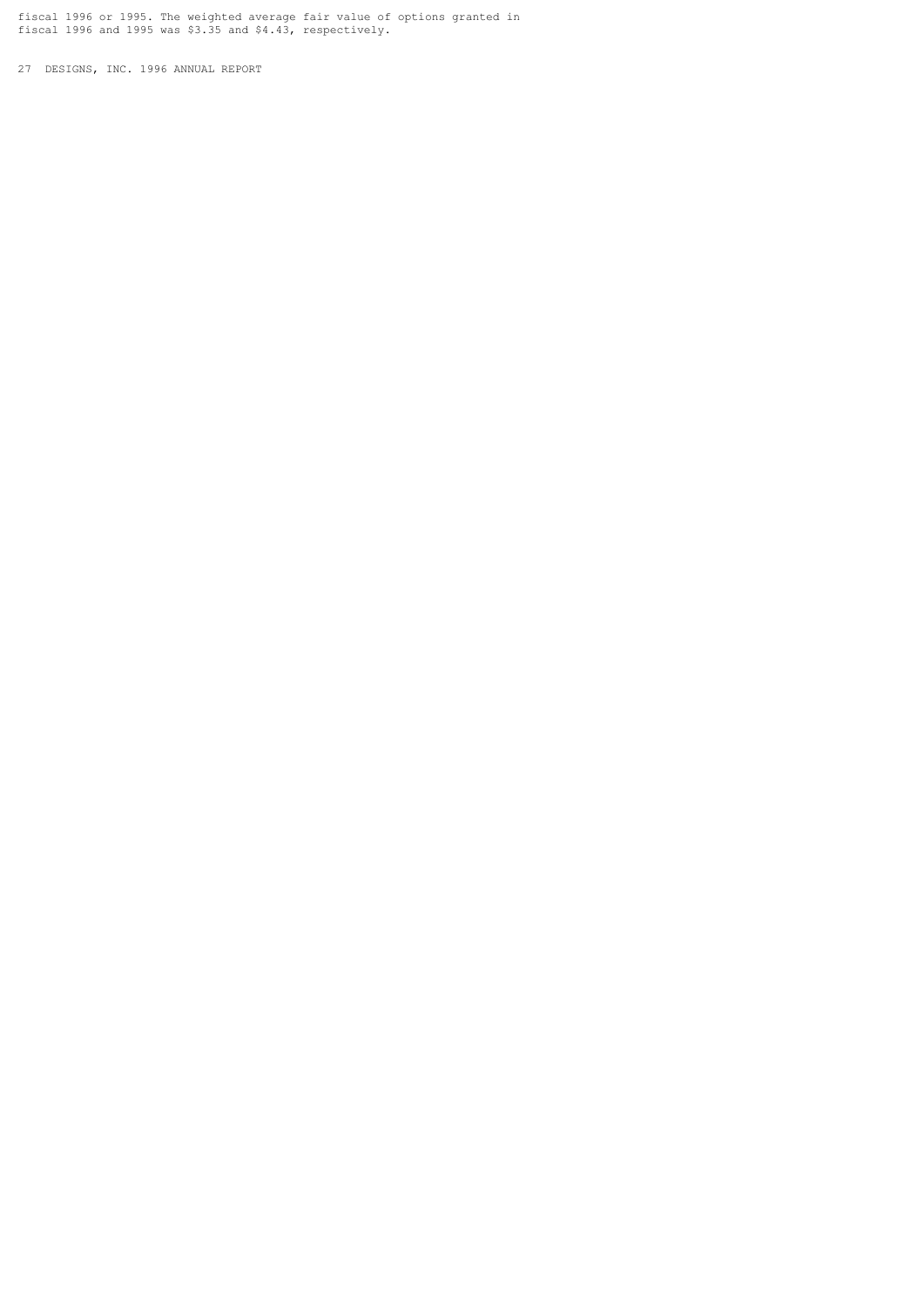fiscal 1996 or 1995. The weighted average fair value of options granted in fiscal 1996 and 1995 was \$3.35 and \$4.43, respectively.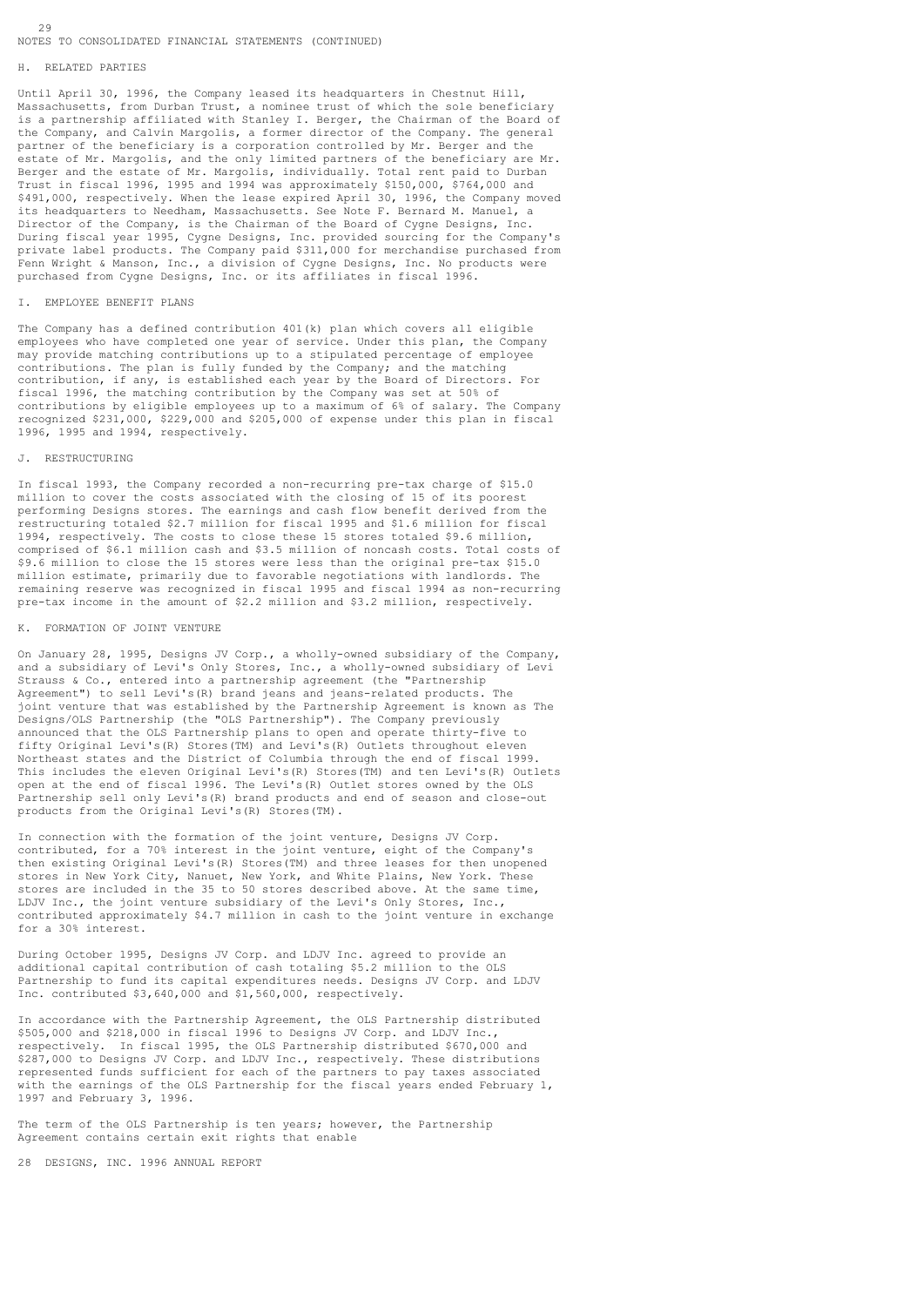# NOTES TO CONSOLIDATED FINANCIAL STATEMENTS (CONTINUED)

#### H. RELATED PARTIES

Until April 30, 1996, the Company leased its headquarters in Chestnut Hill, Massachusetts, from Durban Trust, a nominee trust of which the sole beneficiary is a partnership affiliated with Stanley I. Berger, the Chairman of the Board of the Company, and Calvin Margolis, a former director of the Company. The general partner of the beneficiary is a corporation controlled by Mr. Berger and the estate of Mr. Margolis, and the only limited partners of the beneficiary are Mr. Berger and the estate of Mr. Margolis, individually. Total rent paid to Durban Trust in fiscal 1996, 1995 and 1994 was approximately \$150,000, \$764,000 and \$491,000, respectively. When the lease expired April 30, 1996, the Company moved its headquarters to Needham, Massachusetts. See Note F. Bernard M. Manuel, a Director of the Company, is the Chairman of the Board of Cygne Designs, Inc. During fiscal year 1995, Cygne Designs, Inc. provided sourcing for the Company's private label products. The Company paid \$311,000 for merchandise purchased from Fenn Wright & Manson, Inc., a division of Cygne Designs, Inc. No products were purchased from Cygne Designs, Inc. or its affiliates in fiscal 1996.

# I. EMPLOYEE BENEFIT PLANS

The Company has a defined contribution 401(k) plan which covers all eligible employees who have completed one year of service. Under this plan, the Company may provide matching contributions up to a stipulated percentage of employee contributions. The plan is fully funded by the Company; and the matching contribution, if any, is established each year by the Board of Directors. For fiscal 1996, the matching contribution by the Company was set at 50% of contributions by eligible employees up to a maximum of 6% of salary. The Company recognized \$231,000, \$229,000 and \$205,000 of expense under this plan in fiscal 1996, 1995 and 1994, respectively.

### J. RESTRUCTURING

In fiscal 1993, the Company recorded a non-recurring pre-tax charge of \$15.0 million to cover the costs associated with the closing of 15 of its poorest performing Designs stores. The earnings and cash flow benefit derived from the restructuring totaled \$2.7 million for fiscal 1995 and \$1.6 million for fiscal 1994, respectively. The costs to close these 15 stores totaled \$9.6 million, comprised of \$6.1 million cash and \$3.5 million of noncash costs. Total costs of \$9.6 million to close the 15 stores were less than the original pre-tax \$15.0 million estimate, primarily due to favorable negotiations with landlords. The remaining reserve was recognized in fiscal 1995 and fiscal 1994 as non-recurring pre-tax income in the amount of \$2.2 million and \$3.2 million, respectively.

### K. FORMATION OF JOINT VENTURE

On January 28, 1995, Designs JV Corp., a wholly-owned subsidiary of the Company, and a subsidiary of Levi's Only Stores, Inc., a wholly-owned subsidiary of Levi Strauss & Co., entered into a partnership agreement (the "Partnership Agreement") to sell Levi's(R) brand jeans and jeans-related products. The joint venture that was established by the Partnership Agreement is known as The Designs/OLS Partnership (the "OLS Partnership"). The Company previously announced that the OLS Partnership plans to open and operate thirty-five to fifty Original Levi's(R) Stores(TM) and Levi's(R) Outlets throughout eleven Northeast states and the District of Columbia through the end of fiscal 1999. This includes the eleven Original Levi's(R) Stores(TM) and ten Levi's(R) Outlets open at the end of fiscal 1996. The Levi's(R) Outlet stores owned by the OLS Partnership sell only Levi's(R) brand products and end of season and close-out products from the Original Levi's(R) Stores(TM).

In connection with the formation of the joint venture, Designs JV Corp. contributed, for a 70% interest in the joint venture, eight of the Company's then existing Original Levi's(R) Stores(TM) and three leases for then unopened stores in New York City, Nanuet, New York, and White Plains, New York. These stores are included in the 35 to 50 stores described above. At the same time, LDJV Inc., the joint venture subsidiary of the Levi's Only Stores, Inc., contributed approximately \$4.7 million in cash to the joint venture in exchange for a 30% interest.

During October 1995, Designs JV Corp. and LDJV Inc. agreed to provide an additional capital contribution of cash totaling \$5.2 million to the OLS Partnership to fund its capital expenditures needs. Designs JV Corp. and LDJV Inc. contributed \$3,640,000 and \$1,560,000, respectively.

In accordance with the Partnership Agreement, the OLS Partnership distributed \$505,000 and \$218,000 in fiscal 1996 to Designs JV Corp. and LDJV Inc., respectively. In fiscal 1995, the OLS Partnership distributed \$670,000 and \$287,000 to Designs JV Corp. and LDJV Inc., respectively. These distributions represented funds sufficient for each of the partners to pay taxes associated with the earnings of the OLS Partnership for the fiscal years ended February 1, 1997 and February 3, 1996.

The term of the OLS Partnership is ten years; however, the Partnership Agreement contains certain exit rights that enable

28 DESIGNS, INC. 1996 ANNUAL REPORT

 $29$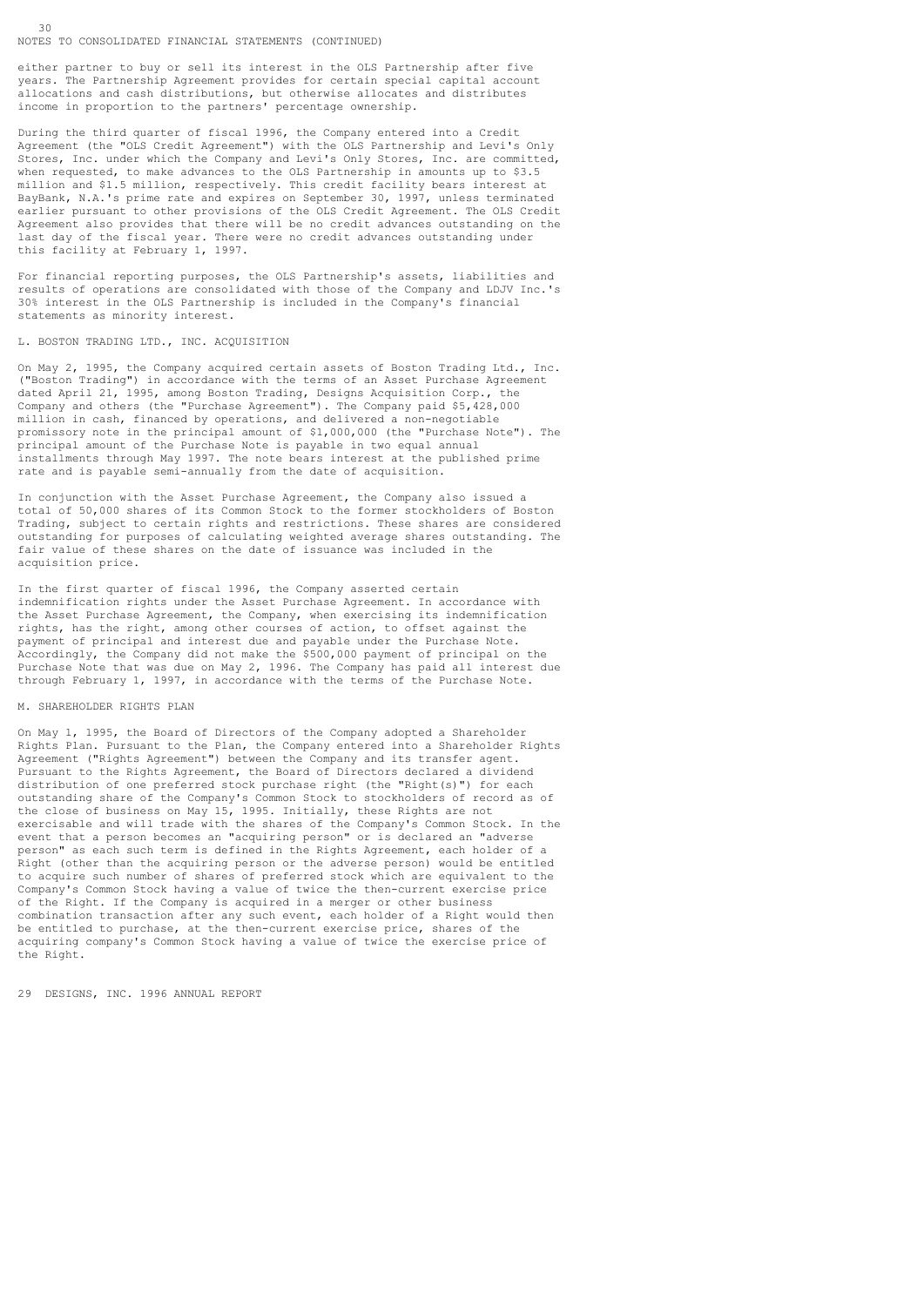#### NOTES TO CONSOLIDATED FINANCIAL STATEMENTS (CONTINUED)

30

either partner to buy or sell its interest in the OLS Partnership after five years. The Partnership Agreement provides for certain special capital account allocations and cash distributions, but otherwise allocates and distributes income in proportion to the partners' percentage ownership.

During the third quarter of fiscal 1996, the Company entered into a Credit Agreement (the "OLS Credit Agreement") with the OLS Partnership and Levi's Only Stores, Inc. under which the Company and Levi's Only Stores, Inc. are committed, when requested, to make advances to the OLS Partnership in amounts up to \$3.5 million and \$1.5 million, respectively. This credit facility bears interest at BayBank, N.A.'s prime rate and expires on September 30, 1997, unless terminated earlier pursuant to other provisions of the OLS Credit Agreement. The OLS Credit Agreement also provides that there will be no credit advances outstanding on the last day of the fiscal year. There were no credit advances outstanding under this facility at February 1, 1997.

For financial reporting purposes, the OLS Partnership's assets, liabilities and results of operations are consolidated with those of the Company and LDJV Inc.'s 30% interest in the OLS Partnership is included in the Company's financial statements as minority interest.

#### L. BOSTON TRADING LTD., INC. ACQUISITION

On May 2, 1995, the Company acquired certain assets of Boston Trading Ltd., Inc. ("Boston Trading") in accordance with the terms of an Asset Purchase Agreement dated April 21, 1995, among Boston Trading, Designs Acquisition Corp., the Company and others (the "Purchase Agreement"). The Company paid \$5,428,000 million in cash, financed by operations, and delivered a non-negotiable promissory note in the principal amount of \$1,000,000 (the "Purchase Note"). The principal amount of the Purchase Note is payable in two equal annual installments through May 1997. The note bears interest at the published prime rate and is payable semi-annually from the date of acquisition.

In conjunction with the Asset Purchase Agreement, the Company also issued a total of 50,000 shares of its Common Stock to the former stockholders of Boston Trading, subject to certain rights and restrictions. These shares are considered outstanding for purposes of calculating weighted average shares outstanding. The fair value of these shares on the date of issuance was included in the acquisition price.

In the first quarter of fiscal 1996, the Company asserted certain indemnification rights under the Asset Purchase Agreement. In accordance with the Asset Purchase Agreement, the Company, when exercising its indemnification rights, has the right, among other courses of action, to offset against the payment of principal and interest due and payable under the Purchase Note. Accordingly, the Company did not make the \$500,000 payment of principal on the Purchase Note that was due on May 2, 1996. The Company has paid all interest due through February 1, 1997, in accordance with the terms of the Purchase Note.

### M. SHAREHOLDER RIGHTS PLAN

On May 1, 1995, the Board of Directors of the Company adopted a Shareholder Rights Plan. Pursuant to the Plan, the Company entered into a Shareholder Rights Agreement ("Rights Agreement") between the Company and its transfer agent. Pursuant to the Rights Agreement, the Board of Directors declared a dividend distribution of one preferred stock purchase right (the "Right(s)") for each outstanding share of the Company's Common Stock to stockholders of record as of the close of business on May 15, 1995. Initially, these Rights are not exercisable and will trade with the shares of the Company's Common Stock. In the event that a person becomes an "acquiring person" or is declared an "adverse person" as each such term is defined in the Rights Agreement, each holder of a Right (other than the acquiring person or the adverse person) would be entitled to acquire such number of shares of preferred stock which are equivalent to the Company's Common Stock having a value of twice the then-current exercise price of the Right. If the Company is acquired in a merger or other business combination transaction after any such event, each holder of a Right would then be entitled to purchase, at the then-current exercise price, shares of the acquiring company's Common Stock having a value of twice the exercise price of the Right.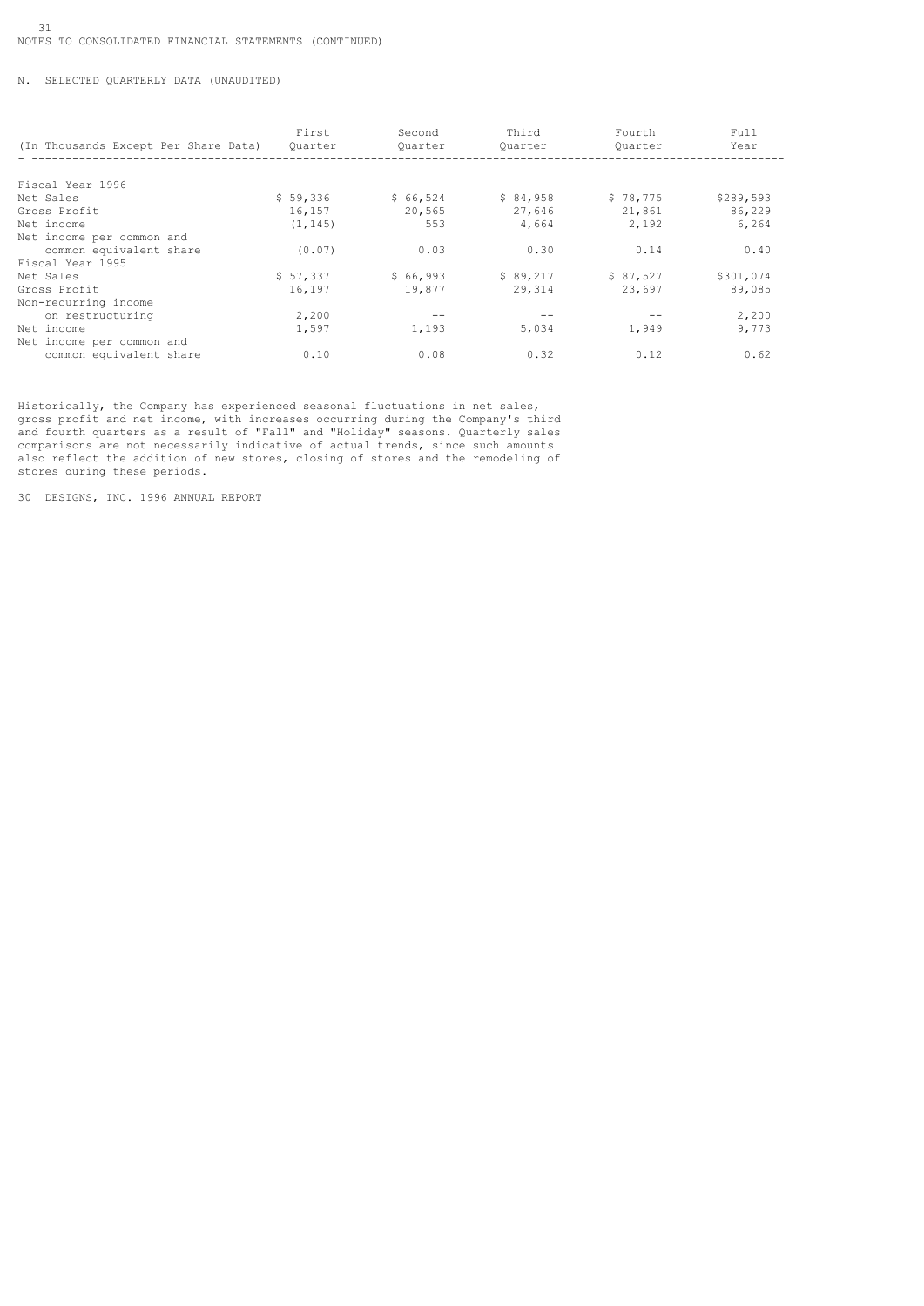# N. SELECTED QUARTERLY DATA (UNAUDITED)

| (In Thousands Except Per Share Data) | First<br>Ouarter | Second<br>Ouarter | Third<br>Ouarter | Fourth<br>Ouarter | Full<br>Year |
|--------------------------------------|------------------|-------------------|------------------|-------------------|--------------|
|                                      |                  |                   |                  |                   |              |
| Fiscal Year 1996                     |                  |                   |                  |                   |              |
| Net Sales                            | \$59,336         | \$66,524          | \$84,958         | \$78,775          | \$289,593    |
| Gross Profit                         | 16,157           | 20,565            | 27,646           | 21,861            | 86,229       |
| Net income                           | (1, 145)         | 553               | 4,664            | 2,192             | 6,264        |
| Net income per common and            |                  |                   |                  |                   |              |
| common equivalent share              | (0.07)           | 0.03              | 0.30             | 0.14              | 0.40         |
| Fiscal Year 1995                     |                  |                   |                  |                   |              |
| Net Sales                            | \$57,337         | \$66,993          | \$89,217         | \$87,527          | \$301,074    |
| Gross Profit                         | 16,197           | 19,877            | 29,314           | 23,697            | 89,085       |
| Non-recurring income                 |                  |                   |                  |                   |              |
| on restructuring                     | 2,200            |                   |                  |                   | 2,200        |
| Net income                           | 1,597            | 1,193             | 5,034            | 1,949             | 9.773        |
| Net income per common and            |                  |                   |                  |                   |              |
| common equivalent share              | 0.10             | 0.08              | 0.32             | 0.12              | 0.62         |

Historically, the Company has experienced seasonal fluctuations in net sales, gross profit and net income, with increases occurring during the Company's third and fourth quarters as a result of "Fall" and "Holiday" seasons. Quarterly sales comparisons are not necessarily indicative of actual trends, since such amounts also reflect the addition of new stores, closing of stores and the remodeling of stores during these periods.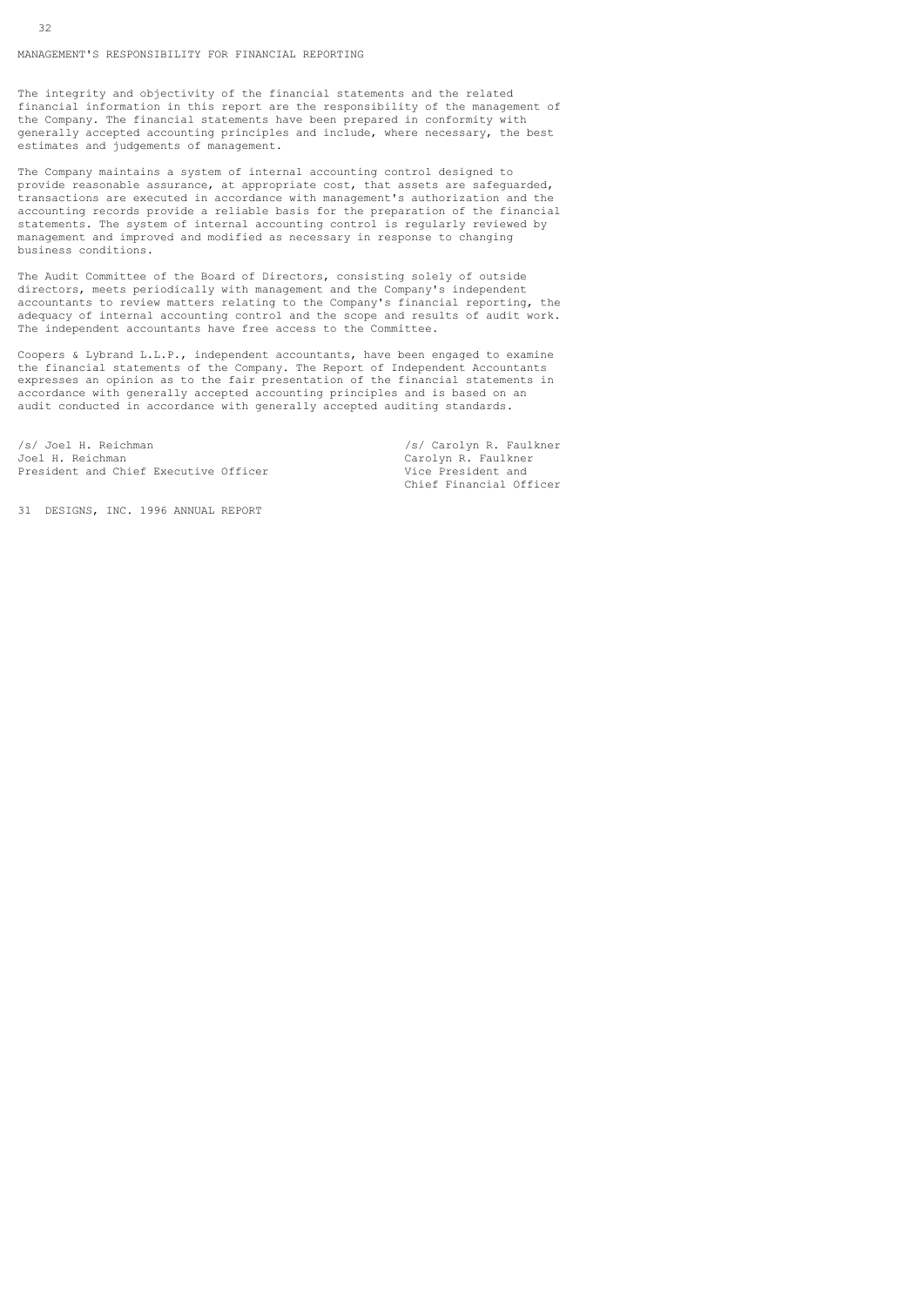MANAGEMENT'S RESPONSIBILITY FOR FINANCIAL REPORTING

The integrity and objectivity of the financial statements and the related financial information in this report are the responsibility of the management of the Company. The financial statements have been prepared in conformity with generally accepted accounting principles and include, where necessary, the best estimates and judgements of management.

The Company maintains a system of internal accounting control designed to provide reasonable assurance, at appropriate cost, that assets are safeguarded, transactions are executed in accordance with management's authorization and the accounting records provide a reliable basis for the preparation of the financial statements. The system of internal accounting control is regularly reviewed by management and improved and modified as necessary in response to changing business conditions.

The Audit Committee of the Board of Directors, consisting solely of outside directors, meets periodically with management and the Company's independent accountants to review matters relating to the Company's financial reporting, the adequacy of internal accounting control and the scope and results of audit work. The independent accountants have free access to the Committee.

Coopers & Lybrand L.L.P., independent accountants, have been engaged to examine the financial statements of the Company. The Report of Independent Accountants expresses an opinion as to the fair presentation of the financial statements in accordance with generally accepted accounting principles and is based on an audit conducted in accordance with generally accepted auditing standards.

/s/ Joel H. Reichman /s/ Carolyn R. Faulkner<br>Joel H. Reichman /s/ Carolyn R. Faulkner President and Chief Executive Officer

Carolyn R. Faulkner<br>Vice President and Chief Financial Officer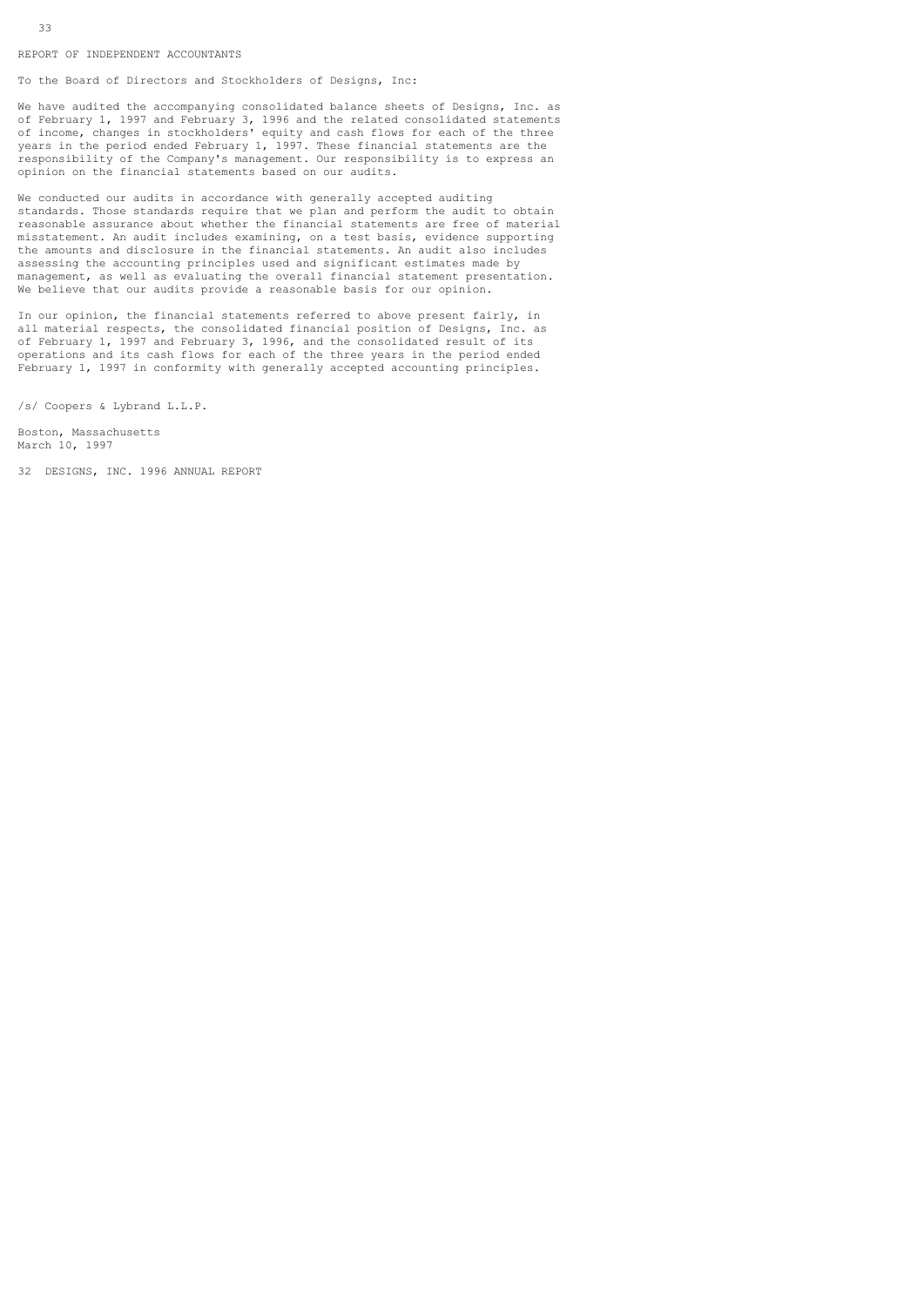REPORT OF INDEPENDENT ACCOUNTANTS

To the Board of Directors and Stockholders of Designs, Inc:

We have audited the accompanying consolidated balance sheets of Designs, Inc. as of February 1, 1997 and February 3, 1996 and the related consolidated statements of income, changes in stockholders' equity and cash flows for each of the three years in the period ended February 1, 1997. These financial statements are the responsibility of the Company's management. Our responsibility is to express an opinion on the financial statements based on our audits.

We conducted our audits in accordance with generally accepted auditing standards. Those standards require that we plan and perform the audit to obtain reasonable assurance about whether the financial statements are free of material misstatement. An audit includes examining, on a test basis, evidence supporting the amounts and disclosure in the financial statements. An audit also includes assessing the accounting principles used and significant estimates made by management, as well as evaluating the overall financial statement presentation. We believe that our audits provide a reasonable basis for our opinion.

In our opinion, the financial statements referred to above present fairly, in all material respects, the consolidated financial position of Designs, Inc. as of February 1, 1997 and February 3, 1996, and the consolidated result of its operations and its cash flows for each of the three years in the period ended February 1, 1997 in conformity with generally accepted accounting principles.

/s/ Coopers & Lybrand L.L.P.

Boston, Massachusetts March 10, 1997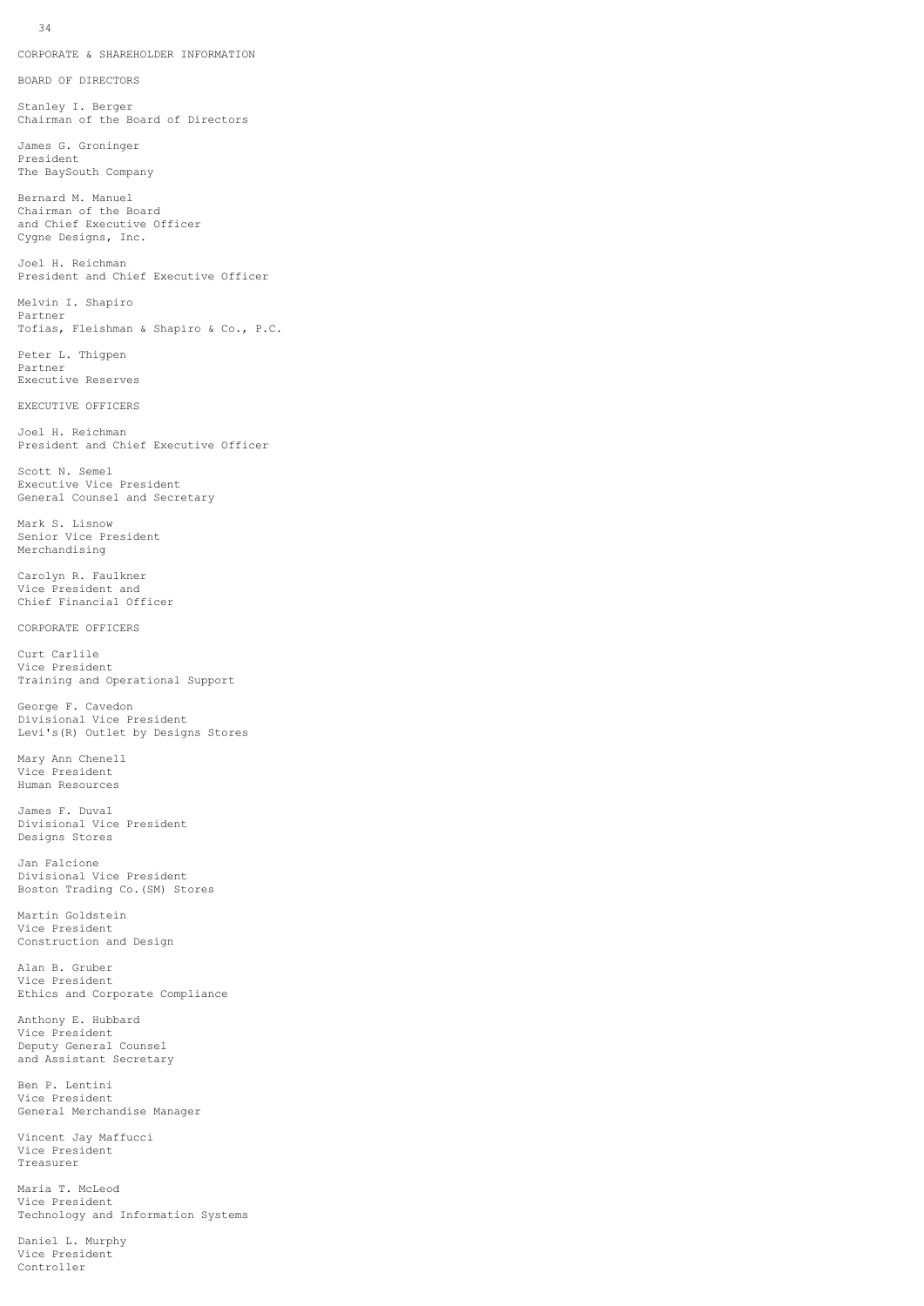CORPORATE & SHAREHOLDER INFORMATION

BOARD OF DIRECTORS

Stanley I. Berger Chairman of the Board of Directors

James G. Groninger President The BaySouth Company

Bernard M. Manuel Chairman of the Board and Chief Executive Officer Cygne Designs, Inc.

Joel H. Reichman President and Chief Executive Officer

Melvin I. Shapiro Partner Tofias, Fleishman & Shapiro & Co., P.C.

Peter L. Thigpen Partner Executive Reserves

EXECUTIVE OFFICERS

Joel H. Reichman President and Chief Executive Officer

Scott N. Semel Executive Vice President General Counsel and Secretary

Mark S. Lisnow Senior Vice President Merchandising

Carolyn R. Faulkner Vice President and Chief Financial Officer

CORPORATE OFFICERS

Curt Carlile Vice President Training and Operational Support

George F. Cavedon Divisional Vice President Levi's(R) Outlet by Designs Stores

Mary Ann Chenell Vice President Human Resources

James F. Duval Divisional Vice President Designs Stores

Jan Falcione Divisional Vice President Boston Trading Co.(SM) Stores

Martin Goldstein Vice President Construction and Design

Alan B. Gruber Vice President Ethics and Corporate Compliance

Anthony E. Hubbard Vice President Deputy General Counsel and Assistant Secretary

Ben P. Lentini Vice President General Merchandise Manager

Vincent Jay Maffucci Vice President Treasurer

Maria T. McLeod Vice President Technology and Information Systems

Daniel L. Murphy Vice President Controller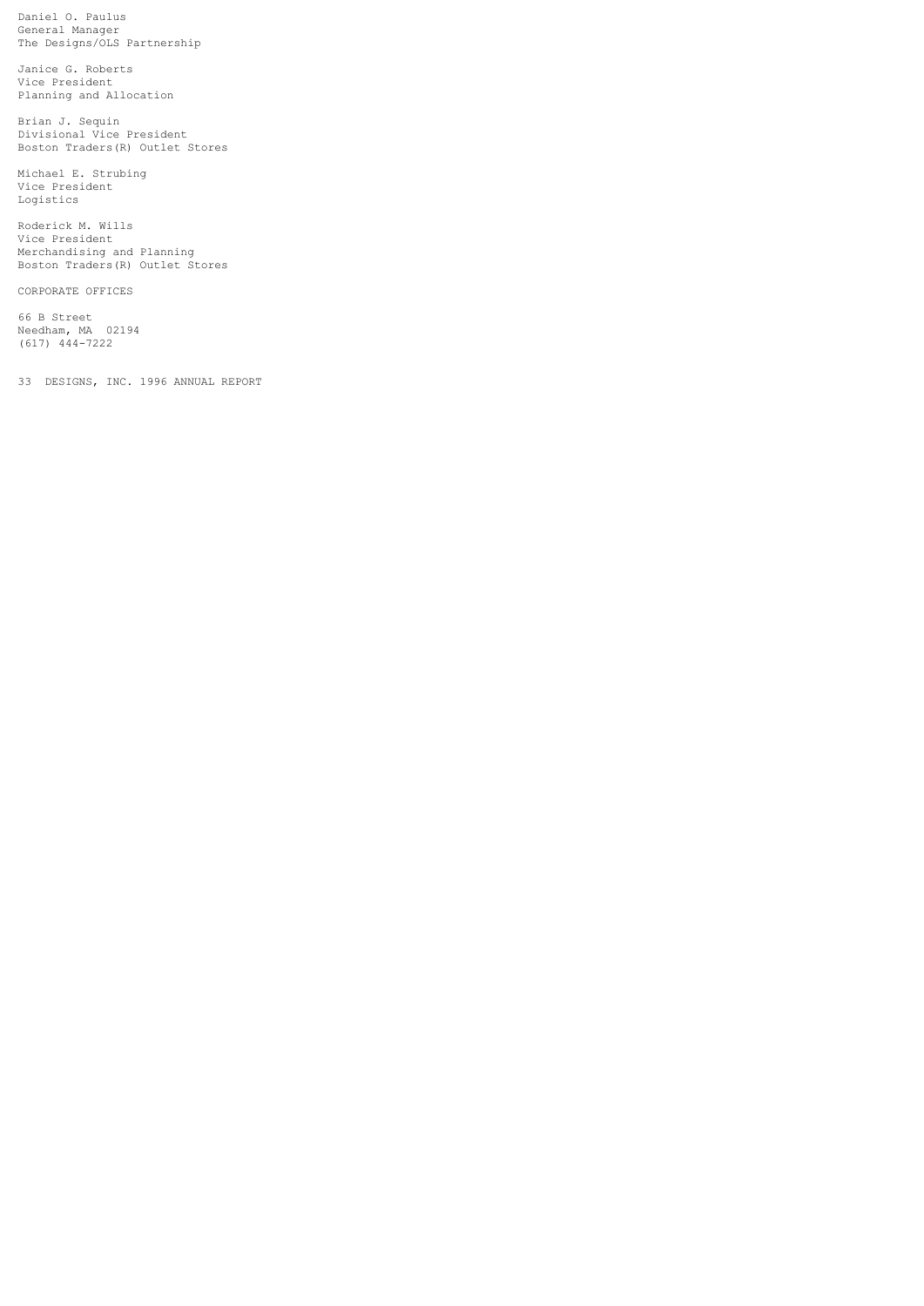Daniel O. Paulus General Manager The Designs/OLS Partnership

Janice G. Roberts Vice President Planning and Allocation

Brian J. Sequin Divisional Vice President Boston Traders(R) Outlet Stores

Michael E. Strubing Vice President Logistics

Roderick M. Wills Vice President Merchandising and Planning Boston Traders(R) Outlet Stores

CORPORATE OFFICES

66 B Street Needham, MA 02194 (617) 444-7222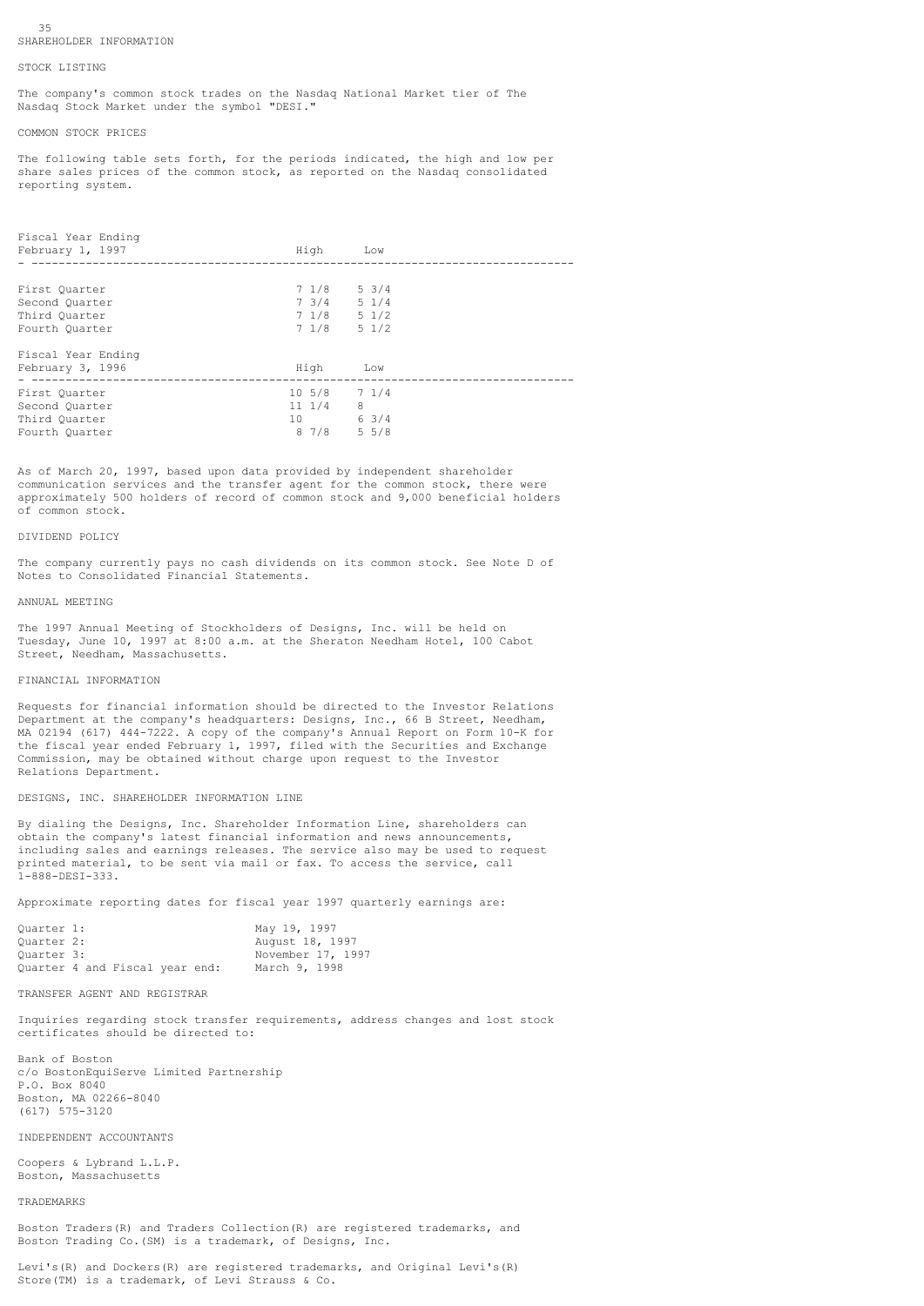#### 35 SHAREHOLDER INFORMATION

#### STOCK LISTING

The company's common stock trades on the Nasdaq National Market tier of The Nasdaq Stock Market under the symbol "DESI."

### COMMON STOCK PRICES

The following table sets forth, for the periods indicated, the high and low per share sales prices of the common stock, as reported on the Nasdaq consolidated reporting system.

| Fiscal Year Ending<br>February 1, 1997 | High                  | Low             |
|----------------------------------------|-----------------------|-----------------|
|                                        |                       |                 |
| First Ouarter                          | 7 1/8                 | $5 \frac{3}{4}$ |
| Second Quarter                         | $7 \frac{3}{4}$ 5 1/4 |                 |
| Third Ouarter                          | $7\frac{1}{8}$ 5 1/2  |                 |
| Fourth Quarter                         | $7\;1/8\;5\;1/2$      |                 |
| Fiscal Year Ending                     |                       |                 |
| February 3, 1996                       | High                  | Low             |
| First Quarter                          | $10\;\;5/8$ 7 1/4     |                 |
| Second Quarter                         | $11 \t1/4$            | 8               |
| Third Ouarter                          | 10 63/4               |                 |
| Fourth Quarter                         | 8 7 / 8               | $5 \frac{5}{8}$ |

As of March 20, 1997, based upon data provided by independent shareholder communication services and the transfer agent for the common stock, there were approximately 500 holders of record of common stock and 9,000 beneficial holders of common stock.

# DIVIDEND POLICY

The company currently pays no cash dividends on its common stock. See Note D of Notes to Consolidated Financial Statements.

# ANNUAL MEETING

The 1997 Annual Meeting of Stockholders of Designs, Inc. will be held on Tuesday, June 10, 1997 at 8:00 a.m. at the Sheraton Needham Hotel, 100 Cabot Street, Needham, Massachusetts.

### FINANCIAL INFORMATION

Requests for financial information should be directed to the Investor Relations Department at the company's headquarters: Designs, Inc., 66 B Street, Needham, MA 02194 (617) 444-7222. A copy of the company's Annual Report on Form 10-K for the fiscal year ended February 1, 1997, filed with the Securities and Exchange Commission, may be obtained without charge upon request to the Investor Relations Department.

#### DESIGNS, INC. SHAREHOLDER INFORMATION LINE

By dialing the Designs, Inc. Shareholder Information Line, shareholders can obtain the company's latest financial information and news announcements, including sales and earnings releases. The service also may be used to request printed material, to be sent via mail or fax. To access the service, call 1-888-DESI-333.

Approximate reporting dates for fiscal year 1997 quarterly earnings are:

| Ouarter 1:                     |  |  | May 19, 1997      |
|--------------------------------|--|--|-------------------|
| Ouarter 2:                     |  |  | August 18, 1997   |
| Ouarter 3:                     |  |  | November 17, 1997 |
| Ouarter 4 and Fiscal year end: |  |  | March 9, 1998     |

# TRANSFER AGENT AND REGISTRAR

Inquiries regarding stock transfer requirements, address changes and lost stock certificates should be directed to:

Bank of Boston c/o BostonEquiServe Limited Partnership P.O. Box 8040 Boston, MA 02266-8040 (617) 575-3120

### INDEPENDENT ACCOUNTANTS

Coopers & Lybrand L.L.P. Boston, Massachusetts

### TRADEMARKS

Boston Traders(R) and Traders Collection(R) are registered trademarks, and Boston Trading Co.(SM) is a trademark, of Designs, Inc.

Levi's(R) and Dockers(R) are registered trademarks, and Original Levi's(R) Store(TM) is a trademark, of Levi Strauss & Co.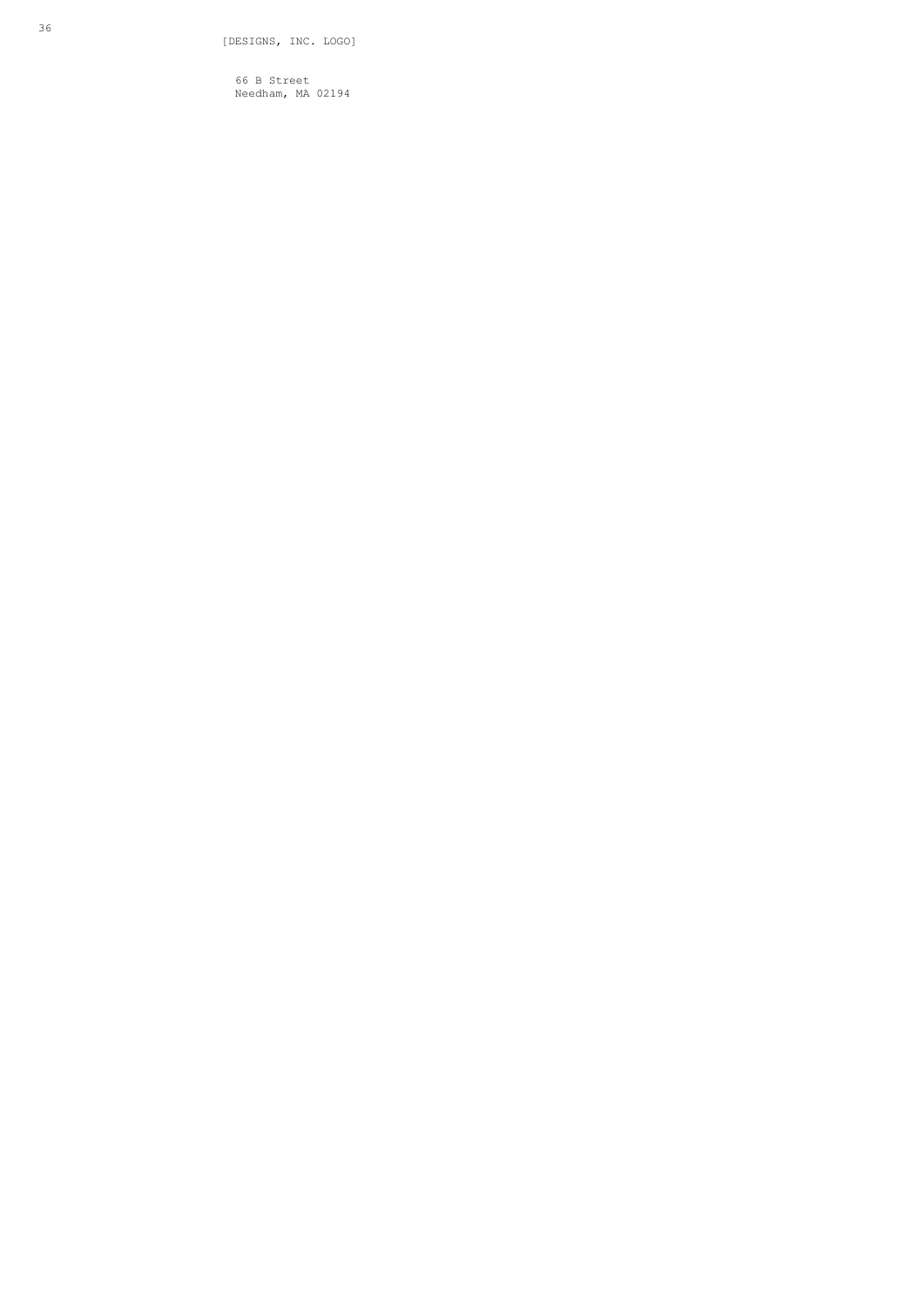66 B Street Needham, MA 02194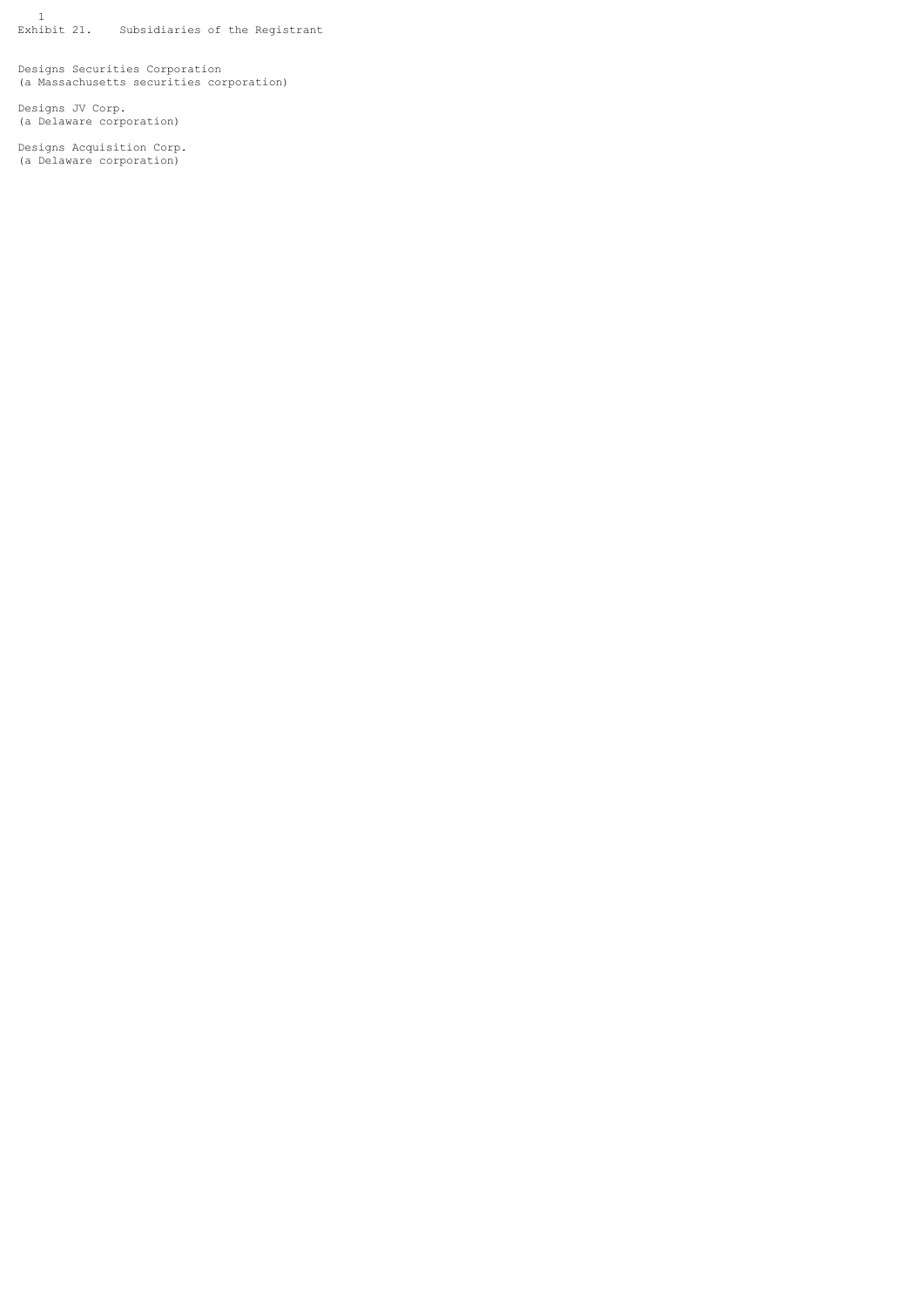1 Exhibit 21. Subsidiaries of the Registrant

Designs Securities Corporation (a Massachusetts securities corporation)

Designs JV Corp. (a Delaware corporation)

Designs Acquisition Corp. (a Delaware corporation)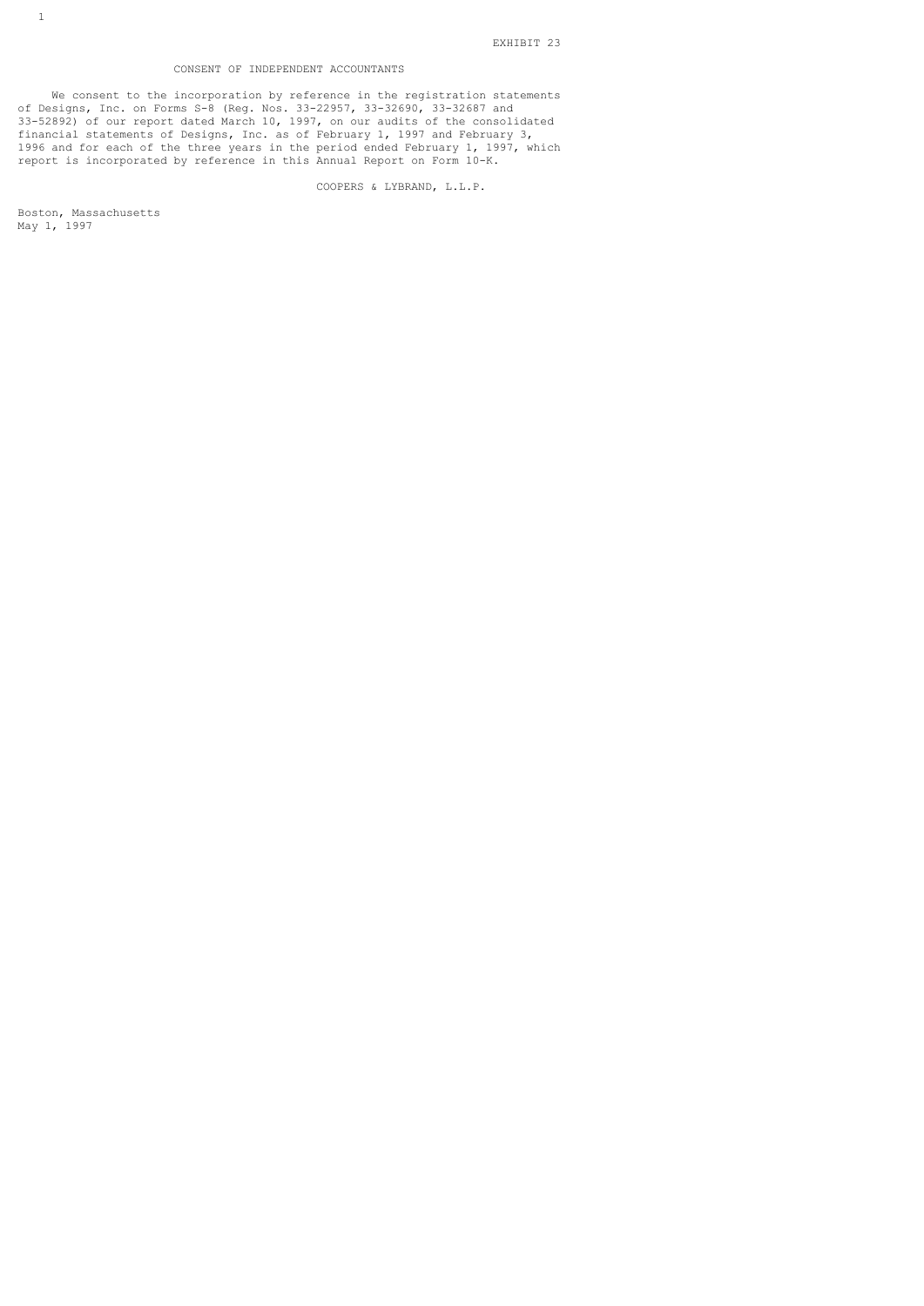# CONSENT OF INDEPENDENT ACCOUNTANTS

 We consent to the incorporation by reference in the registration statements of Designs, Inc. on Forms S-8 (Reg. Nos. 33-22957, 33-32690, 33-32687 and 33-52892) of our report dated March 10, 1997, on our audits of the consolidated financial statements of Designs, Inc. as of February 1, 1997 and February 3, 1996 and for each of the three years in the period ended February 1, 1997, which report is incorporated by reference in this Annual Report on Form 10-K.

COOPERS & LYBRAND, L.L.P.

Boston, Massachusetts May 1, 1997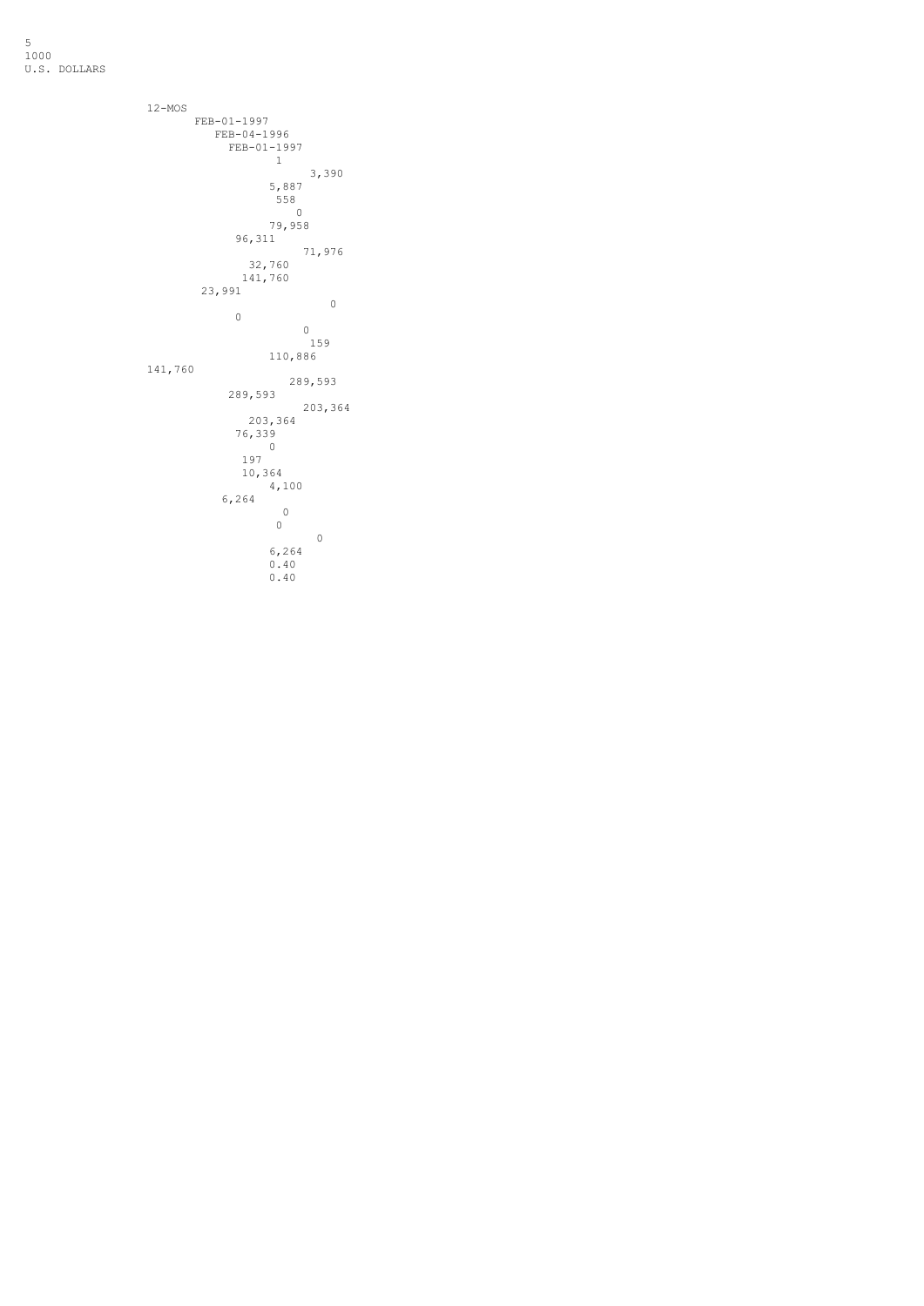5 1000 U.S. DOLLARS

```
 12-MOS
         FEB-01-1997
          FEB-04-1996
           FEB-01-1997
 1
 3,390
 5,887
558 State Contract of the Contract of the Contract of the Contract of the Contract of the Contract of the Contract of the Contract of the Contract of the Contract of the Contract of the Contract of the Contract of the Cont
 0
 79,958
 96,311
 71,976
 32,760
 141,760
 23,991
 0
 0
 0
 159
 110,886
       141,760
 289,593
 289,593
 203,364
 203,364
 76,339
 0
 197
 10,364
 4,100
 6,264
 0
 0
 0
 6,264
 0.40
             0.40
```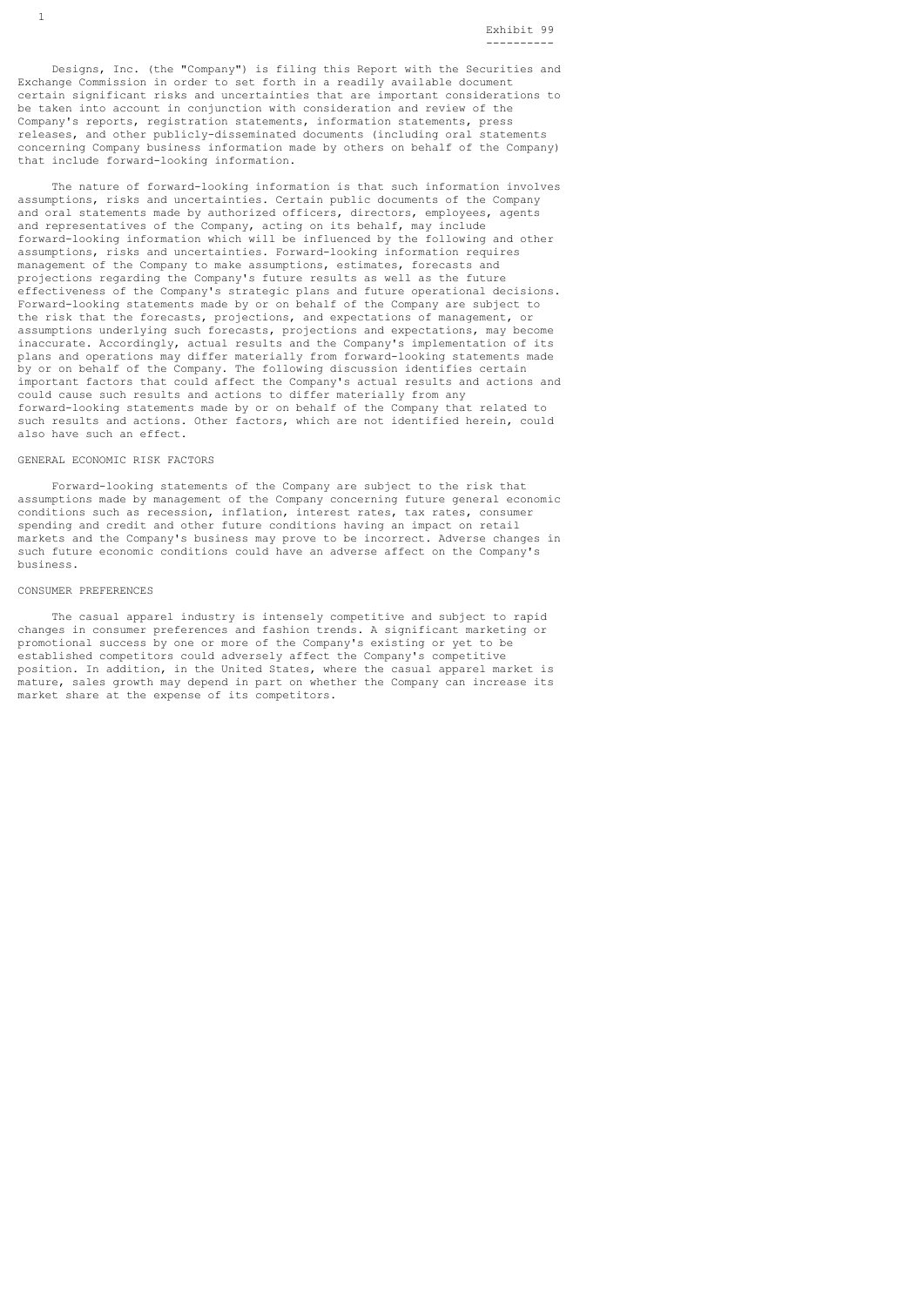Designs, Inc. (the "Company") is filing this Report with the Securities and Exchange Commission in order to set forth in a readily available document certain significant risks and uncertainties that are important considerations to be taken into account in conjunction with consideration and review of the Company's reports, registration statements, information statements, press releases, and other publicly-disseminated documents (including oral statements concerning Company business information made by others on behalf of the Company) that include forward-looking information.

 The nature of forward-looking information is that such information involves assumptions, risks and uncertainties. Certain public documents of the Company and oral statements made by authorized officers, directors, employees, agents and representatives of the Company, acting on its behalf, may include forward-looking information which will be influenced by the following and other assumptions, risks and uncertainties. Forward-looking information requires management of the Company to make assumptions, estimates, forecasts and projections regarding the Company's future results as well as the future effectiveness of the Company's strategic plans and future operational decisions. Forward-looking statements made by or on behalf of the Company are subject to the risk that the forecasts, projections, and expectations of management, or assumptions underlying such forecasts, projections and expectations, may become inaccurate. Accordingly, actual results and the Company's implementation of its plans and operations may differ materially from forward-looking statements made by or on behalf of the Company. The following discussion identifies certain important factors that could affect the Company's actual results and actions and could cause such results and actions to differ materially from any forward-looking statements made by or on behalf of the Company that related to such results and actions. Other factors, which are not identified herein, could also have such an effect.

### GENERAL ECONOMIC RISK FACTORS

 Forward-looking statements of the Company are subject to the risk that assumptions made by management of the Company concerning future general economic conditions such as recession, inflation, interest rates, tax rates, consumer spending and credit and other future conditions having an impact on retail markets and the Company's business may prove to be incorrect. Adverse changes in such future economic conditions could have an adverse affect on the Company's business.

### CONSUMER PREFERENCES

 The casual apparel industry is intensely competitive and subject to rapid changes in consumer preferences and fashion trends. A significant marketing or promotional success by one or more of the Company's existing or yet to be established competitors could adversely affect the Company's competitive position. In addition, in the United States, where the casual apparel market is mature, sales growth may depend in part on whether the Company can increase its market share at the expense of its competitors.

1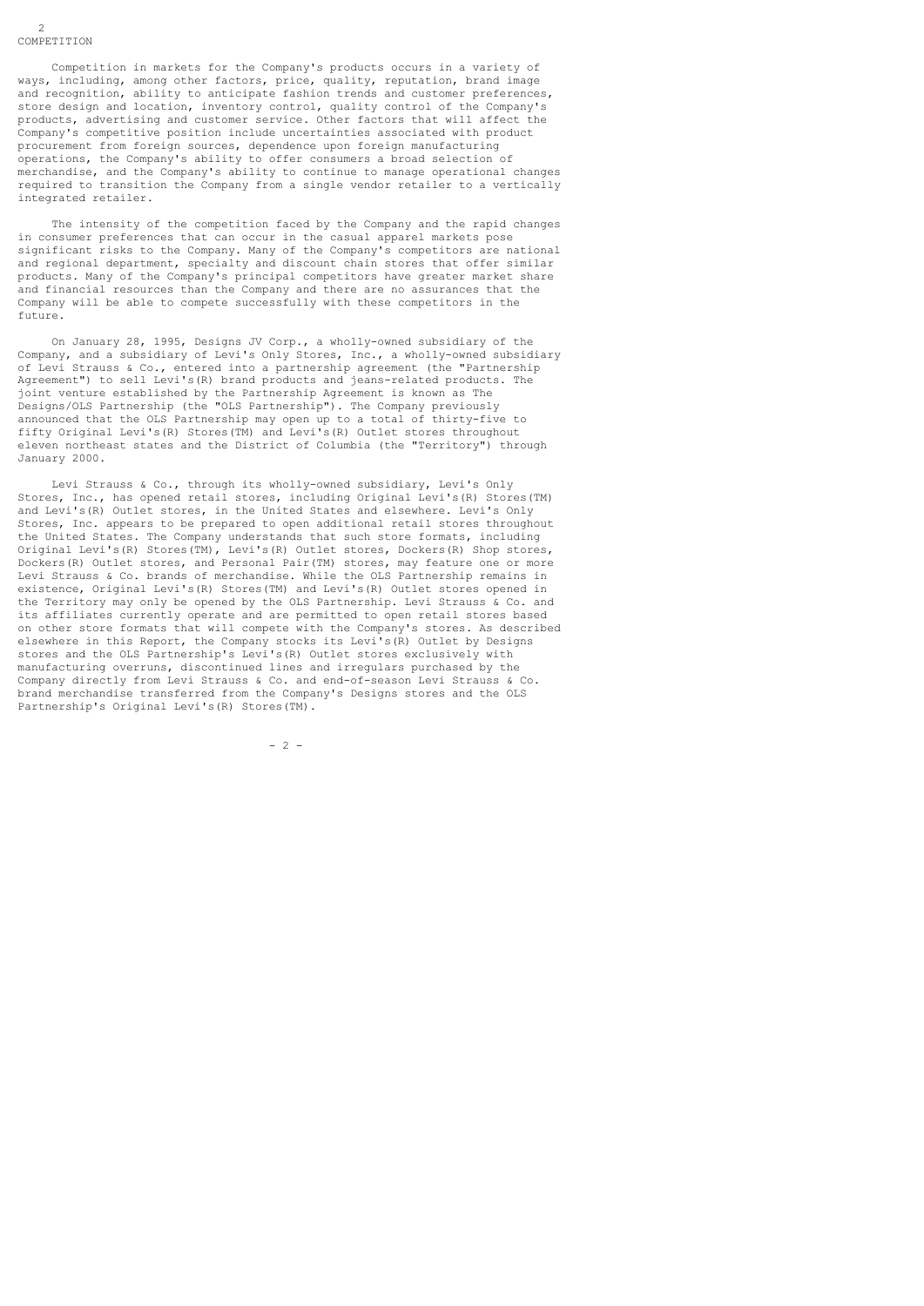Competition in markets for the Company's products occurs in a variety of ways, including, among other factors, price, quality, reputation, brand image and recognition, ability to anticipate fashion trends and customer preferences. store design and location, inventory control, quality control of the Company's products, advertising and customer service. Other factors that will affect the Company's competitive position include uncertainties associated with product procurement from foreign sources, dependence upon foreign manufacturing operations, the Company's ability to offer consumers a broad selection of merchandise, and the Company's ability to continue to manage operational changes required to transition the Company from a single vendor retailer to a vertically integrated retailer.

 The intensity of the competition faced by the Company and the rapid changes in consumer preferences that can occur in the casual apparel markets pose significant risks to the Company. Many of the Company's competitors are national and regional department, specialty and discount chain stores that offer similar products. Many of the Company's principal competitors have greater market share and financial resources than the Company and there are no assurances that the Company will be able to compete successfully with these competitors in the future.

 On January 28, 1995, Designs JV Corp., a wholly-owned subsidiary of the Company, and a subsidiary of Levi's Only Stores, Inc., a wholly-owned subsidiary of Levi Strauss & Co., entered into a partnership agreement (the "Partnership Agreement") to sell Levi's(R) brand products and jeans-related products. The joint venture established by the Partnership Agreement is known as The Designs/OLS Partnership (the "OLS Partnership"). The Company previously announced that the OLS Partnership may open up to a total of thirty-five to fifty Original Levi's(R) Stores(TM) and Levi's(R) Outlet stores throughout eleven northeast states and the District of Columbia (the "Territory") through January 2000.

 Levi Strauss & Co., through its wholly-owned subsidiary, Levi's Only Stores, Inc., has opened retail stores, including Original Levi's(R) Stores(TM) and Levi's(R) Outlet stores, in the United States and elsewhere. Levi's Only Stores, Inc. appears to be prepared to open additional retail stores throughout the United States. The Company understands that such store formats, including Original Levi's(R) Stores(TM), Levi's(R) Outlet stores, Dockers(R) Shop stores, Dockers(R) Outlet stores, and Personal Pair(TM) stores, may feature one or more Levi Strauss & Co. brands of merchandise. While the OLS Partnership remains in existence, Original Levi's(R) Stores(TM) and Levi's(R) Outlet stores opened in the Territory may only be opened by the OLS Partnership. Levi Strauss & Co. and its affiliates currently operate and are permitted to open retail stores based on other store formats that will compete with the Company's stores. As described elsewhere in this Report, the Company stocks its Levi's(R) Outlet by Designs stores and the OLS Partnership's Levi's(R) Outlet stores exclusively with manufacturing overruns, discontinued lines and irregulars purchased by the Company directly from Levi Strauss & Co. and end-of-season Levi Strauss & Co. brand merchandise transferred from the Company's Designs stores and the OLS Partnership's Original Levi's(R) Stores(TM).

 $-2$  -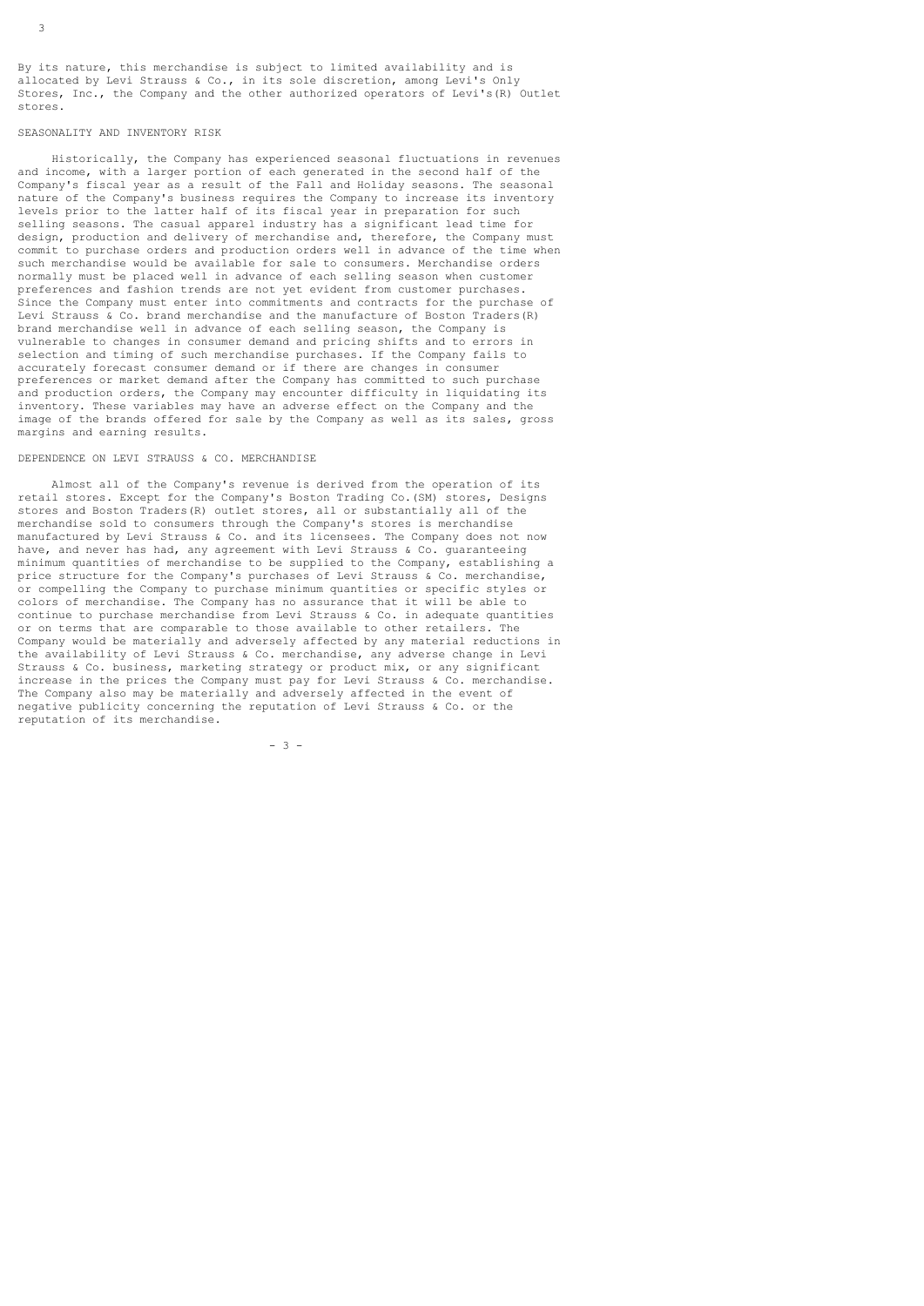By its nature, this merchandise is subject to limited availability and is allocated by Levi Strauss & Co., in its sole discretion, among Levi's Only Stores, Inc., the Company and the other authorized operators of Levi's(R) Outlet stores.

## SEASONALITY AND INVENTORY RISK

 Historically, the Company has experienced seasonal fluctuations in revenues and income, with a larger portion of each generated in the second half of the Company's fiscal year as a result of the Fall and Holiday seasons. The seasonal nature of the Company's business requires the Company to increase its inventory levels prior to the latter half of its fiscal year in preparation for such selling seasons. The casual apparel industry has a significant lead time for design, production and delivery of merchandise and, therefore, the Company must commit to purchase orders and production orders well in advance of the time when such merchandise would be available for sale to consumers. Merchandise orders normally must be placed well in advance of each selling season when customer preferences and fashion trends are not yet evident from customer purchases. Since the Company must enter into commitments and contracts for the purchase of Levi Strauss  $\alpha$  Co. brand merchandise and the manufacture of Boston Traders(R) brand merchandise well in advance of each selling season, the Company is vulnerable to changes in consumer demand and pricing shifts and to errors in selection and timing of such merchandise purchases. If the Company fails to accurately forecast consumer demand or if there are changes in consumer preferences or market demand after the Company has committed to such purchase and production orders, the Company may encounter difficulty in liquidating its inventory. These variables may have an adverse effect on the Company and the image of the brands offered for sale by the Company as well as its sales, gross margins and earning results.

# DEPENDENCE ON LEVI STRAUSS & CO. MERCHANDISE

 Almost all of the Company's revenue is derived from the operation of its retail stores. Except for the Company's Boston Trading Co.(SM) stores, Designs stores and Boston Traders(R) outlet stores, all or substantially all of the merchandise sold to consumers through the Company's stores is merchandise manufactured by Levi Strauss & Co. and its licensees. The Company does not now have, and never has had, any agreement with Levi Strauss & Co. quaranteeing minimum quantities of merchandise to be supplied to the Company, establishing a price structure for the Company's purchases of Levi Strauss & Co. merchandise, or compelling the Company to purchase minimum quantities or specific styles or colors of merchandise. The Company has no assurance that it will be able to continue to purchase merchandise from Levi Strauss & Co. in adequate quantities or on terms that are comparable to those available to other retailers. The Company would be materially and adversely affected by any material reductions in the availability of Levi Strauss & Co. merchandise, any adverse change in Levi Strauss & Co. business, marketing strategy or product mix, or any significant increase in the prices the Company must pay for Levi Strauss & Co. merchandise. The Company also may be materially and adversely affected in the event of negative publicity concerning the reputation of Levi Strauss & Co. or the reputation of its merchandise.

- 3 -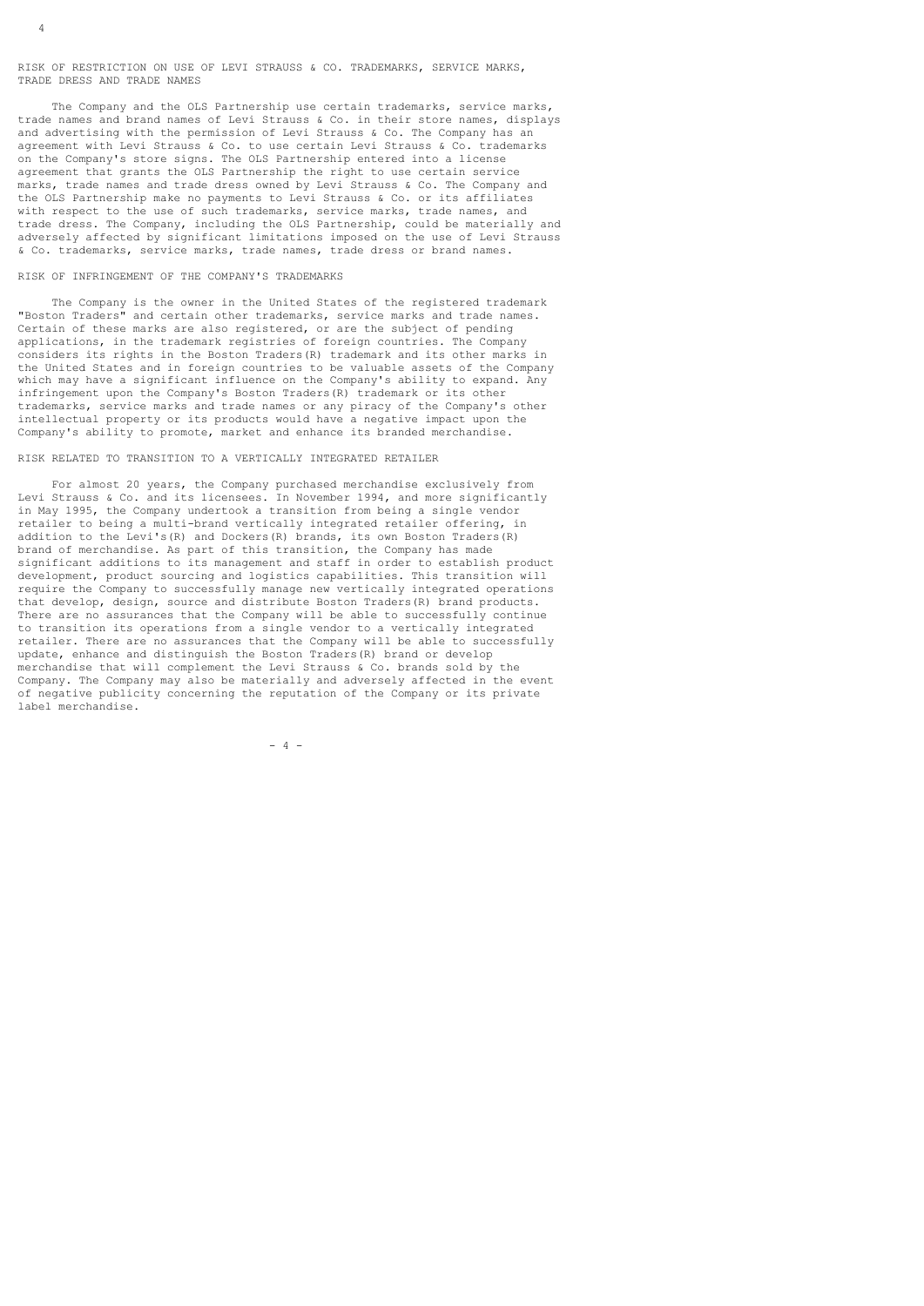RISK OF RESTRICTION ON USE OF LEVI STRAUSS & CO. TRADEMARKS, SERVICE MARKS, TRADE DRESS AND TRADE NAMES

 The Company and the OLS Partnership use certain trademarks, service marks, trade names and brand names of Levi Strauss & Co. in their store names, displays and advertising with the permission of Levi Strauss & Co. The Company has an agreement with Levi Strauss & Co. to use certain Levi Strauss & Co. trademarks on the Company's store signs. The OLS Partnership entered into a license agreement that grants the OLS Partnership the right to use certain service marks, trade names and trade dress owned by Levi Strauss & Co. The Company and the OLS Partnership make no payments to Levi Strauss & Co. or its affiliates with respect to the use of such trademarks, service marks, trade names, and trade dress. The Company, including the OLS Partnership, could be materially and adversely affected by significant limitations imposed on the use of Levi Strauss & Co. trademarks, service marks, trade names, trade dress or brand names.

# RISK OF INFRINGEMENT OF THE COMPANY'S TRADEMARKS

 The Company is the owner in the United States of the registered trademark "Boston Traders" and certain other trademarks, service marks and trade names. Certain of these marks are also registered, or are the subject of pending applications, in the trademark registries of foreign countries. The Company considers its rights in the Boston Traders(R) trademark and its other marks in the United States and in foreign countries to be valuable assets of the Company which may have a significant influence on the Company's ability to expand. Any infringement upon the Company's Boston Traders(R) trademark or its other trademarks, service marks and trade names or any piracy of the Company's other intellectual property or its products would have a negative impact upon the Company's ability to promote, market and enhance its branded merchandise.

# RISK RELATED TO TRANSITION TO A VERTICALLY INTEGRATED RETAILER

 For almost 20 years, the Company purchased merchandise exclusively from Levi Strauss & Co. and its licensees. In November 1994, and more significantly in May 1995, the Company undertook a transition from being a single vendor retailer to being a multi-brand vertically integrated retailer offering, in addition to the Levi's(R) and Dockers(R) brands, its own Boston Traders(R) brand of merchandise. As part of this transition, the Company has made significant additions to its management and staff in order to establish product development, product sourcing and logistics capabilities. This transition will require the Company to successfully manage new vertically integrated operations that develop, design, source and distribute Boston Traders(R) brand products. There are no assurances that the Company will be able to successfully continue to transition its operations from a single vendor to a vertically integrated retailer. There are no assurances that the Company will be able to successfully update, enhance and distinguish the Boston Traders(R) brand or develop merchandise that will complement the Levi Strauss & Co. brands sold by the Company. The Company may also be materially and adversely affected in the event of negative publicity concerning the reputation of the Company or its private label merchandise.

 $-4$  -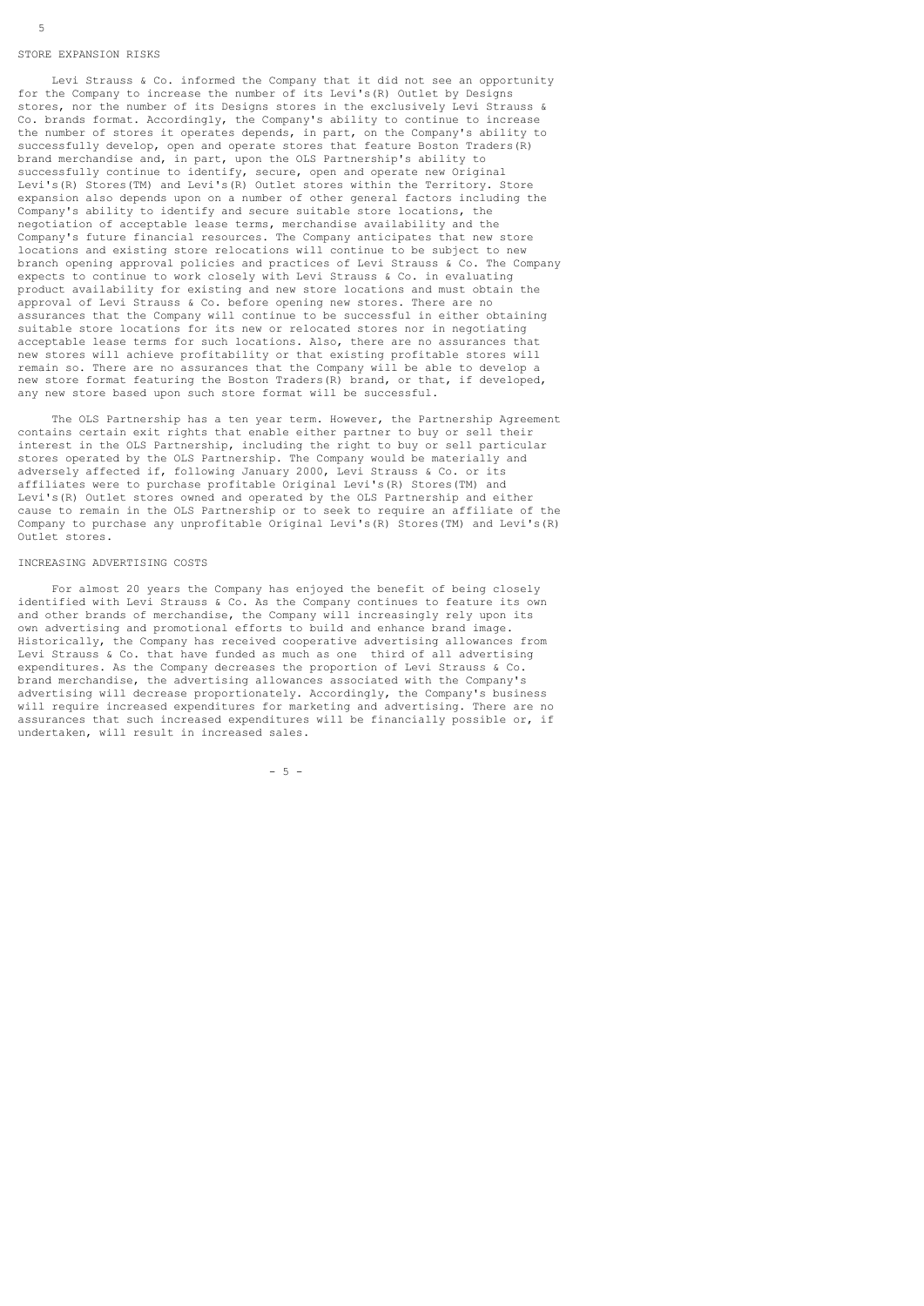#### STORE EXPANSION RISKS

5

 Levi Strauss & Co. informed the Company that it did not see an opportunity for the Company to increase the number of its Levi's(R) Outlet by Designs stores, nor the number of its Designs stores in the exclusively Levi Strauss & Co. brands format. Accordingly, the Company's ability to continue to increase the number of stores it operates depends, in part, on the Company's ability to successfully develop, open and operate stores that feature Boston Traders(R) brand merchandise and, in part, upon the OLS Partnership's ability to successfully continue to identify, secure, open and operate new Original Levi's(R) Stores(TM) and Levi's(R) Outlet stores within the Territory. Store expansion also depends upon on a number of other general factors including the Company's ability to identify and secure suitable store locations, the negotiation of acceptable lease terms, merchandise availability and the Company's future financial resources. The Company anticipates that new store locations and existing store relocations will continue to be subject to new branch opening approval policies and practices of Levi Strauss & Co. The Company expects to continue to work closely with Levi Strauss & Co. in evaluating product availability for existing and new store locations and must obtain the approval of Levi Strauss & Co. before opening new stores. There are no assurances that the Company will continue to be successful in either obtaining suitable store locations for its new or relocated stores nor in negotiating acceptable lease terms for such locations. Also, there are no assurances that new stores will achieve profitability or that existing profitable stores will remain so. There are no assurances that the Company will be able to develop a new store format featuring the Boston Traders(R) brand, or that, if developed, any new store based upon such store format will be successful.

The OLS Partnership has a ten year term. However, the Partnership Agreement contains certain exit rights that enable either partner to buy or sell their interest in the OLS Partnership, including the right to buy or sell particular stores operated by the OLS Partnership. The Company would be materially and adversely affected if, following January 2000, Levi Strauss & Co. or its affiliates were to purchase profitable Original Levi's(R) Stores(TM) and Levi's(R) Outlet stores owned and operated by the OLS Partnership and either cause to remain in the OLS Partnership or to seek to require an affiliate of the Company to purchase any unprofitable Original Levi's(R) Stores(TM) and Levi's(R) Outlet stores.

## INCREASING ADVERTISING COSTS

 For almost 20 years the Company has enjoyed the benefit of being closely identified with Levi Strauss & Co. As the Company continues to feature its own and other brands of merchandise, the Company will increasingly rely upon its own advertising and promotional efforts to build and enhance brand image. Historically, the Company has received cooperative advertising allowances from Levi Strauss & Co. that have funded as much as one third of all advertising expenditures. As the Company decreases the proportion of Levi Strauss & Co. brand merchandise, the advertising allowances associated with the Company's advertising will decrease proportionately. Accordingly, the Company's business will require increased expenditures for marketing and advertising. There are no assurances that such increased expenditures will be financially possible or, if undertaken, will result in increased sales.

- 5 -